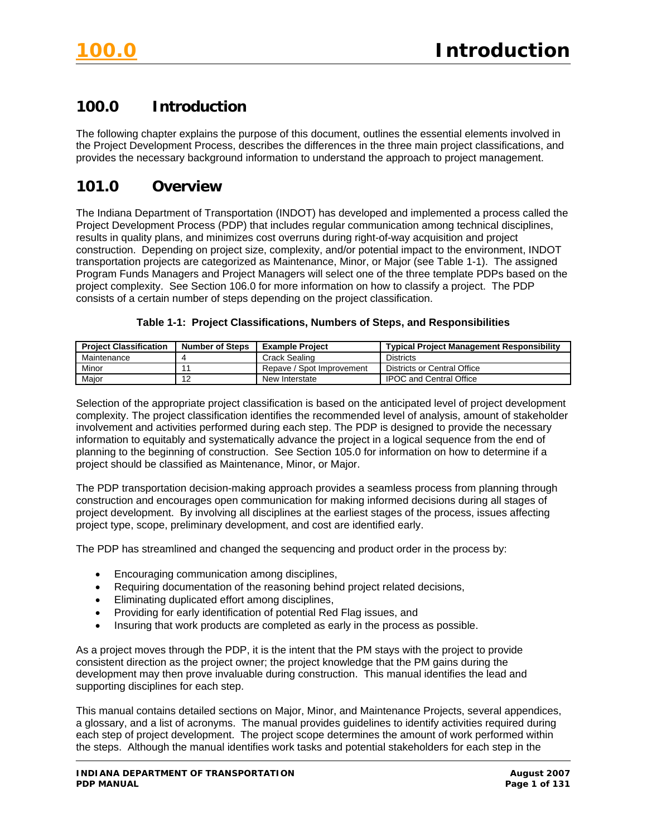# **100.0 Introduction**

The following chapter explains the purpose of this document, outlines the essential elements involved in the Project Development Process, describes the differences in the three main project classifications, and provides the necessary background information to understand the approach to project management.

# **101.0 Overview**

The Indiana Department of Transportation (INDOT) has developed and implemented a process called the Project Development Process (PDP) that includes regular communication among technical disciplines, results in quality plans, and minimizes cost overruns during right-of-way acquisition and project construction. Depending on project size, complexity, and/or potential impact to the environment, INDOT transportation projects are categorized as Maintenance, Minor, or Major (see Table 1-1). The assigned Program Funds Managers and Project Managers will select one of the three template PDPs based on the project complexity. See Section 106.0 for more information on how to classify a project. The PDP consists of a certain number of steps depending on the project classification.

#### **Table 1-1: Project Classifications, Numbers of Steps, and Responsibilities**

| <b>Project Classification</b> | <b>Number of Steps</b> | <b>Example Project</b>    | <b>Typical Project Management Responsibility</b> |
|-------------------------------|------------------------|---------------------------|--------------------------------------------------|
| Maintenance                   |                        | Crack Sealing             | <b>Districts</b>                                 |
| Minor                         |                        | Repave / Spot Improvement | Districts or Central Office                      |
| Major                         | ╸                      | New Interstate            | <b>IPOC and Central Office</b>                   |

Selection of the appropriate project classification is based on the anticipated level of project development complexity. The project classification identifies the recommended level of analysis, amount of stakeholder involvement and activities performed during each step. The PDP is designed to provide the necessary information to equitably and systematically advance the project in a logical sequence from the end of planning to the beginning of construction. See Section 105.0 for information on how to determine if a project should be classified as Maintenance, Minor, or Major.

The PDP transportation decision-making approach provides a seamless process from planning through construction and encourages open communication for making informed decisions during all stages of project development. By involving all disciplines at the earliest stages of the process, issues affecting project type, scope, preliminary development, and cost are identified early.

The PDP has streamlined and changed the sequencing and product order in the process by:

- Encouraging communication among disciplines,
- Requiring documentation of the reasoning behind project related decisions,
- Eliminating duplicated effort among disciplines,
- Providing for early identification of potential Red Flag issues, and
- Insuring that work products are completed as early in the process as possible.

As a project moves through the PDP, it is the intent that the PM stays with the project to provide consistent direction as the project owner; the project knowledge that the PM gains during the development may then prove invaluable during construction. This manual identifies the lead and supporting disciplines for each step.

This manual contains detailed sections on Major, Minor, and Maintenance Projects, several appendices, a glossary, and a list of acronyms. The manual provides guidelines to identify activities required during each step of project development. The project scope determines the amount of work performed within the steps. Although the manual identifies work tasks and potential stakeholders for each step in the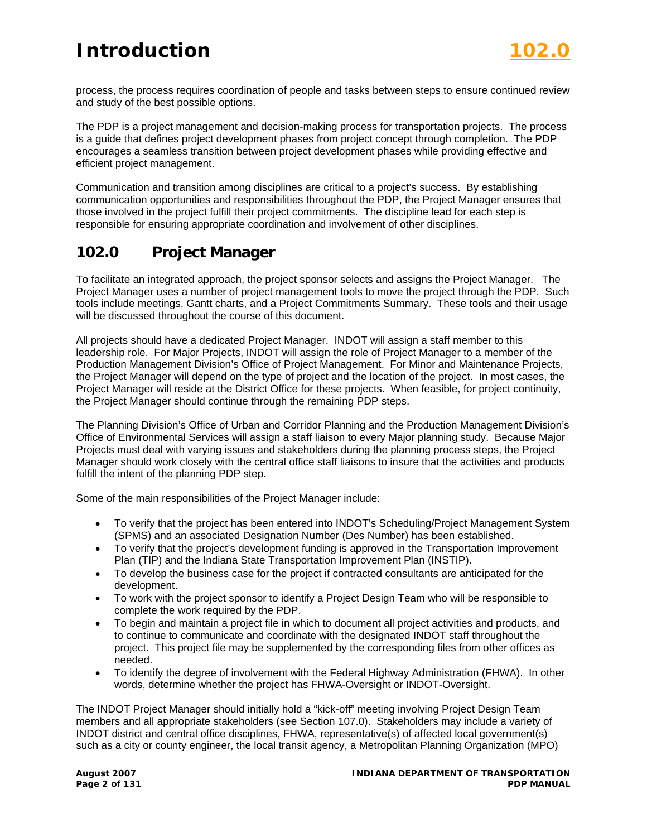process, the process requires coordination of people and tasks between steps to ensure continued review and study of the best possible options.

The PDP is a project management and decision-making process for transportation projects. The process is a guide that defines project development phases from project concept through completion. The PDP encourages a seamless transition between project development phases while providing effective and efficient project management.

Communication and transition among disciplines are critical to a project's success. By establishing communication opportunities and responsibilities throughout the PDP, the Project Manager ensures that those involved in the project fulfill their project commitments. The discipline lead for each step is responsible for ensuring appropriate coordination and involvement of other disciplines.

# **102.0 Project Manager**

To facilitate an integrated approach, the project sponsor selects and assigns the Project Manager. The Project Manager uses a number of project management tools to move the project through the PDP. Such tools include meetings, Gantt charts, and a Project Commitments Summary. These tools and their usage will be discussed throughout the course of this document.

All projects should have a dedicated Project Manager. INDOT will assign a staff member to this leadership role. For Major Projects, INDOT will assign the role of Project Manager to a member of the Production Management Division's Office of Project Management. For Minor and Maintenance Projects, the Project Manager will depend on the type of project and the location of the project. In most cases, the Project Manager will reside at the District Office for these projects. When feasible, for project continuity, the Project Manager should continue through the remaining PDP steps.

The Planning Division's Office of Urban and Corridor Planning and the Production Management Division's Office of Environmental Services will assign a staff liaison to every Major planning study. Because Major Projects must deal with varying issues and stakeholders during the planning process steps, the Project Manager should work closely with the central office staff liaisons to insure that the activities and products fulfill the intent of the planning PDP step.

Some of the main responsibilities of the Project Manager include:

- To verify that the project has been entered into INDOT's Scheduling/Project Management System (SPMS) and an associated Designation Number (Des Number) has been established.
- To verify that the project's development funding is approved in the Transportation Improvement Plan (TIP) and the Indiana State Transportation Improvement Plan (INSTIP).
- To develop the business case for the project if contracted consultants are anticipated for the development.
- To work with the project sponsor to identify a Project Design Team who will be responsible to complete the work required by the PDP.
- To begin and maintain a project file in which to document all project activities and products, and to continue to communicate and coordinate with the designated INDOT staff throughout the project. This project file may be supplemented by the corresponding files from other offices as needed.
- To identify the degree of involvement with the Federal Highway Administration (FHWA). In other words, determine whether the project has FHWA-Oversight or INDOT-Oversight.

The INDOT Project Manager should initially hold a "kick-off" meeting involving Project Design Team members and all appropriate stakeholders (see Section 107.0). Stakeholders may include a variety of INDOT district and central office disciplines, FHWA, representative(s) of affected local government(s) such as a city or county engineer, the local transit agency, a Metropolitan Planning Organization (MPO)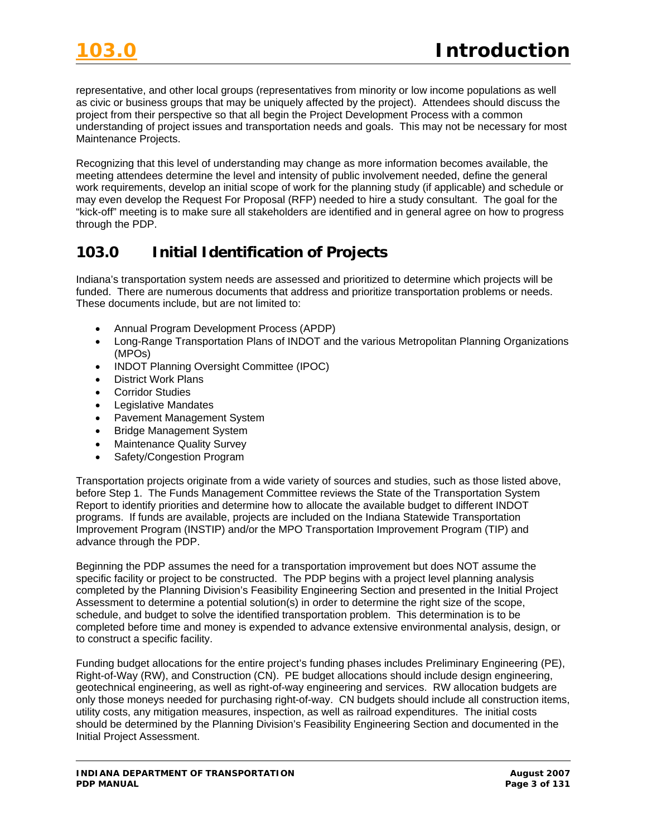representative, and other local groups (representatives from minority or low income populations as well as civic or business groups that may be uniquely affected by the project). Attendees should discuss the project from their perspective so that all begin the Project Development Process with a common understanding of project issues and transportation needs and goals. This may not be necessary for most Maintenance Projects.

Recognizing that this level of understanding may change as more information becomes available, the meeting attendees determine the level and intensity of public involvement needed, define the general work requirements, develop an initial scope of work for the planning study (if applicable) and schedule or may even develop the Request For Proposal (RFP) needed to hire a study consultant. The goal for the "kick-off" meeting is to make sure all stakeholders are identified and in general agree on how to progress through the PDP.

# **103.0 Initial Identification of Projects**

Indiana's transportation system needs are assessed and prioritized to determine which projects will be funded. There are numerous documents that address and prioritize transportation problems or needs. These documents include, but are not limited to:

- Annual Program Development Process (APDP)
- Long-Range Transportation Plans of INDOT and the various Metropolitan Planning Organizations (MPOs)
- INDOT Planning Oversight Committee (IPOC)
- District Work Plans
- Corridor Studies
- Legislative Mandates
- Pavement Management System
- Bridge Management System
- Maintenance Quality Survey
- Safety/Congestion Program

Transportation projects originate from a wide variety of sources and studies, such as those listed above, before Step 1. The Funds Management Committee reviews the State of the Transportation System Report to identify priorities and determine how to allocate the available budget to different INDOT programs. If funds are available, projects are included on the Indiana Statewide Transportation Improvement Program (INSTIP) and/or the MPO Transportation Improvement Program (TIP) and advance through the PDP.

Beginning the PDP assumes the need for a transportation improvement but does NOT assume the specific facility or project to be constructed. The PDP begins with a project level planning analysis completed by the Planning Division's Feasibility Engineering Section and presented in the Initial Project Assessment to determine a potential solution(s) in order to determine the right size of the scope, schedule, and budget to solve the identified transportation problem. This determination is to be completed before time and money is expended to advance extensive environmental analysis, design, or to construct a specific facility.

Funding budget allocations for the entire project's funding phases includes Preliminary Engineering (PE), Right-of-Way (RW), and Construction (CN). PE budget allocations should include design engineering, geotechnical engineering, as well as right-of-way engineering and services. RW allocation budgets are only those moneys needed for purchasing right-of-way. CN budgets should include all construction items, utility costs, any mitigation measures, inspection, as well as railroad expenditures. The initial costs should be determined by the Planning Division's Feasibility Engineering Section and documented in the Initial Project Assessment.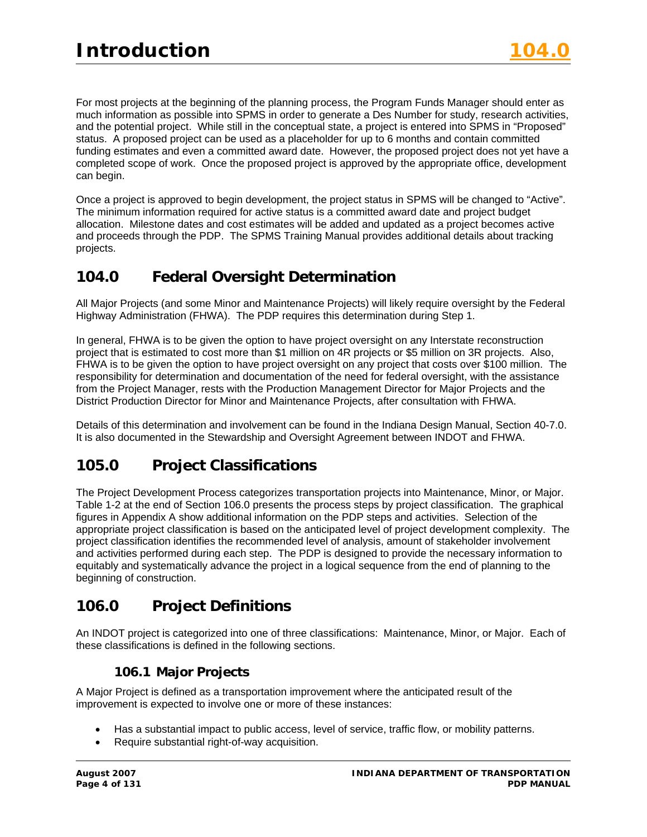For most projects at the beginning of the planning process, the Program Funds Manager should enter as much information as possible into SPMS in order to generate a Des Number for study, research activities, and the potential project. While still in the conceptual state, a project is entered into SPMS in "Proposed" status. A proposed project can be used as a placeholder for up to 6 months and contain committed funding estimates and even a committed award date. However, the proposed project does not yet have a completed scope of work. Once the proposed project is approved by the appropriate office, development can begin.

Once a project is approved to begin development, the project status in SPMS will be changed to "Active". The minimum information required for active status is a committed award date and project budget allocation. Milestone dates and cost estimates will be added and updated as a project becomes active and proceeds through the PDP. The SPMS Training Manual provides additional details about tracking projects.

# **104.0 Federal Oversight Determination**

All Major Projects (and some Minor and Maintenance Projects) will likely require oversight by the Federal Highway Administration (FHWA). The PDP requires this determination during Step 1.

In general, FHWA is to be given the option to have project oversight on any Interstate reconstruction project that is estimated to cost more than \$1 million on 4R projects or \$5 million on 3R projects. Also, FHWA is to be given the option to have project oversight on any project that costs over \$100 million. The responsibility for determination and documentation of the need for federal oversight, with the assistance from the Project Manager, rests with the Production Management Director for Major Projects and the District Production Director for Minor and Maintenance Projects, after consultation with FHWA.

Details of this determination and involvement can be found in the Indiana Design Manual, Section 40-7.0. It is also documented in the Stewardship and Oversight Agreement between INDOT and FHWA.

# **105.0 Project Classifications**

The Project Development Process categorizes transportation projects into Maintenance, Minor, or Major. Table 1-2 at the end of Section 106.0 presents the process steps by project classification. The graphical figures in Appendix A show additional information on the PDP steps and activities. Selection of the appropriate project classification is based on the anticipated level of project development complexity. The project classification identifies the recommended level of analysis, amount of stakeholder involvement and activities performed during each step. The PDP is designed to provide the necessary information to equitably and systematically advance the project in a logical sequence from the end of planning to the beginning of construction.

# **106.0 Project Definitions**

An INDOT project is categorized into one of three classifications: Maintenance, Minor, or Major. Each of these classifications is defined in the following sections.

# **106.1 Major Projects**

A Major Project is defined as a transportation improvement where the anticipated result of the improvement is expected to involve one or more of these instances:

- Has a substantial impact to public access, level of service, traffic flow, or mobility patterns.
- Require substantial right-of-way acquisition.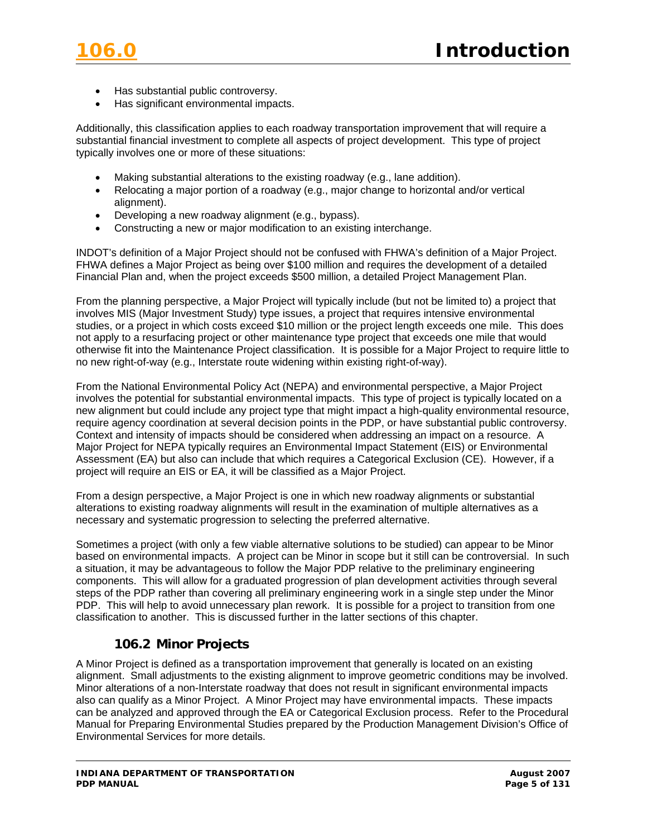- Has substantial public controversy.
- Has significant environmental impacts.

Additionally, this classification applies to each roadway transportation improvement that will require a substantial financial investment to complete all aspects of project development. This type of project typically involves one or more of these situations:

- Making substantial alterations to the existing roadway (e.g., lane addition).
- Relocating a major portion of a roadway (e.g., major change to horizontal and/or vertical alignment).
- Developing a new roadway alignment (e.g., bypass).
- Constructing a new or major modification to an existing interchange.

INDOT's definition of a Major Project should not be confused with FHWA's definition of a Major Project. FHWA defines a Major Project as being over \$100 million and requires the development of a detailed Financial Plan and, when the project exceeds \$500 million, a detailed Project Management Plan.

From the planning perspective, a Major Project will typically include (but not be limited to) a project that involves MIS (Major Investment Study) type issues, a project that requires intensive environmental studies, or a project in which costs exceed \$10 million or the project length exceeds one mile. This does not apply to a resurfacing project or other maintenance type project that exceeds one mile that would otherwise fit into the Maintenance Project classification. It is possible for a Major Project to require little to no new right-of-way (e.g., Interstate route widening within existing right-of-way).

From the National Environmental Policy Act (NEPA) and environmental perspective, a Major Project involves the potential for substantial environmental impacts. This type of project is typically located on a new alignment but could include any project type that might impact a high-quality environmental resource, require agency coordination at several decision points in the PDP, or have substantial public controversy. Context and intensity of impacts should be considered when addressing an impact on a resource. A Major Project for NEPA typically requires an Environmental Impact Statement (EIS) or Environmental Assessment (EA) but also can include that which requires a Categorical Exclusion (CE). However, if a project will require an EIS or EA, it will be classified as a Major Project.

From a design perspective, a Major Project is one in which new roadway alignments or substantial alterations to existing roadway alignments will result in the examination of multiple alternatives as a necessary and systematic progression to selecting the preferred alternative.

Sometimes a project (with only a few viable alternative solutions to be studied) can appear to be Minor based on environmental impacts. A project can be Minor in scope but it still can be controversial. In such a situation, it may be advantageous to follow the Major PDP relative to the preliminary engineering components. This will allow for a graduated progression of plan development activities through several steps of the PDP rather than covering all preliminary engineering work in a single step under the Minor PDP. This will help to avoid unnecessary plan rework. It is possible for a project to transition from one classification to another. This is discussed further in the latter sections of this chapter.

### **106.2 Minor Projects**

A Minor Project is defined as a transportation improvement that generally is located on an existing alignment. Small adjustments to the existing alignment to improve geometric conditions may be involved. Minor alterations of a non-Interstate roadway that does not result in significant environmental impacts also can qualify as a Minor Project. A Minor Project may have environmental impacts. These impacts can be analyzed and approved through the EA or Categorical Exclusion process. Refer to the Procedural Manual for Preparing Environmental Studies prepared by the Production Management Division's Office of Environmental Services for more details.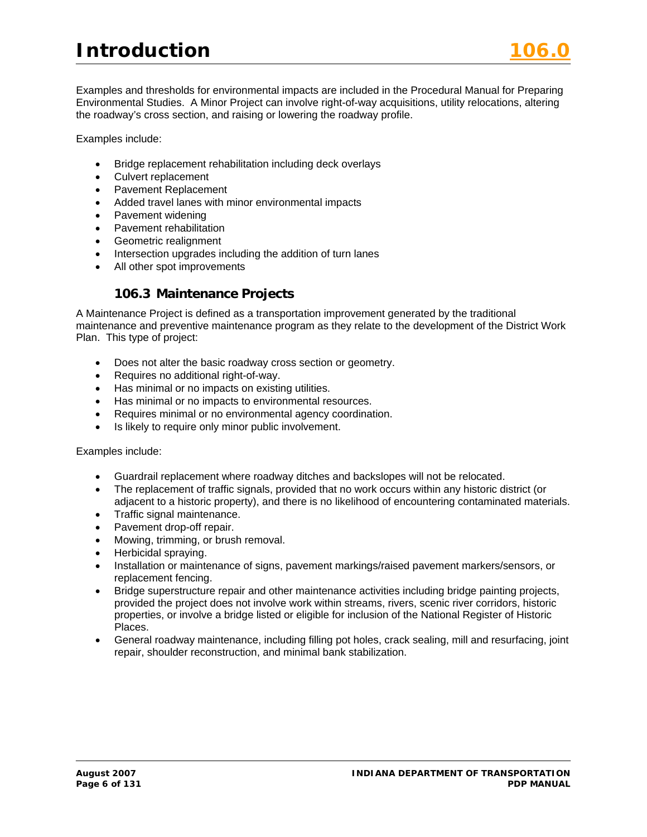Examples and thresholds for environmental impacts are included in the Procedural Manual for Preparing Environmental Studies. A Minor Project can involve right-of-way acquisitions, utility relocations, altering the roadway's cross section, and raising or lowering the roadway profile.

Examples include:

- Bridge replacement rehabilitation including deck overlays
- Culvert replacement
- Pavement Replacement
- Added travel lanes with minor environmental impacts
- Pavement widening
- Pavement rehabilitation
- Geometric realignment
- Intersection upgrades including the addition of turn lanes
- All other spot improvements

# **106.3 Maintenance Projects**

A Maintenance Project is defined as a transportation improvement generated by the traditional maintenance and preventive maintenance program as they relate to the development of the District Work Plan. This type of project:

- Does not alter the basic roadway cross section or geometry.
- Requires no additional right-of-way.
- Has minimal or no impacts on existing utilities.
- Has minimal or no impacts to environmental resources.
- Requires minimal or no environmental agency coordination.
- Is likely to require only minor public involvement.

Examples include:

- Guardrail replacement where roadway ditches and backslopes will not be relocated.
- The replacement of traffic signals, provided that no work occurs within any historic district (or adjacent to a historic property), and there is no likelihood of encountering contaminated materials.
- Traffic signal maintenance.
- Pavement drop-off repair.
- Mowing, trimming, or brush removal.
- Herbicidal spraying.
- Installation or maintenance of signs, pavement markings/raised pavement markers/sensors, or replacement fencing.
- Bridge superstructure repair and other maintenance activities including bridge painting projects, provided the project does not involve work within streams, rivers, scenic river corridors, historic properties, or involve a bridge listed or eligible for inclusion of the National Register of Historic Places.
- General roadway maintenance, including filling pot holes, crack sealing, mill and resurfacing, joint repair, shoulder reconstruction, and minimal bank stabilization.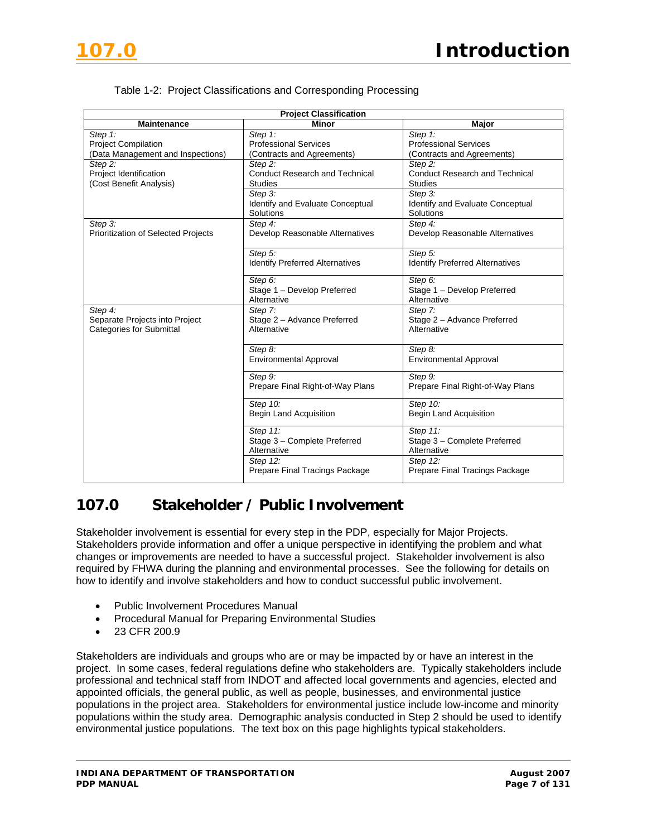

| <b>Project Classification</b>              |                                            |                                            |  |  |
|--------------------------------------------|--------------------------------------------|--------------------------------------------|--|--|
| <b>Maintenance</b>                         | <b>Minor</b>                               | Major                                      |  |  |
| Step 1:                                    | Step 1:                                    | Step 1:                                    |  |  |
| <b>Project Compilation</b>                 | <b>Professional Services</b>               | <b>Professional Services</b>               |  |  |
| (Data Management and Inspections)          | (Contracts and Agreements)                 | (Contracts and Agreements)                 |  |  |
| Step 2:                                    | Step 2:                                    | Step 2:                                    |  |  |
| Project Identification                     | <b>Conduct Research and Technical</b>      | <b>Conduct Research and Technical</b>      |  |  |
| (Cost Benefit Analysis)                    | <b>Studies</b>                             | <b>Studies</b>                             |  |  |
|                                            | Step 3:                                    | Step 3:                                    |  |  |
|                                            | Identify and Evaluate Conceptual           | Identify and Evaluate Conceptual           |  |  |
|                                            | Solutions                                  | Solutions                                  |  |  |
| Step 3:                                    | Step 4:                                    | Step 4:                                    |  |  |
| <b>Prioritization of Selected Projects</b> | Develop Reasonable Alternatives            | Develop Reasonable Alternatives            |  |  |
|                                            |                                            |                                            |  |  |
|                                            | Step 5:                                    | Step 5:                                    |  |  |
|                                            | <b>Identify Preferred Alternatives</b>     | <b>Identify Preferred Alternatives</b>     |  |  |
|                                            | Step 6:                                    | Step 6:                                    |  |  |
|                                            |                                            |                                            |  |  |
|                                            | Stage 1 - Develop Preferred<br>Alternative | Stage 1 - Develop Preferred<br>Alternative |  |  |
| Step 4:                                    | Step 7:                                    | Step 7:                                    |  |  |
| Separate Projects into Project             | Stage 2 - Advance Preferred                | Stage 2 - Advance Preferred                |  |  |
| <b>Categories for Submittal</b>            | Alternative                                | Alternative                                |  |  |
|                                            |                                            |                                            |  |  |
|                                            | Step 8:                                    | Step 8:                                    |  |  |
|                                            | <b>Environmental Approval</b>              | <b>Environmental Approval</b>              |  |  |
|                                            |                                            |                                            |  |  |
|                                            | Step 9:                                    | Step 9:                                    |  |  |
|                                            | Prepare Final Right-of-Way Plans           | Prepare Final Right-of-Way Plans           |  |  |
|                                            | Step 10:                                   | Step 10:                                   |  |  |
|                                            | <b>Begin Land Acquisition</b>              | <b>Begin Land Acquisition</b>              |  |  |
|                                            |                                            |                                            |  |  |
|                                            | Step 11:                                   | Step 11:                                   |  |  |
|                                            | Stage 3 - Complete Preferred               | Stage 3 - Complete Preferred               |  |  |
|                                            | Alternative                                | Alternative                                |  |  |
|                                            | Step 12:                                   | Step 12:                                   |  |  |
|                                            | Prepare Final Tracings Package             | Prepare Final Tracings Package             |  |  |
|                                            |                                            |                                            |  |  |

#### Table 1-2: Project Classifications and Corresponding Processing

# **107.0 Stakeholder / Public Involvement**

Stakeholder involvement is essential for every step in the PDP, especially for Major Projects. Stakeholders provide information and offer a unique perspective in identifying the problem and what changes or improvements are needed to have a successful project. Stakeholder involvement is also required by FHWA during the planning and environmental processes. See the following for details on how to identify and involve stakeholders and how to conduct successful public involvement.

- Public Involvement Procedures Manual
- Procedural Manual for Preparing Environmental Studies
- 23 CFR 200.9

Stakeholders are individuals and groups who are or may be impacted by or have an interest in the project. In some cases, federal regulations define who stakeholders are. Typically stakeholders include professional and technical staff from INDOT and affected local governments and agencies, elected and appointed officials, the general public, as well as people, businesses, and environmental justice populations in the project area. Stakeholders for environmental justice include low-income and minority populations within the study area. Demographic analysis conducted in Step 2 should be used to identify environmental justice populations. The text box on this page highlights typical stakeholders.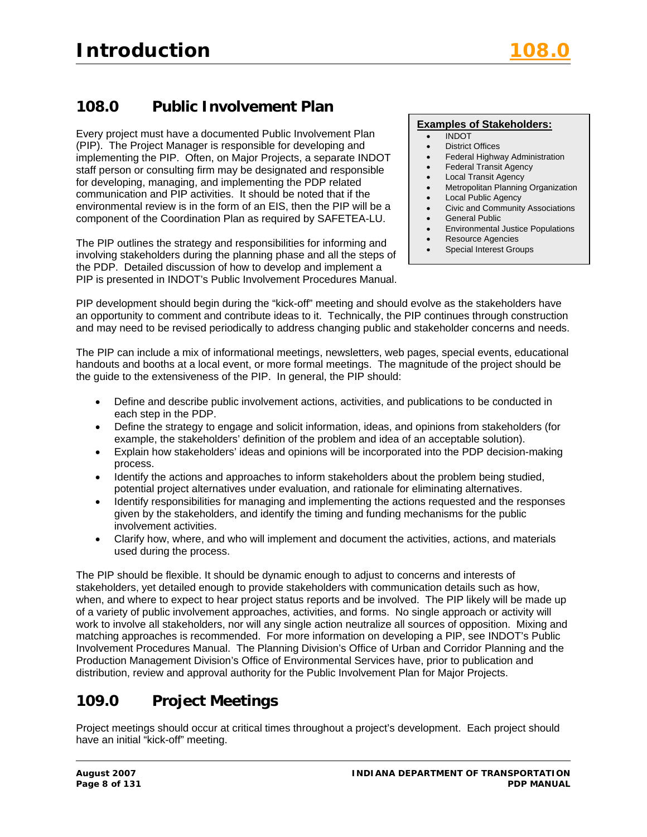# **108.0 Public Involvement Plan**

Every project must have a documented Public Involvement Plan (PIP). The Project Manager is responsible for developing and implementing the PIP. Often, on Major Projects, a separate INDOT staff person or consulting firm may be designated and responsible for developing, managing, and implementing the PDP related communication and PIP activities. It should be noted that if the environmental review is in the form of an EIS, then the PIP will be a component of the Coordination Plan as required by SAFETEA-LU.

The PIP outlines the strategy and responsibilities for informing and involving stakeholders during the planning phase and all the steps of the PDP. Detailed discussion of how to develop and implement a PIP is presented in INDOT's Public Involvement Procedures Manual.

#### **Examples of Stakeholders:**

- INDOT
- District Offices
- Federal Highway Administration
- Federal Transit Agency
- Local Transit Agency
- Metropolitan Planning Organization
- **Local Public Agency** • Civic and Community Associations
- General Public
- Environmental Justice Populations
- Resource Agencies
- Special Interest Groups

PIP development should begin during the "kick-off" meeting and should evolve as the stakeholders have an opportunity to comment and contribute ideas to it. Technically, the PIP continues through construction and may need to be revised periodically to address changing public and stakeholder concerns and needs.

The PIP can include a mix of informational meetings, newsletters, web pages, special events, educational handouts and booths at a local event, or more formal meetings. The magnitude of the project should be the guide to the extensiveness of the PIP. In general, the PIP should:

- Define and describe public involvement actions, activities, and publications to be conducted in each step in the PDP.
- Define the strategy to engage and solicit information, ideas, and opinions from stakeholders (for example, the stakeholders' definition of the problem and idea of an acceptable solution).
- Explain how stakeholders' ideas and opinions will be incorporated into the PDP decision-making process.
- Identify the actions and approaches to inform stakeholders about the problem being studied, potential project alternatives under evaluation, and rationale for eliminating alternatives.
- Identify responsibilities for managing and implementing the actions requested and the responses given by the stakeholders, and identify the timing and funding mechanisms for the public involvement activities.
- Clarify how, where, and who will implement and document the activities, actions, and materials used during the process.

The PIP should be flexible. It should be dynamic enough to adjust to concerns and interests of stakeholders, yet detailed enough to provide stakeholders with communication details such as how, when, and where to expect to hear project status reports and be involved. The PIP likely will be made up of a variety of public involvement approaches, activities, and forms. No single approach or activity will work to involve all stakeholders, nor will any single action neutralize all sources of opposition. Mixing and matching approaches is recommended. For more information on developing a PIP, see INDOT's Public Involvement Procedures Manual. The Planning Division's Office of Urban and Corridor Planning and the Production Management Division's Office of Environmental Services have, prior to publication and distribution, review and approval authority for the Public Involvement Plan for Major Projects.

# **109.0 Project Meetings**

Project meetings should occur at critical times throughout a project's development. Each project should have an initial "kick-off" meeting.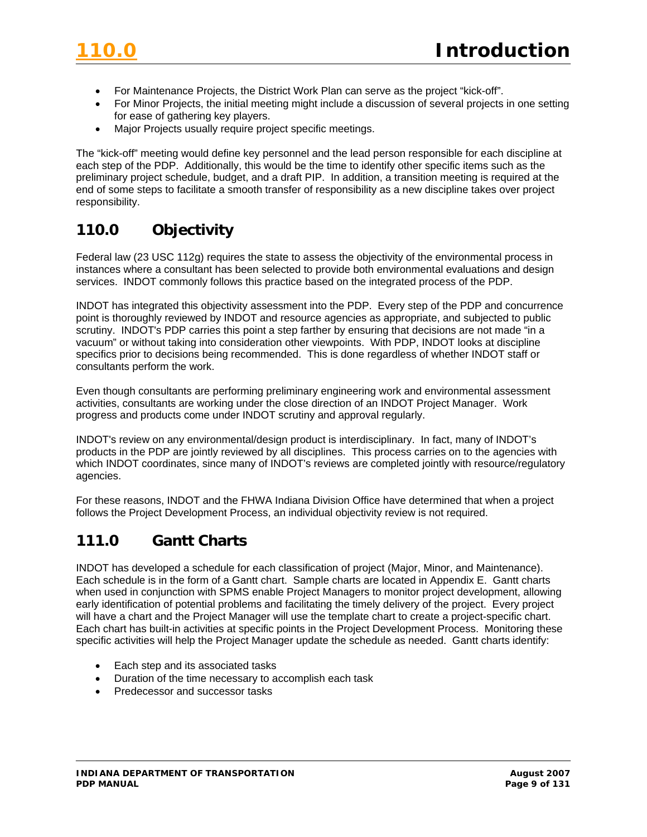- For Maintenance Projects, the District Work Plan can serve as the project "kick-off".
- For Minor Projects, the initial meeting might include a discussion of several projects in one setting for ease of gathering key players.
- Major Projects usually require project specific meetings.

The "kick-off" meeting would define key personnel and the lead person responsible for each discipline at each step of the PDP. Additionally, this would be the time to identify other specific items such as the preliminary project schedule, budget, and a draft PIP. In addition, a transition meeting is required at the end of some steps to facilitate a smooth transfer of responsibility as a new discipline takes over project responsibility.

# **110.0 Objectivity**

Federal law (23 USC 112g) requires the state to assess the objectivity of the environmental process in instances where a consultant has been selected to provide both environmental evaluations and design services. INDOT commonly follows this practice based on the integrated process of the PDP.

INDOT has integrated this objectivity assessment into the PDP. Every step of the PDP and concurrence point is thoroughly reviewed by INDOT and resource agencies as appropriate, and subjected to public scrutiny. INDOT's PDP carries this point a step farther by ensuring that decisions are not made "in a vacuum" or without taking into consideration other viewpoints. With PDP, INDOT looks at discipline specifics prior to decisions being recommended. This is done regardless of whether INDOT staff or consultants perform the work.

Even though consultants are performing preliminary engineering work and environmental assessment activities, consultants are working under the close direction of an INDOT Project Manager. Work progress and products come under INDOT scrutiny and approval regularly.

INDOT's review on any environmental/design product is interdisciplinary. In fact, many of INDOT's products in the PDP are jointly reviewed by all disciplines. This process carries on to the agencies with which INDOT coordinates, since many of INDOT's reviews are completed jointly with resource/regulatory agencies.

For these reasons, INDOT and the FHWA Indiana Division Office have determined that when a project follows the Project Development Process, an individual objectivity review is not required.

# **111.0 Gantt Charts**

INDOT has developed a schedule for each classification of project (Major, Minor, and Maintenance). Each schedule is in the form of a Gantt chart. Sample charts are located in Appendix E. Gantt charts when used in conjunction with SPMS enable Project Managers to monitor project development, allowing early identification of potential problems and facilitating the timely delivery of the project. Every project will have a chart and the Project Manager will use the template chart to create a project-specific chart. Each chart has built-in activities at specific points in the Project Development Process. Monitoring these specific activities will help the Project Manager update the schedule as needed. Gantt charts identify:

- Each step and its associated tasks
- Duration of the time necessary to accomplish each task
- Predecessor and successor tasks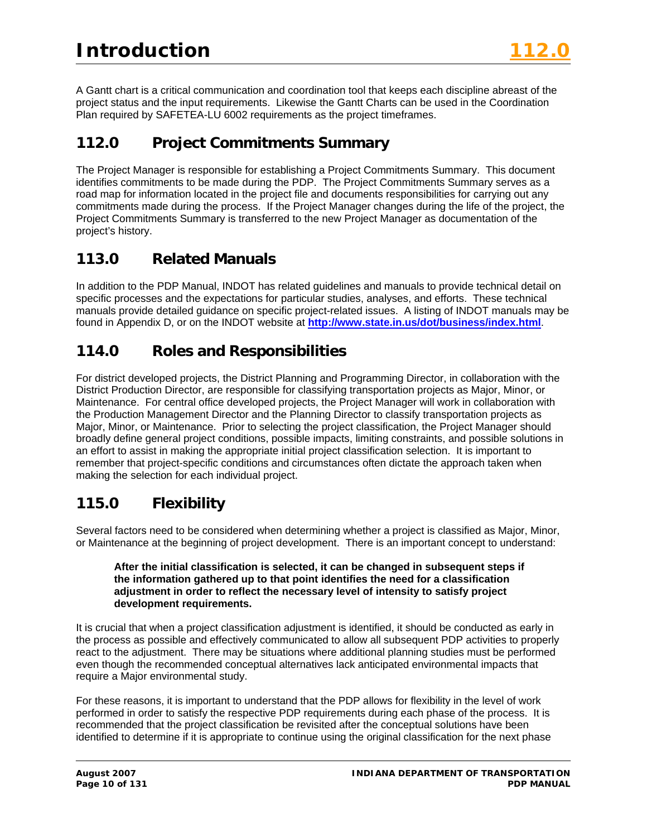A Gantt chart is a critical communication and coordination tool that keeps each discipline abreast of the project status and the input requirements. Likewise the Gantt Charts can be used in the Coordination Plan required by SAFETEA-LU 6002 requirements as the project timeframes.

# **112.0 Project Commitments Summary**

The Project Manager is responsible for establishing a Project Commitments Summary. This document identifies commitments to be made during the PDP. The Project Commitments Summary serves as a road map for information located in the project file and documents responsibilities for carrying out any commitments made during the process. If the Project Manager changes during the life of the project, the Project Commitments Summary is transferred to the new Project Manager as documentation of the project's history.

# **113.0 Related Manuals**

In addition to the PDP Manual, INDOT has related guidelines and manuals to provide technical detail on specific processes and the expectations for particular studies, analyses, and efforts. These technical manuals provide detailed guidance on specific project-related issues. A listing of INDOT manuals may be found in Appendix D, or on the INDOT website at **<http://www.state.in.us/dot/business/index.html>**.

# **114.0 Roles and Responsibilities**

For district developed projects, the District Planning and Programming Director, in collaboration with the District Production Director, are responsible for classifying transportation projects as Major, Minor, or Maintenance. For central office developed projects, the Project Manager will work in collaboration with the Production Management Director and the Planning Director to classify transportation projects as Major, Minor, or Maintenance. Prior to selecting the project classification, the Project Manager should broadly define general project conditions, possible impacts, limiting constraints, and possible solutions in an effort to assist in making the appropriate initial project classification selection. It is important to remember that project-specific conditions and circumstances often dictate the approach taken when making the selection for each individual project.

# **115.0 Flexibility**

Several factors need to be considered when determining whether a project is classified as Major, Minor, or Maintenance at the beginning of project development. There is an important concept to understand:

#### **After the initial classification is selected, it can be changed in subsequent steps if the information gathered up to that point identifies the need for a classification adjustment in order to reflect the necessary level of intensity to satisfy project development requirements.**

It is crucial that when a project classification adjustment is identified, it should be conducted as early in the process as possible and effectively communicated to allow all subsequent PDP activities to properly react to the adjustment. There may be situations where additional planning studies must be performed even though the recommended conceptual alternatives lack anticipated environmental impacts that require a Major environmental study.

For these reasons, it is important to understand that the PDP allows for flexibility in the level of work performed in order to satisfy the respective PDP requirements during each phase of the process. It is recommended that the project classification be revisited after the conceptual solutions have been identified to determine if it is appropriate to continue using the original classification for the next phase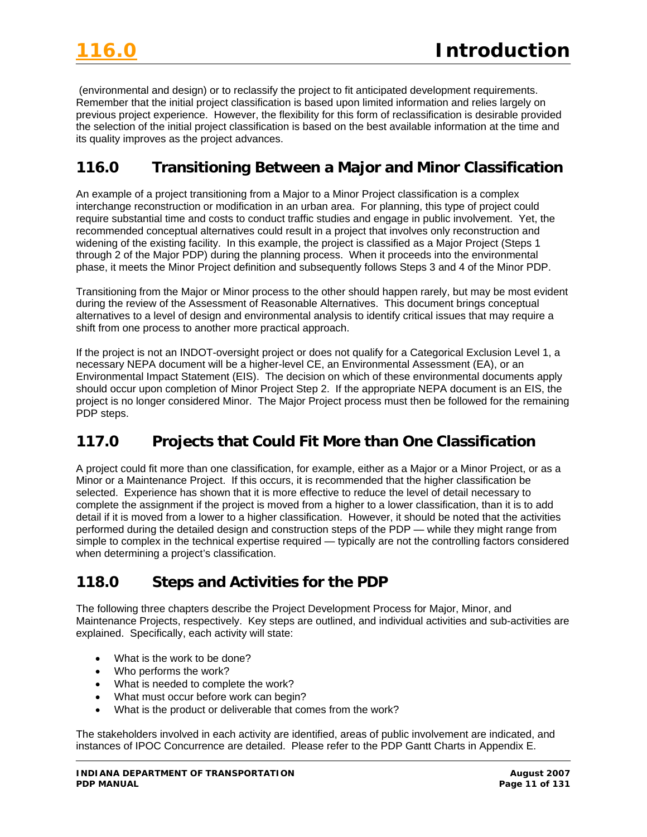(environmental and design) or to reclassify the project to fit anticipated development requirements. Remember that the initial project classification is based upon limited information and relies largely on previous project experience. However, the flexibility for this form of reclassification is desirable provided the selection of the initial project classification is based on the best available information at the time and its quality improves as the project advances.

# **116.0 Transitioning Between a Major and Minor Classification**

An example of a project transitioning from a Major to a Minor Project classification is a complex interchange reconstruction or modification in an urban area. For planning, this type of project could require substantial time and costs to conduct traffic studies and engage in public involvement. Yet, the recommended conceptual alternatives could result in a project that involves only reconstruction and widening of the existing facility. In this example, the project is classified as a Major Project (Steps 1 through 2 of the Major PDP) during the planning process. When it proceeds into the environmental phase, it meets the Minor Project definition and subsequently follows Steps 3 and 4 of the Minor PDP.

Transitioning from the Major or Minor process to the other should happen rarely, but may be most evident during the review of the Assessment of Reasonable Alternatives. This document brings conceptual alternatives to a level of design and environmental analysis to identify critical issues that may require a shift from one process to another more practical approach.

If the project is not an INDOT-oversight project or does not qualify for a Categorical Exclusion Level 1, a necessary NEPA document will be a higher-level CE, an Environmental Assessment (EA), or an Environmental Impact Statement (EIS). The decision on which of these environmental documents apply should occur upon completion of Minor Project Step 2. If the appropriate NEPA document is an EIS, the project is no longer considered Minor. The Major Project process must then be followed for the remaining PDP steps.

# **117.0 Projects that Could Fit More than One Classification**

A project could fit more than one classification, for example, either as a Major or a Minor Project, or as a Minor or a Maintenance Project. If this occurs, it is recommended that the higher classification be selected. Experience has shown that it is more effective to reduce the level of detail necessary to complete the assignment if the project is moved from a higher to a lower classification, than it is to add detail if it is moved from a lower to a higher classification. However, it should be noted that the activities performed during the detailed design and construction steps of the PDP — while they might range from simple to complex in the technical expertise required — typically are not the controlling factors considered when determining a project's classification.

# **118.0 Steps and Activities for the PDP**

The following three chapters describe the Project Development Process for Major, Minor, and Maintenance Projects, respectively. Key steps are outlined, and individual activities and sub-activities are explained. Specifically, each activity will state:

- What is the work to be done?
- Who performs the work?
- What is needed to complete the work?
- What must occur before work can begin?
- What is the product or deliverable that comes from the work?

The stakeholders involved in each activity are identified, areas of public involvement are indicated, and instances of IPOC Concurrence are detailed. Please refer to the PDP Gantt Charts in Appendix E.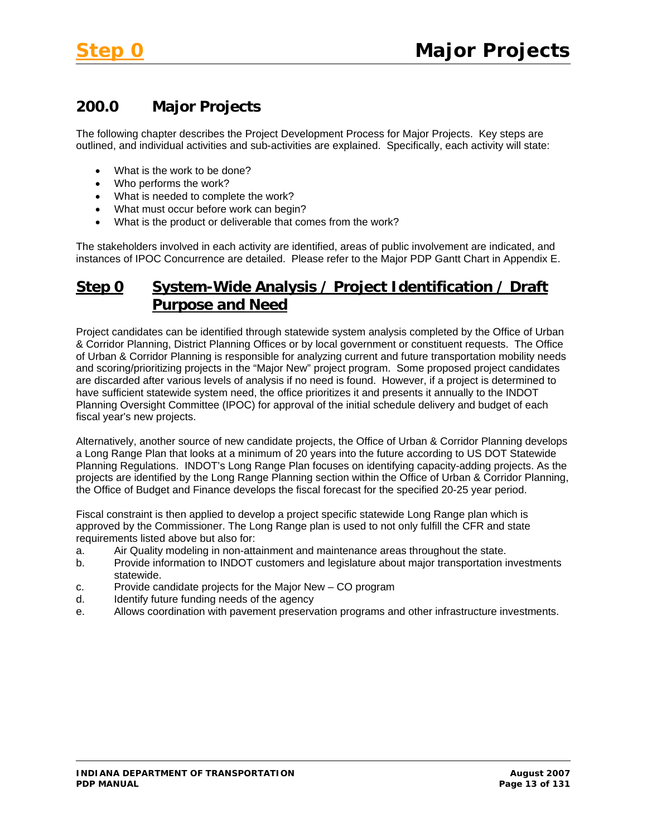# **200.0 Major Projects**

The following chapter describes the Project Development Process for Major Projects. Key steps are outlined, and individual activities and sub-activities are explained. Specifically, each activity will state:

- What is the work to be done?
- Who performs the work?
- What is needed to complete the work?
- What must occur before work can begin?
- What is the product or deliverable that comes from the work?

The stakeholders involved in each activity are identified, areas of public involvement are indicated, and instances of IPOC Concurrence are detailed. Please refer to the Major PDP Gantt Chart in Appendix E.

# **Step 0 System-Wide Analysis / Project Identification / Draft Purpose and Need**

Project candidates can be identified through statewide system analysis completed by the Office of Urban & Corridor Planning, District Planning Offices or by local government or constituent requests. The Office of Urban & Corridor Planning is responsible for analyzing current and future transportation mobility needs and scoring/prioritizing projects in the "Major New" project program. Some proposed project candidates are discarded after various levels of analysis if no need is found. However, if a project is determined to have sufficient statewide system need, the office prioritizes it and presents it annually to the INDOT Planning Oversight Committee (IPOC) for approval of the initial schedule delivery and budget of each fiscal year's new projects.

Alternatively, another source of new candidate projects, the Office of Urban & Corridor Planning develops a Long Range Plan that looks at a minimum of 20 years into the future according to US DOT Statewide Planning Regulations. INDOT's Long Range Plan focuses on identifying capacity-adding projects. As the projects are identified by the Long Range Planning section within the Office of Urban & Corridor Planning, the Office of Budget and Finance develops the fiscal forecast for the specified 20-25 year period.

Fiscal constraint is then applied to develop a project specific statewide Long Range plan which is approved by the Commissioner. The Long Range plan is used to not only fulfill the CFR and state requirements listed above but also for:

- a. Air Quality modeling in non-attainment and maintenance areas throughout the state.
- b. Provide information to INDOT customers and legislature about major transportation investments statewide.
- c. Provide candidate projects for the Major New CO program
- d. Identify future funding needs of the agency
- e. Allows coordination with pavement preservation programs and other infrastructure investments.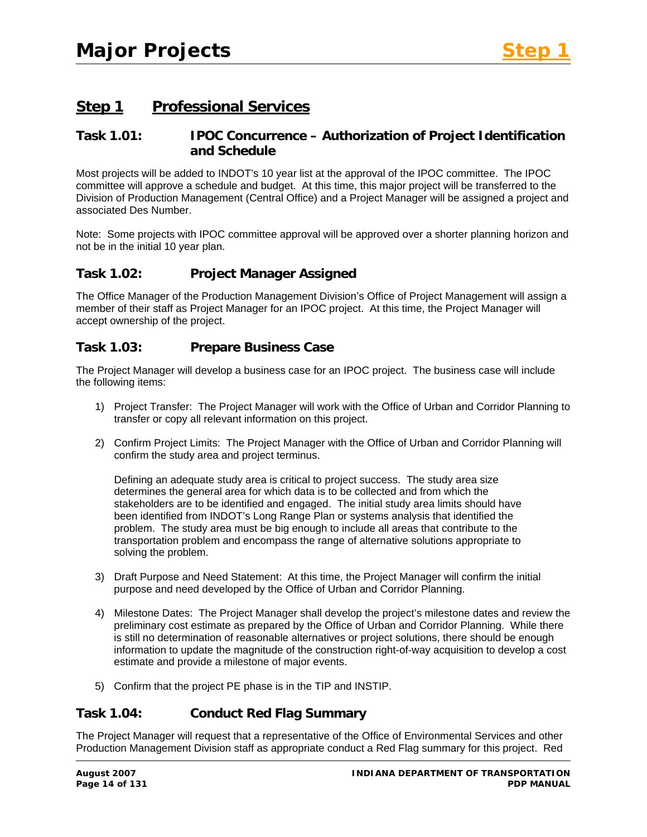# **Step 1 Professional Services**

### **Task 1.01: IPOC Concurrence – Authorization of Project Identification and Schedule**

Most projects will be added to INDOT's 10 year list at the approval of the IPOC committee. The IPOC committee will approve a schedule and budget. At this time, this major project will be transferred to the Division of Production Management (Central Office) and a Project Manager will be assigned a project and associated Des Number.

Note: Some projects with IPOC committee approval will be approved over a shorter planning horizon and not be in the initial 10 year plan.

### **Task 1.02: Project Manager Assigned**

The Office Manager of the Production Management Division's Office of Project Management will assign a member of their staff as Project Manager for an IPOC project. At this time, the Project Manager will accept ownership of the project.

### **Task 1.03: Prepare Business Case**

The Project Manager will develop a business case for an IPOC project. The business case will include the following items:

- 1) Project Transfer: The Project Manager will work with the Office of Urban and Corridor Planning to transfer or copy all relevant information on this project.
- 2) Confirm Project Limits: The Project Manager with the Office of Urban and Corridor Planning will confirm the study area and project terminus.

Defining an adequate study area is critical to project success. The study area size determines the general area for which data is to be collected and from which the stakeholders are to be identified and engaged. The initial study area limits should have been identified from INDOT's Long Range Plan or systems analysis that identified the problem. The study area must be big enough to include all areas that contribute to the transportation problem and encompass the range of alternative solutions appropriate to solving the problem.

- 3) Draft Purpose and Need Statement: At this time, the Project Manager will confirm the initial purpose and need developed by the Office of Urban and Corridor Planning.
- 4) Milestone Dates: The Project Manager shall develop the project's milestone dates and review the preliminary cost estimate as prepared by the Office of Urban and Corridor Planning. While there is still no determination of reasonable alternatives or project solutions, there should be enough information to update the magnitude of the construction right-of-way acquisition to develop a cost estimate and provide a milestone of major events.
- 5) Confirm that the project PE phase is in the TIP and INSTIP.

### **Task 1.04: Conduct Red Flag Summary**

The Project Manager will request that a representative of the Office of Environmental Services and other Production Management Division staff as appropriate conduct a Red Flag summary for this project. Red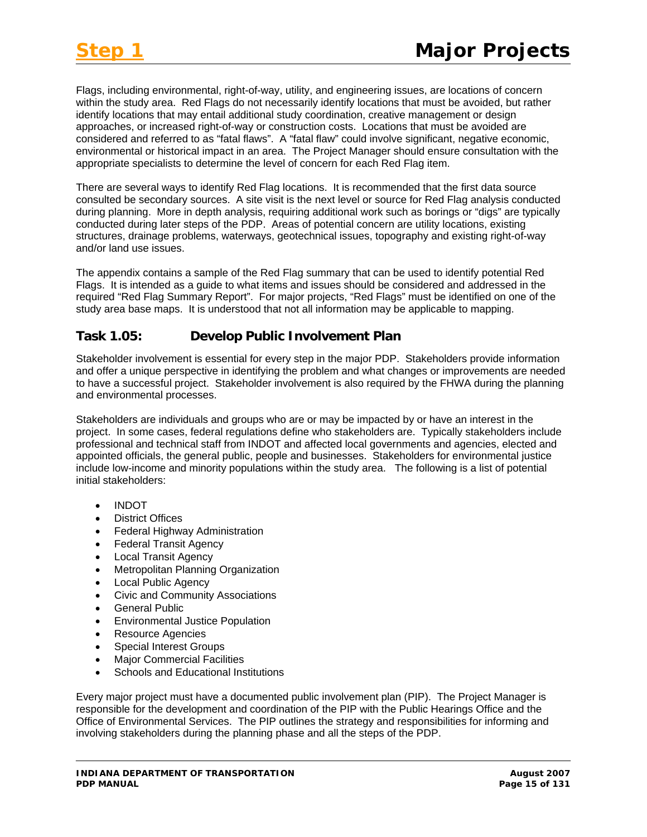Flags, including environmental, right-of-way, utility, and engineering issues, are locations of concern within the study area. Red Flags do not necessarily identify locations that must be avoided, but rather identify locations that may entail additional study coordination, creative management or design approaches, or increased right-of-way or construction costs. Locations that must be avoided are considered and referred to as "fatal flaws". A "fatal flaw" could involve significant, negative economic, environmental or historical impact in an area. The Project Manager should ensure consultation with the appropriate specialists to determine the level of concern for each Red Flag item.

There are several ways to identify Red Flag locations. It is recommended that the first data source consulted be secondary sources. A site visit is the next level or source for Red Flag analysis conducted during planning. More in depth analysis, requiring additional work such as borings or "digs" are typically conducted during later steps of the PDP. Areas of potential concern are utility locations, existing structures, drainage problems, waterways, geotechnical issues, topography and existing right-of-way and/or land use issues.

The appendix contains a sample of the Red Flag summary that can be used to identify potential Red Flags. It is intended as a guide to what items and issues should be considered and addressed in the required "Red Flag Summary Report". For major projects, "Red Flags" must be identified on one of the study area base maps. It is understood that not all information may be applicable to mapping.

# **Task 1.05: Develop Public Involvement Plan**

Stakeholder involvement is essential for every step in the major PDP. Stakeholders provide information and offer a unique perspective in identifying the problem and what changes or improvements are needed to have a successful project. Stakeholder involvement is also required by the FHWA during the planning and environmental processes.

Stakeholders are individuals and groups who are or may be impacted by or have an interest in the project. In some cases, federal regulations define who stakeholders are. Typically stakeholders include professional and technical staff from INDOT and affected local governments and agencies, elected and appointed officials, the general public, people and businesses. Stakeholders for environmental justice include low-income and minority populations within the study area. The following is a list of potential initial stakeholders:

- INDOT
- **District Offices**
- Federal Highway Administration
- **Federal Transit Agency**
- Local Transit Agency
- Metropolitan Planning Organization
- Local Public Agency
- Civic and Community Associations
- General Public
- Environmental Justice Population
- Resource Agencies
- Special Interest Groups
- Major Commercial Facilities
- Schools and Educational Institutions

Every major project must have a documented public involvement plan (PIP). The Project Manager is responsible for the development and coordination of the PIP with the Public Hearings Office and the Office of Environmental Services. The PIP outlines the strategy and responsibilities for informing and involving stakeholders during the planning phase and all the steps of the PDP.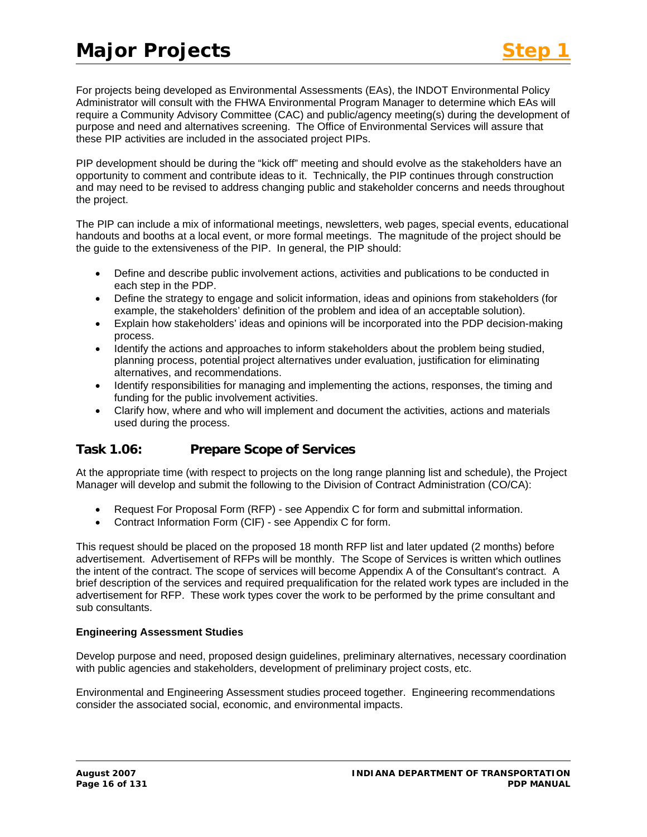For projects being developed as Environmental Assessments (EAs), the INDOT Environmental Policy Administrator will consult with the FHWA Environmental Program Manager to determine which EAs will require a Community Advisory Committee (CAC) and public/agency meeting(s) during the development of purpose and need and alternatives screening. The Office of Environmental Services will assure that these PIP activities are included in the associated project PIPs.

PIP development should be during the "kick off" meeting and should evolve as the stakeholders have an opportunity to comment and contribute ideas to it. Technically, the PIP continues through construction and may need to be revised to address changing public and stakeholder concerns and needs throughout the project.

The PIP can include a mix of informational meetings, newsletters, web pages, special events, educational handouts and booths at a local event, or more formal meetings. The magnitude of the project should be the guide to the extensiveness of the PIP. In general, the PIP should:

- Define and describe public involvement actions, activities and publications to be conducted in each step in the PDP.
- Define the strategy to engage and solicit information, ideas and opinions from stakeholders (for example, the stakeholders' definition of the problem and idea of an acceptable solution).
- Explain how stakeholders' ideas and opinions will be incorporated into the PDP decision-making process.
- Identify the actions and approaches to inform stakeholders about the problem being studied, planning process, potential project alternatives under evaluation, justification for eliminating alternatives, and recommendations.
- Identify responsibilities for managing and implementing the actions, responses, the timing and funding for the public involvement activities.
- Clarify how, where and who will implement and document the activities, actions and materials used during the process.

# **Task 1.06: Prepare Scope of Services**

At the appropriate time (with respect to projects on the long range planning list and schedule), the Project Manager will develop and submit the following to the Division of Contract Administration (CO/CA):

- Request For Proposal Form (RFP) see Appendix C for form and submittal information.
- Contract Information Form (CIF) see Appendix C for form.

This request should be placed on the proposed 18 month RFP list and later updated (2 months) before advertisement. Advertisement of RFPs will be monthly. The Scope of Services is written which outlines the intent of the contract. The scope of services will become Appendix A of the Consultant's contract. A brief description of the services and required prequalification for the related work types are included in the advertisement for RFP. These work types cover the work to be performed by the prime consultant and sub consultants.

#### **Engineering Assessment Studies**

Develop purpose and need, proposed design guidelines, preliminary alternatives, necessary coordination with public agencies and stakeholders, development of preliminary project costs, etc.

Environmental and Engineering Assessment studies proceed together. Engineering recommendations consider the associated social, economic, and environmental impacts.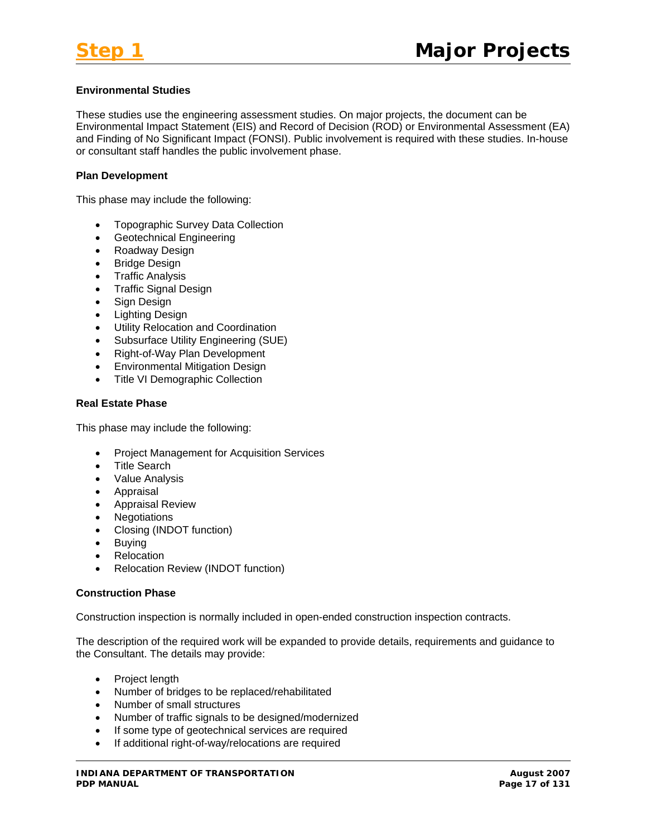#### **Environmental Studies**

These studies use the engineering assessment studies. On major projects, the document can be Environmental Impact Statement (EIS) and Record of Decision (ROD) or Environmental Assessment (EA) and Finding of No Significant Impact (FONSI). Public involvement is required with these studies. In-house or consultant staff handles the public involvement phase.

#### **Plan Development**

This phase may include the following:

- Topographic Survey Data Collection
- Geotechnical Engineering
- Roadway Design
- Bridge Design
- Traffic Analysis
- Traffic Signal Design
- Sign Design
- Lighting Design
- Utility Relocation and Coordination
- Subsurface Utility Engineering (SUE)
- Right-of-Way Plan Development
- Environmental Mitigation Design
- Title VI Demographic Collection

#### **Real Estate Phase**

This phase may include the following:

- Project Management for Acquisition Services
- Title Search
- Value Analysis
- Appraisal
- Appraisal Review
- Negotiations
- Closing (INDOT function)
- Buying
- Relocation
- Relocation Review (INDOT function)

#### **Construction Phase**

Construction inspection is normally included in open-ended construction inspection contracts.

The description of the required work will be expanded to provide details, requirements and guidance to the Consultant. The details may provide:

- Project length
- Number of bridges to be replaced/rehabilitated
- Number of small structures
- Number of traffic signals to be designed/modernized
- If some type of geotechnical services are required
- If additional right-of-way/relocations are required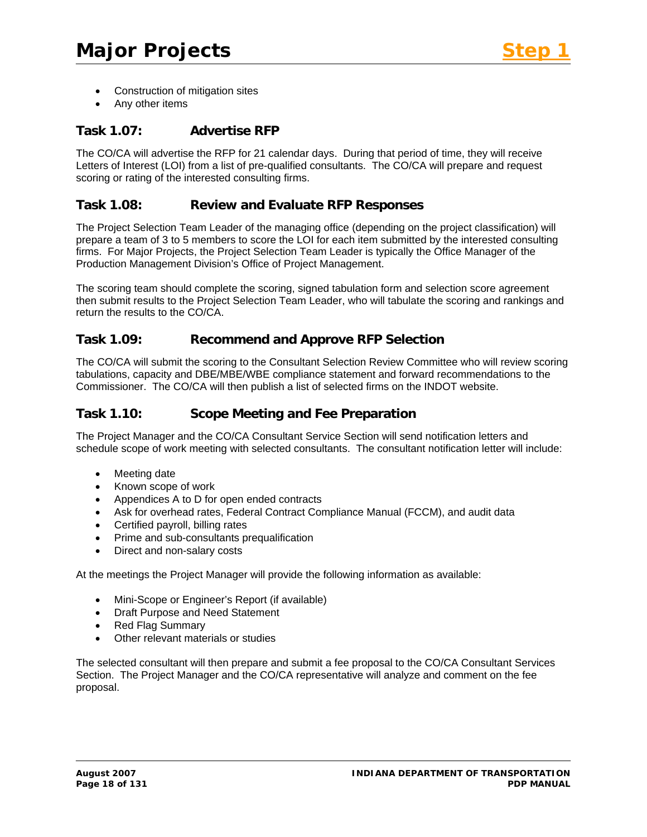- Construction of mitigation sites
- Any other items

# **Task 1.07: Advertise RFP**

The CO/CA will advertise the RFP for 21 calendar days. During that period of time, they will receive Letters of Interest (LOI) from a list of pre-qualified consultants. The CO/CA will prepare and request scoring or rating of the interested consulting firms.

### **Task 1.08: Review and Evaluate RFP Responses**

The Project Selection Team Leader of the managing office (depending on the project classification) will prepare a team of 3 to 5 members to score the LOI for each item submitted by the interested consulting firms. For Major Projects, the Project Selection Team Leader is typically the Office Manager of the Production Management Division's Office of Project Management.

The scoring team should complete the scoring, signed tabulation form and selection score agreement then submit results to the Project Selection Team Leader, who will tabulate the scoring and rankings and return the results to the CO/CA.

### **Task 1.09: Recommend and Approve RFP Selection**

The CO/CA will submit the scoring to the Consultant Selection Review Committee who will review scoring tabulations, capacity and DBE/MBE/WBE compliance statement and forward recommendations to the Commissioner. The CO/CA will then publish a list of selected firms on the INDOT website.

### **Task 1.10: Scope Meeting and Fee Preparation**

The Project Manager and the CO/CA Consultant Service Section will send notification letters and schedule scope of work meeting with selected consultants. The consultant notification letter will include:

- Meeting date
- Known scope of work
- Appendices A to D for open ended contracts
- Ask for overhead rates, Federal Contract Compliance Manual (FCCM), and audit data
- Certified payroll, billing rates
- Prime and sub-consultants prequalification
- Direct and non-salary costs

At the meetings the Project Manager will provide the following information as available:

- Mini-Scope or Engineer's Report (if available)
- Draft Purpose and Need Statement
- Red Flag Summary
- Other relevant materials or studies

The selected consultant will then prepare and submit a fee proposal to the CO/CA Consultant Services Section. The Project Manager and the CO/CA representative will analyze and comment on the fee proposal.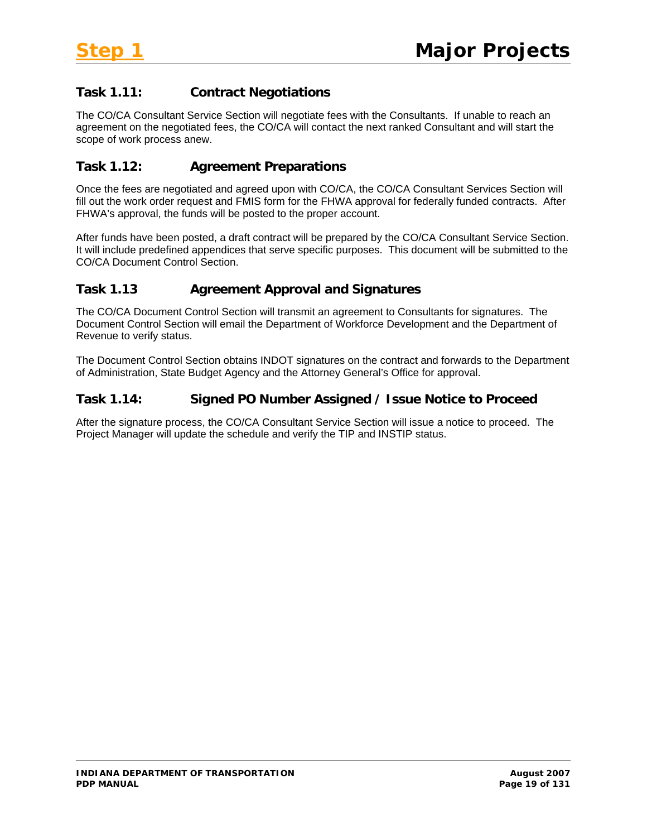# **Task 1.11: Contract Negotiations**

The CO/CA Consultant Service Section will negotiate fees with the Consultants. If unable to reach an agreement on the negotiated fees, the CO/CA will contact the next ranked Consultant and will start the scope of work process anew.

# **Task 1.12: Agreement Preparations**

Once the fees are negotiated and agreed upon with CO/CA, the CO/CA Consultant Services Section will fill out the work order request and FMIS form for the FHWA approval for federally funded contracts. After FHWA's approval, the funds will be posted to the proper account.

After funds have been posted, a draft contract will be prepared by the CO/CA Consultant Service Section. It will include predefined appendices that serve specific purposes. This document will be submitted to the CO/CA Document Control Section.

# **Task 1.13 Agreement Approval and Signatures**

The CO/CA Document Control Section will transmit an agreement to Consultants for signatures. The Document Control Section will email the Department of Workforce Development and the Department of Revenue to verify status.

The Document Control Section obtains INDOT signatures on the contract and forwards to the Department of Administration, State Budget Agency and the Attorney General's Office for approval.

# **Task 1.14: Signed PO Number Assigned / Issue Notice to Proceed**

After the signature process, the CO/CA Consultant Service Section will issue a notice to proceed. The Project Manager will update the schedule and verify the TIP and INSTIP status.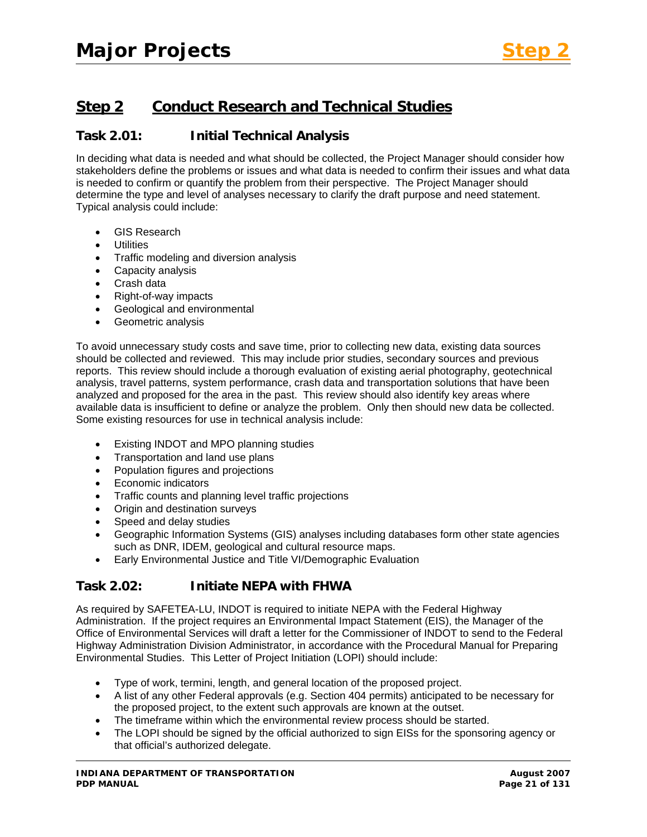# **Step 2 Conduct Research and Technical Studies**

# **Task 2.01: Initial Technical Analysis**

In deciding what data is needed and what should be collected, the Project Manager should consider how stakeholders define the problems or issues and what data is needed to confirm their issues and what data is needed to confirm or quantify the problem from their perspective. The Project Manager should determine the type and level of analyses necessary to clarify the draft purpose and need statement. Typical analysis could include:

- GIS Research
- **Utilities**
- Traffic modeling and diversion analysis
- Capacity analysis
- Crash data
- Right-of-way impacts
- Geological and environmental
- Geometric analysis

To avoid unnecessary study costs and save time, prior to collecting new data, existing data sources should be collected and reviewed. This may include prior studies, secondary sources and previous reports. This review should include a thorough evaluation of existing aerial photography, geotechnical analysis, travel patterns, system performance, crash data and transportation solutions that have been analyzed and proposed for the area in the past. This review should also identify key areas where available data is insufficient to define or analyze the problem. Only then should new data be collected. Some existing resources for use in technical analysis include:

- Existing INDOT and MPO planning studies
- Transportation and land use plans
- Population figures and projections
- Economic indicators
- Traffic counts and planning level traffic projections
- Origin and destination surveys
- Speed and delay studies
- Geographic Information Systems (GIS) analyses including databases form other state agencies such as DNR, IDEM, geological and cultural resource maps.
- Early Environmental Justice and Title VI/Demographic Evaluation

# **Task 2.02: Initiate NEPA with FHWA**

As required by SAFETEA-LU, INDOT is required to initiate NEPA with the Federal Highway Administration. If the project requires an Environmental Impact Statement (EIS), the Manager of the Office of Environmental Services will draft a letter for the Commissioner of INDOT to send to the Federal Highway Administration Division Administrator, in accordance with the Procedural Manual for Preparing Environmental Studies. This Letter of Project Initiation (LOPI) should include:

- Type of work, termini, length, and general location of the proposed project.
- A list of any other Federal approvals (e.g. Section 404 permits) anticipated to be necessary for the proposed project, to the extent such approvals are known at the outset.
- The timeframe within which the environmental review process should be started.
- The LOPI should be signed by the official authorized to sign EISs for the sponsoring agency or that official's authorized delegate.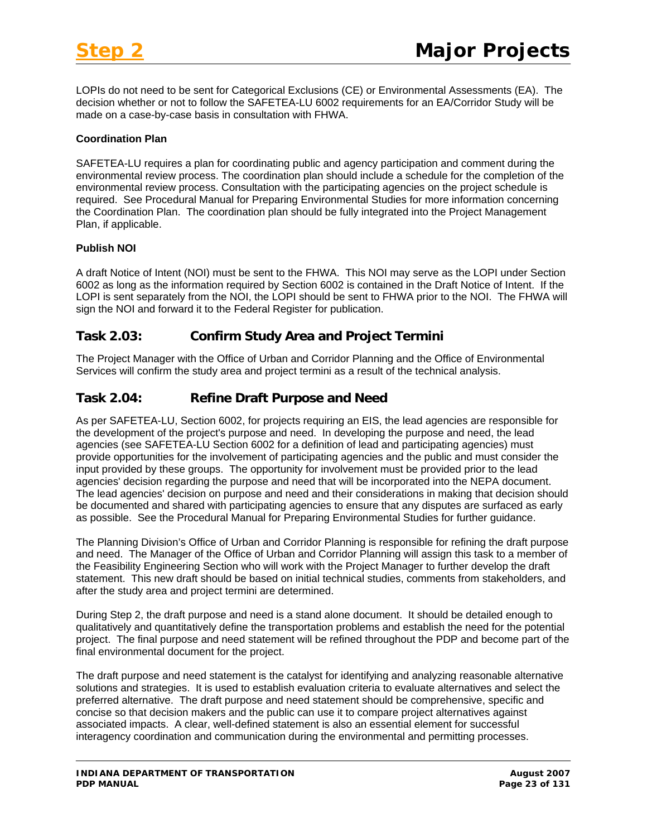LOPIs do not need to be sent for Categorical Exclusions (CE) or Environmental Assessments (EA). The decision whether or not to follow the SAFETEA-LU 6002 requirements for an EA/Corridor Study will be made on a case-by-case basis in consultation with FHWA.

#### **Coordination Plan**

SAFETEA-LU requires a plan for coordinating public and agency participation and comment during the environmental review process. The coordination plan should include a schedule for the completion of the environmental review process. Consultation with the participating agencies on the project schedule is required. See Procedural Manual for Preparing Environmental Studies for more information concerning the Coordination Plan. The coordination plan should be fully integrated into the Project Management Plan, if applicable.

#### **Publish NOI**

A draft Notice of Intent (NOI) must be sent to the FHWA. This NOI may serve as the LOPI under Section 6002 as long as the information required by Section 6002 is contained in the Draft Notice of Intent. If the LOPI is sent separately from the NOI, the LOPI should be sent to FHWA prior to the NOI. The FHWA will sign the NOI and forward it to the Federal Register for publication.

# **Task 2.03: Confirm Study Area and Project Termini**

The Project Manager with the Office of Urban and Corridor Planning and the Office of Environmental Services will confirm the study area and project termini as a result of the technical analysis.

# **Task 2.04: Refine Draft Purpose and Need**

As per SAFETEA-LU, Section 6002, for projects requiring an EIS, the lead agencies are responsible for the development of the project's purpose and need. In developing the purpose and need, the lead agencies (see SAFETEA-LU Section 6002 for a definition of lead and participating agencies) must provide opportunities for the involvement of participating agencies and the public and must consider the input provided by these groups. The opportunity for involvement must be provided prior to the lead agencies' decision regarding the purpose and need that will be incorporated into the NEPA document. The lead agencies' decision on purpose and need and their considerations in making that decision should be documented and shared with participating agencies to ensure that any disputes are surfaced as early as possible. See the Procedural Manual for Preparing Environmental Studies for further guidance.

The Planning Division's Office of Urban and Corridor Planning is responsible for refining the draft purpose and need. The Manager of the Office of Urban and Corridor Planning will assign this task to a member of the Feasibility Engineering Section who will work with the Project Manager to further develop the draft statement. This new draft should be based on initial technical studies, comments from stakeholders, and after the study area and project termini are determined.

During Step 2, the draft purpose and need is a stand alone document. It should be detailed enough to qualitatively and quantitatively define the transportation problems and establish the need for the potential project. The final purpose and need statement will be refined throughout the PDP and become part of the final environmental document for the project.

The draft purpose and need statement is the catalyst for identifying and analyzing reasonable alternative solutions and strategies. It is used to establish evaluation criteria to evaluate alternatives and select the preferred alternative. The draft purpose and need statement should be comprehensive, specific and concise so that decision makers and the public can use it to compare project alternatives against associated impacts. A clear, well-defined statement is also an essential element for successful interagency coordination and communication during the environmental and permitting processes.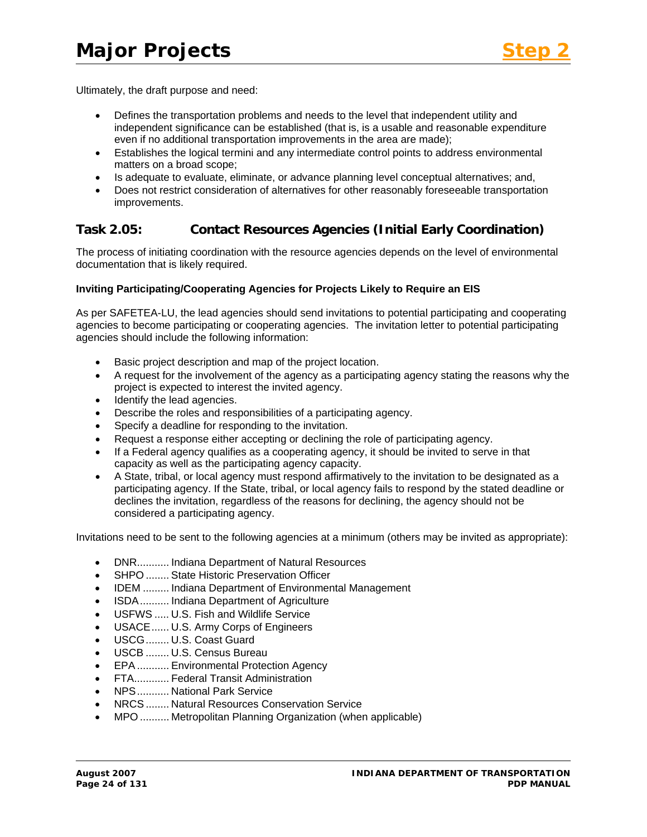

Ultimately, the draft purpose and need:

- Defines the transportation problems and needs to the level that independent utility and independent significance can be established (that is, is a usable and reasonable expenditure even if no additional transportation improvements in the area are made);
- Establishes the logical termini and any intermediate control points to address environmental matters on a broad scope;
- Is adequate to evaluate, eliminate, or advance planning level conceptual alternatives; and,
- Does not restrict consideration of alternatives for other reasonably foreseeable transportation improvements.

# **Task 2.05: Contact Resources Agencies (Initial Early Coordination)**

The process of initiating coordination with the resource agencies depends on the level of environmental documentation that is likely required.

#### **Inviting Participating/Cooperating Agencies for Projects Likely to Require an EIS**

As per SAFETEA-LU, the lead agencies should send invitations to potential participating and cooperating agencies to become participating or cooperating agencies. The invitation letter to potential participating agencies should include the following information:

- Basic project description and map of the project location.
- A request for the involvement of the agency as a participating agency stating the reasons why the project is expected to interest the invited agency.
- Identify the lead agencies.
- Describe the roles and responsibilities of a participating agency.
- Specify a deadline for responding to the invitation.
- Request a response either accepting or declining the role of participating agency.
- If a Federal agency qualifies as a cooperating agency, it should be invited to serve in that capacity as well as the participating agency capacity.
- A State, tribal, or local agency must respond affirmatively to the invitation to be designated as a participating agency. If the State, tribal, or local agency fails to respond by the stated deadline or declines the invitation, regardless of the reasons for declining, the agency should not be considered a participating agency.

Invitations need to be sent to the following agencies at a minimum (others may be invited as appropriate):

- DNR........... Indiana Department of Natural Resources
- SHPO ........ State Historic Preservation Officer
- IDEM ......... Indiana Department of Environmental Management
- ISDA.......... Indiana Department of Agriculture
- USFWS ..... U.S. Fish and Wildlife Service
- USACE...... U.S. Army Corps of Engineers
- USCG........ U.S. Coast Guard
- USCB ........ U.S. Census Bureau
- EPA ........... Environmental Protection Agency
- FTA............ Federal Transit Administration
- NPS........... National Park Service
- NRCS ........ Natural Resources Conservation Service
- MPO .......... Metropolitan Planning Organization (when applicable)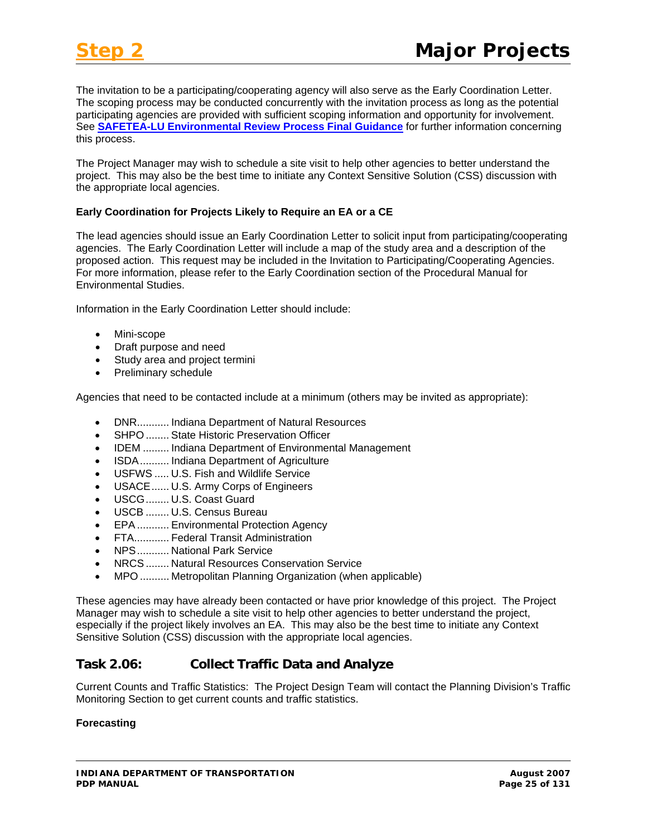The invitation to be a participating/cooperating agency will also serve as the Early Coordination Letter. The scoping process may be conducted concurrently with the invitation process as long as the potential participating agencies are provided with sufficient scoping information and opportunity for involvement. See **[SAFETEA-LU Environmental Review Process Final Guidance](http://www.fhwa.dot.gov/hep/section6002/1.htm#Toc148770572)** for further information concerning this process.

The Project Manager may wish to schedule a site visit to help other agencies to better understand the project. This may also be the best time to initiate any Context Sensitive Solution (CSS) discussion with the appropriate local agencies.

#### **Early Coordination for Projects Likely to Require an EA or a CE**

The lead agencies should issue an Early Coordination Letter to solicit input from participating/cooperating agencies. The Early Coordination Letter will include a map of the study area and a description of the proposed action. This request may be included in the Invitation to Participating/Cooperating Agencies. For more information, please refer to the Early Coordination section of the Procedural Manual for Environmental Studies.

Information in the Early Coordination Letter should include:

- Mini-scope
- Draft purpose and need
- Study area and project termini
- Preliminary schedule

Agencies that need to be contacted include at a minimum (others may be invited as appropriate):

- DNR........... Indiana Department of Natural Resources
- SHPO ........ State Historic Preservation Officer
- IDEM ......... Indiana Department of Environmental Management
- ISDA.......... Indiana Department of Agriculture
- USFWS ..... U.S. Fish and Wildlife Service
- USACE...... U.S. Army Corps of Engineers
- USCG........ U.S. Coast Guard
- USCB ........ U.S. Census Bureau
- EPA ........... Environmental Protection Agency
- FTA............ Federal Transit Administration
- NPS........... National Park Service
- NRCS ........ Natural Resources Conservation Service
- MPO .......... Metropolitan Planning Organization (when applicable)

These agencies may have already been contacted or have prior knowledge of this project. The Project Manager may wish to schedule a site visit to help other agencies to better understand the project, especially if the project likely involves an EA. This may also be the best time to initiate any Context Sensitive Solution (CSS) discussion with the appropriate local agencies.

### **Task 2.06: Collect Traffic Data and Analyze**

Current Counts and Traffic Statistics: The Project Design Team will contact the Planning Division's Traffic Monitoring Section to get current counts and traffic statistics.

#### **Forecasting**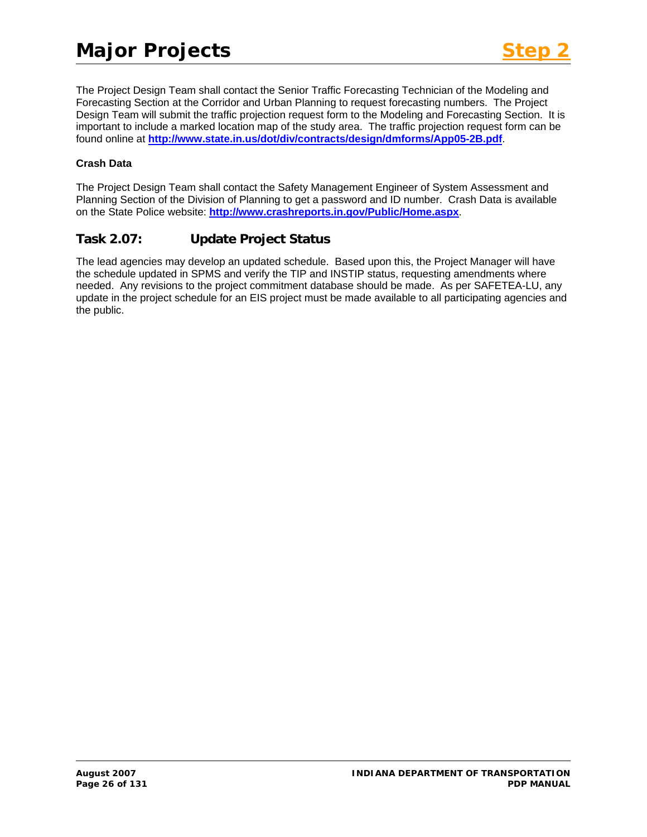The Project Design Team shall contact the Senior Traffic Forecasting Technician of the Modeling and Forecasting Section at the Corridor and Urban Planning to request forecasting numbers. The Project Design Team will submit the traffic projection request form to the Modeling and Forecasting Section. It is important to include a marked location map of the study area. The traffic projection request form can be found online at **<http://www.state.in.us/dot/div/contracts/design/dmforms/App05-2B.pdf>**.

### **Crash Data**

The Project Design Team shall contact the Safety Management Engineer of System Assessment and Planning Section of the Division of Planning to get a password and ID number. Crash Data is available on the State Police website: **<http://www.crashreports.in.gov/Public/Home.aspx>**.

# **Task 2.07: Update Project Status**

The lead agencies may develop an updated schedule. Based upon this, the Project Manager will have the schedule updated in SPMS and verify the TIP and INSTIP status, requesting amendments where needed. Any revisions to the project commitment database should be made. As per SAFETEA-LU, any update in the project schedule for an EIS project must be made available to all participating agencies and the public.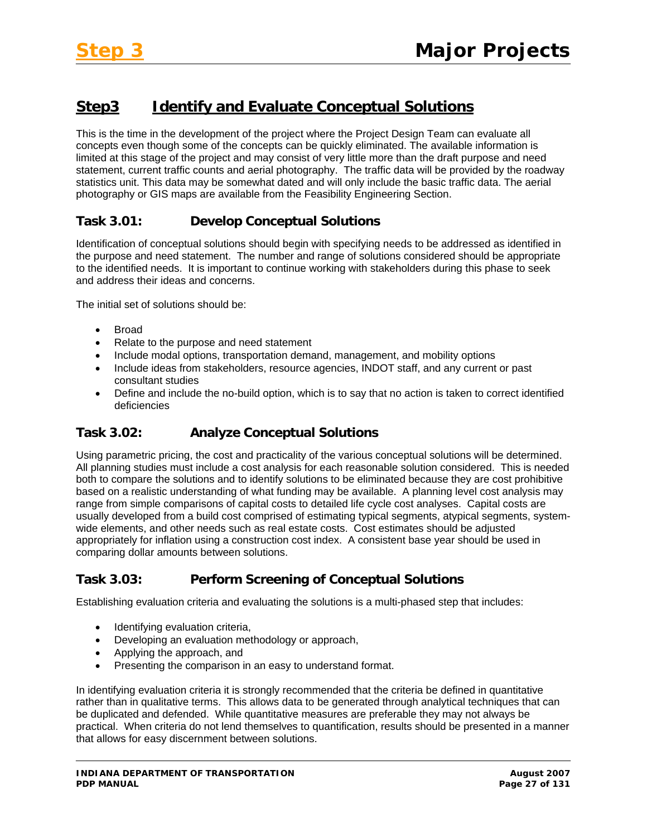# **Step3 Identify and Evaluate Conceptual Solutions**

This is the time in the development of the project where the Project Design Team can evaluate all concepts even though some of the concepts can be quickly eliminated. The available information is limited at this stage of the project and may consist of very little more than the draft purpose and need statement, current traffic counts and aerial photography. The traffic data will be provided by the roadway statistics unit. This data may be somewhat dated and will only include the basic traffic data. The aerial photography or GIS maps are available from the Feasibility Engineering Section.

# **Task 3.01: Develop Conceptual Solutions**

Identification of conceptual solutions should begin with specifying needs to be addressed as identified in the purpose and need statement. The number and range of solutions considered should be appropriate to the identified needs. It is important to continue working with stakeholders during this phase to seek and address their ideas and concerns.

The initial set of solutions should be:

- Broad
- Relate to the purpose and need statement
- Include modal options, transportation demand, management, and mobility options
- Include ideas from stakeholders, resource agencies, INDOT staff, and any current or past consultant studies
- Define and include the no-build option, which is to say that no action is taken to correct identified deficiencies

# **Task 3.02: Analyze Conceptual Solutions**

Using parametric pricing, the cost and practicality of the various conceptual solutions will be determined. All planning studies must include a cost analysis for each reasonable solution considered. This is needed both to compare the solutions and to identify solutions to be eliminated because they are cost prohibitive based on a realistic understanding of what funding may be available. A planning level cost analysis may range from simple comparisons of capital costs to detailed life cycle cost analyses. Capital costs are usually developed from a build cost comprised of estimating typical segments, atypical segments, systemwide elements, and other needs such as real estate costs. Cost estimates should be adjusted appropriately for inflation using a construction cost index. A consistent base year should be used in comparing dollar amounts between solutions.

# **Task 3.03: Perform Screening of Conceptual Solutions**

Establishing evaluation criteria and evaluating the solutions is a multi-phased step that includes:

- Identifying evaluation criteria,
- Developing an evaluation methodology or approach,
- Applying the approach, and
- Presenting the comparison in an easy to understand format.

In identifying evaluation criteria it is strongly recommended that the criteria be defined in quantitative rather than in qualitative terms. This allows data to be generated through analytical techniques that can be duplicated and defended. While quantitative measures are preferable they may not always be practical. When criteria do not lend themselves to quantification, results should be presented in a manner that allows for easy discernment between solutions.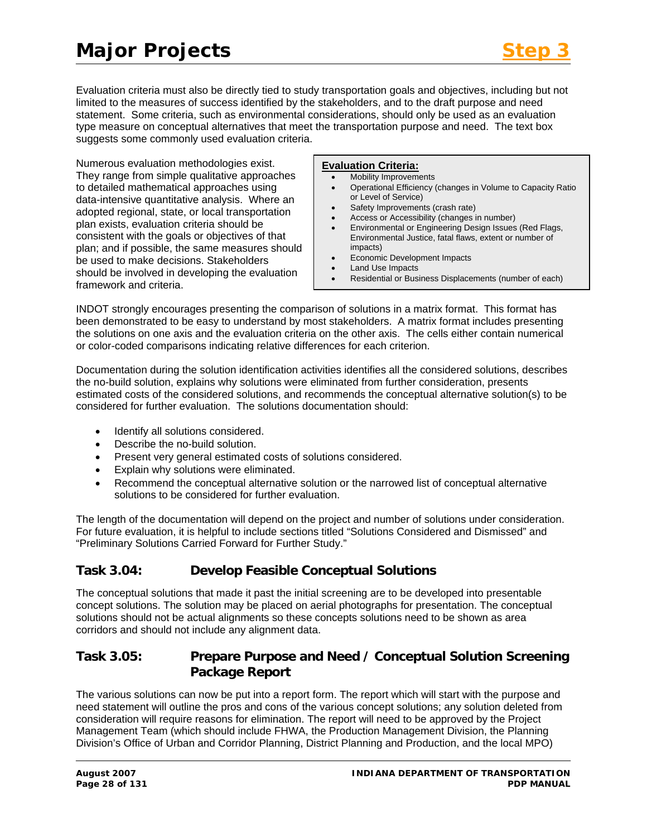# **Major Projects**

Evaluation criteria must also be directly tied to study transportation goals and objectives, including but not limited to the measures of success identified by the stakeholders, and to the draft purpose and need statement. Some criteria, such as environmental considerations, should only be used as an evaluation type measure on conceptual alternatives that meet the transportation purpose and need. The text box suggests some commonly used evaluation criteria.

Numerous evaluation methodologies exist. They range from simple qualitative approaches to detailed mathematical approaches using data-intensive quantitative analysis. Where an adopted regional, state, or local transportation plan exists, evaluation criteria should be consistent with the goals or objectives of that plan; and if possible, the same measures should be used to make decisions. Stakeholders should be involved in developing the evaluation framework and criteria.

#### **Evaluation Criteria:**

- Mobility Improvements
- Operational Efficiency (changes in Volume to Capacity Ratio or Level of Service)
- Safety Improvements (crash rate)
- Access or Accessibility (changes in number)
- Environmental or Engineering Design Issues (Red Flags, Environmental Justice, fatal flaws, extent or number of impacts)
- Economic Development Impacts
- Land Use Impacts
- Residential or Business Displacements (number of each)

INDOT strongly encourages presenting the comparison of solutions in a matrix format. This format has been demonstrated to be easy to understand by most stakeholders. A matrix format includes presenting the solutions on one axis and the evaluation criteria on the other axis. The cells either contain numerical or color-coded comparisons indicating relative differences for each criterion.

Documentation during the solution identification activities identifies all the considered solutions, describes the no-build solution, explains why solutions were eliminated from further consideration, presents estimated costs of the considered solutions, and recommends the conceptual alternative solution(s) to be considered for further evaluation. The solutions documentation should:

- Identify all solutions considered.
- Describe the no-build solution.
- Present very general estimated costs of solutions considered.
- Explain why solutions were eliminated.
- Recommend the conceptual alternative solution or the narrowed list of conceptual alternative solutions to be considered for further evaluation.

The length of the documentation will depend on the project and number of solutions under consideration. For future evaluation, it is helpful to include sections titled "Solutions Considered and Dismissed" and "Preliminary Solutions Carried Forward for Further Study."

# **Task 3.04: Develop Feasible Conceptual Solutions**

The conceptual solutions that made it past the initial screening are to be developed into presentable concept solutions. The solution may be placed on aerial photographs for presentation. The conceptual solutions should not be actual alignments so these concepts solutions need to be shown as area corridors and should not include any alignment data.

# **Task 3.05: Prepare Purpose and Need / Conceptual Solution Screening Package Report**

The various solutions can now be put into a report form. The report which will start with the purpose and need statement will outline the pros and cons of the various concept solutions; any solution deleted from consideration will require reasons for elimination. The report will need to be approved by the Project Management Team (which should include FHWA, the Production Management Division, the Planning Division's Office of Urban and Corridor Planning, District Planning and Production, and the local MPO)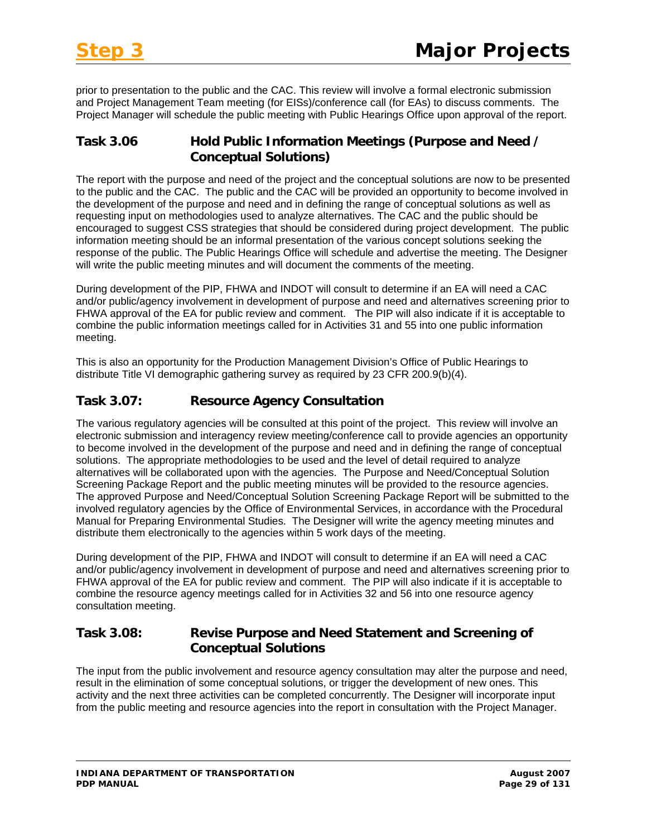prior to presentation to the public and the CAC. This review will involve a formal electronic submission and Project Management Team meeting (for EISs)/conference call (for EAs) to discuss comments. The Project Manager will schedule the public meeting with Public Hearings Office upon approval of the report.

# **Task 3.06 Hold Public Information Meetings (Purpose and Need / Conceptual Solutions)**

The report with the purpose and need of the project and the conceptual solutions are now to be presented to the public and the CAC. The public and the CAC will be provided an opportunity to become involved in the development of the purpose and need and in defining the range of conceptual solutions as well as requesting input on methodologies used to analyze alternatives. The CAC and the public should be encouraged to suggest CSS strategies that should be considered during project development. The public information meeting should be an informal presentation of the various concept solutions seeking the response of the public. The Public Hearings Office will schedule and advertise the meeting. The Designer will write the public meeting minutes and will document the comments of the meeting.

During development of the PIP, FHWA and INDOT will consult to determine if an EA will need a CAC and/or public/agency involvement in development of purpose and need and alternatives screening prior to FHWA approval of the EA for public review and comment. The PIP will also indicate if it is acceptable to combine the public information meetings called for in Activities 31 and 55 into one public information meeting.

This is also an opportunity for the Production Management Division's Office of Public Hearings to distribute Title VI demographic gathering survey as required by 23 CFR 200.9(b)(4).

# **Task 3.07: Resource Agency Consultation**

The various regulatory agencies will be consulted at this point of the project. This review will involve an electronic submission and interagency review meeting/conference call to provide agencies an opportunity to become involved in the development of the purpose and need and in defining the range of conceptual solutions. The appropriate methodologies to be used and the level of detail required to analyze alternatives will be collaborated upon with the agencies. The Purpose and Need/Conceptual Solution Screening Package Report and the public meeting minutes will be provided to the resource agencies. The approved Purpose and Need/Conceptual Solution Screening Package Report will be submitted to the involved regulatory agencies by the Office of Environmental Services, in accordance with the Procedural Manual for Preparing Environmental Studies. The Designer will write the agency meeting minutes and distribute them electronically to the agencies within 5 work days of the meeting.

During development of the PIP, FHWA and INDOT will consult to determine if an EA will need a CAC and/or public/agency involvement in development of purpose and need and alternatives screening prior to FHWA approval of the EA for public review and comment. The PIP will also indicate if it is acceptable to combine the resource agency meetings called for in Activities 32 and 56 into one resource agency consultation meeting.

# **Task 3.08: Revise Purpose and Need Statement and Screening of Conceptual Solutions**

The input from the public involvement and resource agency consultation may alter the purpose and need, result in the elimination of some conceptual solutions, or trigger the development of new ones. This activity and the next three activities can be completed concurrently. The Designer will incorporate input from the public meeting and resource agencies into the report in consultation with the Project Manager.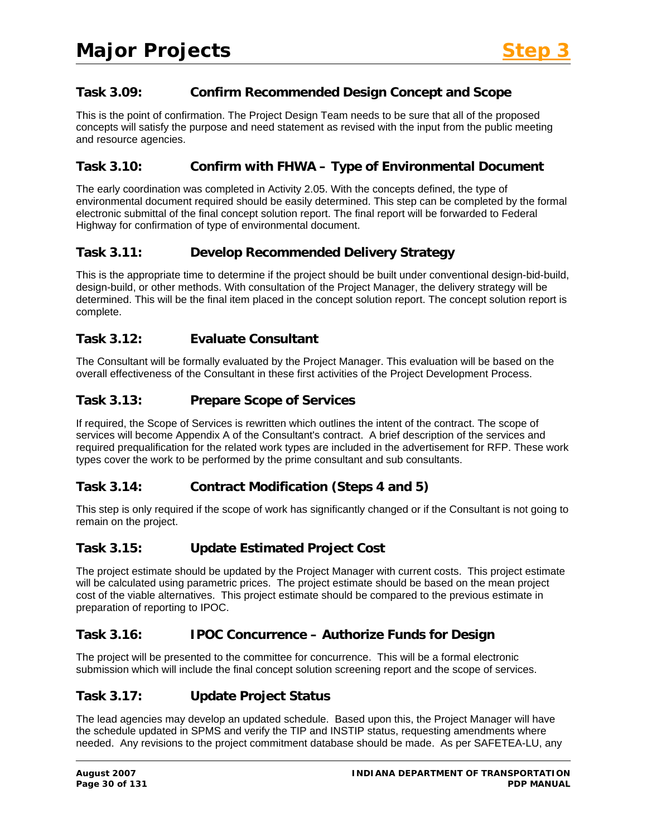# **Task 3.09: Confirm Recommended Design Concept and Scope**

This is the point of confirmation. The Project Design Team needs to be sure that all of the proposed concepts will satisfy the purpose and need statement as revised with the input from the public meeting and resource agencies.

# **Task 3.10: Confirm with FHWA – Type of Environmental Document**

The early coordination was completed in Activity 2.05. With the concepts defined, the type of environmental document required should be easily determined. This step can be completed by the formal electronic submittal of the final concept solution report. The final report will be forwarded to Federal Highway for confirmation of type of environmental document.

### **Task 3.11: Develop Recommended Delivery Strategy**

This is the appropriate time to determine if the project should be built under conventional design-bid-build, design-build, or other methods. With consultation of the Project Manager, the delivery strategy will be determined. This will be the final item placed in the concept solution report. The concept solution report is complete.

### **Task 3.12: Evaluate Consultant**

The Consultant will be formally evaluated by the Project Manager. This evaluation will be based on the overall effectiveness of the Consultant in these first activities of the Project Development Process.

### **Task 3.13: Prepare Scope of Services**

If required, the Scope of Services is rewritten which outlines the intent of the contract. The scope of services will become Appendix A of the Consultant's contract. A brief description of the services and required prequalification for the related work types are included in the advertisement for RFP. These work types cover the work to be performed by the prime consultant and sub consultants.

### **Task 3.14: Contract Modification (Steps 4 and 5)**

This step is only required if the scope of work has significantly changed or if the Consultant is not going to remain on the project.

### **Task 3.15: Update Estimated Project Cost**

The project estimate should be updated by the Project Manager with current costs. This project estimate will be calculated using parametric prices. The project estimate should be based on the mean project cost of the viable alternatives. This project estimate should be compared to the previous estimate in preparation of reporting to IPOC.

### **Task 3.16: IPOC Concurrence – Authorize Funds for Design**

The project will be presented to the committee for concurrence. This will be a formal electronic submission which will include the final concept solution screening report and the scope of services.

### **Task 3.17: Update Project Status**

The lead agencies may develop an updated schedule. Based upon this, the Project Manager will have the schedule updated in SPMS and verify the TIP and INSTIP status, requesting amendments where needed. Any revisions to the project commitment database should be made. As per SAFETEA-LU, any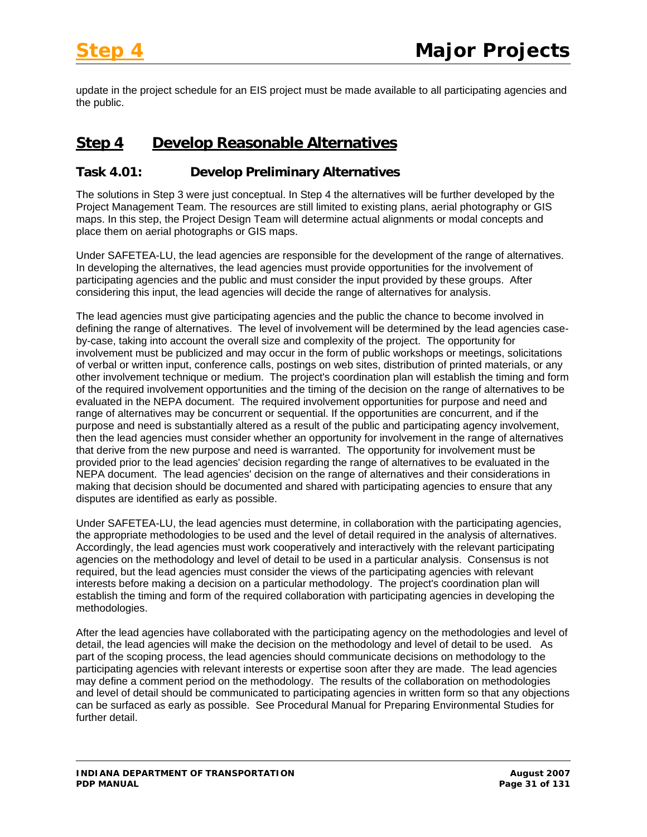update in the project schedule for an EIS project must be made available to all participating agencies and the public.

# **Step 4 Develop Reasonable Alternatives**

# **Task 4.01: Develop Preliminary Alternatives**

The solutions in Step 3 were just conceptual. In Step 4 the alternatives will be further developed by the Project Management Team. The resources are still limited to existing plans, aerial photography or GIS maps. In this step, the Project Design Team will determine actual alignments or modal concepts and place them on aerial photographs or GIS maps.

Under SAFETEA-LU, the lead agencies are responsible for the development of the range of alternatives. In developing the alternatives, the lead agencies must provide opportunities for the involvement of participating agencies and the public and must consider the input provided by these groups. After considering this input, the lead agencies will decide the range of alternatives for analysis.

The lead agencies must give participating agencies and the public the chance to become involved in defining the range of alternatives. The level of involvement will be determined by the lead agencies caseby-case, taking into account the overall size and complexity of the project. The opportunity for involvement must be publicized and may occur in the form of public workshops or meetings, solicitations of verbal or written input, conference calls, postings on web sites, distribution of printed materials, or any other involvement technique or medium. The project's coordination plan will establish the timing and form of the required involvement opportunities and the timing of the decision on the range of alternatives to be evaluated in the NEPA document. The required involvement opportunities for purpose and need and range of alternatives may be concurrent or sequential. If the opportunities are concurrent, and if the purpose and need is substantially altered as a result of the public and participating agency involvement, then the lead agencies must consider whether an opportunity for involvement in the range of alternatives that derive from the new purpose and need is warranted. The opportunity for involvement must be provided prior to the lead agencies' decision regarding the range of alternatives to be evaluated in the NEPA document. The lead agencies' decision on the range of alternatives and their considerations in making that decision should be documented and shared with participating agencies to ensure that any disputes are identified as early as possible.

Under SAFETEA-LU, the lead agencies must determine, in collaboration with the participating agencies, the appropriate methodologies to be used and the level of detail required in the analysis of alternatives. Accordingly, the lead agencies must work cooperatively and interactively with the relevant participating agencies on the methodology and level of detail to be used in a particular analysis. Consensus is not required, but the lead agencies must consider the views of the participating agencies with relevant interests before making a decision on a particular methodology. The project's coordination plan will establish the timing and form of the required collaboration with participating agencies in developing the methodologies.

After the lead agencies have collaborated with the participating agency on the methodologies and level of detail, the lead agencies will make the decision on the methodology and level of detail to be used. As part of the scoping process, the lead agencies should communicate decisions on methodology to the participating agencies with relevant interests or expertise soon after they are made. The lead agencies may define a comment period on the methodology. The results of the collaboration on methodologies and level of detail should be communicated to participating agencies in written form so that any objections can be surfaced as early as possible. See Procedural Manual for Preparing Environmental Studies for further detail.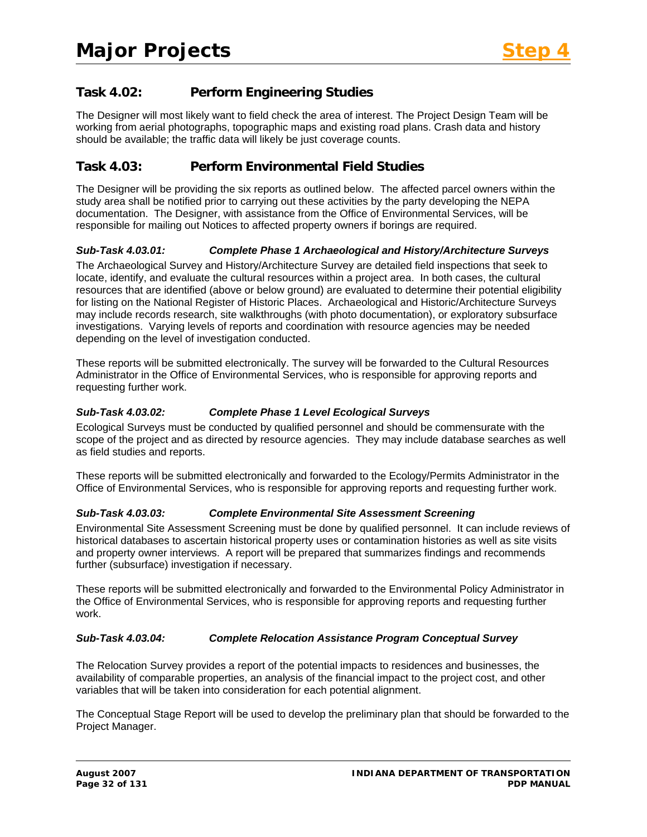# **Task 4.02: Perform Engineering Studies**

The Designer will most likely want to field check the area of interest. The Project Design Team will be working from aerial photographs, topographic maps and existing road plans. Crash data and history should be available; the traffic data will likely be just coverage counts.

# **Task 4.03: Perform Environmental Field Studies**

The Designer will be providing the six reports as outlined below. The affected parcel owners within the study area shall be notified prior to carrying out these activities by the party developing the NEPA documentation. The Designer, with assistance from the Office of Environmental Services, will be responsible for mailing out Notices to affected property owners if borings are required.

#### *Sub-Task 4.03.01: Complete Phase 1 Archaeological and History/Architecture Surveys*

The Archaeological Survey and History/Architecture Survey are detailed field inspections that seek to locate, identify, and evaluate the cultural resources within a project area. In both cases, the cultural resources that are identified (above or below ground) are evaluated to determine their potential eligibility for listing on the National Register of Historic Places. Archaeological and Historic/Architecture Surveys may include records research, site walkthroughs (with photo documentation), or exploratory subsurface investigations. Varying levels of reports and coordination with resource agencies may be needed depending on the level of investigation conducted.

These reports will be submitted electronically. The survey will be forwarded to the Cultural Resources Administrator in the Office of Environmental Services, who is responsible for approving reports and requesting further work.

#### *Sub-Task 4.03.02: Complete Phase 1 Level Ecological Surveys*

Ecological Surveys must be conducted by qualified personnel and should be commensurate with the scope of the project and as directed by resource agencies. They may include database searches as well as field studies and reports.

These reports will be submitted electronically and forwarded to the Ecology/Permits Administrator in the Office of Environmental Services, who is responsible for approving reports and requesting further work.

#### *Sub-Task 4.03.03: Complete Environmental Site Assessment Screening*

Environmental Site Assessment Screening must be done by qualified personnel. It can include reviews of historical databases to ascertain historical property uses or contamination histories as well as site visits and property owner interviews. A report will be prepared that summarizes findings and recommends further (subsurface) investigation if necessary.

These reports will be submitted electronically and forwarded to the Environmental Policy Administrator in the Office of Environmental Services, who is responsible for approving reports and requesting further work.

#### *Sub-Task 4.03.04: Complete Relocation Assistance Program Conceptual Survey*

The Relocation Survey provides a report of the potential impacts to residences and businesses, the availability of comparable properties, an analysis of the financial impact to the project cost, and other variables that will be taken into consideration for each potential alignment.

The Conceptual Stage Report will be used to develop the preliminary plan that should be forwarded to the Project Manager.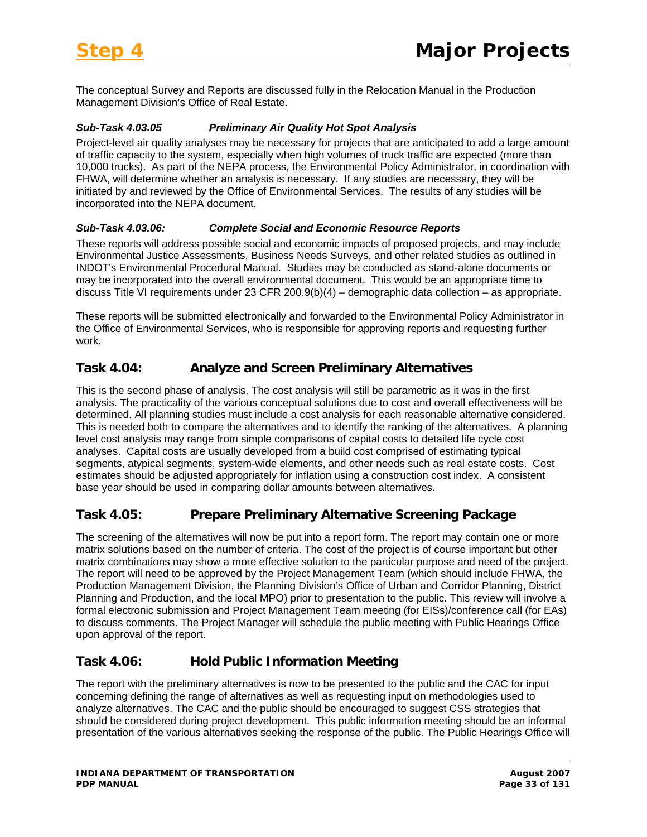The conceptual Survey and Reports are discussed fully in the Relocation Manual in the Production Management Division's Office of Real Estate.

#### *Sub-Task 4.03.05 Preliminary Air Quality Hot Spot Analysis*

Project-level air quality analyses may be necessary for projects that are anticipated to add a large amount of traffic capacity to the system, especially when high volumes of truck traffic are expected (more than 10,000 trucks). As part of the NEPA process, the Environmental Policy Administrator, in coordination with FHWA, will determine whether an analysis is necessary. If any studies are necessary, they will be initiated by and reviewed by the Office of Environmental Services. The results of any studies will be incorporated into the NEPA document.

#### *Sub-Task 4.03.06: Complete Social and Economic Resource Reports*

These reports will address possible social and economic impacts of proposed projects, and may include Environmental Justice Assessments, Business Needs Surveys, and other related studies as outlined in INDOT's Environmental Procedural Manual. Studies may be conducted as stand-alone documents or may be incorporated into the overall environmental document. This would be an appropriate time to discuss Title VI requirements under 23 CFR 200.9(b)(4) – demographic data collection – as appropriate.

These reports will be submitted electronically and forwarded to the Environmental Policy Administrator in the Office of Environmental Services, who is responsible for approving reports and requesting further work.

# **Task 4.04: Analyze and Screen Preliminary Alternatives**

This is the second phase of analysis. The cost analysis will still be parametric as it was in the first analysis. The practicality of the various conceptual solutions due to cost and overall effectiveness will be determined. All planning studies must include a cost analysis for each reasonable alternative considered. This is needed both to compare the alternatives and to identify the ranking of the alternatives. A planning level cost analysis may range from simple comparisons of capital costs to detailed life cycle cost analyses. Capital costs are usually developed from a build cost comprised of estimating typical segments, atypical segments, system-wide elements, and other needs such as real estate costs. Cost estimates should be adjusted appropriately for inflation using a construction cost index. A consistent base year should be used in comparing dollar amounts between alternatives.

# **Task 4.05: Prepare Preliminary Alternative Screening Package**

The screening of the alternatives will now be put into a report form. The report may contain one or more matrix solutions based on the number of criteria. The cost of the project is of course important but other matrix combinations may show a more effective solution to the particular purpose and need of the project. The report will need to be approved by the Project Management Team (which should include FHWA, the Production Management Division, the Planning Division's Office of Urban and Corridor Planning, District Planning and Production, and the local MPO) prior to presentation to the public. This review will involve a formal electronic submission and Project Management Team meeting (for EISs)/conference call (for EAs) to discuss comments. The Project Manager will schedule the public meeting with Public Hearings Office upon approval of the report.

### **Task 4.06: Hold Public Information Meeting**

The report with the preliminary alternatives is now to be presented to the public and the CAC for input concerning defining the range of alternatives as well as requesting input on methodologies used to analyze alternatives. The CAC and the public should be encouraged to suggest CSS strategies that should be considered during project development. This public information meeting should be an informal presentation of the various alternatives seeking the response of the public. The Public Hearings Office will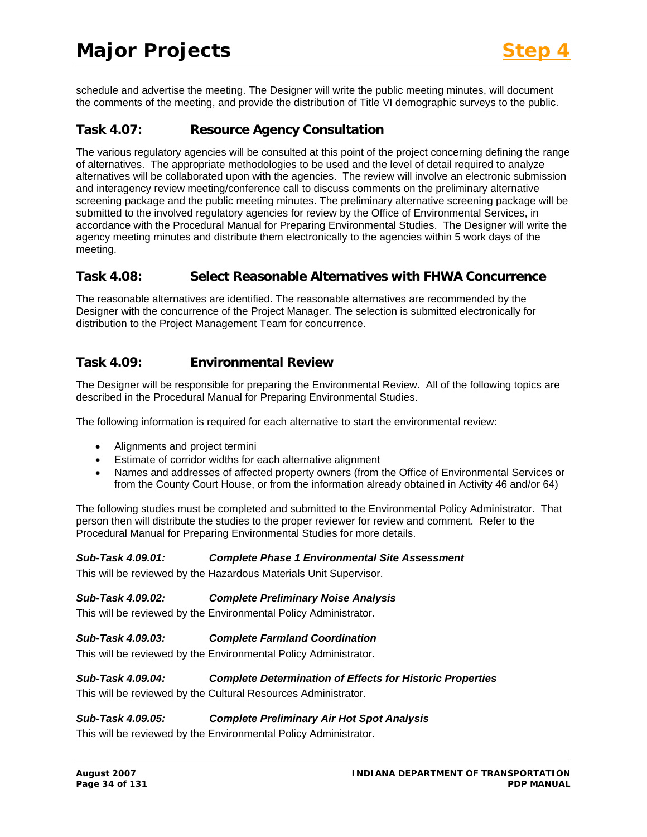schedule and advertise the meeting. The Designer will write the public meeting minutes, will document the comments of the meeting, and provide the distribution of Title VI demographic surveys to the public.

# **Task 4.07: Resource Agency Consultation**

The various regulatory agencies will be consulted at this point of the project concerning defining the range of alternatives. The appropriate methodologies to be used and the level of detail required to analyze alternatives will be collaborated upon with the agencies. The review will involve an electronic submission and interagency review meeting/conference call to discuss comments on the preliminary alternative screening package and the public meeting minutes. The preliminary alternative screening package will be submitted to the involved regulatory agencies for review by the Office of Environmental Services, in accordance with the Procedural Manual for Preparing Environmental Studies. The Designer will write the agency meeting minutes and distribute them electronically to the agencies within 5 work days of the meeting.

### **Task 4.08: Select Reasonable Alternatives with FHWA Concurrence**

The reasonable alternatives are identified. The reasonable alternatives are recommended by the Designer with the concurrence of the Project Manager. The selection is submitted electronically for distribution to the Project Management Team for concurrence.

### **Task 4.09: Environmental Review**

The Designer will be responsible for preparing the Environmental Review. All of the following topics are described in the Procedural Manual for Preparing Environmental Studies.

The following information is required for each alternative to start the environmental review:

- Alignments and project termini
- Estimate of corridor widths for each alternative alignment
- Names and addresses of affected property owners (from the Office of Environmental Services or from the County Court House, or from the information already obtained in Activity 46 and/or 64)

The following studies must be completed and submitted to the Environmental Policy Administrator. That person then will distribute the studies to the proper reviewer for review and comment. Refer to the Procedural Manual for Preparing Environmental Studies for more details.

#### *Sub-Task 4.09.01: Complete Phase 1 Environmental Site Assessment*

This will be reviewed by the Hazardous Materials Unit Supervisor.

#### *Sub-Task 4.09.02: Complete Preliminary Noise Analysis*

This will be reviewed by the Environmental Policy Administrator.

#### *Sub-Task 4.09.03: Complete Farmland Coordination*

This will be reviewed by the Environmental Policy Administrator.

#### *Sub-Task 4.09.04: Complete Determination of Effects for Historic Properties*

This will be reviewed by the Cultural Resources Administrator.

#### *Sub-Task 4.09.05: Complete Preliminary Air Hot Spot Analysis*

This will be reviewed by the Environmental Policy Administrator.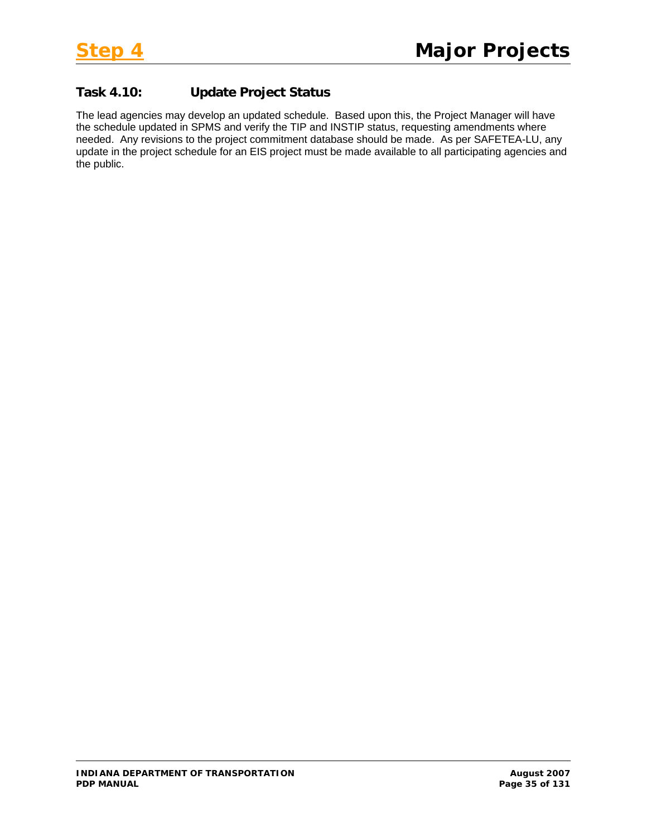# **Task 4.10: Update Project Status**

The lead agencies may develop an updated schedule. Based upon this, the Project Manager will have the schedule updated in SPMS and verify the TIP and INSTIP status, requesting amendments where needed. Any revisions to the project commitment database should be made. As per SAFETEA-LU, any update in the project schedule for an EIS project must be made available to all participating agencies and the public.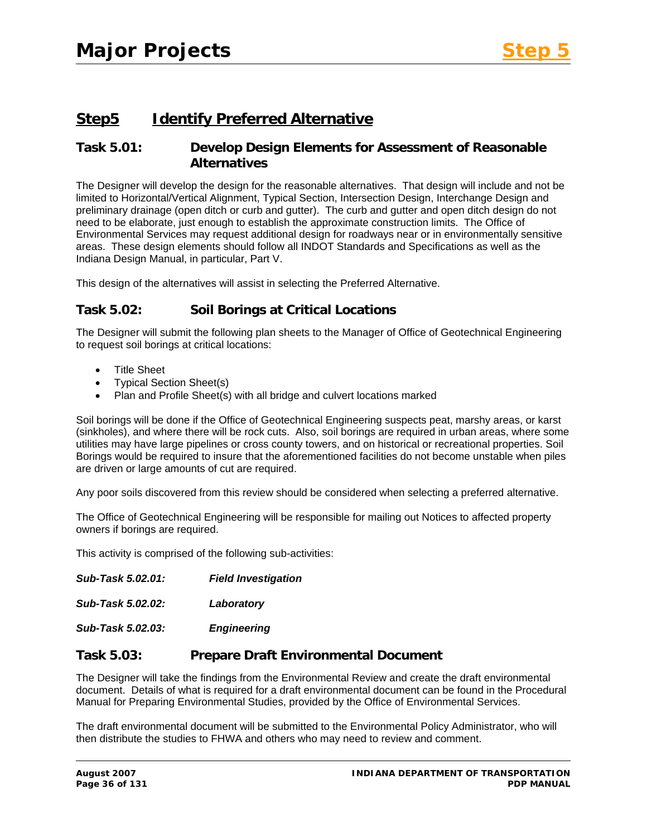# **Step5 Identify Preferred Alternative**

# **Task 5.01: Develop Design Elements for Assessment of Reasonable Alternatives**

The Designer will develop the design for the reasonable alternatives. That design will include and not be limited to Horizontal/Vertical Alignment, Typical Section, Intersection Design, Interchange Design and preliminary drainage (open ditch or curb and gutter). The curb and gutter and open ditch design do not need to be elaborate, just enough to establish the approximate construction limits. The Office of Environmental Services may request additional design for roadways near or in environmentally sensitive areas. These design elements should follow all INDOT Standards and Specifications as well as the Indiana Design Manual, in particular, Part V.

This design of the alternatives will assist in selecting the Preferred Alternative.

### **Task 5.02: Soil Borings at Critical Locations**

The Designer will submit the following plan sheets to the Manager of Office of Geotechnical Engineering to request soil borings at critical locations:

- Title Sheet
- Typical Section Sheet(s)
- Plan and Profile Sheet(s) with all bridge and culvert locations marked

Soil borings will be done if the Office of Geotechnical Engineering suspects peat, marshy areas, or karst (sinkholes), and where there will be rock cuts. Also, soil borings are required in urban areas, where some utilities may have large pipelines or cross county towers, and on historical or recreational properties. Soil Borings would be required to insure that the aforementioned facilities do not become unstable when piles are driven or large amounts of cut are required.

Any poor soils discovered from this review should be considered when selecting a preferred alternative.

The Office of Geotechnical Engineering will be responsible for mailing out Notices to affected property owners if borings are required.

This activity is comprised of the following sub-activities:

*Sub-Task 5.02.01: Field Investigation Sub-Task 5.02.02: Laboratory* 

*Sub-Task 5.02.03: Engineering* 

#### **Task 5.03: Prepare Draft Environmental Document**

The Designer will take the findings from the Environmental Review and create the draft environmental document. Details of what is required for a draft environmental document can be found in the Procedural Manual for Preparing Environmental Studies, provided by the Office of Environmental Services.

The draft environmental document will be submitted to the Environmental Policy Administrator, who will then distribute the studies to FHWA and others who may need to review and comment.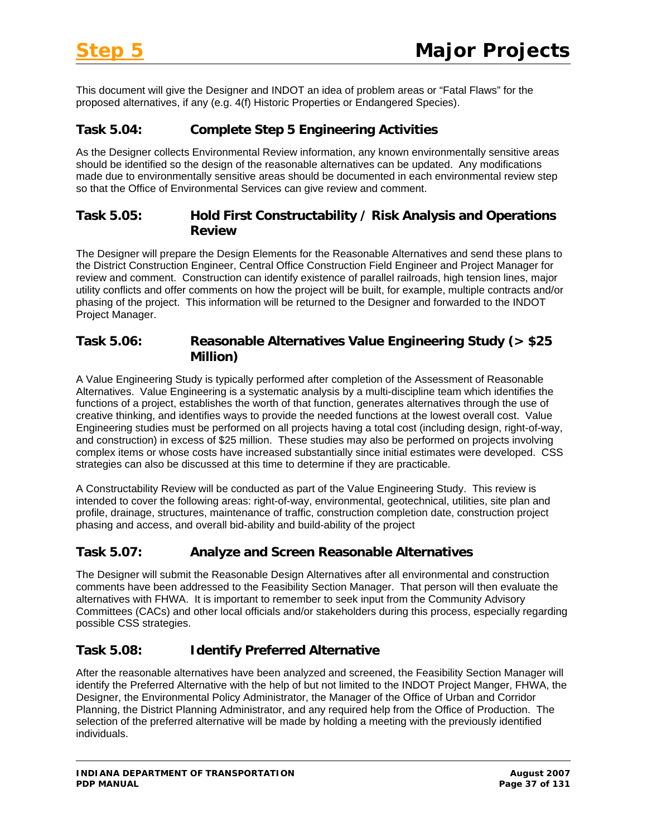This document will give the Designer and INDOT an idea of problem areas or "Fatal Flaws" for the proposed alternatives, if any (e.g. 4(f) Historic Properties or Endangered Species).

#### **Task 5.04: Complete Step 5 Engineering Activities**

As the Designer collects Environmental Review information, any known environmentally sensitive areas should be identified so the design of the reasonable alternatives can be updated. Any modifications made due to environmentally sensitive areas should be documented in each environmental review step so that the Office of Environmental Services can give review and comment.

#### **Task 5.05: Hold First Constructability / Risk Analysis and Operations Review**

The Designer will prepare the Design Elements for the Reasonable Alternatives and send these plans to the District Construction Engineer, Central Office Construction Field Engineer and Project Manager for review and comment. Construction can identify existence of parallel railroads, high tension lines, major utility conflicts and offer comments on how the project will be built, for example, multiple contracts and/or phasing of the project. This information will be returned to the Designer and forwarded to the INDOT Project Manager.

#### **Task 5.06: Reasonable Alternatives Value Engineering Study (> \$25 Million)**

A Value Engineering Study is typically performed after completion of the Assessment of Reasonable Alternatives. Value Engineering is a systematic analysis by a multi-discipline team which identifies the functions of a project, establishes the worth of that function, generates alternatives through the use of creative thinking, and identifies ways to provide the needed functions at the lowest overall cost. Value Engineering studies must be performed on all projects having a total cost (including design, right-of-way, and construction) in excess of \$25 million. These studies may also be performed on projects involving complex items or whose costs have increased substantially since initial estimates were developed. CSS strategies can also be discussed at this time to determine if they are practicable.

A Constructability Review will be conducted as part of the Value Engineering Study. This review is intended to cover the following areas: right-of-way, environmental, geotechnical, utilities, site plan and profile, drainage, structures, maintenance of traffic, construction completion date, construction project phasing and access, and overall bid-ability and build-ability of the project

# **Task 5.07: Analyze and Screen Reasonable Alternatives**

The Designer will submit the Reasonable Design Alternatives after all environmental and construction comments have been addressed to the Feasibility Section Manager. That person will then evaluate the alternatives with FHWA. It is important to remember to seek input from the Community Advisory Committees (CACs) and other local officials and/or stakeholders during this process, especially regarding possible CSS strategies.

# **Task 5.08: Identify Preferred Alternative**

After the reasonable alternatives have been analyzed and screened, the Feasibility Section Manager will identify the Preferred Alternative with the help of but not limited to the INDOT Project Manger, FHWA, the Designer, the Environmental Policy Administrator, the Manager of the Office of Urban and Corridor Planning, the District Planning Administrator, and any required help from the Office of Production. The selection of the preferred alternative will be made by holding a meeting with the previously identified individuals.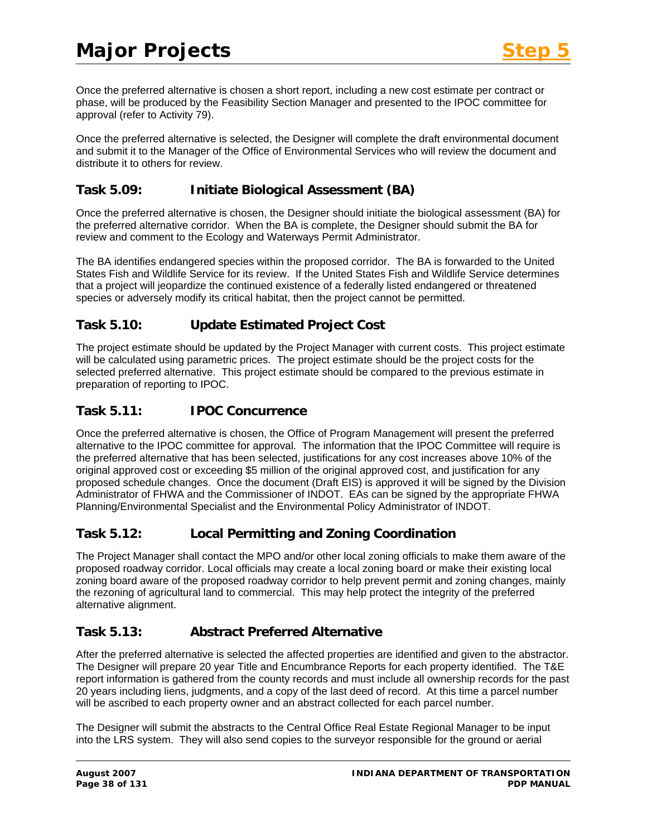Once the preferred alternative is chosen a short report, including a new cost estimate per contract or phase, will be produced by the Feasibility Section Manager and presented to the IPOC committee for approval (refer to Activity 79).

Once the preferred alternative is selected, the Designer will complete the draft environmental document and submit it to the Manager of the Office of Environmental Services who will review the document and distribute it to others for review.

#### **Task 5.09: Initiate Biological Assessment (BA)**

Once the preferred alternative is chosen, the Designer should initiate the biological assessment (BA) for the preferred alternative corridor. When the BA is complete, the Designer should submit the BA for review and comment to the Ecology and Waterways Permit Administrator.

The BA identifies endangered species within the proposed corridor. The BA is forwarded to the United States Fish and Wildlife Service for its review. If the United States Fish and Wildlife Service determines that a project will jeopardize the continued existence of a federally listed endangered or threatened species or adversely modify its critical habitat, then the project cannot be permitted.

# **Task 5.10: Update Estimated Project Cost**

The project estimate should be updated by the Project Manager with current costs. This project estimate will be calculated using parametric prices. The project estimate should be the project costs for the selected preferred alternative. This project estimate should be compared to the previous estimate in preparation of reporting to IPOC.

#### **Task 5.11: IPOC Concurrence**

Once the preferred alternative is chosen, the Office of Program Management will present the preferred alternative to the IPOC committee for approval. The information that the IPOC Committee will require is the preferred alternative that has been selected, justifications for any cost increases above 10% of the original approved cost or exceeding \$5 million of the original approved cost, and justification for any proposed schedule changes. Once the document (Draft EIS) is approved it will be signed by the Division Administrator of FHWA and the Commissioner of INDOT. EAs can be signed by the appropriate FHWA Planning/Environmental Specialist and the Environmental Policy Administrator of INDOT.

# **Task 5.12: Local Permitting and Zoning Coordination**

The Project Manager shall contact the MPO and/or other local zoning officials to make them aware of the proposed roadway corridor. Local officials may create a local zoning board or make their existing local zoning board aware of the proposed roadway corridor to help prevent permit and zoning changes, mainly the rezoning of agricultural land to commercial. This may help protect the integrity of the preferred alternative alignment.

# **Task 5.13: Abstract Preferred Alternative**

After the preferred alternative is selected the affected properties are identified and given to the abstractor. The Designer will prepare 20 year Title and Encumbrance Reports for each property identified. The T&E report information is gathered from the county records and must include all ownership records for the past 20 years including liens, judgments, and a copy of the last deed of record. At this time a parcel number will be ascribed to each property owner and an abstract collected for each parcel number.

The Designer will submit the abstracts to the Central Office Real Estate Regional Manager to be input into the LRS system. They will also send copies to the surveyor responsible for the ground or aerial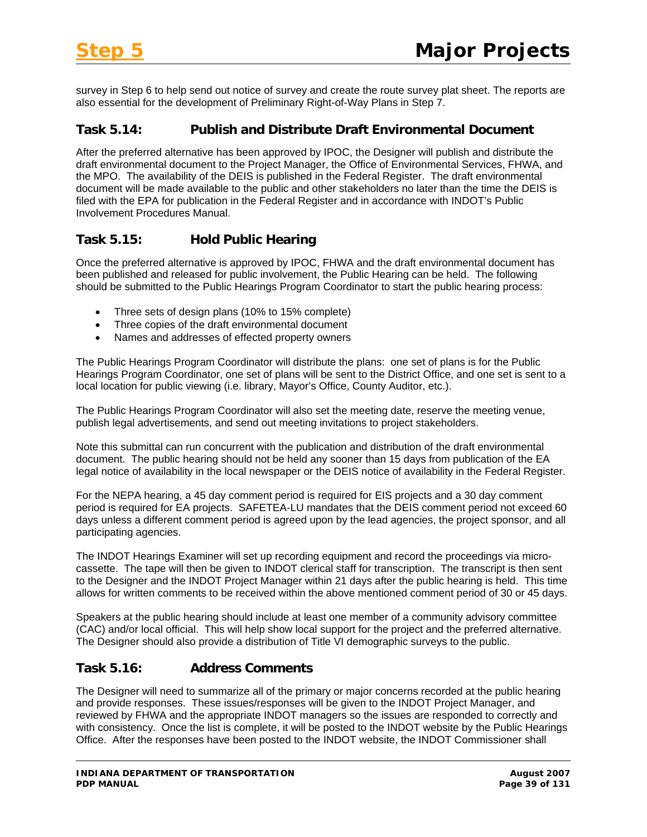survey in Step 6 to help send out notice of survey and create the route survey plat sheet. The reports are also essential for the development of Preliminary Right-of-Way Plans in Step 7.

#### **Task 5.14: Publish and Distribute Draft Environmental Document**

After the preferred alternative has been approved by IPOC, the Designer will publish and distribute the draft environmental document to the Project Manager, the Office of Environmental Services, FHWA, and the MPO. The availability of the DEIS is published in the Federal Register. The draft environmental document will be made available to the public and other stakeholders no later than the time the DEIS is filed with the EPA for publication in the Federal Register and in accordance with INDOT's Public Involvement Procedures Manual.

# **Task 5.15: Hold Public Hearing**

Once the preferred alternative is approved by IPOC, FHWA and the draft environmental document has been published and released for public involvement, the Public Hearing can be held. The following should be submitted to the Public Hearings Program Coordinator to start the public hearing process:

- Three sets of design plans (10% to 15% complete)
- Three copies of the draft environmental document
- Names and addresses of effected property owners

The Public Hearings Program Coordinator will distribute the plans: one set of plans is for the Public Hearings Program Coordinator, one set of plans will be sent to the District Office, and one set is sent to a local location for public viewing (i.e. library, Mayor's Office, County Auditor, etc.).

The Public Hearings Program Coordinator will also set the meeting date, reserve the meeting venue, publish legal advertisements, and send out meeting invitations to project stakeholders.

Note this submittal can run concurrent with the publication and distribution of the draft environmental document. The public hearing should not be held any sooner than 15 days from publication of the EA legal notice of availability in the local newspaper or the DEIS notice of availability in the Federal Register.

For the NEPA hearing, a 45 day comment period is required for EIS projects and a 30 day comment period is required for EA projects. SAFETEA-LU mandates that the DEIS comment period not exceed 60 days unless a different comment period is agreed upon by the lead agencies, the project sponsor, and all participating agencies.

The INDOT Hearings Examiner will set up recording equipment and record the proceedings via microcassette. The tape will then be given to INDOT clerical staff for transcription. The transcript is then sent to the Designer and the INDOT Project Manager within 21 days after the public hearing is held. This time allows for written comments to be received within the above mentioned comment period of 30 or 45 days.

Speakers at the public hearing should include at least one member of a community advisory committee (CAC) and/or local official. This will help show local support for the project and the preferred alternative. The Designer should also provide a distribution of Title VI demographic surveys to the public.

# **Task 5.16: Address Comments**

The Designer will need to summarize all of the primary or major concerns recorded at the public hearing and provide responses. These issues/responses will be given to the INDOT Project Manager, and reviewed by FHWA and the appropriate INDOT managers so the issues are responded to correctly and with consistency. Once the list is complete, it will be posted to the INDOT website by the Public Hearings Office. After the responses have been posted to the INDOT website, the INDOT Commissioner shall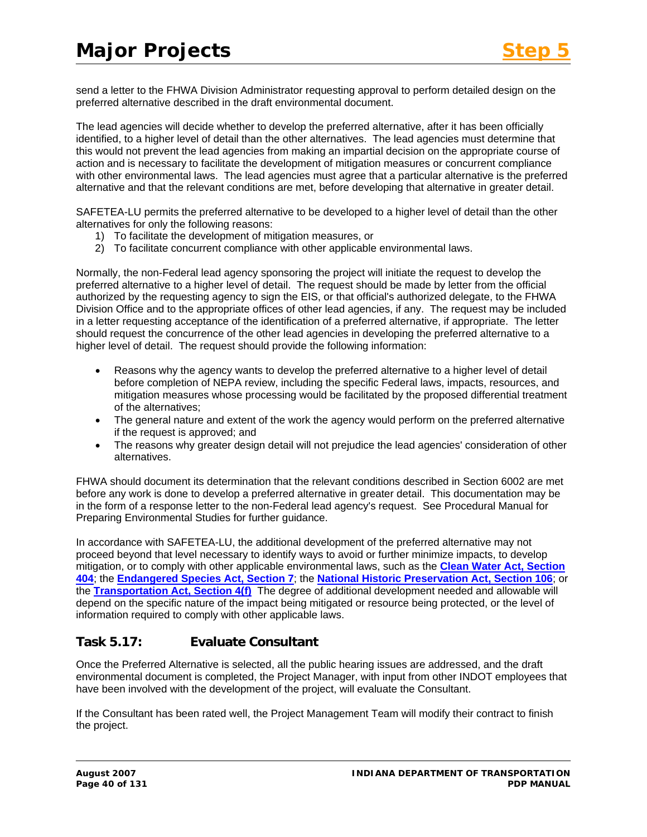send a letter to the FHWA Division Administrator requesting approval to perform detailed design on the preferred alternative described in the draft environmental document.

The lead agencies will decide whether to develop the preferred alternative, after it has been officially identified, to a higher level of detail than the other alternatives. The lead agencies must determine that this would not prevent the lead agencies from making an impartial decision on the appropriate course of action and is necessary to facilitate the development of mitigation measures or concurrent compliance with other environmental laws. The lead agencies must agree that a particular alternative is the preferred alternative and that the relevant conditions are met, before developing that alternative in greater detail.

SAFETEA-LU permits the preferred alternative to be developed to a higher level of detail than the other alternatives for only the following reasons:

- 1) To facilitate the development of mitigation measures, or
- 2) To facilitate concurrent compliance with other applicable environmental laws.

Normally, the non-Federal lead agency sponsoring the project will initiate the request to develop the preferred alternative to a higher level of detail. The request should be made by letter from the official authorized by the requesting agency to sign the EIS, or that official's authorized delegate, to the FHWA Division Office and to the appropriate offices of other lead agencies, if any. The request may be included in a letter requesting acceptance of the identification of a preferred alternative, if appropriate. The letter should request the concurrence of the other lead agencies in developing the preferred alternative to a higher level of detail. The request should provide the following information:

- Reasons why the agency wants to develop the preferred alternative to a higher level of detail before completion of NEPA review, including the specific Federal laws, impacts, resources, and mitigation measures whose processing would be facilitated by the proposed differential treatment of the alternatives;
- The general nature and extent of the work the agency would perform on the preferred alternative if the request is approved; and
- The reasons why greater design detail will not prejudice the lead agencies' consideration of other alternatives.

FHWA should document its determination that the relevant conditions described in Section 6002 are met before any work is done to develop a preferred alternative in greater detail. This documentation may be in the form of a response letter to the non-Federal lead agency's request. See Procedural Manual for Preparing Environmental Studies for further guidance.

In accordance with SAFETEA-LU, the additional development of the preferred alternative may not proceed beyond that level necessary to identify ways to avoid or further minimize impacts, to develop mitigation, or to comply with other applicable environmental laws, such as the **[Clean Water Act, Section](http://www.epa.gov/owow/wetlands/regs/sec404.html)  [404](http://www.epa.gov/owow/wetlands/regs/sec404.html)**; the **[Endangered Species Act, Section 7](http://www.fws.gov/Endangered/esa.html#Lnk07)**; the **[National Historic Preservation Act, Section 106](http://www.achp.gov/106summary.html)**; or the **[Transportation Act, Section 4\(f\)](http://environment.fhwa.dot.gov/projdev/pd5sec4f.asp)** The degree of additional development needed and allowable will depend on the specific nature of the impact being mitigated or resource being protected, or the level of information required to comply with other applicable laws.

# **Task 5.17: Evaluate Consultant**

Once the Preferred Alternative is selected, all the public hearing issues are addressed, and the draft environmental document is completed, the Project Manager, with input from other INDOT employees that have been involved with the development of the project, will evaluate the Consultant.

If the Consultant has been rated well, the Project Management Team will modify their contract to finish the project.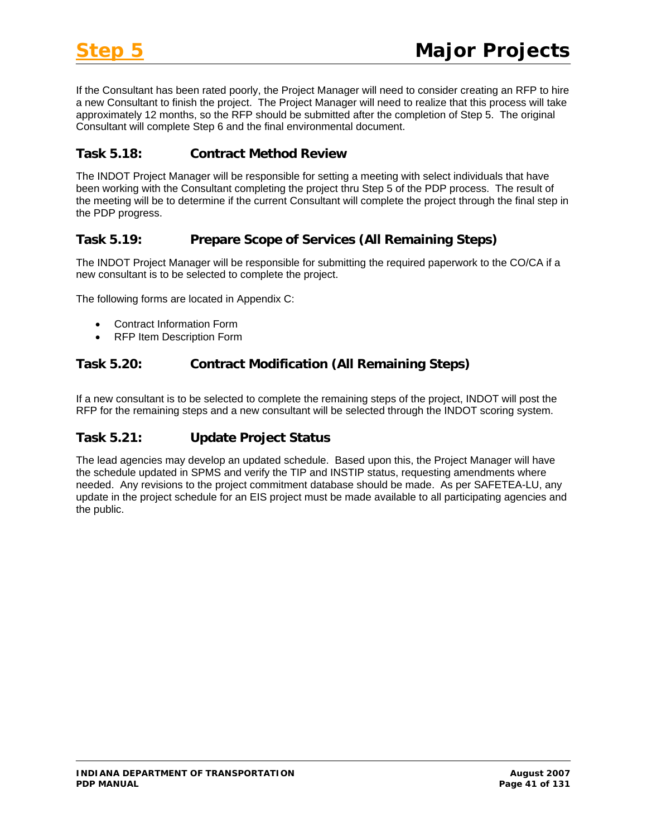If the Consultant has been rated poorly, the Project Manager will need to consider creating an RFP to hire a new Consultant to finish the project. The Project Manager will need to realize that this process will take approximately 12 months, so the RFP should be submitted after the completion of Step 5. The original Consultant will complete Step 6 and the final environmental document.

#### **Task 5.18: Contract Method Review**

The INDOT Project Manager will be responsible for setting a meeting with select individuals that have been working with the Consultant completing the project thru Step 5 of the PDP process. The result of the meeting will be to determine if the current Consultant will complete the project through the final step in the PDP progress.

#### **Task 5.19: Prepare Scope of Services (All Remaining Steps)**

The INDOT Project Manager will be responsible for submitting the required paperwork to the CO/CA if a new consultant is to be selected to complete the project.

The following forms are located in Appendix C:

- Contract Information Form
- RFP Item Description Form

#### **Task 5.20: Contract Modification (All Remaining Steps)**

If a new consultant is to be selected to complete the remaining steps of the project, INDOT will post the RFP for the remaining steps and a new consultant will be selected through the INDOT scoring system.

# **Task 5.21: Update Project Status**

The lead agencies may develop an updated schedule. Based upon this, the Project Manager will have the schedule updated in SPMS and verify the TIP and INSTIP status, requesting amendments where needed. Any revisions to the project commitment database should be made. As per SAFETEA-LU, any update in the project schedule for an EIS project must be made available to all participating agencies and the public.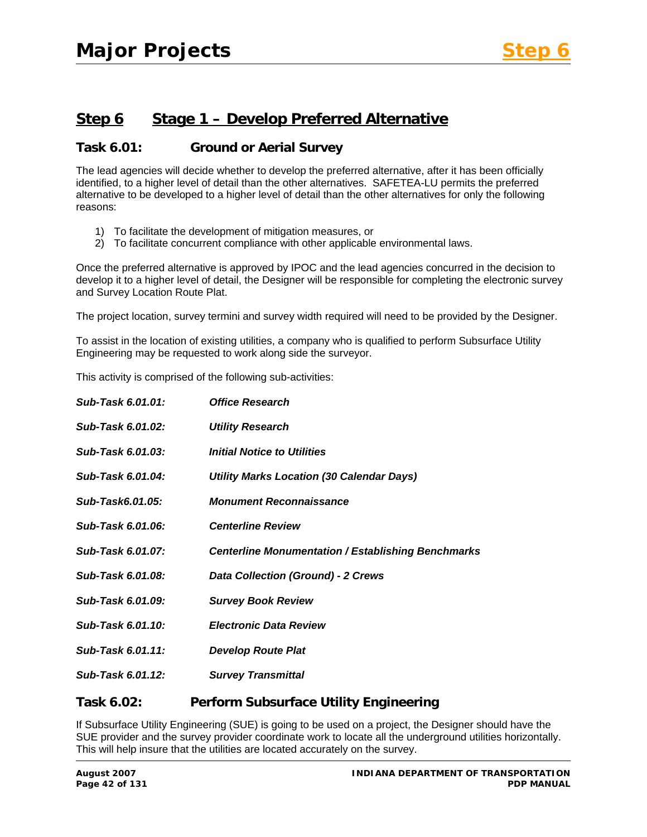# **Step 6 Stage 1 – Develop Preferred Alternative**

#### **Task 6.01: Ground or Aerial Survey**

The lead agencies will decide whether to develop the preferred alternative, after it has been officially identified, to a higher level of detail than the other alternatives. SAFETEA-LU permits the preferred alternative to be developed to a higher level of detail than the other alternatives for only the following reasons:

- 1) To facilitate the development of mitigation measures, or
- 2) To facilitate concurrent compliance with other applicable environmental laws.

Once the preferred alternative is approved by IPOC and the lead agencies concurred in the decision to develop it to a higher level of detail, the Designer will be responsible for completing the electronic survey and Survey Location Route Plat.

The project location, survey termini and survey width required will need to be provided by the Designer.

To assist in the location of existing utilities, a company who is qualified to perform Subsurface Utility Engineering may be requested to work along side the surveyor.

This activity is comprised of the following sub-activities:

| Sub-Task 6.01.01: | <b>Office Research</b>                                    |
|-------------------|-----------------------------------------------------------|
| Sub-Task 6.01.02: | <b>Utility Research</b>                                   |
| Sub-Task 6.01.03: | <b>Initial Notice to Utilities</b>                        |
| Sub-Task 6.01.04: | <b>Utility Marks Location (30 Calendar Days)</b>          |
| Sub-Task6.01.05:  | <b>Monument Reconnaissance</b>                            |
| Sub-Task 6.01.06: | <b>Centerline Review</b>                                  |
| Sub-Task 6.01.07: | <b>Centerline Monumentation / Establishing Benchmarks</b> |
| Sub-Task 6.01.08: | <b>Data Collection (Ground) - 2 Crews</b>                 |
| Sub-Task 6.01.09: | <b>Survey Book Review</b>                                 |
| Sub-Task 6.01.10: | <b>Electronic Data Review</b>                             |
| Sub-Task 6.01.11: | <b>Develop Route Plat</b>                                 |
| Sub-Task 6.01.12: | <b>Survey Transmittal</b>                                 |
|                   |                                                           |

**Task 6.02: Perform Subsurface Utility Engineering** 

If Subsurface Utility Engineering (SUE) is going to be used on a project, the Designer should have the SUE provider and the survey provider coordinate work to locate all the underground utilities horizontally. This will help insure that the utilities are located accurately on the survey.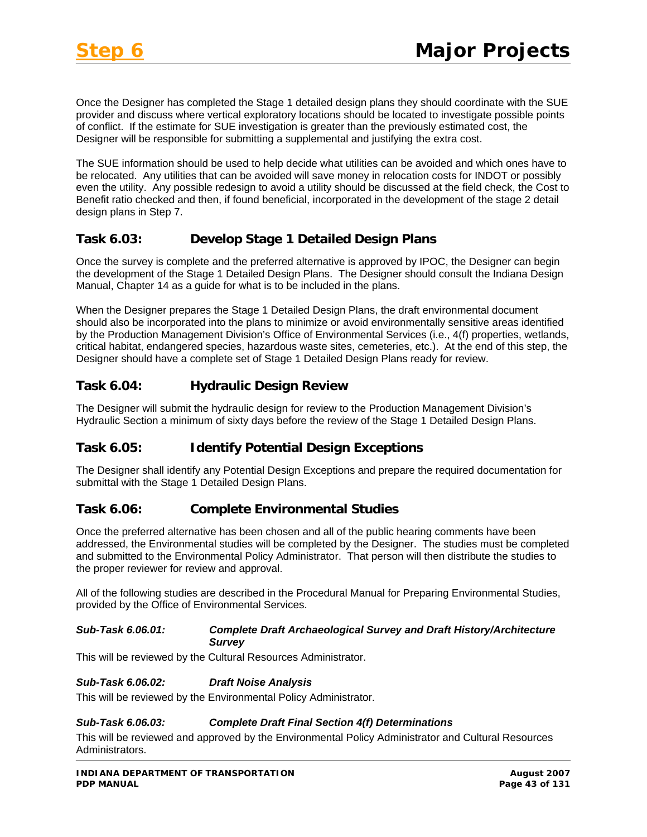Once the Designer has completed the Stage 1 detailed design plans they should coordinate with the SUE provider and discuss where vertical exploratory locations should be located to investigate possible points of conflict. If the estimate for SUE investigation is greater than the previously estimated cost, the Designer will be responsible for submitting a supplemental and justifying the extra cost.

The SUE information should be used to help decide what utilities can be avoided and which ones have to be relocated. Any utilities that can be avoided will save money in relocation costs for INDOT or possibly even the utility. Any possible redesign to avoid a utility should be discussed at the field check, the Cost to Benefit ratio checked and then, if found beneficial, incorporated in the development of the stage 2 detail design plans in Step 7.

#### **Task 6.03: Develop Stage 1 Detailed Design Plans**

Once the survey is complete and the preferred alternative is approved by IPOC, the Designer can begin the development of the Stage 1 Detailed Design Plans. The Designer should consult the Indiana Design Manual, Chapter 14 as a guide for what is to be included in the plans.

When the Designer prepares the Stage 1 Detailed Design Plans, the draft environmental document should also be incorporated into the plans to minimize or avoid environmentally sensitive areas identified by the Production Management Division's Office of Environmental Services (i.e., 4(f) properties, wetlands, critical habitat, endangered species, hazardous waste sites, cemeteries, etc.). At the end of this step, the Designer should have a complete set of Stage 1 Detailed Design Plans ready for review.

# **Task 6.04: Hydraulic Design Review**

The Designer will submit the hydraulic design for review to the Production Management Division's Hydraulic Section a minimum of sixty days before the review of the Stage 1 Detailed Design Plans.

# **Task 6.05: Identify Potential Design Exceptions**

The Designer shall identify any Potential Design Exceptions and prepare the required documentation for submittal with the Stage 1 Detailed Design Plans.

#### **Task 6.06: Complete Environmental Studies**

Once the preferred alternative has been chosen and all of the public hearing comments have been addressed, the Environmental studies will be completed by the Designer. The studies must be completed and submitted to the Environmental Policy Administrator. That person will then distribute the studies to the proper reviewer for review and approval.

All of the following studies are described in the Procedural Manual for Preparing Environmental Studies, provided by the Office of Environmental Services.

#### *Sub-Task 6.06.01: Complete Draft Archaeological Survey and Draft History/Architecture Survey*

This will be reviewed by the Cultural Resources Administrator.

#### *Sub-Task 6.06.02: Draft Noise Analysis*

This will be reviewed by the Environmental Policy Administrator.

#### *Sub-Task 6.06.03: Complete Draft Final Section 4(f) Determinations*

This will be reviewed and approved by the Environmental Policy Administrator and Cultural Resources Administrators.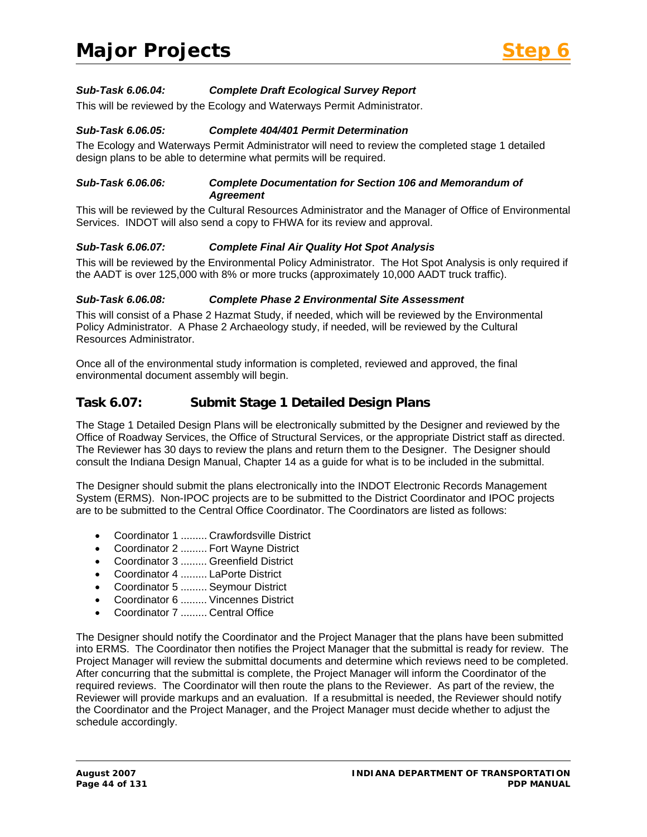

#### *Sub-Task 6.06.04: Complete Draft Ecological Survey Report*

This will be reviewed by the Ecology and Waterways Permit Administrator.

#### *Sub-Task 6.06.05: Complete 404/401 Permit Determination*

The Ecology and Waterways Permit Administrator will need to review the completed stage 1 detailed design plans to be able to determine what permits will be required.

#### *Sub-Task 6.06.06: Complete Documentation for Section 106 and Memorandum of Agreement*

This will be reviewed by the Cultural Resources Administrator and the Manager of Office of Environmental Services. INDOT will also send a copy to FHWA for its review and approval.

#### *Sub-Task 6.06.07: Complete Final Air Quality Hot Spot Analysis*

This will be reviewed by the Environmental Policy Administrator. The Hot Spot Analysis is only required if the AADT is over 125,000 with 8% or more trucks (approximately 10,000 AADT truck traffic).

#### *Sub-Task 6.06.08: Complete Phase 2 Environmental Site Assessment*

This will consist of a Phase 2 Hazmat Study, if needed, which will be reviewed by the Environmental Policy Administrator. A Phase 2 Archaeology study, if needed, will be reviewed by the Cultural Resources Administrator.

Once all of the environmental study information is completed, reviewed and approved, the final environmental document assembly will begin.

#### **Task 6.07: Submit Stage 1 Detailed Design Plans**

The Stage 1 Detailed Design Plans will be electronically submitted by the Designer and reviewed by the Office of Roadway Services, the Office of Structural Services, or the appropriate District staff as directed. The Reviewer has 30 days to review the plans and return them to the Designer. The Designer should consult the Indiana Design Manual, Chapter 14 as a guide for what is to be included in the submittal.

The Designer should submit the plans electronically into the INDOT Electronic Records Management System (ERMS). Non-IPOC projects are to be submitted to the District Coordinator and IPOC projects are to be submitted to the Central Office Coordinator. The Coordinators are listed as follows:

- Coordinator 1 ......... Crawfordsville District
- Coordinator 2 ......... Fort Wayne District
- Coordinator 3 ......... Greenfield District
- Coordinator 4 ......... LaPorte District
- Coordinator 5 ......... Seymour District
- Coordinator 6 ......... Vincennes District
- Coordinator 7 ......... Central Office

The Designer should notify the Coordinator and the Project Manager that the plans have been submitted into ERMS. The Coordinator then notifies the Project Manager that the submittal is ready for review. The Project Manager will review the submittal documents and determine which reviews need to be completed. After concurring that the submittal is complete, the Project Manager will inform the Coordinator of the required reviews. The Coordinator will then route the plans to the Reviewer. As part of the review, the Reviewer will provide markups and an evaluation. If a resubmittal is needed, the Reviewer should notify the Coordinator and the Project Manager, and the Project Manager must decide whether to adjust the schedule accordingly.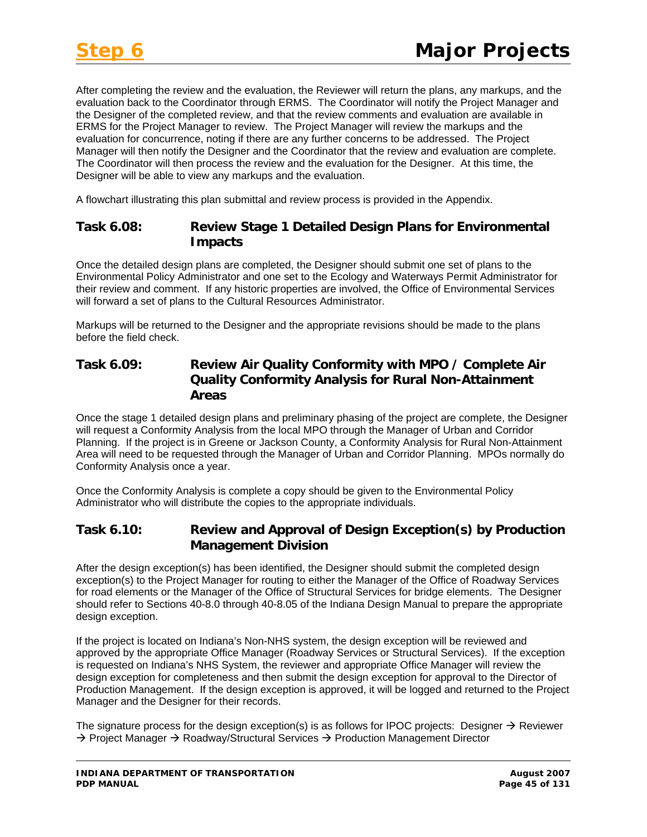After completing the review and the evaluation, the Reviewer will return the plans, any markups, and the evaluation back to the Coordinator through ERMS. The Coordinator will notify the Project Manager and the Designer of the completed review, and that the review comments and evaluation are available in ERMS for the Project Manager to review. The Project Manager will review the markups and the evaluation for concurrence, noting if there are any further concerns to be addressed. The Project Manager will then notify the Designer and the Coordinator that the review and evaluation are complete. The Coordinator will then process the review and the evaluation for the Designer. At this time, the Designer will be able to view any markups and the evaluation.

A flowchart illustrating this plan submittal and review process is provided in the Appendix.

#### **Task 6.08: Review Stage 1 Detailed Design Plans for Environmental Impacts**

Once the detailed design plans are completed, the Designer should submit one set of plans to the Environmental Policy Administrator and one set to the Ecology and Waterways Permit Administrator for their review and comment. If any historic properties are involved, the Office of Environmental Services will forward a set of plans to the Cultural Resources Administrator.

Markups will be returned to the Designer and the appropriate revisions should be made to the plans before the field check.

#### **Task 6.09: Review Air Quality Conformity with MPO / Complete Air Quality Conformity Analysis for Rural Non-Attainment Areas**

Once the stage 1 detailed design plans and preliminary phasing of the project are complete, the Designer will request a Conformity Analysis from the local MPO through the Manager of Urban and Corridor Planning. If the project is in Greene or Jackson County, a Conformity Analysis for Rural Non-Attainment Area will need to be requested through the Manager of Urban and Corridor Planning. MPOs normally do Conformity Analysis once a year.

Once the Conformity Analysis is complete a copy should be given to the Environmental Policy Administrator who will distribute the copies to the appropriate individuals.

# **Task 6.10: Review and Approval of Design Exception(s) by Production Management Division**

After the design exception(s) has been identified, the Designer should submit the completed design exception(s) to the Project Manager for routing to either the Manager of the Office of Roadway Services for road elements or the Manager of the Office of Structural Services for bridge elements. The Designer should refer to Sections 40-8.0 through 40-8.05 of the Indiana Design Manual to prepare the appropriate design exception.

If the project is located on Indiana's Non-NHS system, the design exception will be reviewed and approved by the appropriate Office Manager (Roadway Services or Structural Services). If the exception is requested on Indiana's NHS System, the reviewer and appropriate Office Manager will review the design exception for completeness and then submit the design exception for approval to the Director of Production Management. If the design exception is approved, it will be logged and returned to the Project Manager and the Designer for their records.

The signature process for the design exception(s) is as follows for IPOC projects: Designer  $\rightarrow$  Reviewer  $\rightarrow$  Project Manager  $\rightarrow$  Roadway/Structural Services  $\rightarrow$  Production Management Director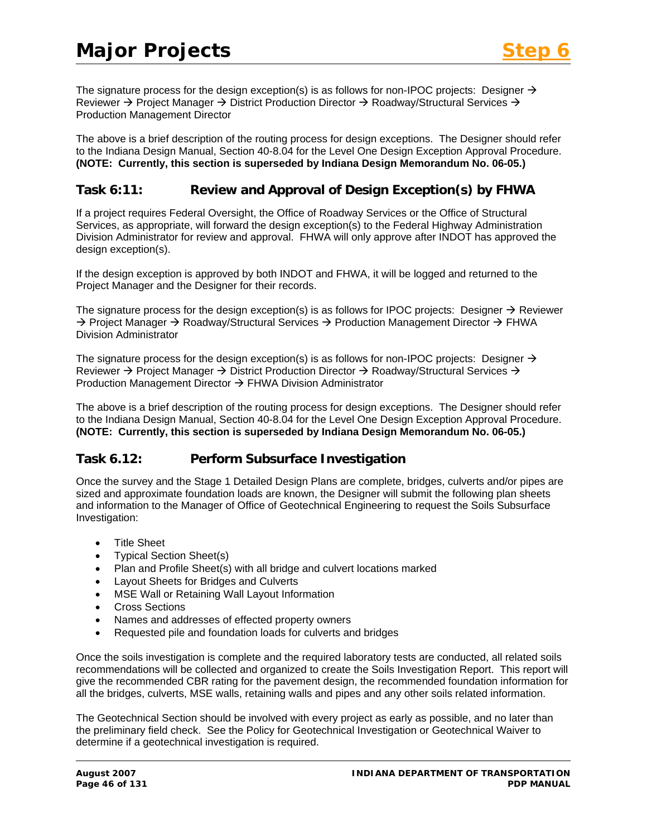The signature process for the design exception(s) is as follows for non-IPOC projects: Designer  $\rightarrow$ Reviewer  $\rightarrow$  Project Manager  $\rightarrow$  District Production Director  $\rightarrow$  Roadway/Structural Services  $\rightarrow$ Production Management Director

The above is a brief description of the routing process for design exceptions. The Designer should refer to the Indiana Design Manual, Section 40-8.04 for the Level One Design Exception Approval Procedure. **(NOTE: Currently, this section is superseded by Indiana Design Memorandum No. 06-05.)** 

#### **Task 6:11: Review and Approval of Design Exception(s) by FHWA**

If a project requires Federal Oversight, the Office of Roadway Services or the Office of Structural Services, as appropriate, will forward the design exception(s) to the Federal Highway Administration Division Administrator for review and approval. FHWA will only approve after INDOT has approved the design exception(s).

If the design exception is approved by both INDOT and FHWA, it will be logged and returned to the Project Manager and the Designer for their records.

The signature process for the design exception(s) is as follows for IPOC projects: Designer  $\rightarrow$  Reviewer  $\rightarrow$  Project Manager  $\rightarrow$  Roadway/Structural Services  $\rightarrow$  Production Management Director  $\rightarrow$  FHWA Division Administrator

The signature process for the design exception(s) is as follows for non-IPOC projects: Designer  $\rightarrow$ Reviewer  $\rightarrow$  Project Manager  $\rightarrow$  District Production Director  $\rightarrow$  Roadway/Structural Services  $\rightarrow$ Production Management Director  $\rightarrow$  FHWA Division Administrator

The above is a brief description of the routing process for design exceptions. The Designer should refer to the Indiana Design Manual, Section 40-8.04 for the Level One Design Exception Approval Procedure. **(NOTE: Currently, this section is superseded by Indiana Design Memorandum No. 06-05.)** 

#### **Task 6.12: Perform Subsurface Investigation**

Once the survey and the Stage 1 Detailed Design Plans are complete, bridges, culverts and/or pipes are sized and approximate foundation loads are known, the Designer will submit the following plan sheets and information to the Manager of Office of Geotechnical Engineering to request the Soils Subsurface Investigation:

- Title Sheet
- Typical Section Sheet(s)
- Plan and Profile Sheet(s) with all bridge and culvert locations marked
- Layout Sheets for Bridges and Culverts
- MSE Wall or Retaining Wall Layout Information
- Cross Sections
- Names and addresses of effected property owners
- Requested pile and foundation loads for culverts and bridges

Once the soils investigation is complete and the required laboratory tests are conducted, all related soils recommendations will be collected and organized to create the Soils Investigation Report. This report will give the recommended CBR rating for the pavement design, the recommended foundation information for all the bridges, culverts, MSE walls, retaining walls and pipes and any other soils related information.

The Geotechnical Section should be involved with every project as early as possible, and no later than the preliminary field check. See the Policy for Geotechnical Investigation or Geotechnical Waiver to determine if a geotechnical investigation is required.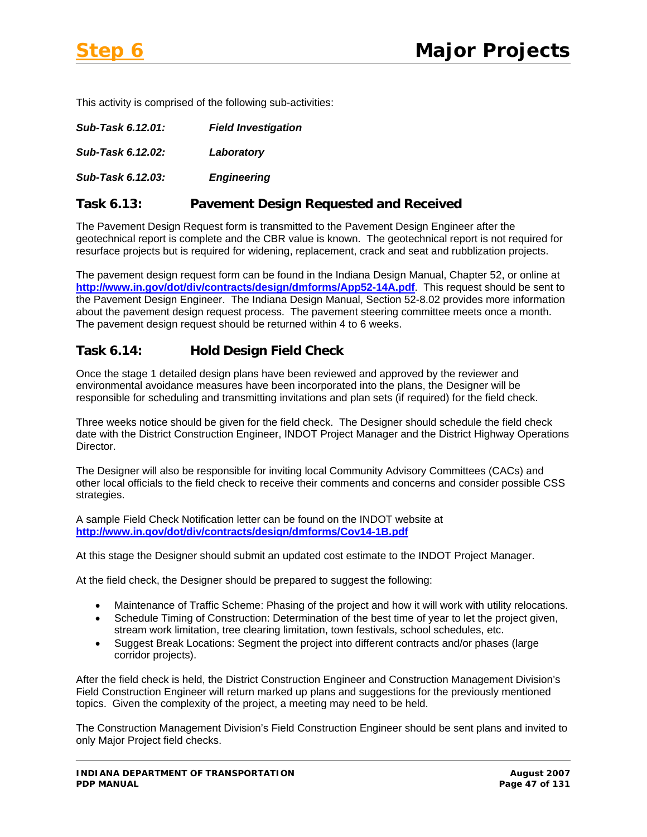This activity is comprised of the following sub-activities:

| Sub-Task 6.12.01: | <b>Field Investigation</b> |
|-------------------|----------------------------|
| Sub-Task 6.12.02: | Laboratory                 |
| Sub-Task 6.12.03: | <b>Engineering</b>         |

#### **Task 6.13: Pavement Design Requested and Received**

The Pavement Design Request form is transmitted to the Pavement Design Engineer after the geotechnical report is complete and the CBR value is known. The geotechnical report is not required for resurface projects but is required for widening, replacement, crack and seat and rubblization projects.

The pavement design request form can be found in the Indiana Design Manual, Chapter 52, or online at **<http://www.in.gov/dot/div/contracts/design/dmforms/App52-14A.pdf>**. This request should be sent to the Pavement Design Engineer. The Indiana Design Manual, Section 52-8.02 provides more information about the pavement design request process. The pavement steering committee meets once a month. The pavement design request should be returned within 4 to 6 weeks.

#### **Task 6.14: Hold Design Field Check**

Once the stage 1 detailed design plans have been reviewed and approved by the reviewer and environmental avoidance measures have been incorporated into the plans, the Designer will be responsible for scheduling and transmitting invitations and plan sets (if required) for the field check.

Three weeks notice should be given for the field check. The Designer should schedule the field check date with the District Construction Engineer, INDOT Project Manager and the District Highway Operations Director.

The Designer will also be responsible for inviting local Community Advisory Committees (CACs) and other local officials to the field check to receive their comments and concerns and consider possible CSS strategies.

A sample Field Check Notification letter can be found on the INDOT website at **<http://www.in.gov/dot/div/contracts/design/dmforms/Cov14-1B.pdf>**

At this stage the Designer should submit an updated cost estimate to the INDOT Project Manager.

At the field check, the Designer should be prepared to suggest the following:

- Maintenance of Traffic Scheme: Phasing of the project and how it will work with utility relocations.
- Schedule Timing of Construction: Determination of the best time of year to let the project given, stream work limitation, tree clearing limitation, town festivals, school schedules, etc.
- Suggest Break Locations: Segment the project into different contracts and/or phases (large corridor projects).

After the field check is held, the District Construction Engineer and Construction Management Division's Field Construction Engineer will return marked up plans and suggestions for the previously mentioned topics. Given the complexity of the project, a meeting may need to be held.

The Construction Management Division's Field Construction Engineer should be sent plans and invited to only Major Project field checks.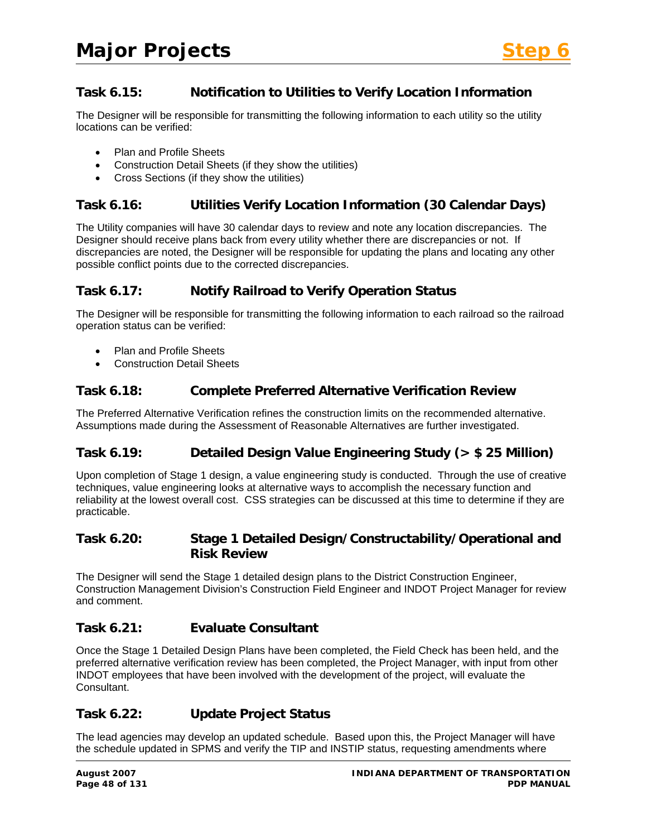# **Task 6.15: Notification to Utilities to Verify Location Information**

The Designer will be responsible for transmitting the following information to each utility so the utility locations can be verified:

- Plan and Profile Sheets
- Construction Detail Sheets (if they show the utilities)
- Cross Sections (if they show the utilities)

#### **Task 6.16: Utilities Verify Location Information (30 Calendar Days)**

The Utility companies will have 30 calendar days to review and note any location discrepancies. The Designer should receive plans back from every utility whether there are discrepancies or not. If discrepancies are noted, the Designer will be responsible for updating the plans and locating any other possible conflict points due to the corrected discrepancies.

# **Task 6.17: Notify Railroad to Verify Operation Status**

The Designer will be responsible for transmitting the following information to each railroad so the railroad operation status can be verified:

- Plan and Profile Sheets
- Construction Detail Sheets

# **Task 6.18: Complete Preferred Alternative Verification Review**

The Preferred Alternative Verification refines the construction limits on the recommended alternative. Assumptions made during the Assessment of Reasonable Alternatives are further investigated.

# **Task 6.19: Detailed Design Value Engineering Study (> \$ 25 Million)**

Upon completion of Stage 1 design, a value engineering study is conducted. Through the use of creative techniques, value engineering looks at alternative ways to accomplish the necessary function and reliability at the lowest overall cost. CSS strategies can be discussed at this time to determine if they are practicable.

#### **Task 6.20: Stage 1 Detailed Design/Constructability/Operational and Risk Review**

The Designer will send the Stage 1 detailed design plans to the District Construction Engineer, Construction Management Division's Construction Field Engineer and INDOT Project Manager for review and comment.

#### **Task 6.21: Evaluate Consultant**

Once the Stage 1 Detailed Design Plans have been completed, the Field Check has been held, and the preferred alternative verification review has been completed, the Project Manager, with input from other INDOT employees that have been involved with the development of the project, will evaluate the Consultant.

# **Task 6.22: Update Project Status**

The lead agencies may develop an updated schedule. Based upon this, the Project Manager will have the schedule updated in SPMS and verify the TIP and INSTIP status, requesting amendments where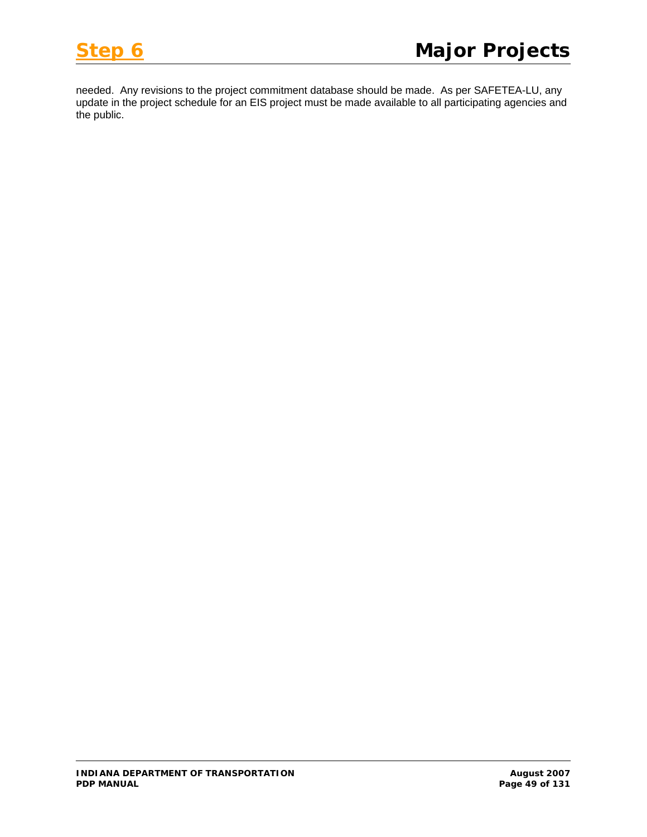

needed. Any revisions to the project commitment database should be made. As per SAFETEA-LU, any update in the project schedule for an EIS project must be made available to all participating agencies and the public.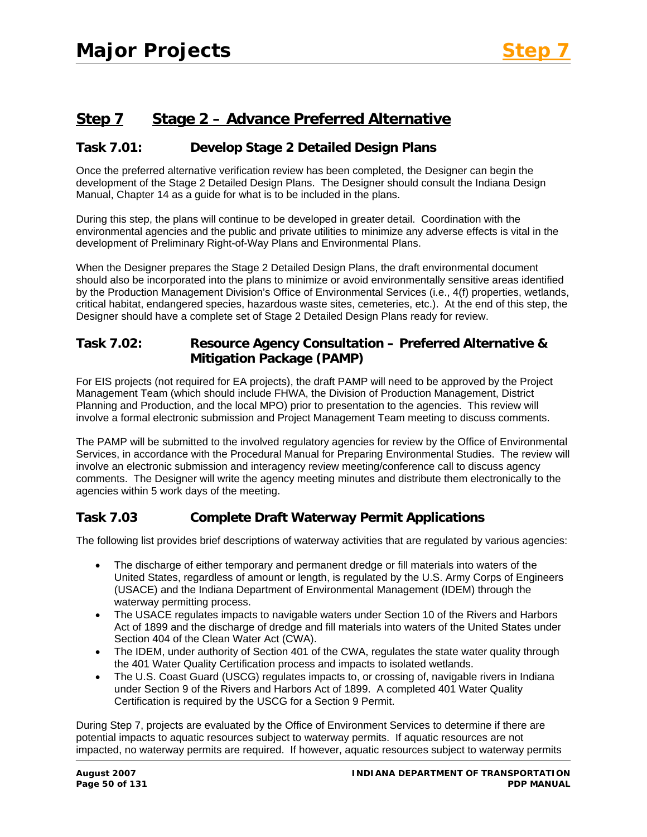# **Step 7 Stage 2 – Advance Preferred Alternative**

#### **Task 7.01: Develop Stage 2 Detailed Design Plans**

Once the preferred alternative verification review has been completed, the Designer can begin the development of the Stage 2 Detailed Design Plans. The Designer should consult the Indiana Design Manual, Chapter 14 as a guide for what is to be included in the plans.

During this step, the plans will continue to be developed in greater detail. Coordination with the environmental agencies and the public and private utilities to minimize any adverse effects is vital in the development of Preliminary Right-of-Way Plans and Environmental Plans.

When the Designer prepares the Stage 2 Detailed Design Plans, the draft environmental document should also be incorporated into the plans to minimize or avoid environmentally sensitive areas identified by the Production Management Division's Office of Environmental Services (i.e., 4(f) properties, wetlands, critical habitat, endangered species, hazardous waste sites, cemeteries, etc.). At the end of this step, the Designer should have a complete set of Stage 2 Detailed Design Plans ready for review.

#### **Task 7.02: Resource Agency Consultation – Preferred Alternative & Mitigation Package (PAMP)**

For EIS projects (not required for EA projects), the draft PAMP will need to be approved by the Project Management Team (which should include FHWA, the Division of Production Management, District Planning and Production, and the local MPO) prior to presentation to the agencies. This review will involve a formal electronic submission and Project Management Team meeting to discuss comments.

The PAMP will be submitted to the involved regulatory agencies for review by the Office of Environmental Services, in accordance with the Procedural Manual for Preparing Environmental Studies. The review will involve an electronic submission and interagency review meeting/conference call to discuss agency comments. The Designer will write the agency meeting minutes and distribute them electronically to the agencies within 5 work days of the meeting.

# **Task 7.03 Complete Draft Waterway Permit Applications**

The following list provides brief descriptions of waterway activities that are regulated by various agencies:

- The discharge of either temporary and permanent dredge or fill materials into waters of the United States, regardless of amount or length, is regulated by the U.S. Army Corps of Engineers (USACE) and the Indiana Department of Environmental Management (IDEM) through the waterway permitting process.
- The USACE regulates impacts to navigable waters under Section 10 of the Rivers and Harbors Act of 1899 and the discharge of dredge and fill materials into waters of the United States under Section 404 of the Clean Water Act (CWA).
- The IDEM, under authority of Section 401 of the CWA, regulates the state water quality through the 401 Water Quality Certification process and impacts to isolated wetlands.
- The U.S. Coast Guard (USCG) regulates impacts to, or crossing of, navigable rivers in Indiana under Section 9 of the Rivers and Harbors Act of 1899. A completed 401 Water Quality Certification is required by the USCG for a Section 9 Permit.

During Step 7, projects are evaluated by the Office of Environment Services to determine if there are potential impacts to aquatic resources subject to waterway permits. If aquatic resources are not impacted, no waterway permits are required. If however, aquatic resources subject to waterway permits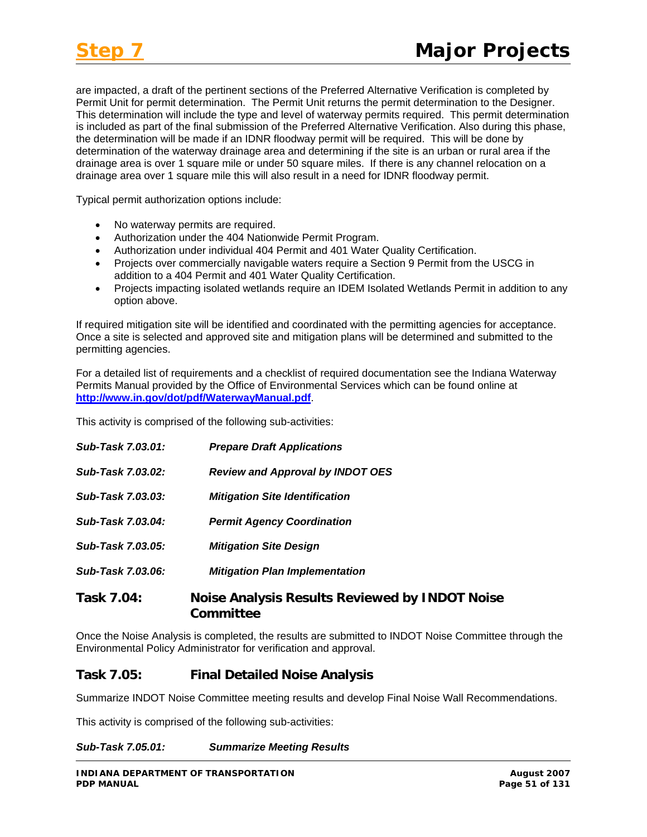are impacted, a draft of the pertinent sections of the Preferred Alternative Verification is completed by Permit Unit for permit determination. The Permit Unit returns the permit determination to the Designer. This determination will include the type and level of waterway permits required. This permit determination is included as part of the final submission of the Preferred Alternative Verification. Also during this phase, the determination will be made if an IDNR floodway permit will be required. This will be done by determination of the waterway drainage area and determining if the site is an urban or rural area if the drainage area is over 1 square mile or under 50 square miles. If there is any channel relocation on a drainage area over 1 square mile this will also result in a need for IDNR floodway permit.

Typical permit authorization options include:

- No waterway permits are required.
- Authorization under the 404 Nationwide Permit Program.
- Authorization under individual 404 Permit and 401 Water Quality Certification.
- Projects over commercially navigable waters require a Section 9 Permit from the USCG in addition to a 404 Permit and 401 Water Quality Certification.
- Projects impacting isolated wetlands require an IDEM Isolated Wetlands Permit in addition to any option above.

If required mitigation site will be identified and coordinated with the permitting agencies for acceptance. Once a site is selected and approved site and mitigation plans will be determined and submitted to the permitting agencies.

For a detailed list of requirements and a checklist of required documentation see the Indiana Waterway Permits Manual provided by the Office of Environmental Services which can be found online at **<http://www.in.gov/dot/pdf/WaterwayManual.pdf>**.

This activity is comprised of the following sub-activities:

| Sub-Task 7.03.01: | <b>Prepare Draft Applications</b>       |
|-------------------|-----------------------------------------|
| Sub-Task 7.03.02: | <b>Review and Approval by INDOT OES</b> |
| Sub-Task 7.03.03: | <b>Mitigation Site Identification</b>   |
| Sub-Task 7.03.04: | <b>Permit Agency Coordination</b>       |
| Sub-Task 7.03.05: | <b>Mitigation Site Design</b>           |
| Sub-Task 7.03.06: | <b>Mitigation Plan Implementation</b>   |
| Tacl 7 N1.        | Noice Analycic Deculte Deviewer         |

# **Task 7.04: Noise Analysis Results Reviewed by INDOT Noise Committee**

Once the Noise Analysis is completed, the results are submitted to INDOT Noise Committee through the Environmental Policy Administrator for verification and approval.

#### **Task 7.05: Final Detailed Noise Analysis**

Summarize INDOT Noise Committee meeting results and develop Final Noise Wall Recommendations.

This activity is comprised of the following sub-activities:

*Sub-Task 7.05.01: Summarize Meeting Results*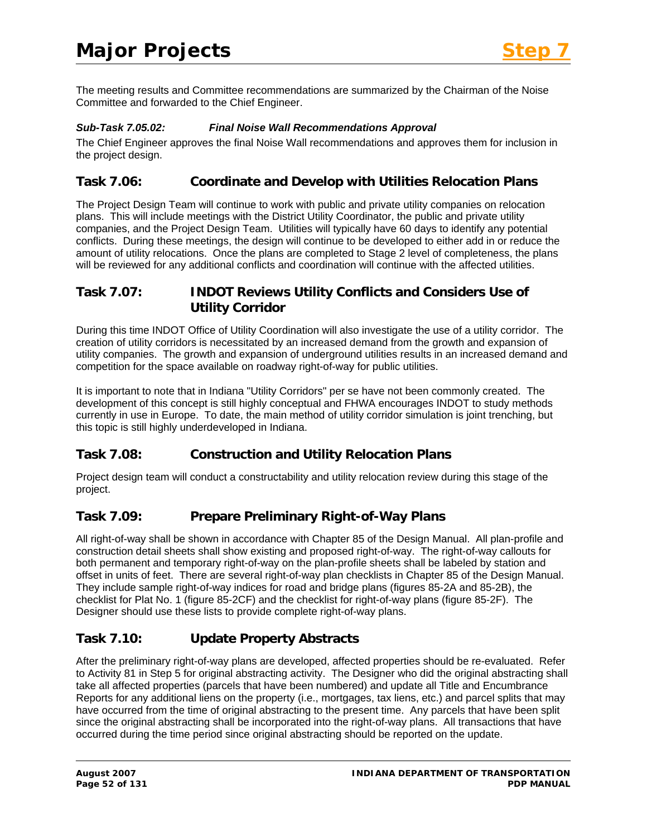The meeting results and Committee recommendations are summarized by the Chairman of the Noise Committee and forwarded to the Chief Engineer.

#### *Sub-Task 7.05.02: Final Noise Wall Recommendations Approval*

The Chief Engineer approves the final Noise Wall recommendations and approves them for inclusion in the project design.

# **Task 7.06: Coordinate and Develop with Utilities Relocation Plans**

The Project Design Team will continue to work with public and private utility companies on relocation plans. This will include meetings with the District Utility Coordinator, the public and private utility companies, and the Project Design Team. Utilities will typically have 60 days to identify any potential conflicts. During these meetings, the design will continue to be developed to either add in or reduce the amount of utility relocations. Once the plans are completed to Stage 2 level of completeness, the plans will be reviewed for any additional conflicts and coordination will continue with the affected utilities.

# **Task 7.07: INDOT Reviews Utility Conflicts and Considers Use of Utility Corridor**

During this time INDOT Office of Utility Coordination will also investigate the use of a utility corridor. The creation of utility corridors is necessitated by an increased demand from the growth and expansion of utility companies. The growth and expansion of underground utilities results in an increased demand and competition for the space available on roadway right-of-way for public utilities.

It is important to note that in Indiana "Utility Corridors" per se have not been commonly created. The development of this concept is still highly conceptual and FHWA encourages INDOT to study methods currently in use in Europe. To date, the main method of utility corridor simulation is joint trenching, but this topic is still highly underdeveloped in Indiana.

# **Task 7.08: Construction and Utility Relocation Plans**

Project design team will conduct a constructability and utility relocation review during this stage of the project.

# **Task 7.09: Prepare Preliminary Right-of-Way Plans**

All right-of-way shall be shown in accordance with Chapter 85 of the Design Manual. All plan-profile and construction detail sheets shall show existing and proposed right-of-way. The right-of-way callouts for both permanent and temporary right-of-way on the plan-profile sheets shall be labeled by station and offset in units of feet. There are several right-of-way plan checklists in Chapter 85 of the Design Manual. They include sample right-of-way indices for road and bridge plans (figures 85-2A and 85-2B), the checklist for Plat No. 1 (figure 85-2CF) and the checklist for right-of-way plans (figure 85-2F). The Designer should use these lists to provide complete right-of-way plans.

# **Task 7.10: Update Property Abstracts**

After the preliminary right-of-way plans are developed, affected properties should be re-evaluated. Refer to Activity 81 in Step 5 for original abstracting activity. The Designer who did the original abstracting shall take all affected properties (parcels that have been numbered) and update all Title and Encumbrance Reports for any additional liens on the property (i.e., mortgages, tax liens, etc.) and parcel splits that may have occurred from the time of original abstracting to the present time. Any parcels that have been split since the original abstracting shall be incorporated into the right-of-way plans. All transactions that have occurred during the time period since original abstracting should be reported on the update.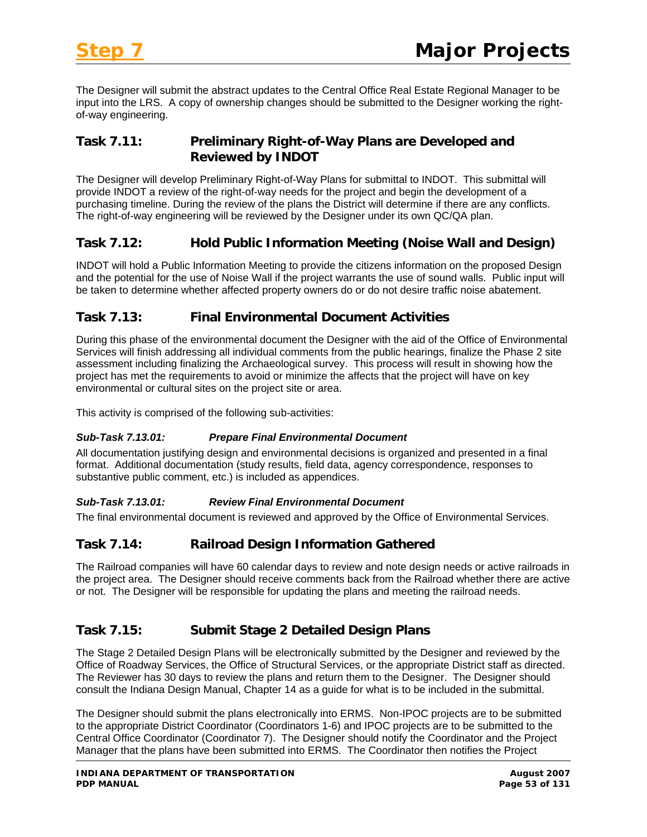The Designer will submit the abstract updates to the Central Office Real Estate Regional Manager to be input into the LRS. A copy of ownership changes should be submitted to the Designer working the rightof-way engineering.

# **Task 7.11: Preliminary Right-of-Way Plans are Developed and Reviewed by INDOT**

The Designer will develop Preliminary Right-of-Way Plans for submittal to INDOT. This submittal will provide INDOT a review of the right-of-way needs for the project and begin the development of a purchasing timeline. During the review of the plans the District will determine if there are any conflicts. The right-of-way engineering will be reviewed by the Designer under its own QC/QA plan.

# **Task 7.12: Hold Public Information Meeting (Noise Wall and Design)**

INDOT will hold a Public Information Meeting to provide the citizens information on the proposed Design and the potential for the use of Noise Wall if the project warrants the use of sound walls. Public input will be taken to determine whether affected property owners do or do not desire traffic noise abatement.

#### **Task 7.13: Final Environmental Document Activities**

During this phase of the environmental document the Designer with the aid of the Office of Environmental Services will finish addressing all individual comments from the public hearings, finalize the Phase 2 site assessment including finalizing the Archaeological survey. This process will result in showing how the project has met the requirements to avoid or minimize the affects that the project will have on key environmental or cultural sites on the project site or area.

This activity is comprised of the following sub-activities:

#### *Sub-Task 7.13.01: Prepare Final Environmental Document*

All documentation justifying design and environmental decisions is organized and presented in a final format. Additional documentation (study results, field data, agency correspondence, responses to substantive public comment, etc.) is included as appendices.

#### *Sub-Task 7.13.01: Review Final Environmental Document*

The final environmental document is reviewed and approved by the Office of Environmental Services.

#### **Task 7.14: Railroad Design Information Gathered**

The Railroad companies will have 60 calendar days to review and note design needs or active railroads in the project area. The Designer should receive comments back from the Railroad whether there are active or not. The Designer will be responsible for updating the plans and meeting the railroad needs.

# **Task 7.15: Submit Stage 2 Detailed Design Plans**

The Stage 2 Detailed Design Plans will be electronically submitted by the Designer and reviewed by the Office of Roadway Services, the Office of Structural Services, or the appropriate District staff as directed. The Reviewer has 30 days to review the plans and return them to the Designer. The Designer should consult the Indiana Design Manual, Chapter 14 as a guide for what is to be included in the submittal.

The Designer should submit the plans electronically into ERMS. Non-IPOC projects are to be submitted to the appropriate District Coordinator (Coordinators 1-6) and IPOC projects are to be submitted to the Central Office Coordinator (Coordinator 7). The Designer should notify the Coordinator and the Project Manager that the plans have been submitted into ERMS. The Coordinator then notifies the Project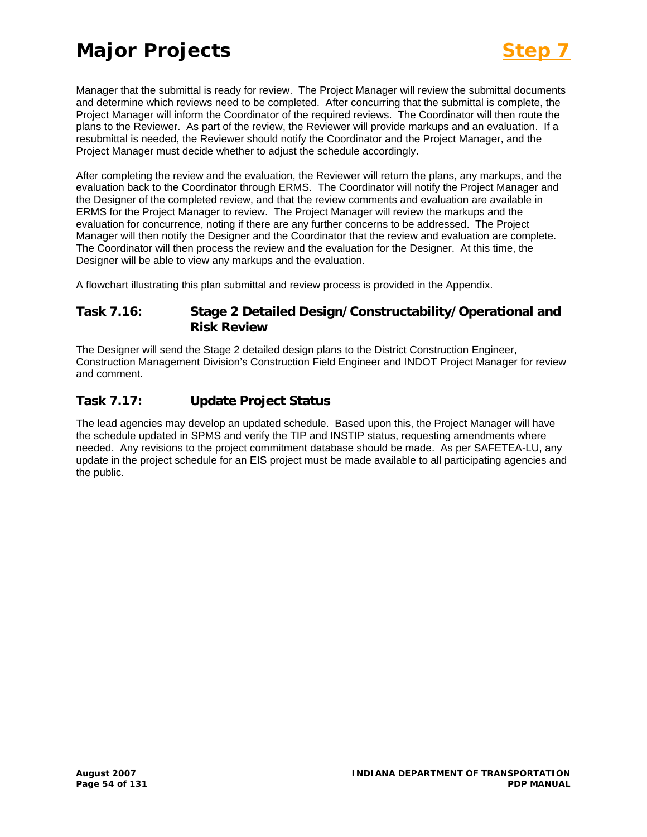Manager that the submittal is ready for review. The Project Manager will review the submittal documents and determine which reviews need to be completed. After concurring that the submittal is complete, the Project Manager will inform the Coordinator of the required reviews. The Coordinator will then route the plans to the Reviewer. As part of the review, the Reviewer will provide markups and an evaluation. If a resubmittal is needed, the Reviewer should notify the Coordinator and the Project Manager, and the Project Manager must decide whether to adjust the schedule accordingly.

After completing the review and the evaluation, the Reviewer will return the plans, any markups, and the evaluation back to the Coordinator through ERMS. The Coordinator will notify the Project Manager and the Designer of the completed review, and that the review comments and evaluation are available in ERMS for the Project Manager to review. The Project Manager will review the markups and the evaluation for concurrence, noting if there are any further concerns to be addressed. The Project Manager will then notify the Designer and the Coordinator that the review and evaluation are complete. The Coordinator will then process the review and the evaluation for the Designer. At this time, the Designer will be able to view any markups and the evaluation.

A flowchart illustrating this plan submittal and review process is provided in the Appendix.

#### **Task 7.16: Stage 2 Detailed Design/Constructability/Operational and Risk Review**

The Designer will send the Stage 2 detailed design plans to the District Construction Engineer, Construction Management Division's Construction Field Engineer and INDOT Project Manager for review and comment.

# **Task 7.17: Update Project Status**

The lead agencies may develop an updated schedule. Based upon this, the Project Manager will have the schedule updated in SPMS and verify the TIP and INSTIP status, requesting amendments where needed. Any revisions to the project commitment database should be made. As per SAFETEA-LU, any update in the project schedule for an EIS project must be made available to all participating agencies and the public.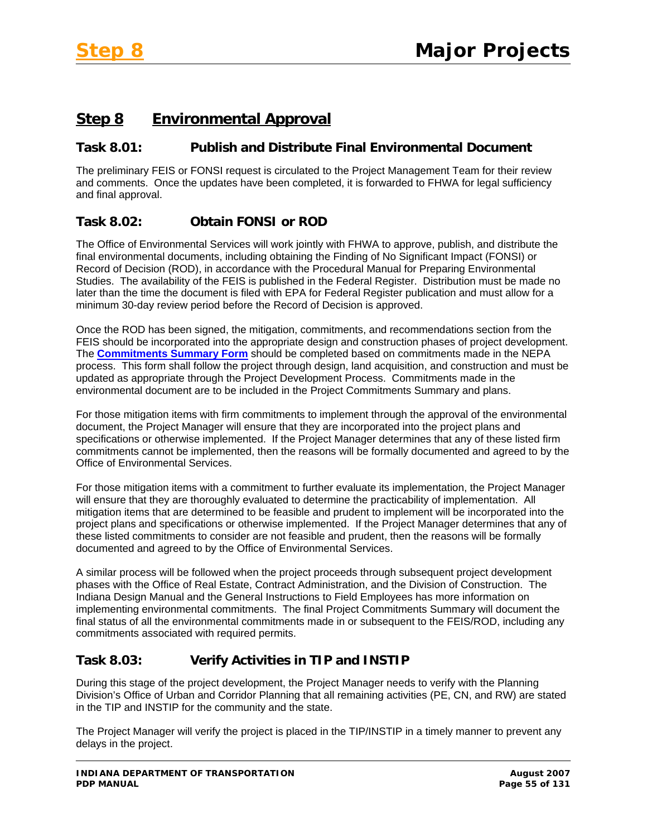# **Step 8 Environmental Approval**

# **Task 8.01: Publish and Distribute Final Environmental Document**

The preliminary FEIS or FONSI request is circulated to the Project Management Team for their review and comments. Once the updates have been completed, it is forwarded to FHWA for legal sufficiency and final approval.

# **Task 8.02: Obtain FONSI or ROD**

The Office of Environmental Services will work jointly with FHWA to approve, publish, and distribute the final environmental documents, including obtaining the Finding of No Significant Impact (FONSI) or Record of Decision (ROD), in accordance with the Procedural Manual for Preparing Environmental Studies. The availability of the FEIS is published in the Federal Register. Distribution must be made no later than the time the document is filed with EPA for Federal Register publication and must allow for a minimum 30-day review period before the Record of Decision is approved.

Once the ROD has been signed, the mitigation, commitments, and recommendations section from the FEIS should be incorporated into the appropriate design and construction phases of project development. The **Commitments Summary Form** should be completed based on commitments made in the NEPA process. This form shall follow the project through design, land acquisition, and construction and must be updated as appropriate through the Project Development Process. Commitments made in the environmental document are to be included in the Project Commitments Summary and plans.

For those mitigation items with firm commitments to implement through the approval of the environmental document, the Project Manager will ensure that they are incorporated into the project plans and specifications or otherwise implemented. If the Project Manager determines that any of these listed firm commitments cannot be implemented, then the reasons will be formally documented and agreed to by the Office of Environmental Services.

For those mitigation items with a commitment to further evaluate its implementation, the Project Manager will ensure that they are thoroughly evaluated to determine the practicability of implementation. All mitigation items that are determined to be feasible and prudent to implement will be incorporated into the project plans and specifications or otherwise implemented. If the Project Manager determines that any of these listed commitments to consider are not feasible and prudent, then the reasons will be formally documented and agreed to by the Office of Environmental Services.

A similar process will be followed when the project proceeds through subsequent project development phases with the Office of Real Estate, Contract Administration, and the Division of Construction. The Indiana Design Manual and the General Instructions to Field Employees has more information on implementing environmental commitments. The final Project Commitments Summary will document the final status of all the environmental commitments made in or subsequent to the FEIS/ROD, including any commitments associated with required permits.

# **Task 8.03: Verify Activities in TIP and INSTIP**

During this stage of the project development, the Project Manager needs to verify with the Planning Division's Office of Urban and Corridor Planning that all remaining activities (PE, CN, and RW) are stated in the TIP and INSTIP for the community and the state.

The Project Manager will verify the project is placed in the TIP/INSTIP in a timely manner to prevent any delays in the project.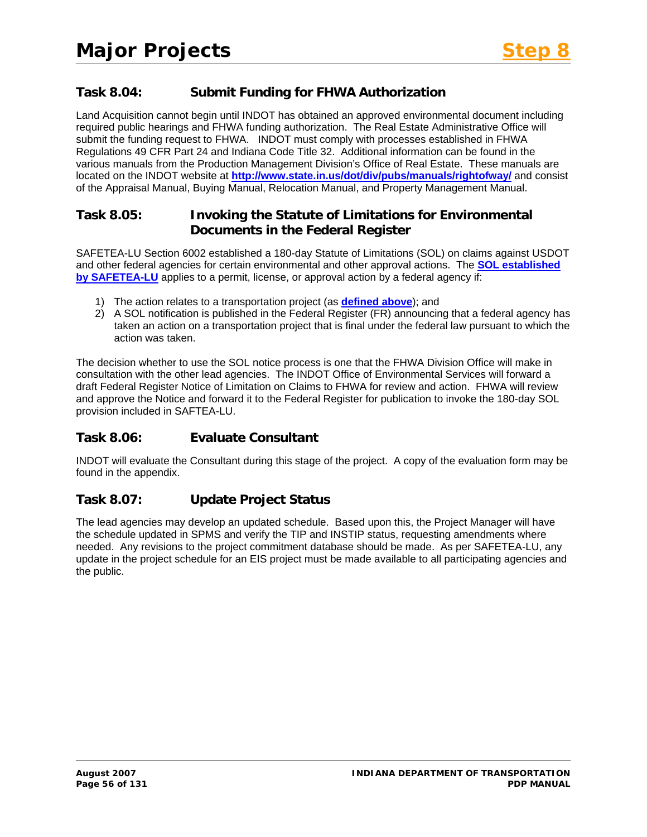# **Task 8.04: Submit Funding for FHWA Authorization**

Land Acquisition cannot begin until INDOT has obtained an approved environmental document including required public hearings and FHWA funding authorization. The Real Estate Administrative Office will submit the funding request to FHWA. INDOT must comply with processes established in FHWA Regulations 49 CFR Part 24 and Indiana Code Title 32. Additional information can be found in the various manuals from the Production Management Division's Office of Real Estate. These manuals are located on the INDOT website at **<http://www.state.in.us/dot/div/pubs/manuals/rightofway/>** and consist of the Appraisal Manual, Buying Manual, Relocation Manual, and Property Management Manual.

#### **Task 8.05: Invoking the Statute of Limitations for Environmental Documents in the Federal Register**

SAFETEA-LU Section 6002 established a 180-day Statute of Limitations (SOL) on claims against USDOT and other federal agencies for certain environmental and other approval actions. The **[SOL established](http://www.fhwa.dot.gov/hep/section6002/appx.htm#LimitationsOnClaims)  [by SAFETEA-LU](http://www.fhwa.dot.gov/hep/section6002/appx.htm#LimitationsOnClaims)** applies to a permit, license, or approval action by a federal agency if:

- 1) The action relates to a transportation project (as **[defined above](http://www.fhwa.dot.gov/hep/section6002/1.htm#Toc148770547)**); and
- 2) A SOL notification is published in the Federal Register (FR) announcing that a federal agency has taken an action on a transportation project that is final under the federal law pursuant to which the action was taken.

The decision whether to use the SOL notice process is one that the FHWA Division Office will make in consultation with the other lead agencies. The INDOT Office of Environmental Services will forward a draft Federal Register Notice of Limitation on Claims to FHWA for review and action. FHWA will review and approve the Notice and forward it to the Federal Register for publication to invoke the 180-day SOL provision included in SAFTEA-LU.

# **Task 8.06: Evaluate Consultant**

INDOT will evaluate the Consultant during this stage of the project. A copy of the evaluation form may be found in the appendix.

# **Task 8.07: Update Project Status**

The lead agencies may develop an updated schedule. Based upon this, the Project Manager will have the schedule updated in SPMS and verify the TIP and INSTIP status, requesting amendments where needed. Any revisions to the project commitment database should be made. As per SAFETEA-LU, any update in the project schedule for an EIS project must be made available to all participating agencies and the public.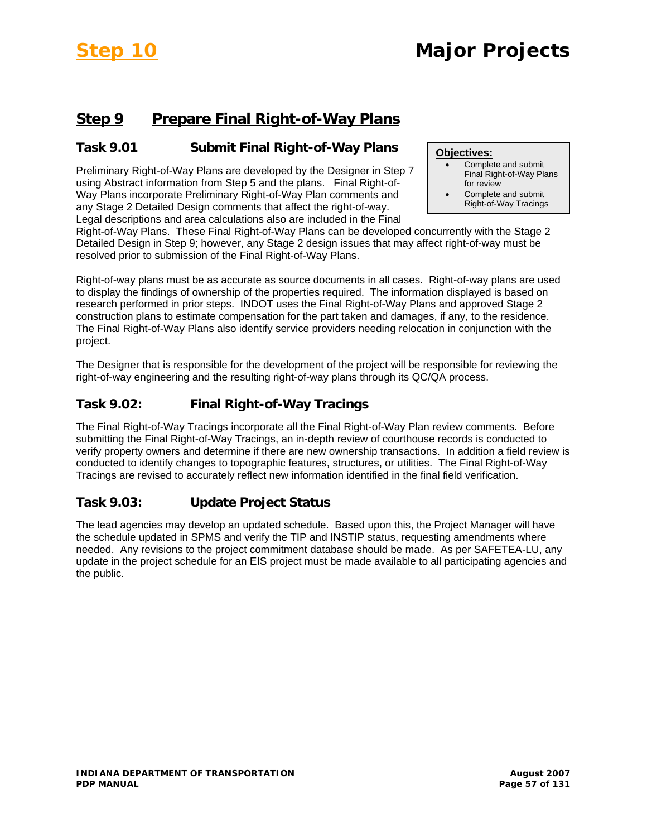# **Step 9 Prepare Final Right-of-Way Plans**

# **Task 9.01 Submit Final Right-of-Way Plans**

Preliminary Right-of-Way Plans are developed by the Designer in Step 7 using Abstract information from Step 5 and the plans. Final Right-of-Way Plans incorporate Preliminary Right-of-Way Plan comments and any Stage 2 Detailed Design comments that affect the right-of-way. Legal descriptions and area calculations also are included in the Final

#### **Objectives:**

- Complete and submit Final Right-of-Way Plans for review
- Complete and submit Right-of-Way Tracings

Right-of-Way Plans. These Final Right-of-Way Plans can be developed concurrently with the Stage 2 Detailed Design in Step 9; however, any Stage 2 design issues that may affect right-of-way must be resolved prior to submission of the Final Right-of-Way Plans.

Right-of-way plans must be as accurate as source documents in all cases. Right-of-way plans are used to display the findings of ownership of the properties required. The information displayed is based on research performed in prior steps. INDOT uses the Final Right-of-Way Plans and approved Stage 2 construction plans to estimate compensation for the part taken and damages, if any, to the residence. The Final Right-of-Way Plans also identify service providers needing relocation in conjunction with the project.

The Designer that is responsible for the development of the project will be responsible for reviewing the right-of-way engineering and the resulting right-of-way plans through its QC/QA process.

# **Task 9.02: Final Right-of-Way Tracings**

The Final Right-of-Way Tracings incorporate all the Final Right-of-Way Plan review comments. Before submitting the Final Right-of-Way Tracings, an in-depth review of courthouse records is conducted to verify property owners and determine if there are new ownership transactions. In addition a field review is conducted to identify changes to topographic features, structures, or utilities. The Final Right-of-Way Tracings are revised to accurately reflect new information identified in the final field verification.

# **Task 9.03: Update Project Status**

The lead agencies may develop an updated schedule. Based upon this, the Project Manager will have the schedule updated in SPMS and verify the TIP and INSTIP status, requesting amendments where needed. Any revisions to the project commitment database should be made. As per SAFETEA-LU, any update in the project schedule for an EIS project must be made available to all participating agencies and the public.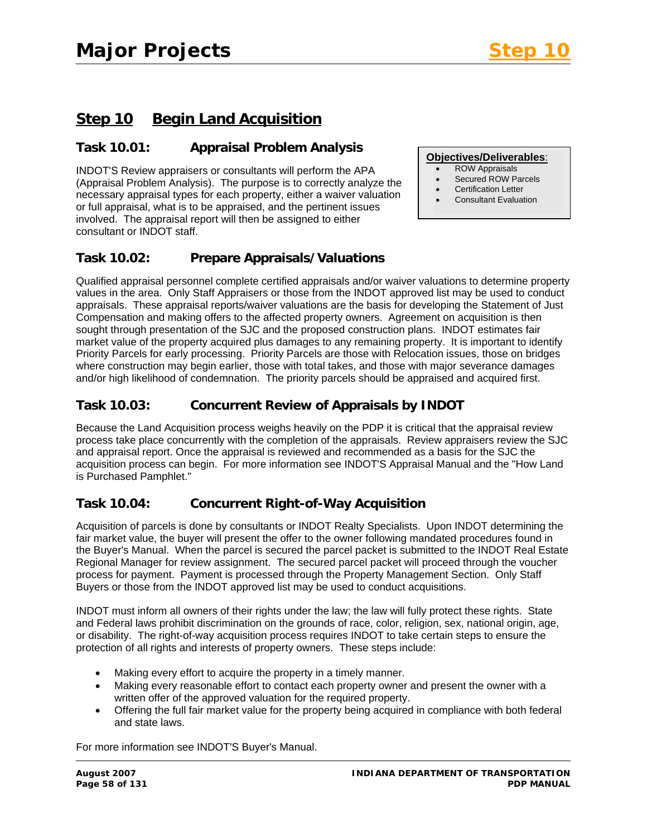**Objectives/Deliverables**: • ROW Appraisals • Secured ROW Parcels • Certification Letter • Consultant Evaluation

# **Step 10 Begin Land Acquisition**

# **Task 10.01: Appraisal Problem Analysis**

INDOT'S Review appraisers or consultants will perform the APA (Appraisal Problem Analysis). The purpose is to correctly analyze the necessary appraisal types for each property, either a waiver valuation or full appraisal, what is to be appraised, and the pertinent issues involved. The appraisal report will then be assigned to either consultant or INDOT staff.

#### **Task 10.02: Prepare Appraisals/Valuations**

Qualified appraisal personnel complete certified appraisals and/or waiver valuations to determine property values in the area. Only Staff Appraisers or those from the INDOT approved list may be used to conduct appraisals. These appraisal reports/waiver valuations are the basis for developing the Statement of Just Compensation and making offers to the affected property owners. Agreement on acquisition is then sought through presentation of the SJC and the proposed construction plans. INDOT estimates fair market value of the property acquired plus damages to any remaining property. It is important to identify Priority Parcels for early processing. Priority Parcels are those with Relocation issues, those on bridges where construction may begin earlier, those with total takes, and those with major severance damages and/or high likelihood of condemnation. The priority parcels should be appraised and acquired first.

# **Task 10.03: Concurrent Review of Appraisals by INDOT**

Because the Land Acquisition process weighs heavily on the PDP it is critical that the appraisal review process take place concurrently with the completion of the appraisals. Review appraisers review the SJC and appraisal report. Once the appraisal is reviewed and recommended as a basis for the SJC the acquisition process can begin. For more information see INDOT'S Appraisal Manual and the "How Land is Purchased Pamphlet."

# **Task 10.04: Concurrent Right-of-Way Acquisition**

Acquisition of parcels is done by consultants or INDOT Realty Specialists. Upon INDOT determining the fair market value, the buyer will present the offer to the owner following mandated procedures found in the Buyer's Manual. When the parcel is secured the parcel packet is submitted to the INDOT Real Estate Regional Manager for review assignment. The secured parcel packet will proceed through the voucher process for payment. Payment is processed through the Property Management Section. Only Staff Buyers or those from the INDOT approved list may be used to conduct acquisitions.

INDOT must inform all owners of their rights under the law; the law will fully protect these rights. State and Federal laws prohibit discrimination on the grounds of race, color, religion, sex, national origin, age, or disability. The right-of-way acquisition process requires INDOT to take certain steps to ensure the protection of all rights and interests of property owners. These steps include:

- Making every effort to acquire the property in a timely manner.
- Making every reasonable effort to contact each property owner and present the owner with a written offer of the approved valuation for the required property.
- Offering the full fair market value for the property being acquired in compliance with both federal and state laws.

For more information see INDOT'S Buyer's Manual.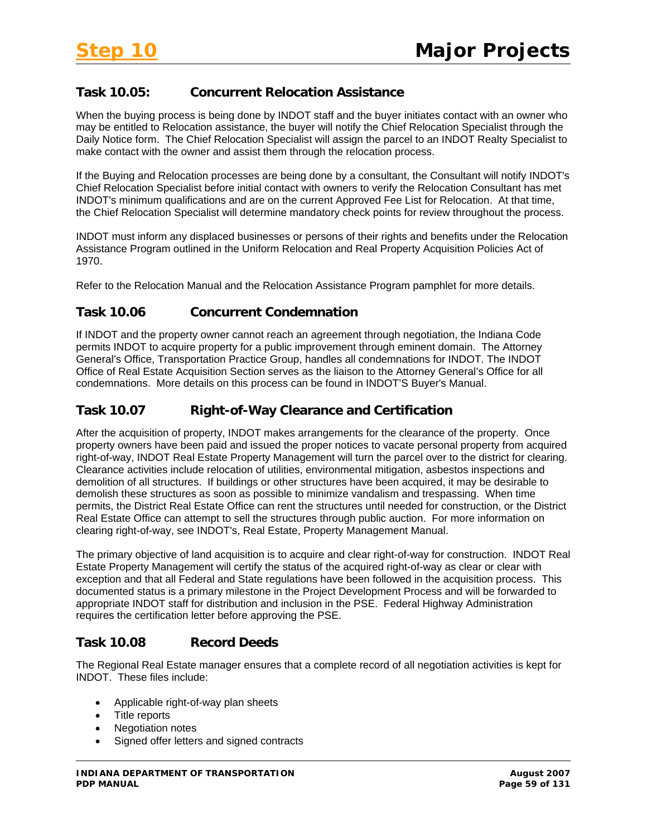# **Task 10.05: Concurrent Relocation Assistance**

When the buying process is being done by INDOT staff and the buyer initiates contact with an owner who may be entitled to Relocation assistance, the buyer will notify the Chief Relocation Specialist through the Daily Notice form. The Chief Relocation Specialist will assign the parcel to an INDOT Realty Specialist to make contact with the owner and assist them through the relocation process.

If the Buying and Relocation processes are being done by a consultant, the Consultant will notify INDOT's Chief Relocation Specialist before initial contact with owners to verify the Relocation Consultant has met INDOT's minimum qualifications and are on the current Approved Fee List for Relocation. At that time, the Chief Relocation Specialist will determine mandatory check points for review throughout the process.

INDOT must inform any displaced businesses or persons of their rights and benefits under the Relocation Assistance Program outlined in the Uniform Relocation and Real Property Acquisition Policies Act of 1970.

Refer to the Relocation Manual and the Relocation Assistance Program pamphlet for more details.

# **Task 10.06 Concurrent Condemnation**

If INDOT and the property owner cannot reach an agreement through negotiation, the Indiana Code permits INDOT to acquire property for a public improvement through eminent domain. The Attorney General's Office, Transportation Practice Group, handles all condemnations for INDOT. The INDOT Office of Real Estate Acquisition Section serves as the liaison to the Attorney General's Office for all condemnations. More details on this process can be found in INDOT'S Buyer's Manual.

#### **Task 10.07 Right-of-Way Clearance and Certification**

After the acquisition of property, INDOT makes arrangements for the clearance of the property. Once property owners have been paid and issued the proper notices to vacate personal property from acquired right-of-way, INDOT Real Estate Property Management will turn the parcel over to the district for clearing. Clearance activities include relocation of utilities, environmental mitigation, asbestos inspections and demolition of all structures. If buildings or other structures have been acquired, it may be desirable to demolish these structures as soon as possible to minimize vandalism and trespassing. When time permits, the District Real Estate Office can rent the structures until needed for construction, or the District Real Estate Office can attempt to sell the structures through public auction. For more information on clearing right-of-way, see INDOT's, Real Estate, Property Management Manual.

The primary objective of land acquisition is to acquire and clear right-of-way for construction. INDOT Real Estate Property Management will certify the status of the acquired right-of-way as clear or clear with exception and that all Federal and State regulations have been followed in the acquisition process. This documented status is a primary milestone in the Project Development Process and will be forwarded to appropriate INDOT staff for distribution and inclusion in the PSE. Federal Highway Administration requires the certification letter before approving the PSE.

#### **Task 10.08 Record Deeds**

The Regional Real Estate manager ensures that a complete record of all negotiation activities is kept for INDOT. These files include:

- Applicable right-of-way plan sheets
- Title reports
- Negotiation notes
- Signed offer letters and signed contracts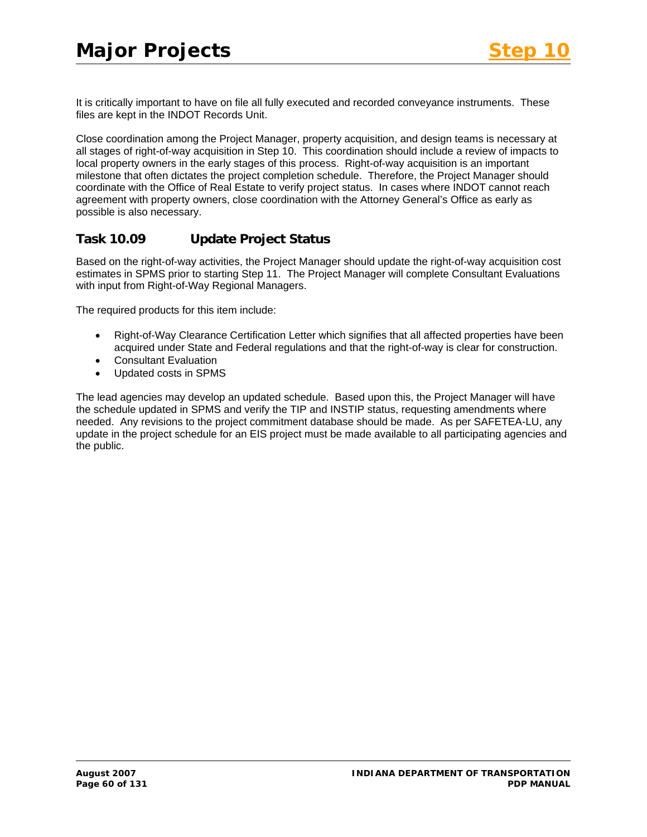It is critically important to have on file all fully executed and recorded conveyance instruments. These files are kept in the INDOT Records Unit.

Close coordination among the Project Manager, property acquisition, and design teams is necessary at all stages of right-of-way acquisition in Step 10. This coordination should include a review of impacts to local property owners in the early stages of this process. Right-of-way acquisition is an important milestone that often dictates the project completion schedule. Therefore, the Project Manager should coordinate with the Office of Real Estate to verify project status. In cases where INDOT cannot reach agreement with property owners, close coordination with the Attorney General's Office as early as possible is also necessary.

# **Task 10.09 Update Project Status**

Based on the right-of-way activities, the Project Manager should update the right-of-way acquisition cost estimates in SPMS prior to starting Step 11. The Project Manager will complete Consultant Evaluations with input from Right-of-Way Regional Managers.

The required products for this item include:

- Right-of-Way Clearance Certification Letter which signifies that all affected properties have been acquired under State and Federal regulations and that the right-of-way is clear for construction.
- Consultant Evaluation
- Updated costs in SPMS

The lead agencies may develop an updated schedule. Based upon this, the Project Manager will have the schedule updated in SPMS and verify the TIP and INSTIP status, requesting amendments where needed. Any revisions to the project commitment database should be made. As per SAFETEA-LU, any update in the project schedule for an EIS project must be made available to all participating agencies and the public.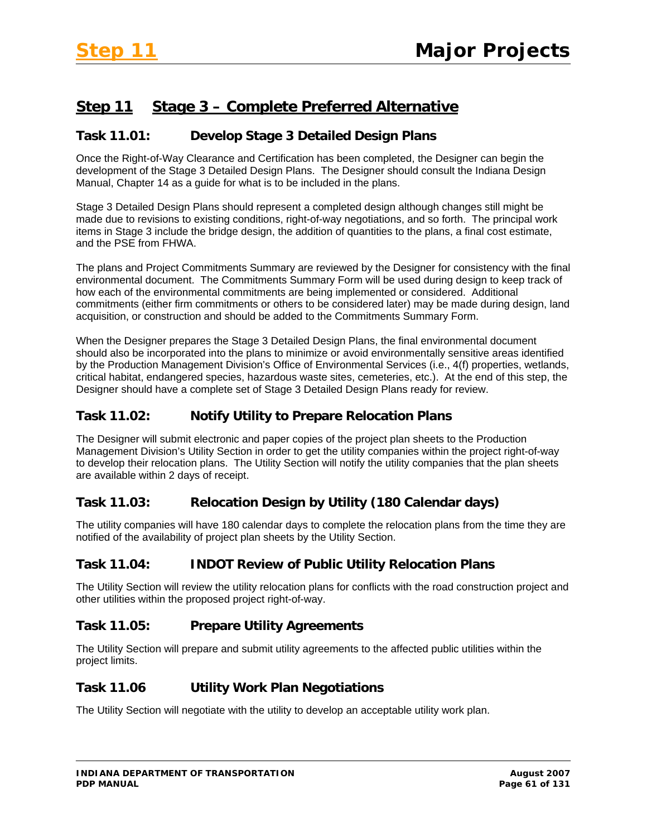# **Step 11 Stage 3 – Complete Preferred Alternative**

#### **Task 11.01: Develop Stage 3 Detailed Design Plans**

Once the Right-of-Way Clearance and Certification has been completed, the Designer can begin the development of the Stage 3 Detailed Design Plans. The Designer should consult the Indiana Design Manual, Chapter 14 as a guide for what is to be included in the plans.

Stage 3 Detailed Design Plans should represent a completed design although changes still might be made due to revisions to existing conditions, right-of-way negotiations, and so forth. The principal work items in Stage 3 include the bridge design, the addition of quantities to the plans, a final cost estimate, and the PSE from FHWA.

The plans and Project Commitments Summary are reviewed by the Designer for consistency with the final environmental document. The Commitments Summary Form will be used during design to keep track of how each of the environmental commitments are being implemented or considered. Additional commitments (either firm commitments or others to be considered later) may be made during design, land acquisition, or construction and should be added to the Commitments Summary Form.

When the Designer prepares the Stage 3 Detailed Design Plans, the final environmental document should also be incorporated into the plans to minimize or avoid environmentally sensitive areas identified by the Production Management Division's Office of Environmental Services (i.e., 4(f) properties, wetlands, critical habitat, endangered species, hazardous waste sites, cemeteries, etc.). At the end of this step, the Designer should have a complete set of Stage 3 Detailed Design Plans ready for review.

#### **Task 11.02: Notify Utility to Prepare Relocation Plans**

The Designer will submit electronic and paper copies of the project plan sheets to the Production Management Division's Utility Section in order to get the utility companies within the project right-of-way to develop their relocation plans. The Utility Section will notify the utility companies that the plan sheets are available within 2 days of receipt.

# **Task 11.03: Relocation Design by Utility (180 Calendar days)**

The utility companies will have 180 calendar days to complete the relocation plans from the time they are notified of the availability of project plan sheets by the Utility Section.

# **Task 11.04: INDOT Review of Public Utility Relocation Plans**

The Utility Section will review the utility relocation plans for conflicts with the road construction project and other utilities within the proposed project right-of-way.

#### **Task 11.05: Prepare Utility Agreements**

The Utility Section will prepare and submit utility agreements to the affected public utilities within the project limits.

#### **Task 11.06 Utility Work Plan Negotiations**

The Utility Section will negotiate with the utility to develop an acceptable utility work plan.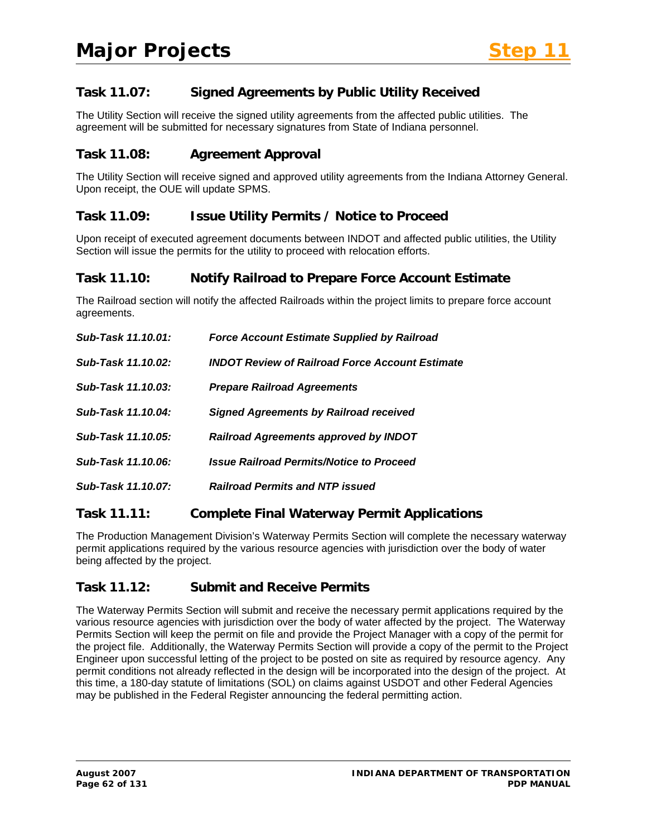# **Task 11.07: Signed Agreements by Public Utility Received**

The Utility Section will receive the signed utility agreements from the affected public utilities. The agreement will be submitted for necessary signatures from State of Indiana personnel.

#### **Task 11.08: Agreement Approval**

The Utility Section will receive signed and approved utility agreements from the Indiana Attorney General. Upon receipt, the OUE will update SPMS.

#### **Task 11.09: Issue Utility Permits / Notice to Proceed**

Upon receipt of executed agreement documents between INDOT and affected public utilities, the Utility Section will issue the permits for the utility to proceed with relocation efforts.

#### **Task 11.10: Notify Railroad to Prepare Force Account Estimate**

The Railroad section will notify the affected Railroads within the project limits to prepare force account agreements.

| Sub-Task 11.10.01: | <b>Force Account Estimate Supplied by Railroad</b>     |
|--------------------|--------------------------------------------------------|
| Sub-Task 11.10.02: | <b>INDOT Review of Railroad Force Account Estimate</b> |
| Sub-Task 11.10.03: | <b>Prepare Railroad Agreements</b>                     |
| Sub-Task 11.10.04: | <b>Signed Agreements by Railroad received</b>          |
| Sub-Task 11.10.05: | <b>Railroad Agreements approved by INDOT</b>           |
| Sub-Task 11.10.06: | <b>Issue Railroad Permits/Notice to Proceed</b>        |
| Sub-Task 11.10.07: | <b>Railroad Permits and NTP issued</b>                 |
|                    |                                                        |

#### **Task 11.11: Complete Final Waterway Permit Applications**

The Production Management Division's Waterway Permits Section will complete the necessary waterway permit applications required by the various resource agencies with jurisdiction over the body of water being affected by the project.

#### **Task 11.12: Submit and Receive Permits**

The Waterway Permits Section will submit and receive the necessary permit applications required by the various resource agencies with jurisdiction over the body of water affected by the project. The Waterway Permits Section will keep the permit on file and provide the Project Manager with a copy of the permit for the project file. Additionally, the Waterway Permits Section will provide a copy of the permit to the Project Engineer upon successful letting of the project to be posted on site as required by resource agency. Any permit conditions not already reflected in the design will be incorporated into the design of the project. At this time, a 180-day statute of limitations (SOL) on claims against USDOT and other Federal Agencies may be published in the Federal Register announcing the federal permitting action.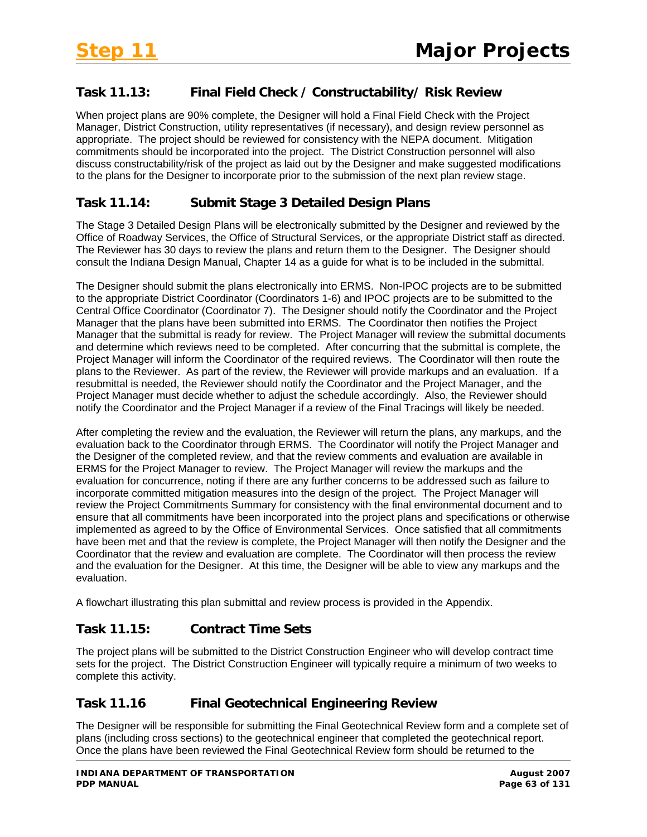# **Task 11.13: Final Field Check / Constructability/ Risk Review**

When project plans are 90% complete, the Designer will hold a Final Field Check with the Project Manager, District Construction, utility representatives (if necessary), and design review personnel as appropriate. The project should be reviewed for consistency with the NEPA document. Mitigation commitments should be incorporated into the project. The District Construction personnel will also discuss constructability/risk of the project as laid out by the Designer and make suggested modifications to the plans for the Designer to incorporate prior to the submission of the next plan review stage.

# **Task 11.14: Submit Stage 3 Detailed Design Plans**

The Stage 3 Detailed Design Plans will be electronically submitted by the Designer and reviewed by the Office of Roadway Services, the Office of Structural Services, or the appropriate District staff as directed. The Reviewer has 30 days to review the plans and return them to the Designer. The Designer should consult the Indiana Design Manual, Chapter 14 as a guide for what is to be included in the submittal.

The Designer should submit the plans electronically into ERMS. Non-IPOC projects are to be submitted to the appropriate District Coordinator (Coordinators 1-6) and IPOC projects are to be submitted to the Central Office Coordinator (Coordinator 7). The Designer should notify the Coordinator and the Project Manager that the plans have been submitted into ERMS. The Coordinator then notifies the Project Manager that the submittal is ready for review. The Project Manager will review the submittal documents and determine which reviews need to be completed. After concurring that the submittal is complete, the Project Manager will inform the Coordinator of the required reviews. The Coordinator will then route the plans to the Reviewer. As part of the review, the Reviewer will provide markups and an evaluation. If a resubmittal is needed, the Reviewer should notify the Coordinator and the Project Manager, and the Project Manager must decide whether to adjust the schedule accordingly. Also, the Reviewer should notify the Coordinator and the Project Manager if a review of the Final Tracings will likely be needed.

After completing the review and the evaluation, the Reviewer will return the plans, any markups, and the evaluation back to the Coordinator through ERMS. The Coordinator will notify the Project Manager and the Designer of the completed review, and that the review comments and evaluation are available in ERMS for the Project Manager to review. The Project Manager will review the markups and the evaluation for concurrence, noting if there are any further concerns to be addressed such as failure to incorporate committed mitigation measures into the design of the project. The Project Manager will review the Project Commitments Summary for consistency with the final environmental document and to ensure that all commitments have been incorporated into the project plans and specifications or otherwise implemented as agreed to by the Office of Environmental Services. Once satisfied that all commitments have been met and that the review is complete, the Project Manager will then notify the Designer and the Coordinator that the review and evaluation are complete. The Coordinator will then process the review and the evaluation for the Designer. At this time, the Designer will be able to view any markups and the evaluation.

A flowchart illustrating this plan submittal and review process is provided in the Appendix.

# **Task 11.15: Contract Time Sets**

The project plans will be submitted to the District Construction Engineer who will develop contract time sets for the project. The District Construction Engineer will typically require a minimum of two weeks to complete this activity.

# **Task 11.16 Final Geotechnical Engineering Review**

The Designer will be responsible for submitting the Final Geotechnical Review form and a complete set of plans (including cross sections) to the geotechnical engineer that completed the geotechnical report. Once the plans have been reviewed the Final Geotechnical Review form should be returned to the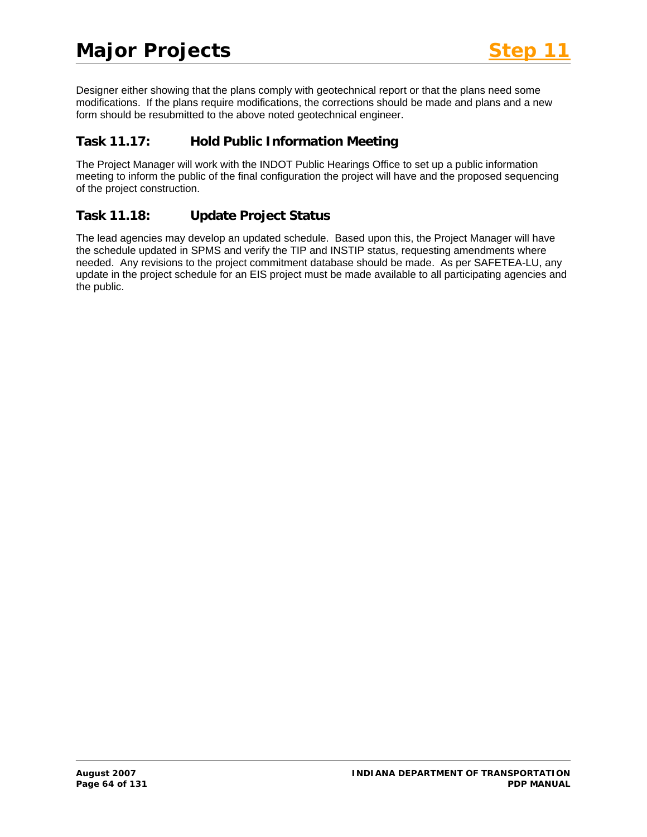Designer either showing that the plans comply with geotechnical report or that the plans need some modifications. If the plans require modifications, the corrections should be made and plans and a new form should be resubmitted to the above noted geotechnical engineer.

# **Task 11.17: Hold Public Information Meeting**

The Project Manager will work with the INDOT Public Hearings Office to set up a public information meeting to inform the public of the final configuration the project will have and the proposed sequencing of the project construction.

# **Task 11.18: Update Project Status**

The lead agencies may develop an updated schedule. Based upon this, the Project Manager will have the schedule updated in SPMS and verify the TIP and INSTIP status, requesting amendments where needed. Any revisions to the project commitment database should be made. As per SAFETEA-LU, any update in the project schedule for an EIS project must be made available to all participating agencies and the public.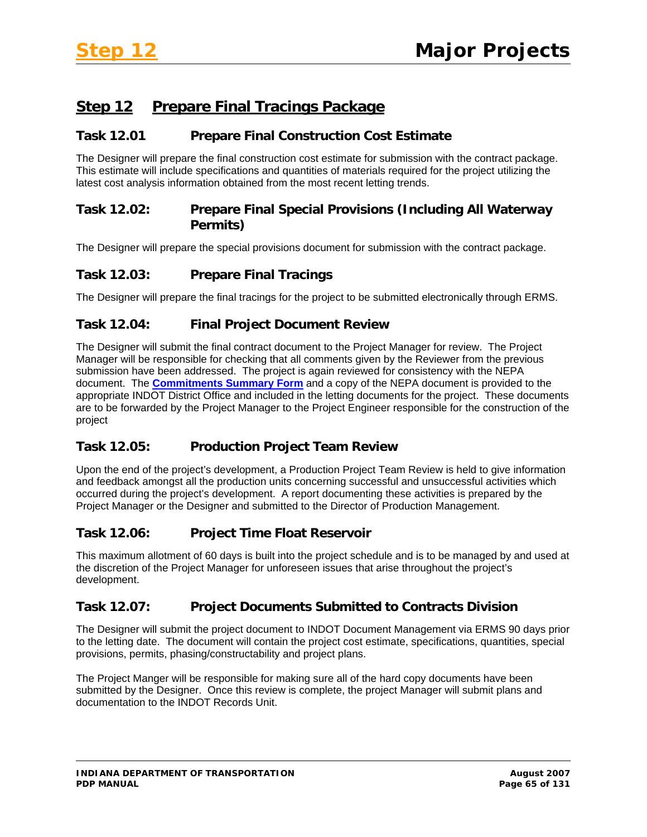# **Step 12 Prepare Final Tracings Package**

#### **Task 12.01 Prepare Final Construction Cost Estimate**

The Designer will prepare the final construction cost estimate for submission with the contract package. This estimate will include specifications and quantities of materials required for the project utilizing the latest cost analysis information obtained from the most recent letting trends.

# **Task 12.02: Prepare Final Special Provisions (Including All Waterway Permits)**

The Designer will prepare the special provisions document for submission with the contract package.

# **Task 12.03: Prepare Final Tracings**

The Designer will prepare the final tracings for the project to be submitted electronically through ERMS.

# **Task 12.04: Final Project Document Review**

The Designer will submit the final contract document to the Project Manager for review. The Project Manager will be responsible for checking that all comments given by the Reviewer from the previous submission have been addressed. The project is again reviewed for consistency with the NEPA document. The **Commitments Summary Form** and a copy of the NEPA document is provided to the appropriate INDOT District Office and included in the letting documents for the project. These documents are to be forwarded by the Project Manager to the Project Engineer responsible for the construction of the project

# **Task 12.05: Production Project Team Review**

Upon the end of the project's development, a Production Project Team Review is held to give information and feedback amongst all the production units concerning successful and unsuccessful activities which occurred during the project's development. A report documenting these activities is prepared by the Project Manager or the Designer and submitted to the Director of Production Management.

# **Task 12.06: Project Time Float Reservoir**

This maximum allotment of 60 days is built into the project schedule and is to be managed by and used at the discretion of the Project Manager for unforeseen issues that arise throughout the project's development.

# **Task 12.07: Project Documents Submitted to Contracts Division**

The Designer will submit the project document to INDOT Document Management via ERMS 90 days prior to the letting date. The document will contain the project cost estimate, specifications, quantities, special provisions, permits, phasing/constructability and project plans.

The Project Manger will be responsible for making sure all of the hard copy documents have been submitted by the Designer. Once this review is complete, the project Manager will submit plans and documentation to the INDOT Records Unit.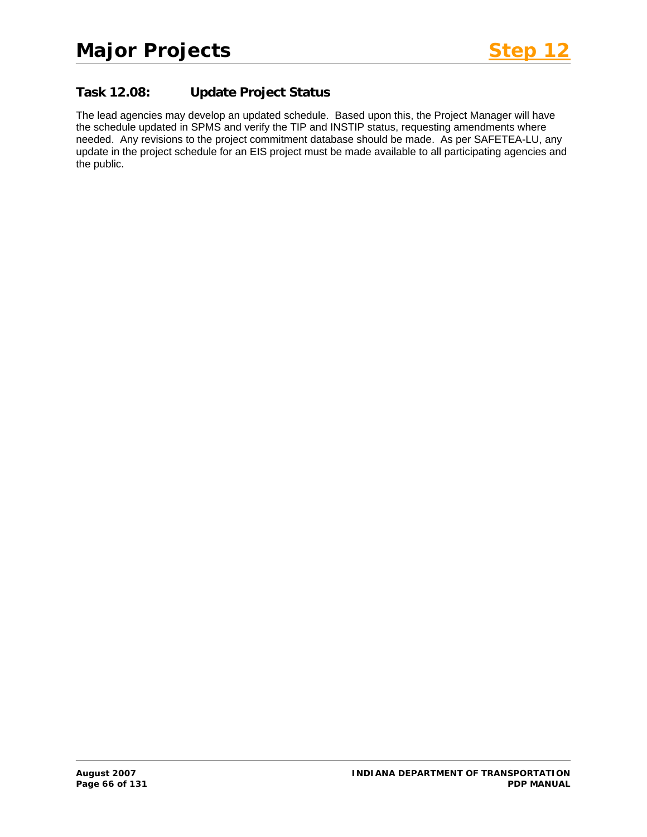# **Task 12.08: Update Project Status**

The lead agencies may develop an updated schedule. Based upon this, the Project Manager will have the schedule updated in SPMS and verify the TIP and INSTIP status, requesting amendments where needed. Any revisions to the project commitment database should be made. As per SAFETEA-LU, any update in the project schedule for an EIS project must be made available to all participating agencies and the public.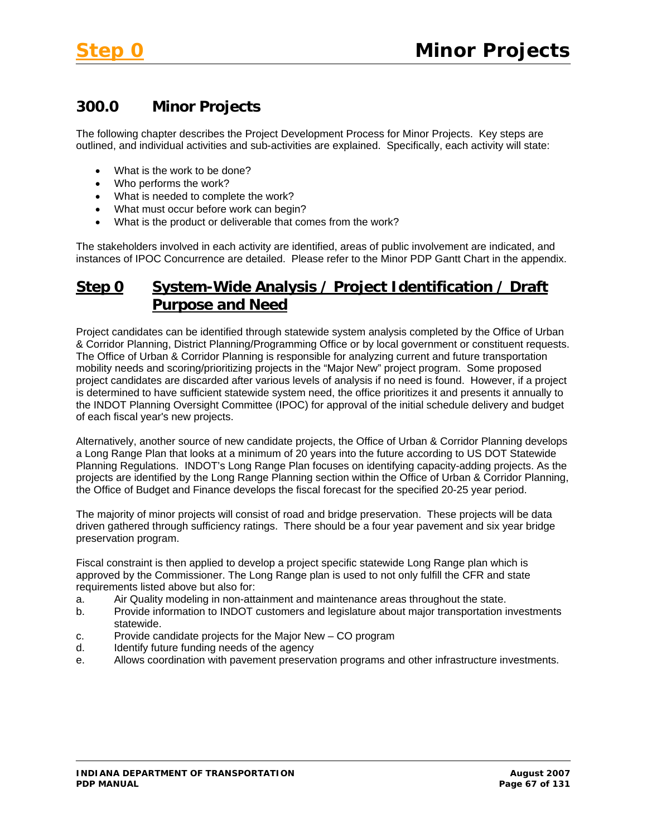# **300.0 Minor Projects**

The following chapter describes the Project Development Process for Minor Projects. Key steps are outlined, and individual activities and sub-activities are explained. Specifically, each activity will state:

- What is the work to be done?
- Who performs the work?
- What is needed to complete the work?
- What must occur before work can begin?
- What is the product or deliverable that comes from the work?

The stakeholders involved in each activity are identified, areas of public involvement are indicated, and instances of IPOC Concurrence are detailed. Please refer to the Minor PDP Gantt Chart in the appendix.

# **Step 0 System-Wide Analysis / Project Identification / Draft Purpose and Need**

Project candidates can be identified through statewide system analysis completed by the Office of Urban & Corridor Planning, District Planning/Programming Office or by local government or constituent requests. The Office of Urban & Corridor Planning is responsible for analyzing current and future transportation mobility needs and scoring/prioritizing projects in the "Major New" project program. Some proposed project candidates are discarded after various levels of analysis if no need is found. However, if a project is determined to have sufficient statewide system need, the office prioritizes it and presents it annually to the INDOT Planning Oversight Committee (IPOC) for approval of the initial schedule delivery and budget of each fiscal year's new projects.

Alternatively, another source of new candidate projects, the Office of Urban & Corridor Planning develops a Long Range Plan that looks at a minimum of 20 years into the future according to US DOT Statewide Planning Regulations. INDOT's Long Range Plan focuses on identifying capacity-adding projects. As the projects are identified by the Long Range Planning section within the Office of Urban & Corridor Planning, the Office of Budget and Finance develops the fiscal forecast for the specified 20-25 year period.

The majority of minor projects will consist of road and bridge preservation. These projects will be data driven gathered through sufficiency ratings. There should be a four year pavement and six year bridge preservation program.

Fiscal constraint is then applied to develop a project specific statewide Long Range plan which is approved by the Commissioner. The Long Range plan is used to not only fulfill the CFR and state requirements listed above but also for:

- a. Air Quality modeling in non-attainment and maintenance areas throughout the state.
- b. Provide information to INDOT customers and legislature about major transportation investments statewide.
- c. Provide candidate projects for the Major New CO program
- d. Identify future funding needs of the agency
- e. Allows coordination with pavement preservation programs and other infrastructure investments.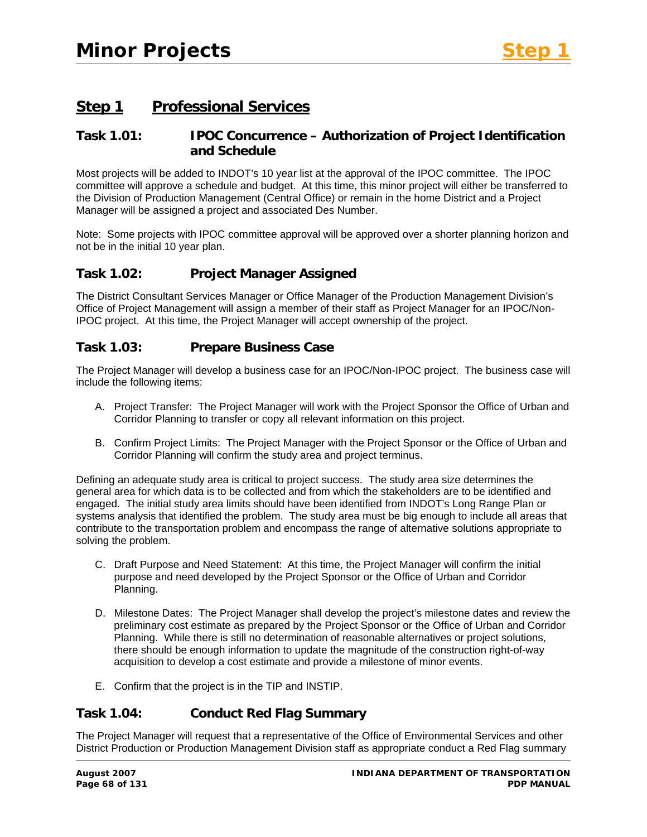# **Step 1 Professional Services**

#### **Task 1.01: IPOC Concurrence – Authorization of Project Identification and Schedule**

Most projects will be added to INDOT's 10 year list at the approval of the IPOC committee. The IPOC committee will approve a schedule and budget. At this time, this minor project will either be transferred to the Division of Production Management (Central Office) or remain in the home District and a Project Manager will be assigned a project and associated Des Number.

Note: Some projects with IPOC committee approval will be approved over a shorter planning horizon and not be in the initial 10 year plan.

#### **Task 1.02: Project Manager Assigned**

The District Consultant Services Manager or Office Manager of the Production Management Division's Office of Project Management will assign a member of their staff as Project Manager for an IPOC/Non-IPOC project. At this time, the Project Manager will accept ownership of the project.

#### **Task 1.03: Prepare Business Case**

The Project Manager will develop a business case for an IPOC/Non-IPOC project. The business case will include the following items:

- A. Project Transfer: The Project Manager will work with the Project Sponsor the Office of Urban and Corridor Planning to transfer or copy all relevant information on this project.
- B. Confirm Project Limits: The Project Manager with the Project Sponsor or the Office of Urban and Corridor Planning will confirm the study area and project terminus.

Defining an adequate study area is critical to project success. The study area size determines the general area for which data is to be collected and from which the stakeholders are to be identified and engaged. The initial study area limits should have been identified from INDOT's Long Range Plan or systems analysis that identified the problem. The study area must be big enough to include all areas that contribute to the transportation problem and encompass the range of alternative solutions appropriate to solving the problem.

- C. Draft Purpose and Need Statement: At this time, the Project Manager will confirm the initial purpose and need developed by the Project Sponsor or the Office of Urban and Corridor Planning.
- D. Milestone Dates: The Project Manager shall develop the project's milestone dates and review the preliminary cost estimate as prepared by the Project Sponsor or the Office of Urban and Corridor Planning. While there is still no determination of reasonable alternatives or project solutions, there should be enough information to update the magnitude of the construction right-of-way acquisition to develop a cost estimate and provide a milestone of minor events.
- E. Confirm that the project is in the TIP and INSTIP.

# **Task 1.04: Conduct Red Flag Summary**

The Project Manager will request that a representative of the Office of Environmental Services and other District Production or Production Management Division staff as appropriate conduct a Red Flag summary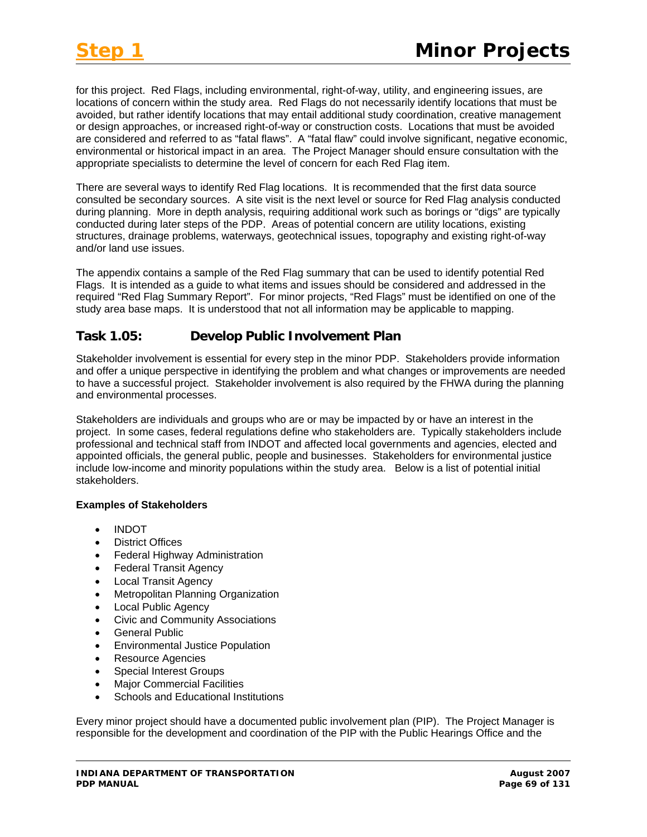for this project. Red Flags, including environmental, right-of-way, utility, and engineering issues, are locations of concern within the study area. Red Flags do not necessarily identify locations that must be avoided, but rather identify locations that may entail additional study coordination, creative management or design approaches, or increased right-of-way or construction costs. Locations that must be avoided are considered and referred to as "fatal flaws". A "fatal flaw" could involve significant, negative economic, environmental or historical impact in an area. The Project Manager should ensure consultation with the appropriate specialists to determine the level of concern for each Red Flag item.

There are several ways to identify Red Flag locations. It is recommended that the first data source consulted be secondary sources. A site visit is the next level or source for Red Flag analysis conducted during planning. More in depth analysis, requiring additional work such as borings or "digs" are typically conducted during later steps of the PDP. Areas of potential concern are utility locations, existing structures, drainage problems, waterways, geotechnical issues, topography and existing right-of-way and/or land use issues.

The appendix contains a sample of the Red Flag summary that can be used to identify potential Red Flags. It is intended as a guide to what items and issues should be considered and addressed in the required "Red Flag Summary Report". For minor projects, "Red Flags" must be identified on one of the study area base maps. It is understood that not all information may be applicable to mapping.

# **Task 1.05: Develop Public Involvement Plan**

Stakeholder involvement is essential for every step in the minor PDP. Stakeholders provide information and offer a unique perspective in identifying the problem and what changes or improvements are needed to have a successful project. Stakeholder involvement is also required by the FHWA during the planning and environmental processes.

Stakeholders are individuals and groups who are or may be impacted by or have an interest in the project. In some cases, federal regulations define who stakeholders are. Typically stakeholders include professional and technical staff from INDOT and affected local governments and agencies, elected and appointed officials, the general public, people and businesses. Stakeholders for environmental justice include low-income and minority populations within the study area. Below is a list of potential initial stakeholders.

#### **Examples of Stakeholders**

- INDOT
- District Offices
- Federal Highway Administration
- Federal Transit Agency
- Local Transit Agency
- Metropolitan Planning Organization
- Local Public Agency
- Civic and Community Associations
- General Public
- Environmental Justice Population
- Resource Agencies
- Special Interest Groups
- Major Commercial Facilities
- Schools and Educational Institutions

Every minor project should have a documented public involvement plan (PIP). The Project Manager is responsible for the development and coordination of the PIP with the Public Hearings Office and the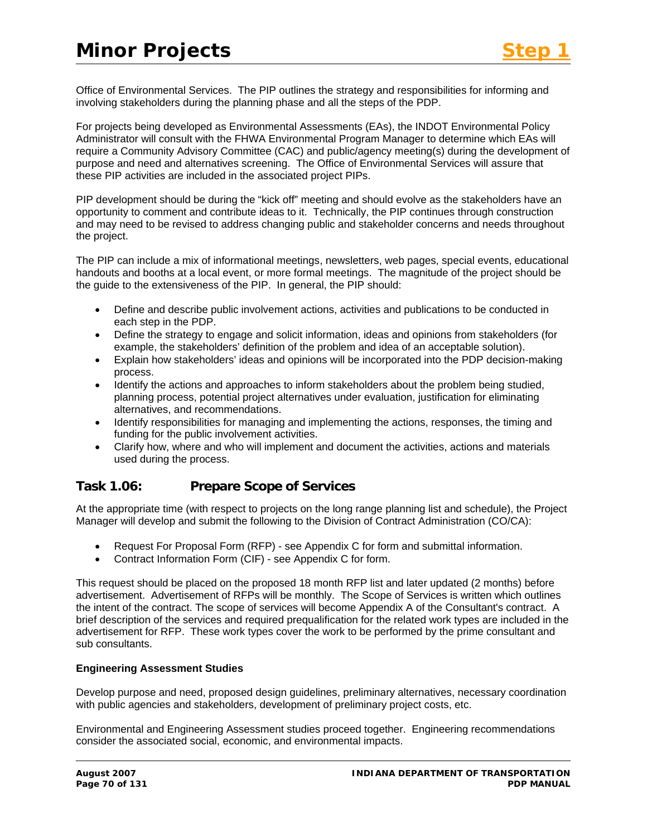Office of Environmental Services. The PIP outlines the strategy and responsibilities for informing and involving stakeholders during the planning phase and all the steps of the PDP.

For projects being developed as Environmental Assessments (EAs), the INDOT Environmental Policy Administrator will consult with the FHWA Environmental Program Manager to determine which EAs will require a Community Advisory Committee (CAC) and public/agency meeting(s) during the development of purpose and need and alternatives screening. The Office of Environmental Services will assure that these PIP activities are included in the associated project PIPs.

PIP development should be during the "kick off" meeting and should evolve as the stakeholders have an opportunity to comment and contribute ideas to it. Technically, the PIP continues through construction and may need to be revised to address changing public and stakeholder concerns and needs throughout the project.

The PIP can include a mix of informational meetings, newsletters, web pages, special events, educational handouts and booths at a local event, or more formal meetings. The magnitude of the project should be the guide to the extensiveness of the PIP. In general, the PIP should:

- Define and describe public involvement actions, activities and publications to be conducted in each step in the PDP.
- Define the strategy to engage and solicit information, ideas and opinions from stakeholders (for example, the stakeholders' definition of the problem and idea of an acceptable solution).
- Explain how stakeholders' ideas and opinions will be incorporated into the PDP decision-making process.
- Identify the actions and approaches to inform stakeholders about the problem being studied, planning process, potential project alternatives under evaluation, justification for eliminating alternatives, and recommendations.
- Identify responsibilities for managing and implementing the actions, responses, the timing and funding for the public involvement activities.
- Clarify how, where and who will implement and document the activities, actions and materials used during the process.

# **Task 1.06: Prepare Scope of Services**

At the appropriate time (with respect to projects on the long range planning list and schedule), the Project Manager will develop and submit the following to the Division of Contract Administration (CO/CA):

- Request For Proposal Form (RFP) see Appendix C for form and submittal information.
- Contract Information Form (CIF) see Appendix C for form.

This request should be placed on the proposed 18 month RFP list and later updated (2 months) before advertisement. Advertisement of RFPs will be monthly. The Scope of Services is written which outlines the intent of the contract. The scope of services will become Appendix A of the Consultant's contract. A brief description of the services and required prequalification for the related work types are included in the advertisement for RFP. These work types cover the work to be performed by the prime consultant and sub consultants.

#### **Engineering Assessment Studies**

Develop purpose and need, proposed design guidelines, preliminary alternatives, necessary coordination with public agencies and stakeholders, development of preliminary project costs, etc.

Environmental and Engineering Assessment studies proceed together. Engineering recommendations consider the associated social, economic, and environmental impacts.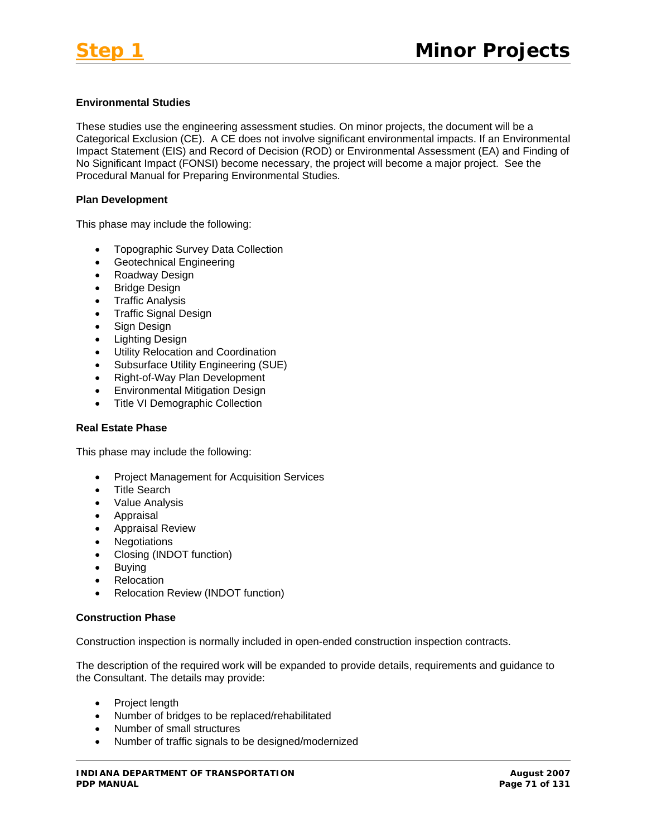#### **Environmental Studies**

These studies use the engineering assessment studies. On minor projects, the document will be a Categorical Exclusion (CE). A CE does not involve significant environmental impacts. If an Environmental Impact Statement (EIS) and Record of Decision (ROD) or Environmental Assessment (EA) and Finding of No Significant Impact (FONSI) become necessary, the project will become a major project. See the Procedural Manual for Preparing Environmental Studies.

#### **Plan Development**

This phase may include the following:

- Topographic Survey Data Collection
- Geotechnical Engineering
- Roadway Design
- Bridge Design
- Traffic Analysis
- Traffic Signal Design
- Sign Design
- Lighting Design
- Utility Relocation and Coordination
- Subsurface Utility Engineering (SUE)
- Right-of-Way Plan Development
- Environmental Mitigation Design
- Title VI Demographic Collection

#### **Real Estate Phase**

This phase may include the following:

- Project Management for Acquisition Services
- Title Search
- Value Analysis
- Appraisal
- Appraisal Review
- Negotiations
- Closing (INDOT function)
- Buying
- Relocation
- Relocation Review (INDOT function)

#### **Construction Phase**

Construction inspection is normally included in open-ended construction inspection contracts.

The description of the required work will be expanded to provide details, requirements and guidance to the Consultant. The details may provide:

- Project length
- Number of bridges to be replaced/rehabilitated
- Number of small structures
- Number of traffic signals to be designed/modernized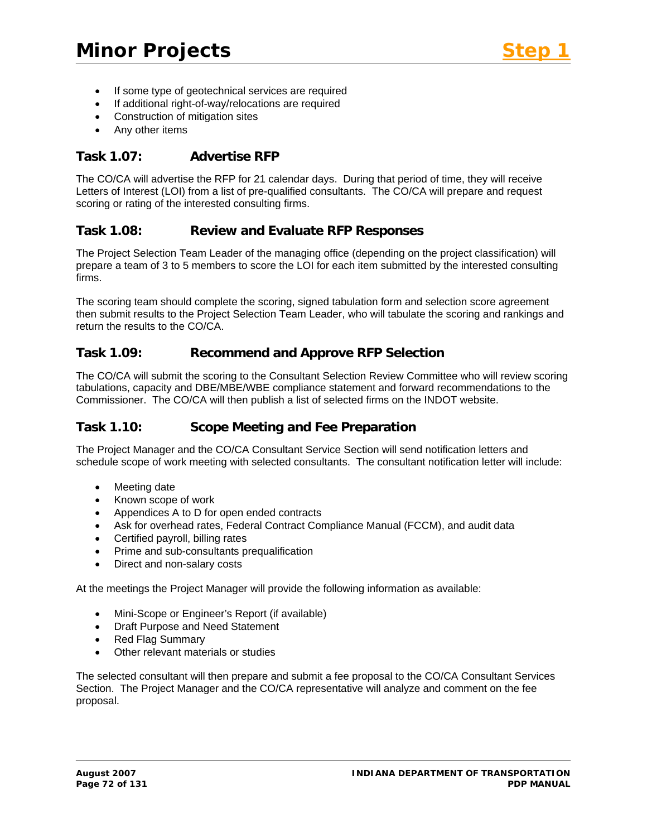- If some type of geotechnical services are required
- If additional right-of-way/relocations are required
- Construction of mitigation sites
- Any other items

#### **Task 1.07: Advertise RFP**

The CO/CA will advertise the RFP for 21 calendar days. During that period of time, they will receive Letters of Interest (LOI) from a list of pre-qualified consultants. The CO/CA will prepare and request scoring or rating of the interested consulting firms.

#### **Task 1.08: Review and Evaluate RFP Responses**

The Project Selection Team Leader of the managing office (depending on the project classification) will prepare a team of 3 to 5 members to score the LOI for each item submitted by the interested consulting firms.

The scoring team should complete the scoring, signed tabulation form and selection score agreement then submit results to the Project Selection Team Leader, who will tabulate the scoring and rankings and return the results to the CO/CA.

#### **Task 1.09: Recommend and Approve RFP Selection**

The CO/CA will submit the scoring to the Consultant Selection Review Committee who will review scoring tabulations, capacity and DBE/MBE/WBE compliance statement and forward recommendations to the Commissioner. The CO/CA will then publish a list of selected firms on the INDOT website.

#### **Task 1.10: Scope Meeting and Fee Preparation**

The Project Manager and the CO/CA Consultant Service Section will send notification letters and schedule scope of work meeting with selected consultants. The consultant notification letter will include:

- Meeting date
- Known scope of work
- Appendices A to D for open ended contracts
- Ask for overhead rates, Federal Contract Compliance Manual (FCCM), and audit data
- Certified payroll, billing rates
- Prime and sub-consultants prequalification
- Direct and non-salary costs

At the meetings the Project Manager will provide the following information as available:

- Mini-Scope or Engineer's Report (if available)
- Draft Purpose and Need Statement
- Red Flag Summary
- Other relevant materials or studies

The selected consultant will then prepare and submit a fee proposal to the CO/CA Consultant Services Section. The Project Manager and the CO/CA representative will analyze and comment on the fee proposal.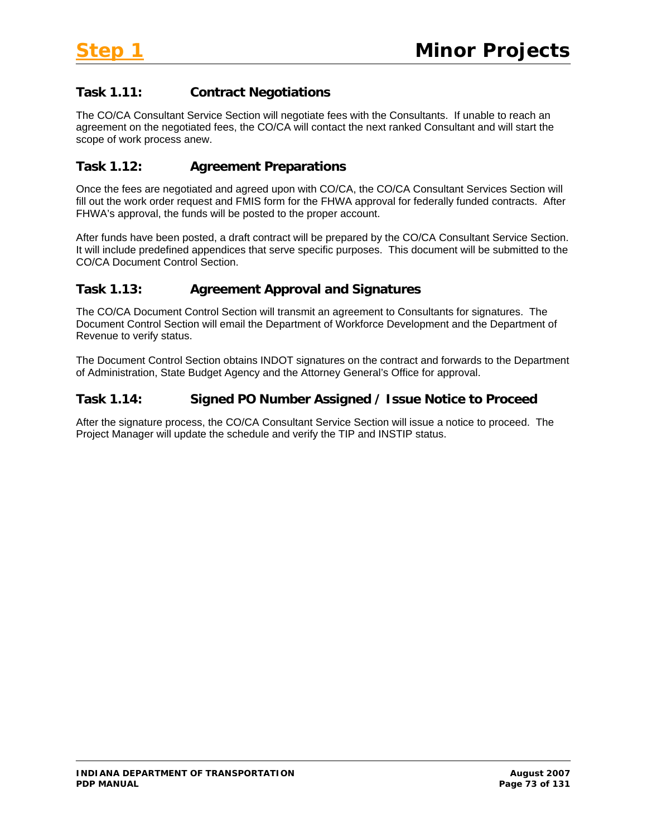# **Task 1.11: Contract Negotiations**

The CO/CA Consultant Service Section will negotiate fees with the Consultants. If unable to reach an agreement on the negotiated fees, the CO/CA will contact the next ranked Consultant and will start the scope of work process anew.

# **Task 1.12: Agreement Preparations**

Once the fees are negotiated and agreed upon with CO/CA, the CO/CA Consultant Services Section will fill out the work order request and FMIS form for the FHWA approval for federally funded contracts. After FHWA's approval, the funds will be posted to the proper account.

After funds have been posted, a draft contract will be prepared by the CO/CA Consultant Service Section. It will include predefined appendices that serve specific purposes. This document will be submitted to the CO/CA Document Control Section.

# **Task 1.13: Agreement Approval and Signatures**

The CO/CA Document Control Section will transmit an agreement to Consultants for signatures. The Document Control Section will email the Department of Workforce Development and the Department of Revenue to verify status.

The Document Control Section obtains INDOT signatures on the contract and forwards to the Department of Administration, State Budget Agency and the Attorney General's Office for approval.

## **Task 1.14: Signed PO Number Assigned / Issue Notice to Proceed**

After the signature process, the CO/CA Consultant Service Section will issue a notice to proceed. The Project Manager will update the schedule and verify the TIP and INSTIP status.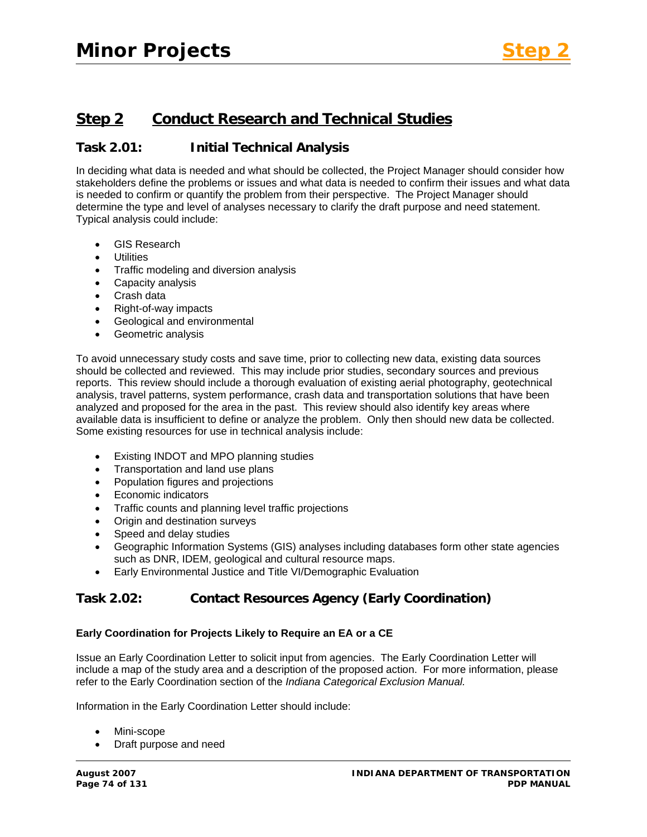# **Step 2 Conduct Research and Technical Studies**

## **Task 2.01: Initial Technical Analysis**

In deciding what data is needed and what should be collected, the Project Manager should consider how stakeholders define the problems or issues and what data is needed to confirm their issues and what data is needed to confirm or quantify the problem from their perspective. The Project Manager should determine the type and level of analyses necessary to clarify the draft purpose and need statement. Typical analysis could include:

- GIS Research
- **Utilities**
- Traffic modeling and diversion analysis
- Capacity analysis
- Crash data
- Right-of-way impacts
- Geological and environmental
- Geometric analysis

To avoid unnecessary study costs and save time, prior to collecting new data, existing data sources should be collected and reviewed. This may include prior studies, secondary sources and previous reports. This review should include a thorough evaluation of existing aerial photography, geotechnical analysis, travel patterns, system performance, crash data and transportation solutions that have been analyzed and proposed for the area in the past. This review should also identify key areas where available data is insufficient to define or analyze the problem. Only then should new data be collected. Some existing resources for use in technical analysis include:

- Existing INDOT and MPO planning studies
- Transportation and land use plans
- Population figures and projections
- Economic indicators
- Traffic counts and planning level traffic projections
- Origin and destination surveys
- Speed and delay studies
- Geographic Information Systems (GIS) analyses including databases form other state agencies such as DNR, IDEM, geological and cultural resource maps.
- Early Environmental Justice and Title VI/Demographic Evaluation

# **Task 2.02: Contact Resources Agency (Early Coordination)**

### **Early Coordination for Projects Likely to Require an EA or a CE**

Issue an Early Coordination Letter to solicit input from agencies. The Early Coordination Letter will include a map of the study area and a description of the proposed action. For more information, please refer to the Early Coordination section of the *Indiana Categorical Exclusion Manual.*

Information in the Early Coordination Letter should include:

- Mini-scope
- Draft purpose and need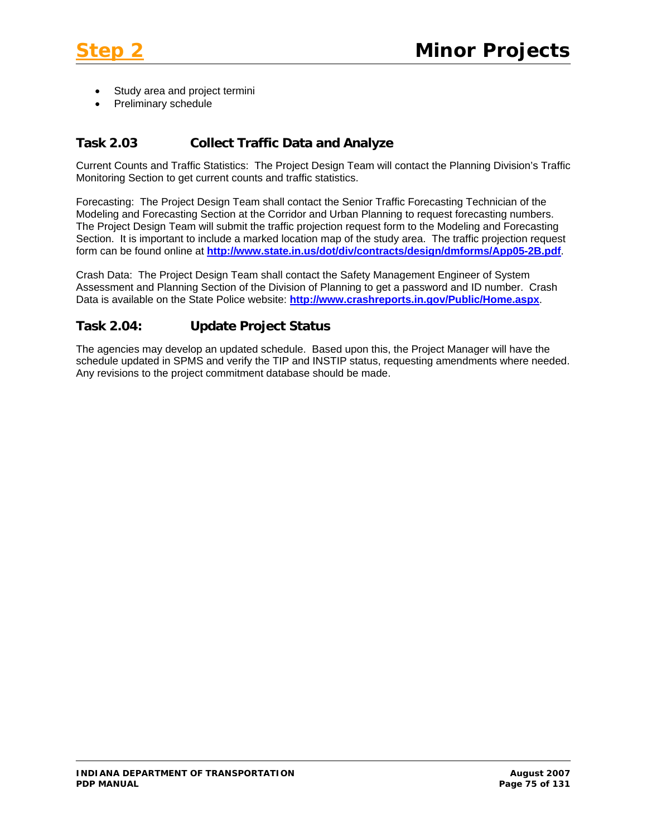

- Study area and project termini
- Preliminary schedule

## **Task 2.03 Collect Traffic Data and Analyze**

Current Counts and Traffic Statistics: The Project Design Team will contact the Planning Division's Traffic Monitoring Section to get current counts and traffic statistics.

Forecasting: The Project Design Team shall contact the Senior Traffic Forecasting Technician of the Modeling and Forecasting Section at the Corridor and Urban Planning to request forecasting numbers. The Project Design Team will submit the traffic projection request form to the Modeling and Forecasting Section. It is important to include a marked location map of the study area. The traffic projection request form can be found online at **<http://www.state.in.us/dot/div/contracts/design/dmforms/App05-2B.pdf>**.

Crash Data: The Project Design Team shall contact the Safety Management Engineer of System Assessment and Planning Section of the Division of Planning to get a password and ID number. Crash Data is available on the State Police website: **<http://www.crashreports.in.gov/Public/Home.aspx>**.

## **Task 2.04: Update Project Status**

The agencies may develop an updated schedule. Based upon this, the Project Manager will have the schedule updated in SPMS and verify the TIP and INSTIP status, requesting amendments where needed. Any revisions to the project commitment database should be made.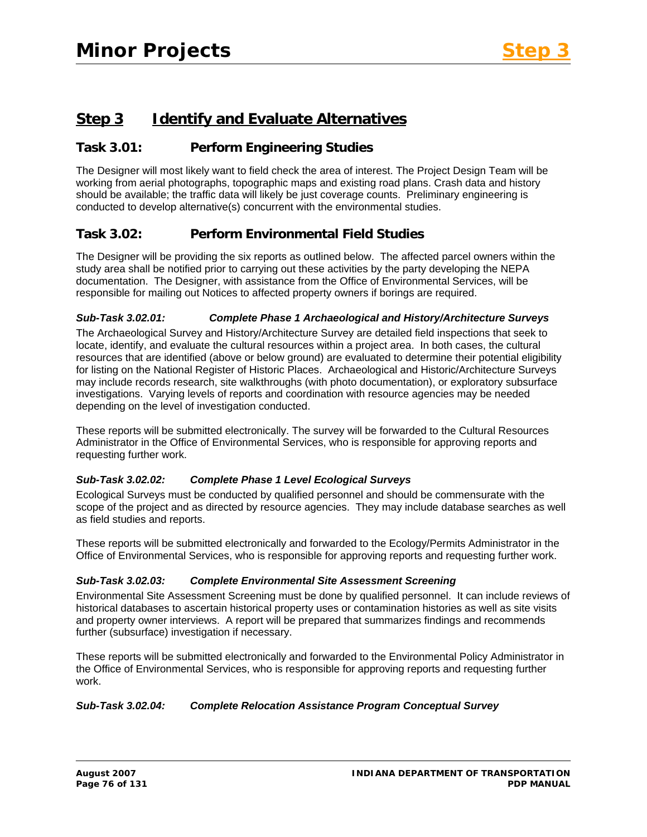# **Step 3 Identify and Evaluate Alternatives**

## **Task 3.01: Perform Engineering Studies**

The Designer will most likely want to field check the area of interest. The Project Design Team will be working from aerial photographs, topographic maps and existing road plans. Crash data and history should be available; the traffic data will likely be just coverage counts. Preliminary engineering is conducted to develop alternative(s) concurrent with the environmental studies.

## **Task 3.02: Perform Environmental Field Studies**

The Designer will be providing the six reports as outlined below. The affected parcel owners within the study area shall be notified prior to carrying out these activities by the party developing the NEPA documentation. The Designer, with assistance from the Office of Environmental Services, will be responsible for mailing out Notices to affected property owners if borings are required.

#### *Sub-Task 3.02.01: Complete Phase 1 Archaeological and History/Architecture Surveys*

The Archaeological Survey and History/Architecture Survey are detailed field inspections that seek to locate, identify, and evaluate the cultural resources within a project area. In both cases, the cultural resources that are identified (above or below ground) are evaluated to determine their potential eligibility for listing on the National Register of Historic Places. Archaeological and Historic/Architecture Surveys may include records research, site walkthroughs (with photo documentation), or exploratory subsurface investigations. Varying levels of reports and coordination with resource agencies may be needed depending on the level of investigation conducted.

These reports will be submitted electronically. The survey will be forwarded to the Cultural Resources Administrator in the Office of Environmental Services, who is responsible for approving reports and requesting further work.

### *Sub-Task 3.02.02: Complete Phase 1 Level Ecological Surveys*

Ecological Surveys must be conducted by qualified personnel and should be commensurate with the scope of the project and as directed by resource agencies. They may include database searches as well as field studies and reports.

These reports will be submitted electronically and forwarded to the Ecology/Permits Administrator in the Office of Environmental Services, who is responsible for approving reports and requesting further work.

#### *Sub-Task 3.02.03: Complete Environmental Site Assessment Screening*

Environmental Site Assessment Screening must be done by qualified personnel. It can include reviews of historical databases to ascertain historical property uses or contamination histories as well as site visits and property owner interviews. A report will be prepared that summarizes findings and recommends further (subsurface) investigation if necessary.

These reports will be submitted electronically and forwarded to the Environmental Policy Administrator in the Office of Environmental Services, who is responsible for approving reports and requesting further work.

### *Sub-Task 3.02.04: Complete Relocation Assistance Program Conceptual Survey*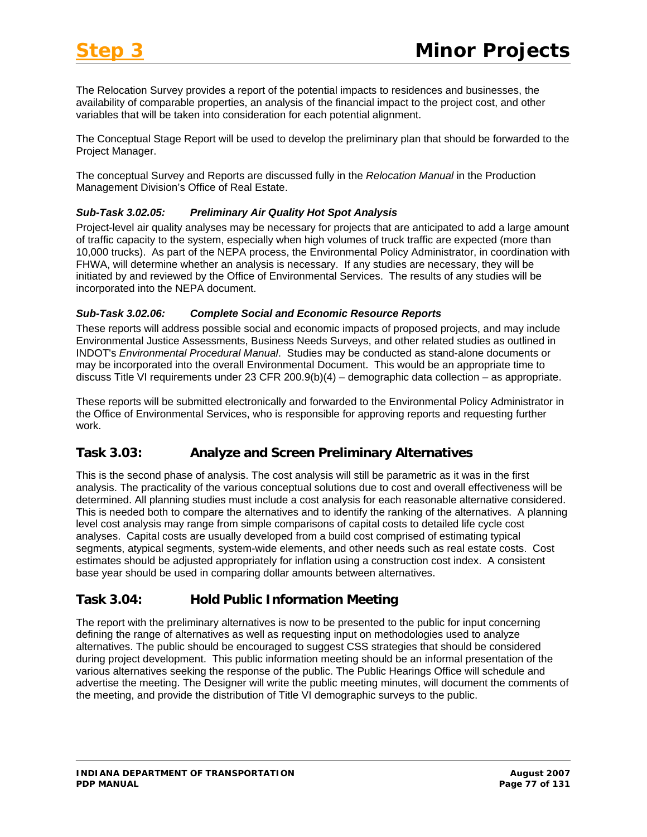The Relocation Survey provides a report of the potential impacts to residences and businesses, the availability of comparable properties, an analysis of the financial impact to the project cost, and other variables that will be taken into consideration for each potential alignment.

The Conceptual Stage Report will be used to develop the preliminary plan that should be forwarded to the Project Manager.

The conceptual Survey and Reports are discussed fully in the *Relocation Manual* in the Production Management Division's Office of Real Estate.

### *Sub-Task 3.02.05: Preliminary Air Quality Hot Spot Analysis*

Project-level air quality analyses may be necessary for projects that are anticipated to add a large amount of traffic capacity to the system, especially when high volumes of truck traffic are expected (more than 10,000 trucks). As part of the NEPA process, the Environmental Policy Administrator, in coordination with FHWA, will determine whether an analysis is necessary. If any studies are necessary, they will be initiated by and reviewed by the Office of Environmental Services. The results of any studies will be incorporated into the NEPA document.

#### *Sub-Task 3.02.06: Complete Social and Economic Resource Reports*

These reports will address possible social and economic impacts of proposed projects, and may include Environmental Justice Assessments, Business Needs Surveys, and other related studies as outlined in INDOT's *Environmental Procedural Manual*. Studies may be conducted as stand-alone documents or may be incorporated into the overall Environmental Document. This would be an appropriate time to discuss Title VI requirements under 23 CFR 200.9(b)(4) – demographic data collection – as appropriate.

These reports will be submitted electronically and forwarded to the Environmental Policy Administrator in the Office of Environmental Services, who is responsible for approving reports and requesting further work.

# **Task 3.03: Analyze and Screen Preliminary Alternatives**

This is the second phase of analysis. The cost analysis will still be parametric as it was in the first analysis. The practicality of the various conceptual solutions due to cost and overall effectiveness will be determined. All planning studies must include a cost analysis for each reasonable alternative considered. This is needed both to compare the alternatives and to identify the ranking of the alternatives. A planning level cost analysis may range from simple comparisons of capital costs to detailed life cycle cost analyses. Capital costs are usually developed from a build cost comprised of estimating typical segments, atypical segments, system-wide elements, and other needs such as real estate costs. Cost estimates should be adjusted appropriately for inflation using a construction cost index. A consistent base year should be used in comparing dollar amounts between alternatives.

# **Task 3.04: Hold Public Information Meeting**

The report with the preliminary alternatives is now to be presented to the public for input concerning defining the range of alternatives as well as requesting input on methodologies used to analyze alternatives. The public should be encouraged to suggest CSS strategies that should be considered during project development. This public information meeting should be an informal presentation of the various alternatives seeking the response of the public. The Public Hearings Office will schedule and advertise the meeting. The Designer will write the public meeting minutes, will document the comments of the meeting, and provide the distribution of Title VI demographic surveys to the public.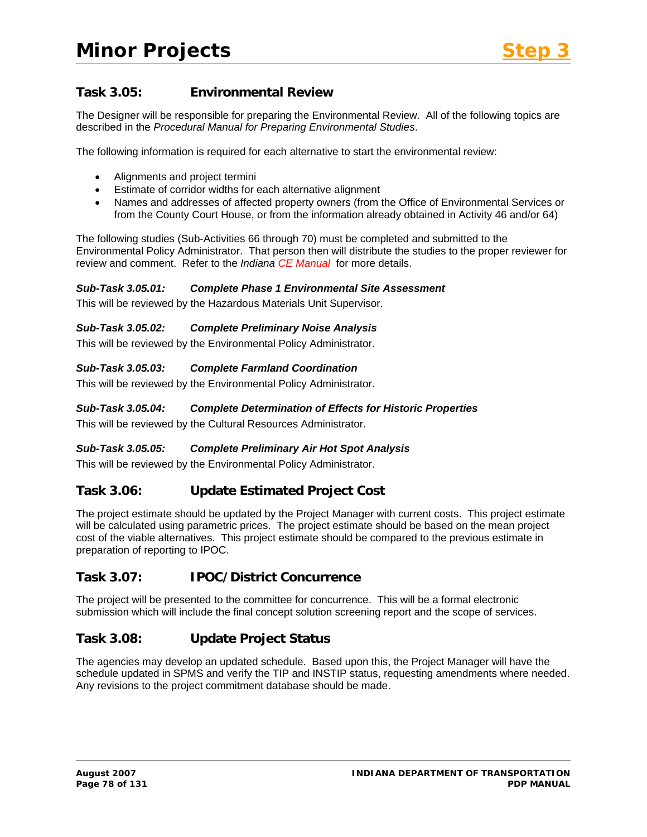# **Task 3.05: Environmental Review**

The Designer will be responsible for preparing the Environmental Review. All of the following topics are described in the *Procedural Manual for Preparing Environmental Studies*.

The following information is required for each alternative to start the environmental review:

- Alignments and project termini
- Estimate of corridor widths for each alternative alignment
- Names and addresses of affected property owners (from the Office of Environmental Services or from the County Court House, or from the information already obtained in Activity 46 and/or 64)

The following studies (Sub-Activities 66 through 70) must be completed and submitted to the Environmental Policy Administrator. That person then will distribute the studies to the proper reviewer for review and comment. Refer to the *Indiana CE Manual* for more details.

### *Sub-Task 3.05.01: Complete Phase 1 Environmental Site Assessment*

This will be reviewed by the Hazardous Materials Unit Supervisor.

### *Sub-Task 3.05.02: Complete Preliminary Noise Analysis*

This will be reviewed by the Environmental Policy Administrator.

### *Sub-Task 3.05.03: Complete Farmland Coordination*

This will be reviewed by the Environmental Policy Administrator.

### *Sub-Task 3.05.04: Complete Determination of Effects for Historic Properties*

This will be reviewed by the Cultural Resources Administrator.

### *Sub-Task 3.05.05: Complete Preliminary Air Hot Spot Analysis*

This will be reviewed by the Environmental Policy Administrator.

### **Task 3.06: Update Estimated Project Cost**

The project estimate should be updated by the Project Manager with current costs. This project estimate will be calculated using parametric prices. The project estimate should be based on the mean project cost of the viable alternatives. This project estimate should be compared to the previous estimate in preparation of reporting to IPOC.

### **Task 3.07: IPOC/District Concurrence**

The project will be presented to the committee for concurrence. This will be a formal electronic submission which will include the final concept solution screening report and the scope of services.

# **Task 3.08: Update Project Status**

The agencies may develop an updated schedule. Based upon this, the Project Manager will have the schedule updated in SPMS and verify the TIP and INSTIP status, requesting amendments where needed. Any revisions to the project commitment database should be made.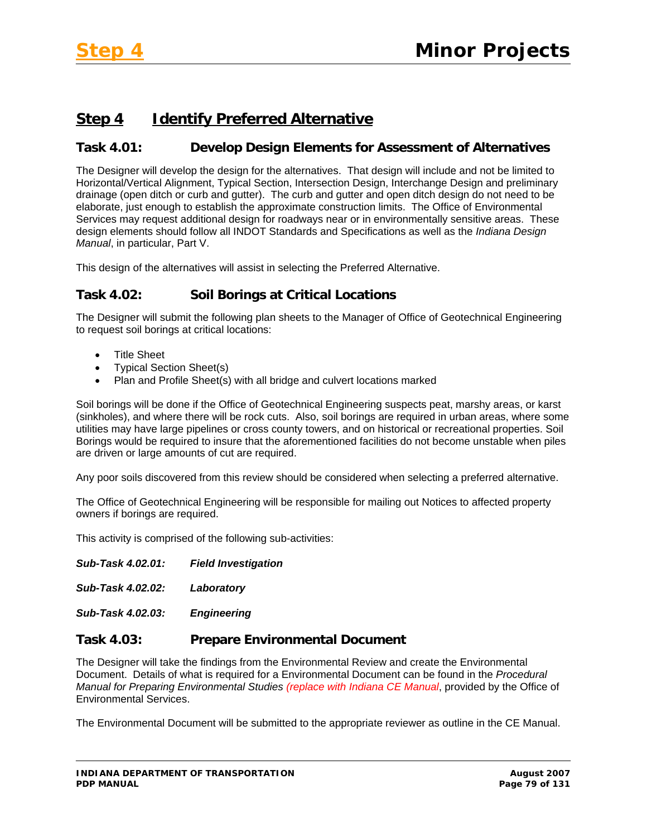# **Step 4 Identify Preferred Alternative**

# **Task 4.01: Develop Design Elements for Assessment of Alternatives**

The Designer will develop the design for the alternatives. That design will include and not be limited to Horizontal/Vertical Alignment, Typical Section, Intersection Design, Interchange Design and preliminary drainage (open ditch or curb and gutter). The curb and gutter and open ditch design do not need to be elaborate, just enough to establish the approximate construction limits. The Office of Environmental Services may request additional design for roadways near or in environmentally sensitive areas. These design elements should follow all INDOT Standards and Specifications as well as the *Indiana Design Manual*, in particular, Part V.

This design of the alternatives will assist in selecting the Preferred Alternative.

# **Task 4.02: Soil Borings at Critical Locations**

The Designer will submit the following plan sheets to the Manager of Office of Geotechnical Engineering to request soil borings at critical locations:

- Title Sheet
- Typical Section Sheet(s)
- Plan and Profile Sheet(s) with all bridge and culvert locations marked

Soil borings will be done if the Office of Geotechnical Engineering suspects peat, marshy areas, or karst (sinkholes), and where there will be rock cuts. Also, soil borings are required in urban areas, where some utilities may have large pipelines or cross county towers, and on historical or recreational properties. Soil Borings would be required to insure that the aforementioned facilities do not become unstable when piles are driven or large amounts of cut are required.

Any poor soils discovered from this review should be considered when selecting a preferred alternative.

The Office of Geotechnical Engineering will be responsible for mailing out Notices to affected property owners if borings are required.

This activity is comprised of the following sub-activities:

*Sub-Task 4.02.02: Laboratory* 

*Sub-Task 4.02.03: Engineering* 

### **Task 4.03: Prepare Environmental Document**

The Designer will take the findings from the Environmental Review and create the Environmental Document. Details of what is required for a Environmental Document can be found in the *Procedural Manual for Preparing Environmental Studies (replace with Indiana CE Manual*, provided by the Office of Environmental Services.

The Environmental Document will be submitted to the appropriate reviewer as outline in the CE Manual.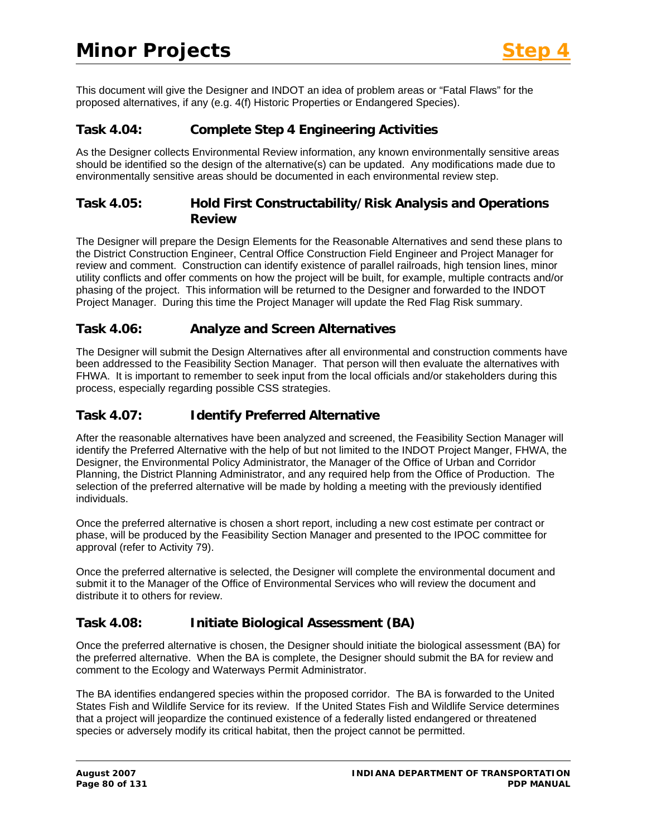This document will give the Designer and INDOT an idea of problem areas or "Fatal Flaws" for the proposed alternatives, if any (e.g. 4(f) Historic Properties or Endangered Species).

## **Task 4.04: Complete Step 4 Engineering Activities**

As the Designer collects Environmental Review information, any known environmentally sensitive areas should be identified so the design of the alternative(s) can be updated. Any modifications made due to environmentally sensitive areas should be documented in each environmental review step.

## **Task 4.05: Hold First Constructability/Risk Analysis and Operations Review**

The Designer will prepare the Design Elements for the Reasonable Alternatives and send these plans to the District Construction Engineer, Central Office Construction Field Engineer and Project Manager for review and comment. Construction can identify existence of parallel railroads, high tension lines, minor utility conflicts and offer comments on how the project will be built, for example, multiple contracts and/or phasing of the project. This information will be returned to the Designer and forwarded to the INDOT Project Manager. During this time the Project Manager will update the Red Flag Risk summary.

## **Task 4.06: Analyze and Screen Alternatives**

The Designer will submit the Design Alternatives after all environmental and construction comments have been addressed to the Feasibility Section Manager. That person will then evaluate the alternatives with FHWA. It is important to remember to seek input from the local officials and/or stakeholders during this process, especially regarding possible CSS strategies.

## **Task 4.07: Identify Preferred Alternative**

After the reasonable alternatives have been analyzed and screened, the Feasibility Section Manager will identify the Preferred Alternative with the help of but not limited to the INDOT Project Manger, FHWA, the Designer, the Environmental Policy Administrator, the Manager of the Office of Urban and Corridor Planning, the District Planning Administrator, and any required help from the Office of Production. The selection of the preferred alternative will be made by holding a meeting with the previously identified individuals.

Once the preferred alternative is chosen a short report, including a new cost estimate per contract or phase, will be produced by the Feasibility Section Manager and presented to the IPOC committee for approval (refer to Activity 79).

Once the preferred alternative is selected, the Designer will complete the environmental document and submit it to the Manager of the Office of Environmental Services who will review the document and distribute it to others for review.

# **Task 4.08: Initiate Biological Assessment (BA)**

Once the preferred alternative is chosen, the Designer should initiate the biological assessment (BA) for the preferred alternative. When the BA is complete, the Designer should submit the BA for review and comment to the Ecology and Waterways Permit Administrator.

The BA identifies endangered species within the proposed corridor. The BA is forwarded to the United States Fish and Wildlife Service for its review. If the United States Fish and Wildlife Service determines that a project will jeopardize the continued existence of a federally listed endangered or threatened species or adversely modify its critical habitat, then the project cannot be permitted.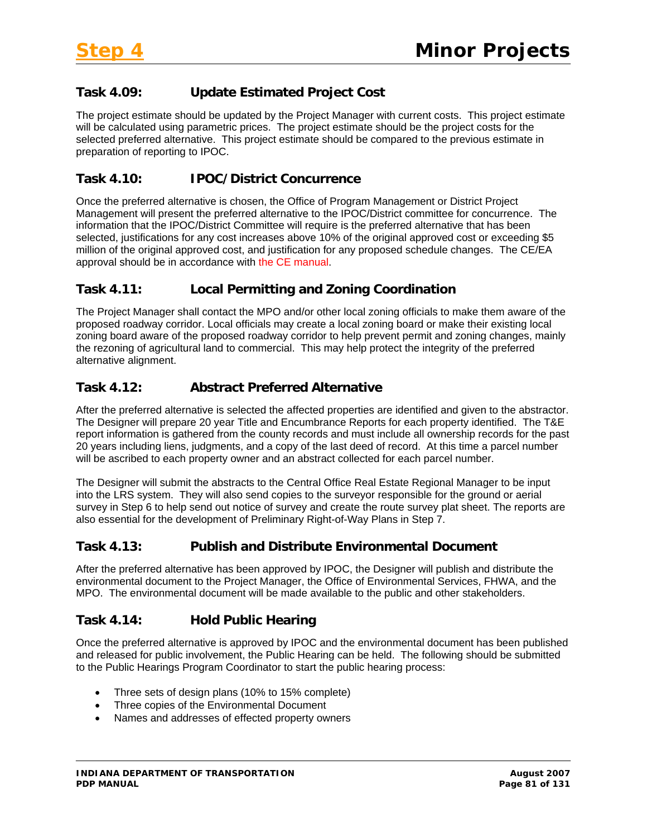# **Task 4.09: Update Estimated Project Cost**

The project estimate should be updated by the Project Manager with current costs. This project estimate will be calculated using parametric prices. The project estimate should be the project costs for the selected preferred alternative. This project estimate should be compared to the previous estimate in preparation of reporting to IPOC.

## **Task 4.10: IPOC/District Concurrence**

Once the preferred alternative is chosen, the Office of Program Management or District Project Management will present the preferred alternative to the IPOC/District committee for concurrence. The information that the IPOC/District Committee will require is the preferred alternative that has been selected, justifications for any cost increases above 10% of the original approved cost or exceeding \$5 million of the original approved cost, and justification for any proposed schedule changes. The CE/EA approval should be in accordance with the CE manual.

## **Task 4.11: Local Permitting and Zoning Coordination**

The Project Manager shall contact the MPO and/or other local zoning officials to make them aware of the proposed roadway corridor. Local officials may create a local zoning board or make their existing local zoning board aware of the proposed roadway corridor to help prevent permit and zoning changes, mainly the rezoning of agricultural land to commercial. This may help protect the integrity of the preferred alternative alignment.

## **Task 4.12: Abstract Preferred Alternative**

After the preferred alternative is selected the affected properties are identified and given to the abstractor. The Designer will prepare 20 year Title and Encumbrance Reports for each property identified. The T&E report information is gathered from the county records and must include all ownership records for the past 20 years including liens, judgments, and a copy of the last deed of record. At this time a parcel number will be ascribed to each property owner and an abstract collected for each parcel number.

The Designer will submit the abstracts to the Central Office Real Estate Regional Manager to be input into the LRS system. They will also send copies to the surveyor responsible for the ground or aerial survey in Step 6 to help send out notice of survey and create the route survey plat sheet. The reports are also essential for the development of Preliminary Right-of-Way Plans in Step 7.

# **Task 4.13: Publish and Distribute Environmental Document**

After the preferred alternative has been approved by IPOC, the Designer will publish and distribute the environmental document to the Project Manager, the Office of Environmental Services, FHWA, and the MPO. The environmental document will be made available to the public and other stakeholders.

# **Task 4.14: Hold Public Hearing**

Once the preferred alternative is approved by IPOC and the environmental document has been published and released for public involvement, the Public Hearing can be held. The following should be submitted to the Public Hearings Program Coordinator to start the public hearing process:

- Three sets of design plans (10% to 15% complete)
- Three copies of the Environmental Document
- Names and addresses of effected property owners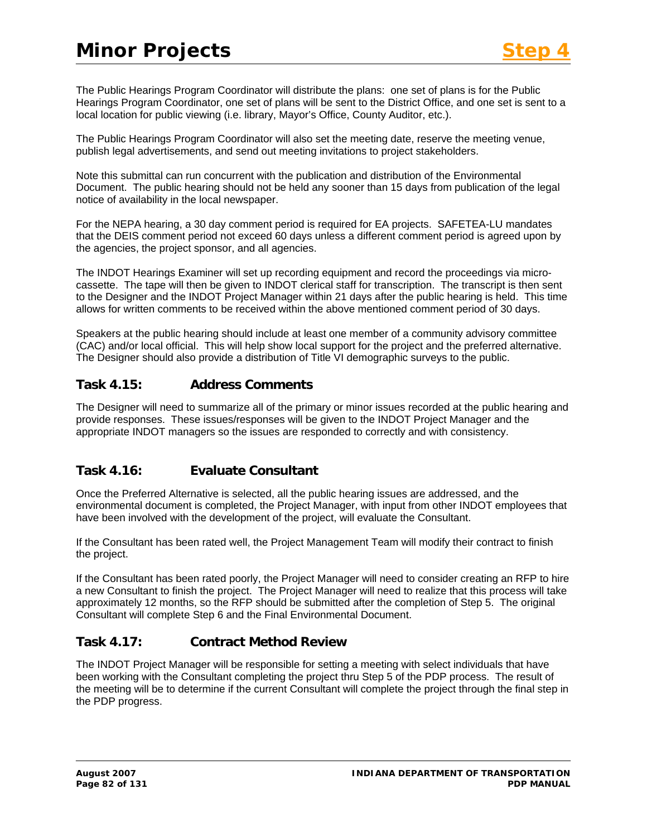The Public Hearings Program Coordinator will distribute the plans: one set of plans is for the Public Hearings Program Coordinator, one set of plans will be sent to the District Office, and one set is sent to a local location for public viewing (i.e. library, Mayor's Office, County Auditor, etc.).

The Public Hearings Program Coordinator will also set the meeting date, reserve the meeting venue, publish legal advertisements, and send out meeting invitations to project stakeholders.

Note this submittal can run concurrent with the publication and distribution of the Environmental Document. The public hearing should not be held any sooner than 15 days from publication of the legal notice of availability in the local newspaper.

For the NEPA hearing, a 30 day comment period is required for EA projects. SAFETEA-LU mandates that the DEIS comment period not exceed 60 days unless a different comment period is agreed upon by the agencies, the project sponsor, and all agencies.

The INDOT Hearings Examiner will set up recording equipment and record the proceedings via microcassette. The tape will then be given to INDOT clerical staff for transcription. The transcript is then sent to the Designer and the INDOT Project Manager within 21 days after the public hearing is held. This time allows for written comments to be received within the above mentioned comment period of 30 days.

Speakers at the public hearing should include at least one member of a community advisory committee (CAC) and/or local official. This will help show local support for the project and the preferred alternative. The Designer should also provide a distribution of Title VI demographic surveys to the public.

## **Task 4.15: Address Comments**

The Designer will need to summarize all of the primary or minor issues recorded at the public hearing and provide responses. These issues/responses will be given to the INDOT Project Manager and the appropriate INDOT managers so the issues are responded to correctly and with consistency.

# **Task 4.16: Evaluate Consultant**

Once the Preferred Alternative is selected, all the public hearing issues are addressed, and the environmental document is completed, the Project Manager, with input from other INDOT employees that have been involved with the development of the project, will evaluate the Consultant.

If the Consultant has been rated well, the Project Management Team will modify their contract to finish the project.

If the Consultant has been rated poorly, the Project Manager will need to consider creating an RFP to hire a new Consultant to finish the project. The Project Manager will need to realize that this process will take approximately 12 months, so the RFP should be submitted after the completion of Step 5. The original Consultant will complete Step 6 and the Final Environmental Document.

# **Task 4.17: Contract Method Review**

The INDOT Project Manager will be responsible for setting a meeting with select individuals that have been working with the Consultant completing the project thru Step 5 of the PDP process. The result of the meeting will be to determine if the current Consultant will complete the project through the final step in the PDP progress.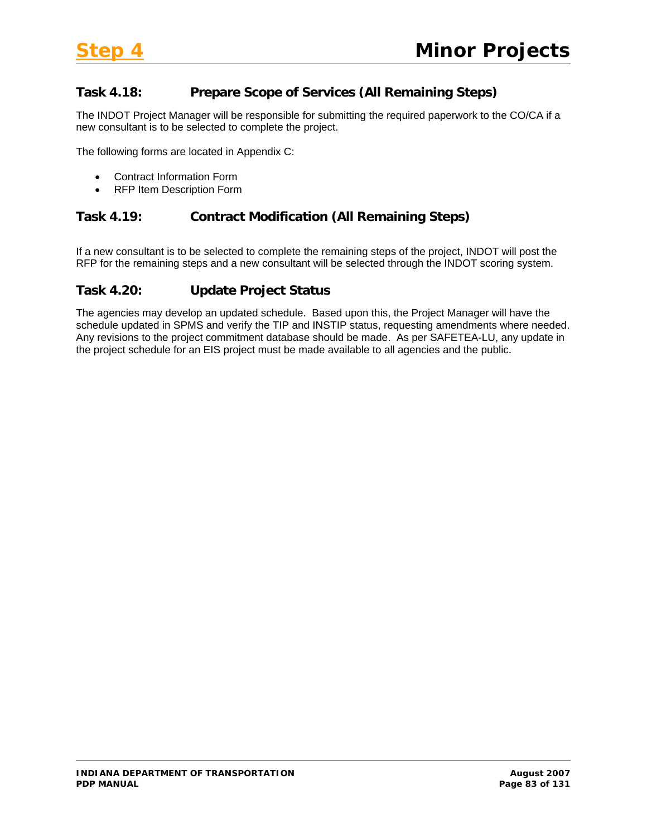# **Task 4.18: Prepare Scope of Services (All Remaining Steps)**

The INDOT Project Manager will be responsible for submitting the required paperwork to the CO/CA if a new consultant is to be selected to complete the project.

The following forms are located in Appendix C:

- Contract Information Form
- RFP Item Description Form

### **Task 4.19: Contract Modification (All Remaining Steps)**

If a new consultant is to be selected to complete the remaining steps of the project, INDOT will post the RFP for the remaining steps and a new consultant will be selected through the INDOT scoring system.

## **Task 4.20: Update Project Status**

The agencies may develop an updated schedule. Based upon this, the Project Manager will have the schedule updated in SPMS and verify the TIP and INSTIP status, requesting amendments where needed. Any revisions to the project commitment database should be made. As per SAFETEA-LU, any update in the project schedule for an EIS project must be made available to all agencies and the public.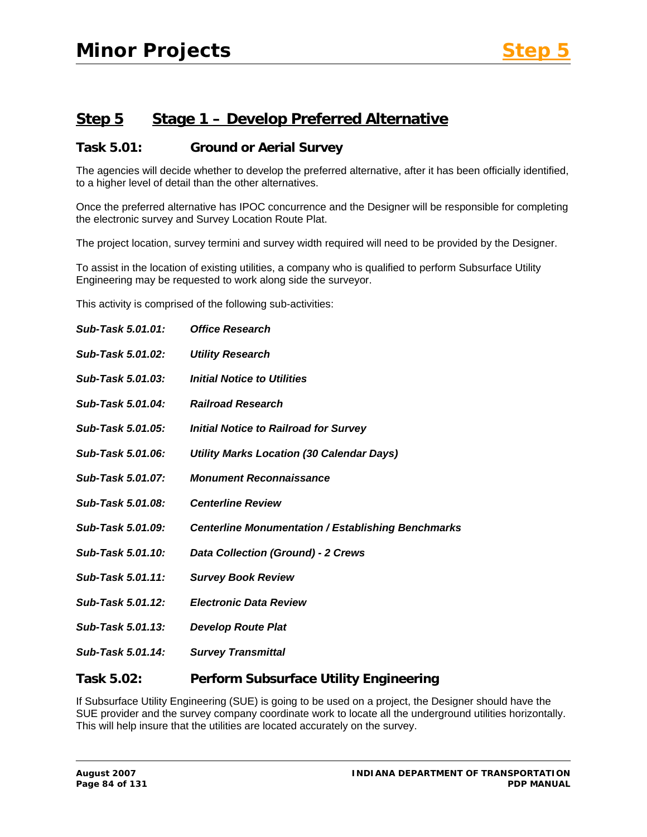# **Step 5 Stage 1 – Develop Preferred Alternative**

## **Task 5.01: Ground or Aerial Survey**

The agencies will decide whether to develop the preferred alternative, after it has been officially identified, to a higher level of detail than the other alternatives.

Once the preferred alternative has IPOC concurrence and the Designer will be responsible for completing the electronic survey and Survey Location Route Plat.

The project location, survey termini and survey width required will need to be provided by the Designer.

To assist in the location of existing utilities, a company who is qualified to perform Subsurface Utility Engineering may be requested to work along side the surveyor.

This activity is comprised of the following sub-activities:

| Sub-Task 5.01.01: | <b>Office Research</b>                                    |
|-------------------|-----------------------------------------------------------|
| Sub-Task 5.01.02: | <b>Utility Research</b>                                   |
| Sub-Task 5.01.03: | Initial Notice to Utilities                               |
| Sub-Task 5.01.04: | <b>Railroad Research</b>                                  |
| Sub-Task 5.01.05: | <b>Initial Notice to Railroad for Survey</b>              |
| Sub-Task 5.01.06: | <b>Utility Marks Location (30 Calendar Days)</b>          |
| Sub-Task 5.01.07: | <b>Monument Reconnaissance</b>                            |
| Sub-Task 5.01.08: | <b>Centerline Review</b>                                  |
| Sub-Task 5.01.09: | <b>Centerline Monumentation / Establishing Benchmarks</b> |
| Sub-Task 5.01.10: | <b>Data Collection (Ground) - 2 Crews</b>                 |
| Sub-Task 5.01.11: | <b>Survey Book Review</b>                                 |
| Sub-Task 5.01.12: | <b>Electronic Data Review</b>                             |
| Sub-Task 5.01.13: | <b>Develop Route Plat</b>                                 |
| Sub-Task 5.01.14: | <b>Survey Transmittal</b>                                 |
| Task 5.02:        | Perform Subsurface Utility Engineering                    |

If Subsurface Utility Engineering (SUE) is going to be used on a project, the Designer should have the SUE provider and the survey company coordinate work to locate all the underground utilities horizontally. This will help insure that the utilities are located accurately on the survey.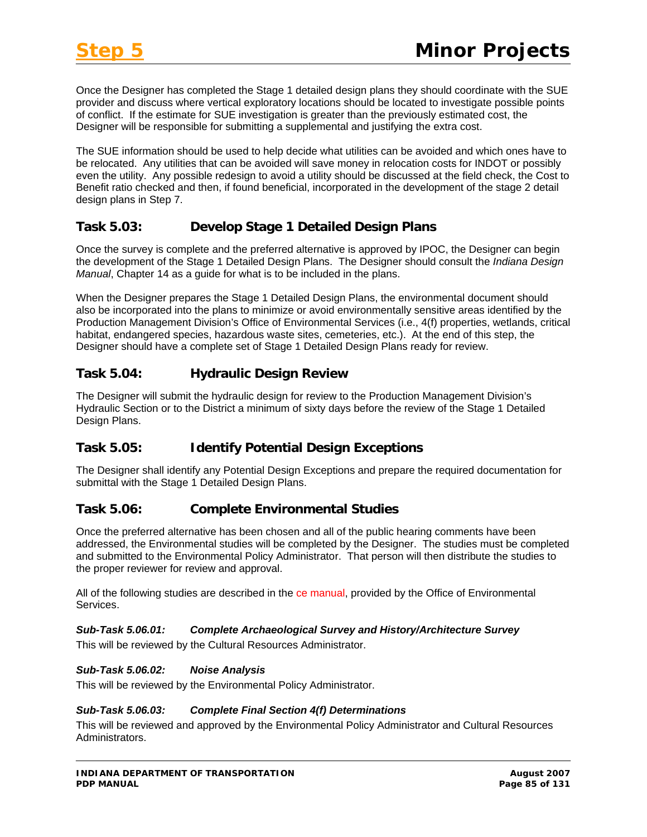Once the Designer has completed the Stage 1 detailed design plans they should coordinate with the SUE provider and discuss where vertical exploratory locations should be located to investigate possible points of conflict. If the estimate for SUE investigation is greater than the previously estimated cost, the Designer will be responsible for submitting a supplemental and justifying the extra cost.

The SUE information should be used to help decide what utilities can be avoided and which ones have to be relocated. Any utilities that can be avoided will save money in relocation costs for INDOT or possibly even the utility. Any possible redesign to avoid a utility should be discussed at the field check, the Cost to Benefit ratio checked and then, if found beneficial, incorporated in the development of the stage 2 detail design plans in Step 7.

# **Task 5.03: Develop Stage 1 Detailed Design Plans**

Once the survey is complete and the preferred alternative is approved by IPOC, the Designer can begin the development of the Stage 1 Detailed Design Plans. The Designer should consult the *Indiana Design Manual*, Chapter 14 as a guide for what is to be included in the plans.

When the Designer prepares the Stage 1 Detailed Design Plans, the environmental document should also be incorporated into the plans to minimize or avoid environmentally sensitive areas identified by the Production Management Division's Office of Environmental Services (i.e., 4(f) properties, wetlands, critical habitat, endangered species, hazardous waste sites, cemeteries, etc.). At the end of this step, the Designer should have a complete set of Stage 1 Detailed Design Plans ready for review.

# **Task 5.04: Hydraulic Design Review**

The Designer will submit the hydraulic design for review to the Production Management Division's Hydraulic Section or to the District a minimum of sixty days before the review of the Stage 1 Detailed Design Plans.

# **Task 5.05: Identify Potential Design Exceptions**

The Designer shall identify any Potential Design Exceptions and prepare the required documentation for submittal with the Stage 1 Detailed Design Plans.

# **Task 5.06: Complete Environmental Studies**

Once the preferred alternative has been chosen and all of the public hearing comments have been addressed, the Environmental studies will be completed by the Designer. The studies must be completed and submitted to the Environmental Policy Administrator. That person will then distribute the studies to the proper reviewer for review and approval.

All of the following studies are described in the ce manual, provided by the Office of Environmental Services.

### *Sub-Task 5.06.01: Complete Archaeological Survey and History/Architecture Survey*

This will be reviewed by the Cultural Resources Administrator.

### *Sub-Task 5.06.02: Noise Analysis*

This will be reviewed by the Environmental Policy Administrator.

### *Sub-Task 5.06.03: Complete Final Section 4(f) Determinations*

This will be reviewed and approved by the Environmental Policy Administrator and Cultural Resources Administrators.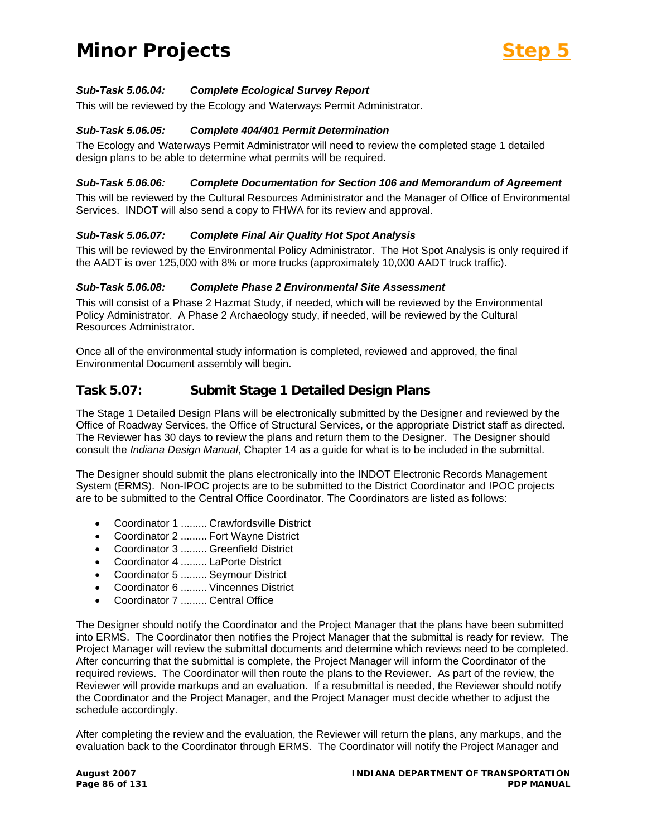### *Sub-Task 5.06.04: Complete Ecological Survey Report*

This will be reviewed by the Ecology and Waterways Permit Administrator.

#### *Sub-Task 5.06.05: Complete 404/401 Permit Determination*

The Ecology and Waterways Permit Administrator will need to review the completed stage 1 detailed design plans to be able to determine what permits will be required.

#### *Sub-Task 5.06.06: Complete Documentation for Section 106 and Memorandum of Agreement*

This will be reviewed by the Cultural Resources Administrator and the Manager of Office of Environmental Services. INDOT will also send a copy to FHWA for its review and approval.

#### *Sub-Task 5.06.07: Complete Final Air Quality Hot Spot Analysis*

This will be reviewed by the Environmental Policy Administrator. The Hot Spot Analysis is only required if the AADT is over 125,000 with 8% or more trucks (approximately 10,000 AADT truck traffic).

#### *Sub-Task 5.06.08: Complete Phase 2 Environmental Site Assessment*

This will consist of a Phase 2 Hazmat Study, if needed, which will be reviewed by the Environmental Policy Administrator. A Phase 2 Archaeology study, if needed, will be reviewed by the Cultural Resources Administrator.

Once all of the environmental study information is completed, reviewed and approved, the final Environmental Document assembly will begin.

### **Task 5.07: Submit Stage 1 Detailed Design Plans**

The Stage 1 Detailed Design Plans will be electronically submitted by the Designer and reviewed by the Office of Roadway Services, the Office of Structural Services, or the appropriate District staff as directed. The Reviewer has 30 days to review the plans and return them to the Designer. The Designer should consult the *Indiana Design Manual*, Chapter 14 as a guide for what is to be included in the submittal.

The Designer should submit the plans electronically into the INDOT Electronic Records Management System (ERMS). Non-IPOC projects are to be submitted to the District Coordinator and IPOC projects are to be submitted to the Central Office Coordinator. The Coordinators are listed as follows:

- Coordinator 1 ......... Crawfordsville District
- Coordinator 2 ......... Fort Wayne District
- Coordinator 3 ......... Greenfield District
- Coordinator 4 ......... LaPorte District
- Coordinator 5 ......... Seymour District
- Coordinator 6 ......... Vincennes District
- Coordinator 7 ......... Central Office

The Designer should notify the Coordinator and the Project Manager that the plans have been submitted into ERMS. The Coordinator then notifies the Project Manager that the submittal is ready for review. The Project Manager will review the submittal documents and determine which reviews need to be completed. After concurring that the submittal is complete, the Project Manager will inform the Coordinator of the required reviews. The Coordinator will then route the plans to the Reviewer. As part of the review, the Reviewer will provide markups and an evaluation. If a resubmittal is needed, the Reviewer should notify the Coordinator and the Project Manager, and the Project Manager must decide whether to adjust the schedule accordingly.

After completing the review and the evaluation, the Reviewer will return the plans, any markups, and the evaluation back to the Coordinator through ERMS. The Coordinator will notify the Project Manager and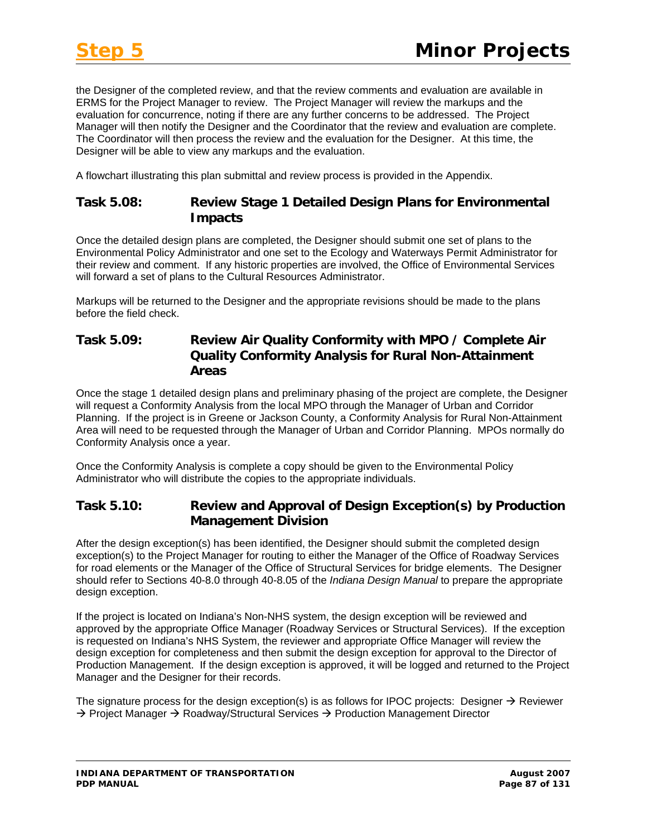the Designer of the completed review, and that the review comments and evaluation are available in ERMS for the Project Manager to review. The Project Manager will review the markups and the evaluation for concurrence, noting if there are any further concerns to be addressed. The Project Manager will then notify the Designer and the Coordinator that the review and evaluation are complete. The Coordinator will then process the review and the evaluation for the Designer. At this time, the Designer will be able to view any markups and the evaluation.

A flowchart illustrating this plan submittal and review process is provided in the Appendix.

### **Task 5.08: Review Stage 1 Detailed Design Plans for Environmental Impacts**

Once the detailed design plans are completed, the Designer should submit one set of plans to the Environmental Policy Administrator and one set to the Ecology and Waterways Permit Administrator for their review and comment. If any historic properties are involved, the Office of Environmental Services will forward a set of plans to the Cultural Resources Administrator.

Markups will be returned to the Designer and the appropriate revisions should be made to the plans before the field check.

## **Task 5.09: Review Air Quality Conformity with MPO / Complete Air Quality Conformity Analysis for Rural Non-Attainment Areas**

Once the stage 1 detailed design plans and preliminary phasing of the project are complete, the Designer will request a Conformity Analysis from the local MPO through the Manager of Urban and Corridor Planning. If the project is in Greene or Jackson County, a Conformity Analysis for Rural Non-Attainment Area will need to be requested through the Manager of Urban and Corridor Planning. MPOs normally do Conformity Analysis once a year.

Once the Conformity Analysis is complete a copy should be given to the Environmental Policy Administrator who will distribute the copies to the appropriate individuals.

## **Task 5.10: Review and Approval of Design Exception(s) by Production Management Division**

After the design exception(s) has been identified, the Designer should submit the completed design exception(s) to the Project Manager for routing to either the Manager of the Office of Roadway Services for road elements or the Manager of the Office of Structural Services for bridge elements. The Designer should refer to Sections 40-8.0 through 40-8.05 of the *Indiana Design Manual* to prepare the appropriate design exception.

If the project is located on Indiana's Non-NHS system, the design exception will be reviewed and approved by the appropriate Office Manager (Roadway Services or Structural Services). If the exception is requested on Indiana's NHS System, the reviewer and appropriate Office Manager will review the design exception for completeness and then submit the design exception for approval to the Director of Production Management. If the design exception is approved, it will be logged and returned to the Project Manager and the Designer for their records.

The signature process for the design exception(s) is as follows for IPOC projects: Designer  $\rightarrow$  Reviewer  $\rightarrow$  Project Manager  $\rightarrow$  Roadway/Structural Services  $\rightarrow$  Production Management Director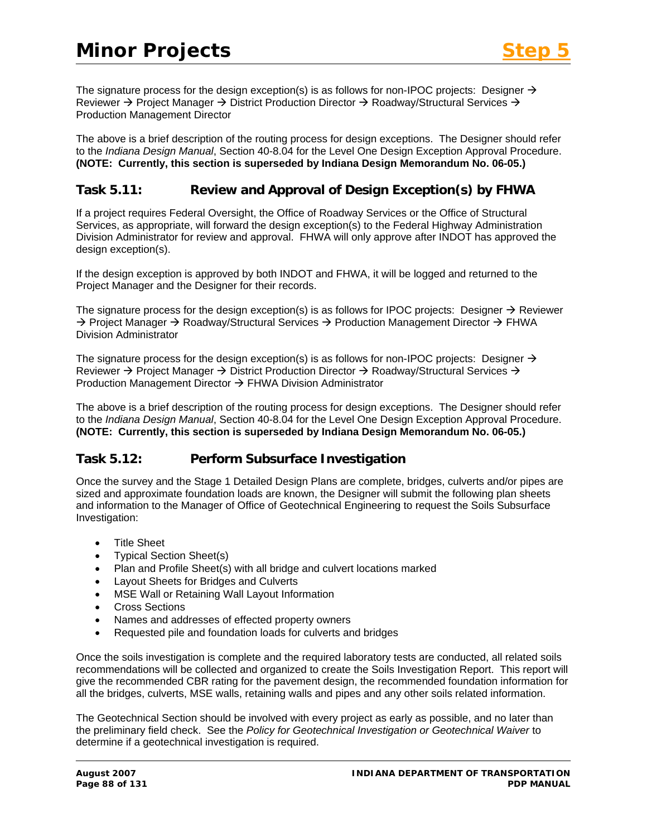The signature process for the design exception(s) is as follows for non-IPOC projects: Designer  $\rightarrow$ Reviewer  $\rightarrow$  Project Manager  $\rightarrow$  District Production Director  $\rightarrow$  Roadway/Structural Services  $\rightarrow$ Production Management Director

The above is a brief description of the routing process for design exceptions. The Designer should refer to the *Indiana Design Manual*, Section 40-8.04 for the Level One Design Exception Approval Procedure. **(NOTE: Currently, this section is superseded by Indiana Design Memorandum No. 06-05.)** 

### **Task 5.11: Review and Approval of Design Exception(s) by FHWA**

If a project requires Federal Oversight, the Office of Roadway Services or the Office of Structural Services, as appropriate, will forward the design exception(s) to the Federal Highway Administration Division Administrator for review and approval. FHWA will only approve after INDOT has approved the design exception(s).

If the design exception is approved by both INDOT and FHWA, it will be logged and returned to the Project Manager and the Designer for their records.

The signature process for the design exception(s) is as follows for IPOC projects: Designer  $\rightarrow$  Reviewer  $\rightarrow$  Project Manager  $\rightarrow$  Roadway/Structural Services  $\rightarrow$  Production Management Director  $\rightarrow$  FHWA Division Administrator

The signature process for the design exception(s) is as follows for non-IPOC projects: Designer  $\rightarrow$ Reviewer  $\rightarrow$  Project Manager  $\rightarrow$  District Production Director  $\rightarrow$  Roadway/Structural Services  $\rightarrow$ Production Management Director  $\rightarrow$  FHWA Division Administrator

The above is a brief description of the routing process for design exceptions. The Designer should refer to the *Indiana Design Manual*, Section 40-8.04 for the Level One Design Exception Approval Procedure. **(NOTE: Currently, this section is superseded by Indiana Design Memorandum No. 06-05.)** 

### **Task 5.12: Perform Subsurface Investigation**

Once the survey and the Stage 1 Detailed Design Plans are complete, bridges, culverts and/or pipes are sized and approximate foundation loads are known, the Designer will submit the following plan sheets and information to the Manager of Office of Geotechnical Engineering to request the Soils Subsurface Investigation:

- Title Sheet
- Typical Section Sheet(s)
- Plan and Profile Sheet(s) with all bridge and culvert locations marked
- Layout Sheets for Bridges and Culverts
- MSE Wall or Retaining Wall Layout Information
- Cross Sections
- Names and addresses of effected property owners
- Requested pile and foundation loads for culverts and bridges

Once the soils investigation is complete and the required laboratory tests are conducted, all related soils recommendations will be collected and organized to create the Soils Investigation Report. This report will give the recommended CBR rating for the pavement design, the recommended foundation information for all the bridges, culverts, MSE walls, retaining walls and pipes and any other soils related information.

The Geotechnical Section should be involved with every project as early as possible, and no later than the preliminary field check. See the *Policy for Geotechnical Investigation or Geotechnical Waiver* to determine if a geotechnical investigation is required.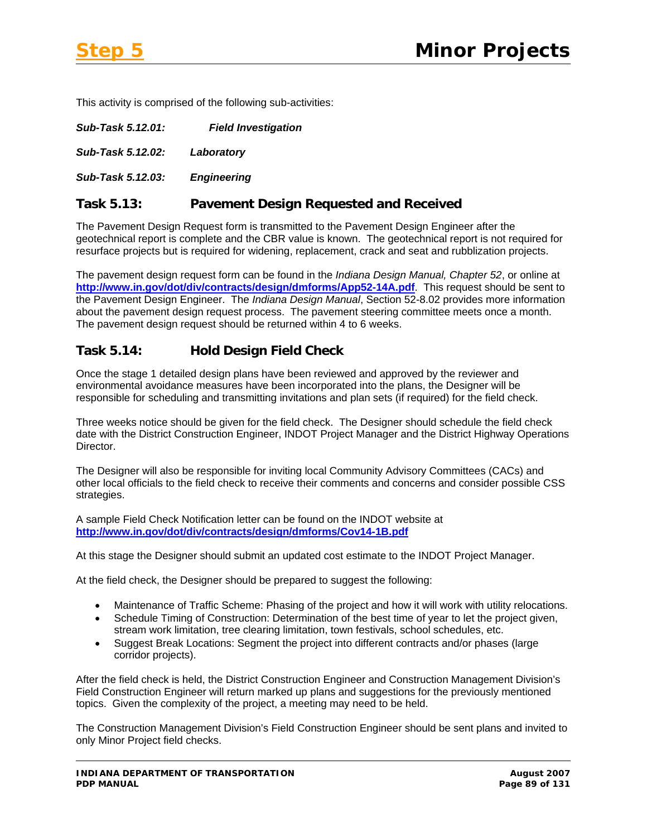This activity is comprised of the following sub-activities:

| Sub-Task 5.12.01: | <b>Field Investigation</b> |
|-------------------|----------------------------|
| Sub-Task 5.12.02: | Laboratory                 |
| Sub-Task 5.12.03: | <b>Engineering</b>         |

### **Task 5.13: Pavement Design Requested and Received**

The Pavement Design Request form is transmitted to the Pavement Design Engineer after the geotechnical report is complete and the CBR value is known. The geotechnical report is not required for resurface projects but is required for widening, replacement, crack and seat and rubblization projects.

The pavement design request form can be found in the *Indiana Design Manual, Chapter 52*, or online at **<http://www.in.gov/dot/div/contracts/design/dmforms/App52-14A.pdf>**. This request should be sent to the Pavement Design Engineer. The *Indiana Design Manual*, Section 52-8.02 provides more information about the pavement design request process. The pavement steering committee meets once a month. The pavement design request should be returned within 4 to 6 weeks.

## **Task 5.14: Hold Design Field Check**

Once the stage 1 detailed design plans have been reviewed and approved by the reviewer and environmental avoidance measures have been incorporated into the plans, the Designer will be responsible for scheduling and transmitting invitations and plan sets (if required) for the field check.

Three weeks notice should be given for the field check. The Designer should schedule the field check date with the District Construction Engineer, INDOT Project Manager and the District Highway Operations Director.

The Designer will also be responsible for inviting local Community Advisory Committees (CACs) and other local officials to the field check to receive their comments and concerns and consider possible CSS strategies.

A sample Field Check Notification letter can be found on the INDOT website at **<http://www.in.gov/dot/div/contracts/design/dmforms/Cov14-1B.pdf>**

At this stage the Designer should submit an updated cost estimate to the INDOT Project Manager.

At the field check, the Designer should be prepared to suggest the following:

- Maintenance of Traffic Scheme: Phasing of the project and how it will work with utility relocations.
- Schedule Timing of Construction: Determination of the best time of year to let the project given, stream work limitation, tree clearing limitation, town festivals, school schedules, etc.
- Suggest Break Locations: Segment the project into different contracts and/or phases (large corridor projects).

After the field check is held, the District Construction Engineer and Construction Management Division's Field Construction Engineer will return marked up plans and suggestions for the previously mentioned topics. Given the complexity of the project, a meeting may need to be held.

The Construction Management Division's Field Construction Engineer should be sent plans and invited to only Minor Project field checks.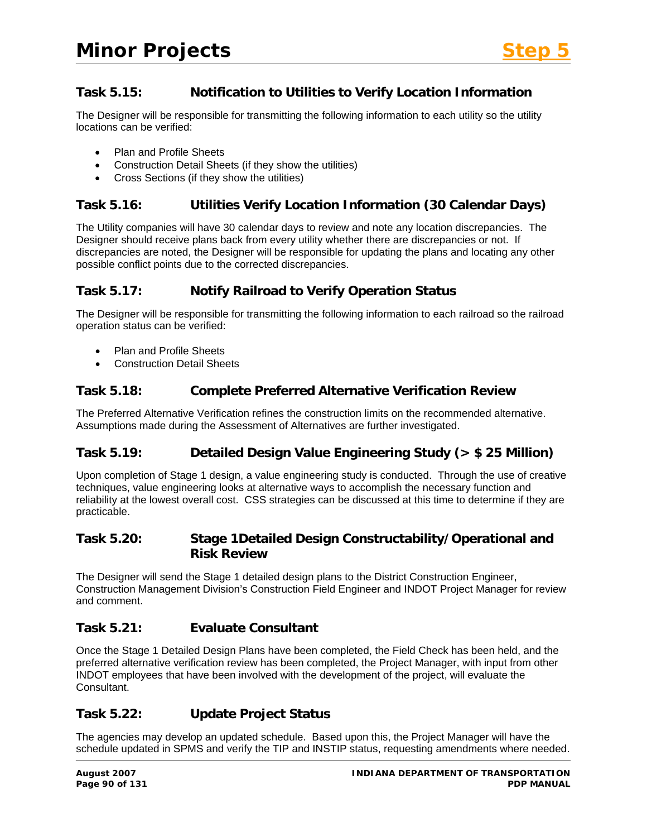## **Task 5.15: Notification to Utilities to Verify Location Information**

The Designer will be responsible for transmitting the following information to each utility so the utility locations can be verified:

- Plan and Profile Sheets
- Construction Detail Sheets (if they show the utilities)
- Cross Sections (if they show the utilities)

## **Task 5.16: Utilities Verify Location Information (30 Calendar Days)**

The Utility companies will have 30 calendar days to review and note any location discrepancies. The Designer should receive plans back from every utility whether there are discrepancies or not. If discrepancies are noted, the Designer will be responsible for updating the plans and locating any other possible conflict points due to the corrected discrepancies.

## **Task 5.17: Notify Railroad to Verify Operation Status**

The Designer will be responsible for transmitting the following information to each railroad so the railroad operation status can be verified:

- Plan and Profile Sheets
- Construction Detail Sheets

## **Task 5.18: Complete Preferred Alternative Verification Review**

The Preferred Alternative Verification refines the construction limits on the recommended alternative. Assumptions made during the Assessment of Alternatives are further investigated.

# **Task 5.19: Detailed Design Value Engineering Study (> \$ 25 Million)**

Upon completion of Stage 1 design, a value engineering study is conducted. Through the use of creative techniques, value engineering looks at alternative ways to accomplish the necessary function and reliability at the lowest overall cost. CSS strategies can be discussed at this time to determine if they are practicable.

## **Task 5.20: Stage 1Detailed Design Constructability/Operational and Risk Review**

The Designer will send the Stage 1 detailed design plans to the District Construction Engineer, Construction Management Division's Construction Field Engineer and INDOT Project Manager for review and comment.

### **Task 5.21: Evaluate Consultant**

Once the Stage 1 Detailed Design Plans have been completed, the Field Check has been held, and the preferred alternative verification review has been completed, the Project Manager, with input from other INDOT employees that have been involved with the development of the project, will evaluate the Consultant.

### **Task 5.22: Update Project Status**

The agencies may develop an updated schedule. Based upon this, the Project Manager will have the schedule updated in SPMS and verify the TIP and INSTIP status, requesting amendments where needed.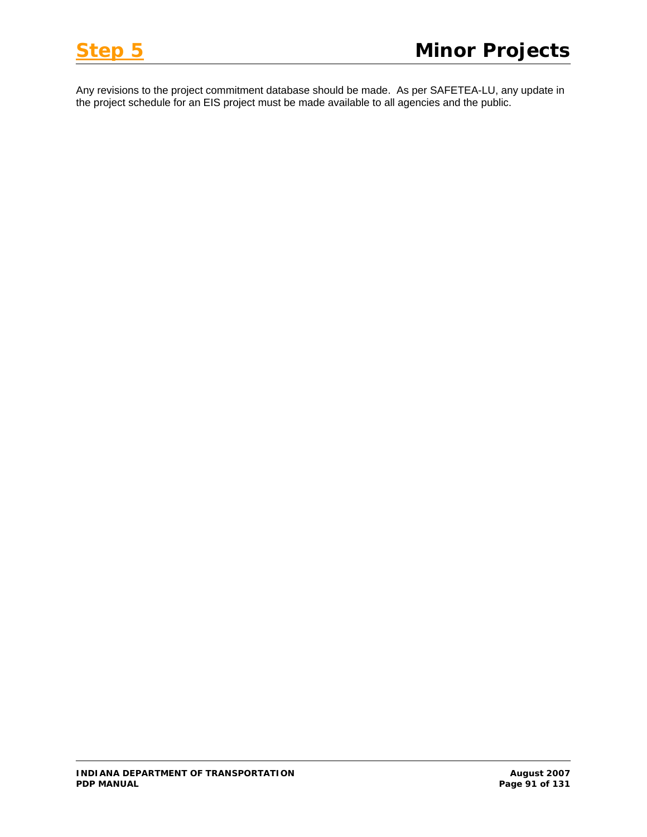Any revisions to the project commitment database should be made. As per SAFETEA-LU, any update in the project schedule for an EIS project must be made available to all agencies and the public.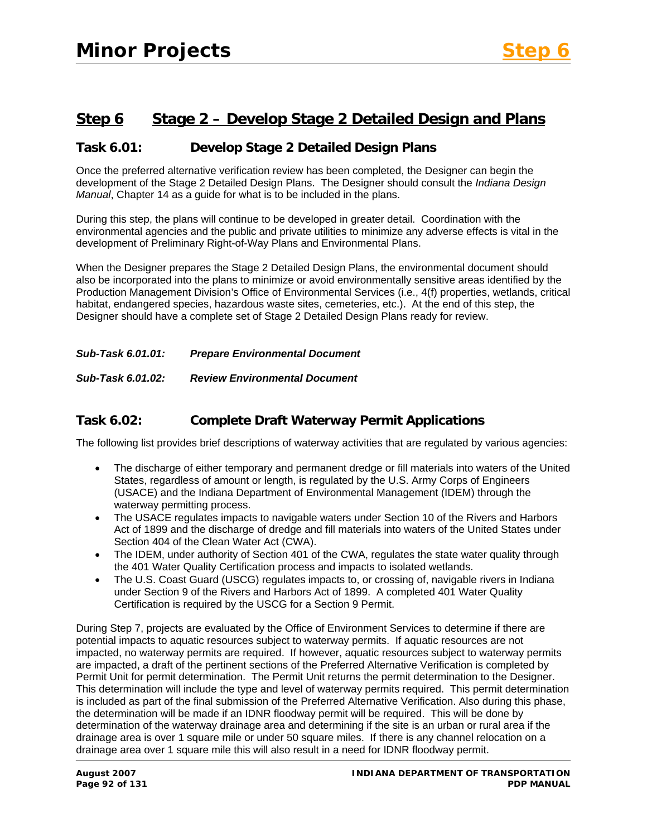# **Step 6 Stage 2 – Develop Stage 2 Detailed Design and Plans**

## **Task 6.01: Develop Stage 2 Detailed Design Plans**

Once the preferred alternative verification review has been completed, the Designer can begin the development of the Stage 2 Detailed Design Plans. The Designer should consult the *Indiana Design Manual*, Chapter 14 as a guide for what is to be included in the plans.

During this step, the plans will continue to be developed in greater detail. Coordination with the environmental agencies and the public and private utilities to minimize any adverse effects is vital in the development of Preliminary Right-of-Way Plans and Environmental Plans.

When the Designer prepares the Stage 2 Detailed Design Plans, the environmental document should also be incorporated into the plans to minimize or avoid environmentally sensitive areas identified by the Production Management Division's Office of Environmental Services (i.e., 4(f) properties, wetlands, critical habitat, endangered species, hazardous waste sites, cemeteries, etc.). At the end of this step, the Designer should have a complete set of Stage 2 Detailed Design Plans ready for review.

*Sub-Task 6.01.01: Prepare Environmental Document* 

*Sub-Task 6.01.02: Review Environmental Document* 

## **Task 6.02: Complete Draft Waterway Permit Applications**

The following list provides brief descriptions of waterway activities that are regulated by various agencies:

- The discharge of either temporary and permanent dredge or fill materials into waters of the United States, regardless of amount or length, is regulated by the U.S. Army Corps of Engineers (USACE) and the Indiana Department of Environmental Management (IDEM) through the waterway permitting process.
- The USACE regulates impacts to navigable waters under Section 10 of the Rivers and Harbors Act of 1899 and the discharge of dredge and fill materials into waters of the United States under Section 404 of the Clean Water Act (CWA).
- The IDEM, under authority of Section 401 of the CWA, regulates the state water quality through the 401 Water Quality Certification process and impacts to isolated wetlands.
- The U.S. Coast Guard (USCG) regulates impacts to, or crossing of, navigable rivers in Indiana under Section 9 of the Rivers and Harbors Act of 1899. A completed 401 Water Quality Certification is required by the USCG for a Section 9 Permit.

During Step 7, projects are evaluated by the Office of Environment Services to determine if there are potential impacts to aquatic resources subject to waterway permits. If aquatic resources are not impacted, no waterway permits are required. If however, aquatic resources subject to waterway permits are impacted, a draft of the pertinent sections of the Preferred Alternative Verification is completed by Permit Unit for permit determination. The Permit Unit returns the permit determination to the Designer. This determination will include the type and level of waterway permits required. This permit determination is included as part of the final submission of the Preferred Alternative Verification. Also during this phase, the determination will be made if an IDNR floodway permit will be required. This will be done by determination of the waterway drainage area and determining if the site is an urban or rural area if the drainage area is over 1 square mile or under 50 square miles. If there is any channel relocation on a drainage area over 1 square mile this will also result in a need for IDNR floodway permit.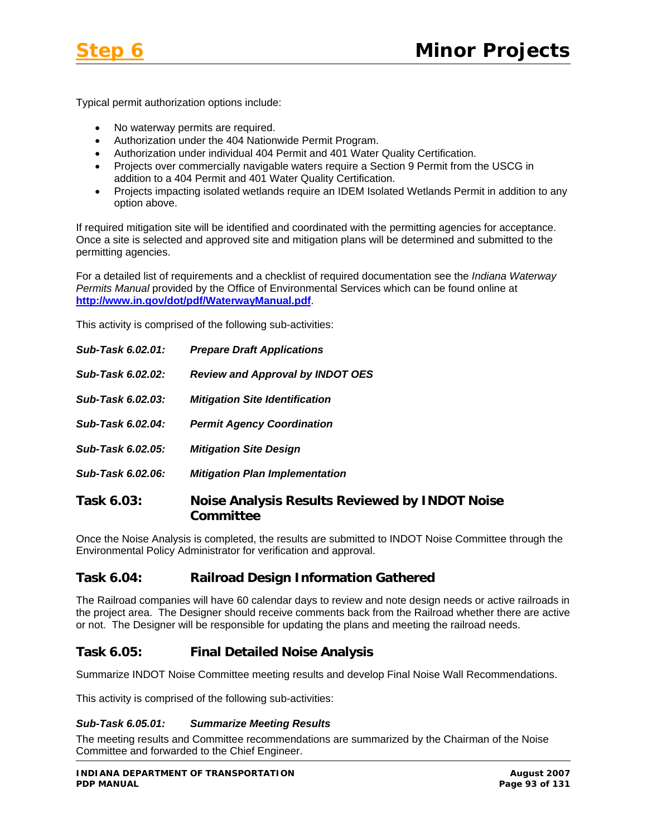

Typical permit authorization options include:

- No waterway permits are required.
- Authorization under the 404 Nationwide Permit Program.
- Authorization under individual 404 Permit and 401 Water Quality Certification.
- Projects over commercially navigable waters require a Section 9 Permit from the USCG in addition to a 404 Permit and 401 Water Quality Certification.
- Projects impacting isolated wetlands require an IDEM Isolated Wetlands Permit in addition to any option above.

If required mitigation site will be identified and coordinated with the permitting agencies for acceptance. Once a site is selected and approved site and mitigation plans will be determined and submitted to the permitting agencies.

For a detailed list of requirements and a checklist of required documentation see the *Indiana Waterway Permits Manual* provided by the Office of Environmental Services which can be found online at **<http://www.in.gov/dot/pdf/WaterwayManual.pdf>**.

This activity is comprised of the following sub-activities:

| Sub-Task 6.02.01: | <b>Prepare Draft Applications</b>                                  |
|-------------------|--------------------------------------------------------------------|
| Sub-Task 6.02.02: | <b>Review and Approval by INDOT OES</b>                            |
| Sub-Task 6.02.03: | <b>Mitigation Site Identification</b>                              |
| Sub-Task 6.02.04: | <b>Permit Agency Coordination</b>                                  |
| Sub-Task 6.02.05: | <b>Mitigation Site Design</b>                                      |
| Sub-Task 6.02.06: | <b>Mitigation Plan Implementation</b>                              |
| Task 6.03:        | <b>Noise Analysis Results Reviewed by INDOT Noise</b><br>Committee |

Once the Noise Analysis is completed, the results are submitted to INDOT Noise Committee through the Environmental Policy Administrator for verification and approval.

# **Task 6.04: Railroad Design Information Gathered**

The Railroad companies will have 60 calendar days to review and note design needs or active railroads in the project area. The Designer should receive comments back from the Railroad whether there are active or not. The Designer will be responsible for updating the plans and meeting the railroad needs.

# **Task 6.05: Final Detailed Noise Analysis**

Summarize INDOT Noise Committee meeting results and develop Final Noise Wall Recommendations.

This activity is comprised of the following sub-activities:

#### *Sub-Task 6.05.01: Summarize Meeting Results*

The meeting results and Committee recommendations are summarized by the Chairman of the Noise Committee and forwarded to the Chief Engineer.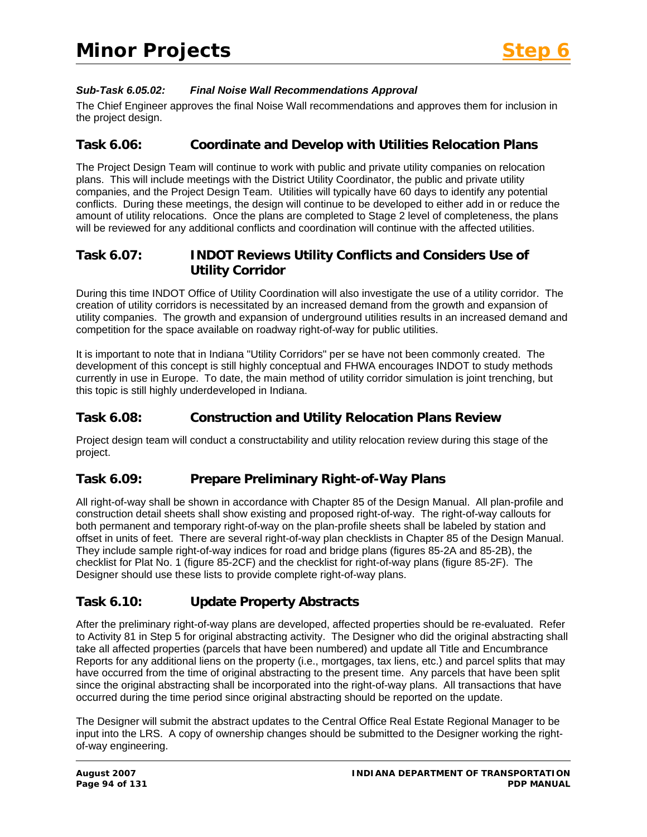

### *Sub-Task 6.05.02: Final Noise Wall Recommendations Approval*

The Chief Engineer approves the final Noise Wall recommendations and approves them for inclusion in the project design.

## **Task 6.06: Coordinate and Develop with Utilities Relocation Plans**

The Project Design Team will continue to work with public and private utility companies on relocation plans. This will include meetings with the District Utility Coordinator, the public and private utility companies, and the Project Design Team. Utilities will typically have 60 days to identify any potential conflicts. During these meetings, the design will continue to be developed to either add in or reduce the amount of utility relocations. Once the plans are completed to Stage 2 level of completeness, the plans will be reviewed for any additional conflicts and coordination will continue with the affected utilities.

## **Task 6.07: INDOT Reviews Utility Conflicts and Considers Use of Utility Corridor**

During this time INDOT Office of Utility Coordination will also investigate the use of a utility corridor. The creation of utility corridors is necessitated by an increased demand from the growth and expansion of utility companies. The growth and expansion of underground utilities results in an increased demand and competition for the space available on roadway right-of-way for public utilities.

It is important to note that in Indiana "Utility Corridors" per se have not been commonly created. The development of this concept is still highly conceptual and FHWA encourages INDOT to study methods currently in use in Europe. To date, the main method of utility corridor simulation is joint trenching, but this topic is still highly underdeveloped in Indiana.

# **Task 6.08: Construction and Utility Relocation Plans Review**

Project design team will conduct a constructability and utility relocation review during this stage of the project.

# **Task 6.09: Prepare Preliminary Right-of-Way Plans**

All right-of-way shall be shown in accordance with Chapter 85 of the Design Manual. All plan-profile and construction detail sheets shall show existing and proposed right-of-way. The right-of-way callouts for both permanent and temporary right-of-way on the plan-profile sheets shall be labeled by station and offset in units of feet. There are several right-of-way plan checklists in Chapter 85 of the Design Manual. They include sample right-of-way indices for road and bridge plans (figures 85-2A and 85-2B), the checklist for Plat No. 1 (figure 85-2CF) and the checklist for right-of-way plans (figure 85-2F). The Designer should use these lists to provide complete right-of-way plans.

# **Task 6.10: Update Property Abstracts**

After the preliminary right-of-way plans are developed, affected properties should be re-evaluated. Refer to Activity 81 in Step 5 for original abstracting activity. The Designer who did the original abstracting shall take all affected properties (parcels that have been numbered) and update all Title and Encumbrance Reports for any additional liens on the property (i.e., mortgages, tax liens, etc.) and parcel splits that may have occurred from the time of original abstracting to the present time. Any parcels that have been split since the original abstracting shall be incorporated into the right-of-way plans. All transactions that have occurred during the time period since original abstracting should be reported on the update.

The Designer will submit the abstract updates to the Central Office Real Estate Regional Manager to be input into the LRS. A copy of ownership changes should be submitted to the Designer working the rightof-way engineering.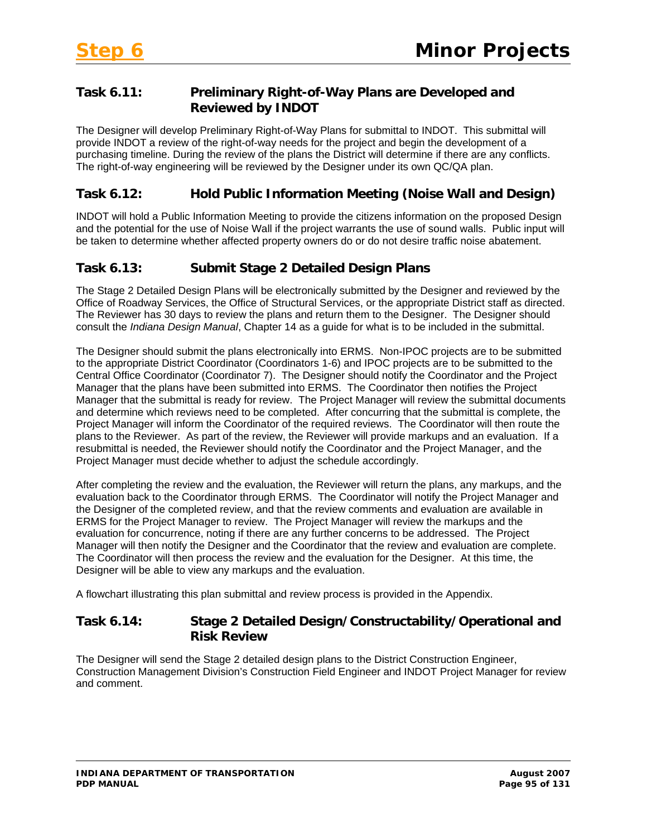# **Task 6.11: Preliminary Right-of-Way Plans are Developed and Reviewed by INDOT**

The Designer will develop Preliminary Right-of-Way Plans for submittal to INDOT. This submittal will provide INDOT a review of the right-of-way needs for the project and begin the development of a purchasing timeline. During the review of the plans the District will determine if there are any conflicts. The right-of-way engineering will be reviewed by the Designer under its own QC/QA plan.

# **Task 6.12: Hold Public Information Meeting (Noise Wall and Design)**

INDOT will hold a Public Information Meeting to provide the citizens information on the proposed Design and the potential for the use of Noise Wall if the project warrants the use of sound walls. Public input will be taken to determine whether affected property owners do or do not desire traffic noise abatement.

# **Task 6.13: Submit Stage 2 Detailed Design Plans**

The Stage 2 Detailed Design Plans will be electronically submitted by the Designer and reviewed by the Office of Roadway Services, the Office of Structural Services, or the appropriate District staff as directed. The Reviewer has 30 days to review the plans and return them to the Designer. The Designer should consult the *Indiana Design Manual*, Chapter 14 as a guide for what is to be included in the submittal.

The Designer should submit the plans electronically into ERMS. Non-IPOC projects are to be submitted to the appropriate District Coordinator (Coordinators 1-6) and IPOC projects are to be submitted to the Central Office Coordinator (Coordinator 7). The Designer should notify the Coordinator and the Project Manager that the plans have been submitted into ERMS. The Coordinator then notifies the Project Manager that the submittal is ready for review. The Project Manager will review the submittal documents and determine which reviews need to be completed. After concurring that the submittal is complete, the Project Manager will inform the Coordinator of the required reviews. The Coordinator will then route the plans to the Reviewer. As part of the review, the Reviewer will provide markups and an evaluation. If a resubmittal is needed, the Reviewer should notify the Coordinator and the Project Manager, and the Project Manager must decide whether to adjust the schedule accordingly.

After completing the review and the evaluation, the Reviewer will return the plans, any markups, and the evaluation back to the Coordinator through ERMS. The Coordinator will notify the Project Manager and the Designer of the completed review, and that the review comments and evaluation are available in ERMS for the Project Manager to review. The Project Manager will review the markups and the evaluation for concurrence, noting if there are any further concerns to be addressed. The Project Manager will then notify the Designer and the Coordinator that the review and evaluation are complete. The Coordinator will then process the review and the evaluation for the Designer. At this time, the Designer will be able to view any markups and the evaluation.

A flowchart illustrating this plan submittal and review process is provided in the Appendix.

## **Task 6.14: Stage 2 Detailed Design/Constructability/Operational and Risk Review**

The Designer will send the Stage 2 detailed design plans to the District Construction Engineer, Construction Management Division's Construction Field Engineer and INDOT Project Manager for review and comment.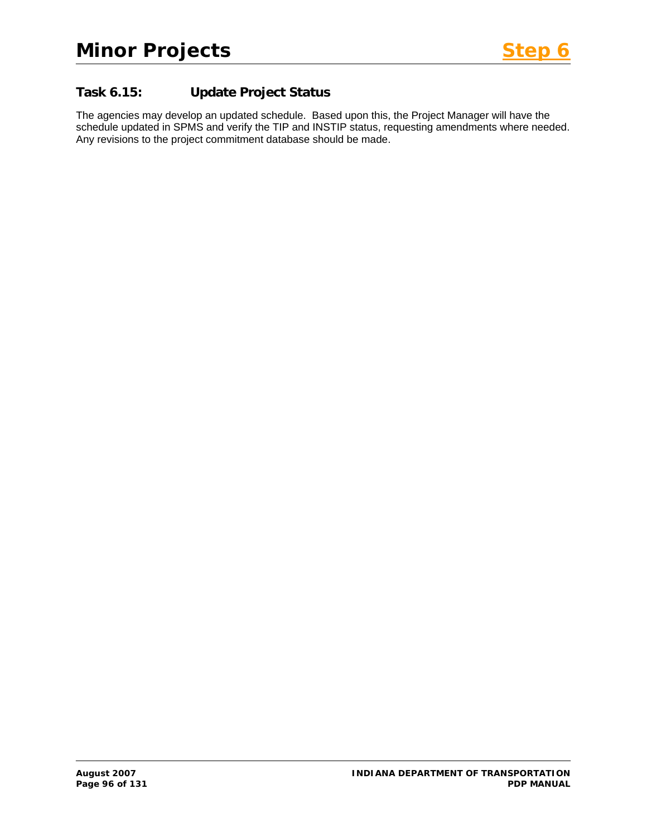

# **Task 6.15: Update Project Status**

The agencies may develop an updated schedule. Based upon this, the Project Manager will have the schedule updated in SPMS and verify the TIP and INSTIP status, requesting amendments where needed. Any revisions to the project commitment database should be made.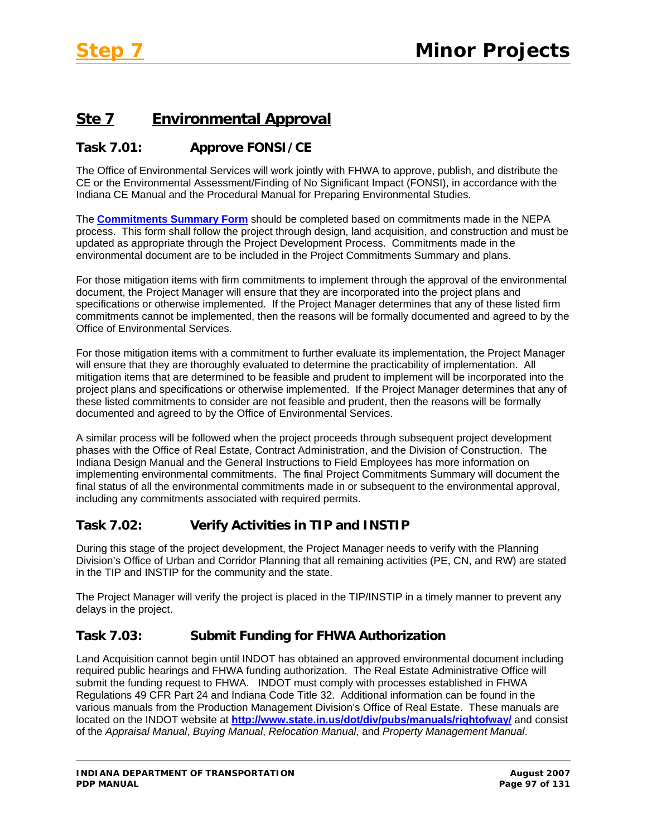# **Ste 7 Environmental Approval**

# **Task 7.01: Approve FONSI/CE**

The Office of Environmental Services will work jointly with FHWA to approve, publish, and distribute the CE or the Environmental Assessment/Finding of No Significant Impact (FONSI), in accordance with the Indiana CE Manual and the Procedural Manual for Preparing Environmental Studies.

The **Commitments Summary Form** should be completed based on commitments made in the NEPA process. This form shall follow the project through design, land acquisition, and construction and must be updated as appropriate through the Project Development Process. Commitments made in the environmental document are to be included in the Project Commitments Summary and plans.

For those mitigation items with firm commitments to implement through the approval of the environmental document, the Project Manager will ensure that they are incorporated into the project plans and specifications or otherwise implemented. If the Project Manager determines that any of these listed firm commitments cannot be implemented, then the reasons will be formally documented and agreed to by the Office of Environmental Services.

For those mitigation items with a commitment to further evaluate its implementation, the Project Manager will ensure that they are thoroughly evaluated to determine the practicability of implementation. All mitigation items that are determined to be feasible and prudent to implement will be incorporated into the project plans and specifications or otherwise implemented. If the Project Manager determines that any of these listed commitments to consider are not feasible and prudent, then the reasons will be formally documented and agreed to by the Office of Environmental Services.

A similar process will be followed when the project proceeds through subsequent project development phases with the Office of Real Estate, Contract Administration, and the Division of Construction. The Indiana Design Manual and the General Instructions to Field Employees has more information on implementing environmental commitments. The final Project Commitments Summary will document the final status of all the environmental commitments made in or subsequent to the environmental approval, including any commitments associated with required permits.

# **Task 7.02: Verify Activities in TIP and INSTIP**

During this stage of the project development, the Project Manager needs to verify with the Planning Division's Office of Urban and Corridor Planning that all remaining activities (PE, CN, and RW) are stated in the TIP and INSTIP for the community and the state.

The Project Manager will verify the project is placed in the TIP/INSTIP in a timely manner to prevent any delays in the project.

# **Task 7.03: Submit Funding for FHWA Authorization**

Land Acquisition cannot begin until INDOT has obtained an approved environmental document including required public hearings and FHWA funding authorization. The Real Estate Administrative Office will submit the funding request to FHWA. INDOT must comply with processes established in FHWA Regulations 49 CFR Part 24 and Indiana Code Title 32. Additional information can be found in the various manuals from the Production Management Division's Office of Real Estate. These manuals are located on the INDOT website at **<http://www.state.in.us/dot/div/pubs/manuals/rightofway/>** and consist of the *Appraisal Manual*, *Buying Manual*, *Relocation Manual*, and *Property Management Manual*.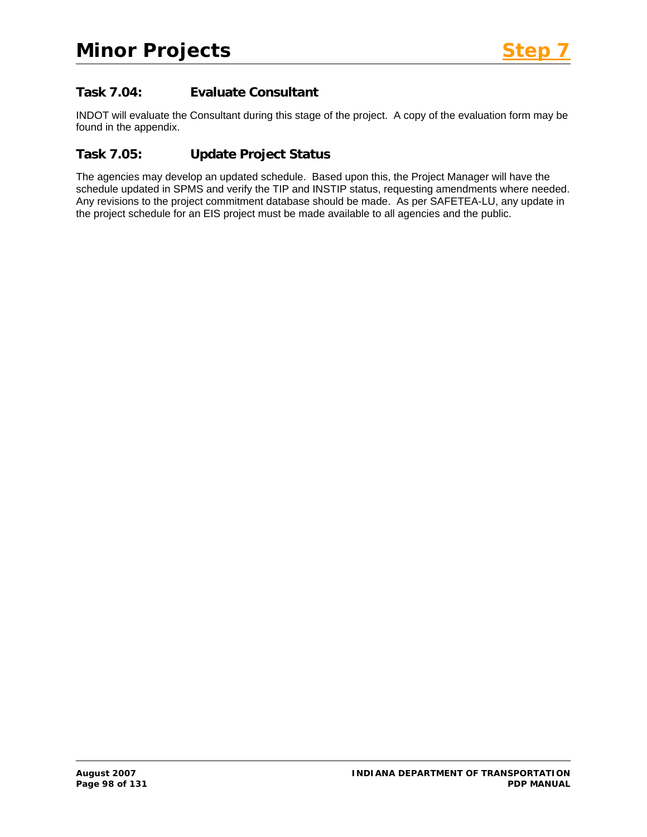# **Task 7.04: Evaluate Consultant**

INDOT will evaluate the Consultant during this stage of the project. A copy of the evaluation form may be found in the appendix.

# **Task 7.05: Update Project Status**

The agencies may develop an updated schedule. Based upon this, the Project Manager will have the schedule updated in SPMS and verify the TIP and INSTIP status, requesting amendments where needed. Any revisions to the project commitment database should be made. As per SAFETEA-LU, any update in the project schedule for an EIS project must be made available to all agencies and the public.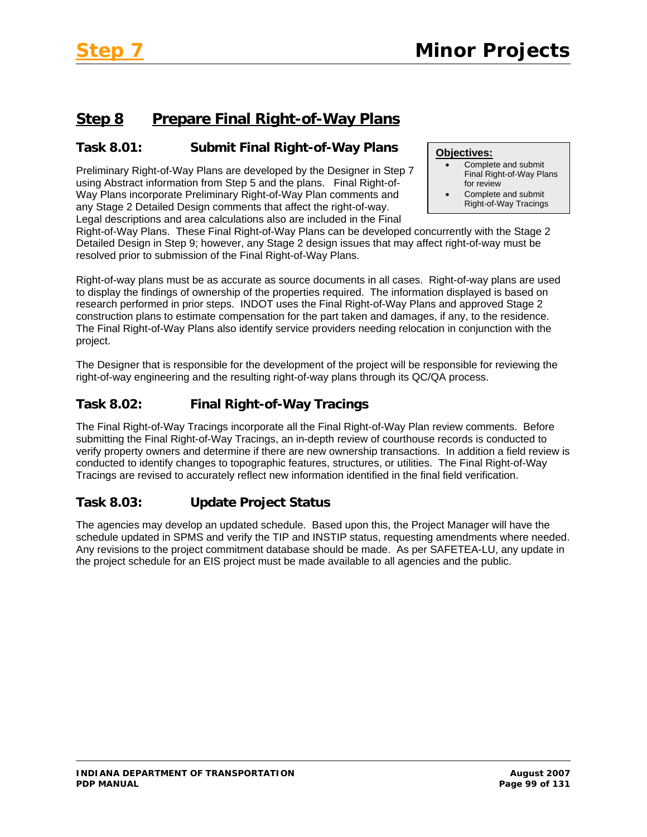# **Step 8 Prepare Final Right-of-Way Plans**

# **Task 8.01: Submit Final Right-of-Way Plans**

Preliminary Right-of-Way Plans are developed by the Designer in Step 7 using Abstract information from Step 5 and the plans. Final Right-of-Way Plans incorporate Preliminary Right-of-Way Plan comments and any Stage 2 Detailed Design comments that affect the right-of-way. Legal descriptions and area calculations also are included in the Final

#### **Objectives:**

- Complete and submit Final Right-of-Way Plans for review
- Complete and submit Right-of-Way Tracings

Right-of-Way Plans. These Final Right-of-Way Plans can be developed concurrently with the Stage 2 Detailed Design in Step 9; however, any Stage 2 design issues that may affect right-of-way must be resolved prior to submission of the Final Right-of-Way Plans.

Right-of-way plans must be as accurate as source documents in all cases. Right-of-way plans are used to display the findings of ownership of the properties required. The information displayed is based on research performed in prior steps. INDOT uses the Final Right-of-Way Plans and approved Stage 2 construction plans to estimate compensation for the part taken and damages, if any, to the residence. The Final Right-of-Way Plans also identify service providers needing relocation in conjunction with the project.

The Designer that is responsible for the development of the project will be responsible for reviewing the right-of-way engineering and the resulting right-of-way plans through its QC/QA process.

# **Task 8.02: Final Right-of-Way Tracings**

The Final Right-of-Way Tracings incorporate all the Final Right-of-Way Plan review comments. Before submitting the Final Right-of-Way Tracings, an in-depth review of courthouse records is conducted to verify property owners and determine if there are new ownership transactions. In addition a field review is conducted to identify changes to topographic features, structures, or utilities. The Final Right-of-Way Tracings are revised to accurately reflect new information identified in the final field verification.

# **Task 8.03: Update Project Status**

The agencies may develop an updated schedule. Based upon this, the Project Manager will have the schedule updated in SPMS and verify the TIP and INSTIP status, requesting amendments where needed. Any revisions to the project commitment database should be made. As per SAFETEA-LU, any update in the project schedule for an EIS project must be made available to all agencies and the public.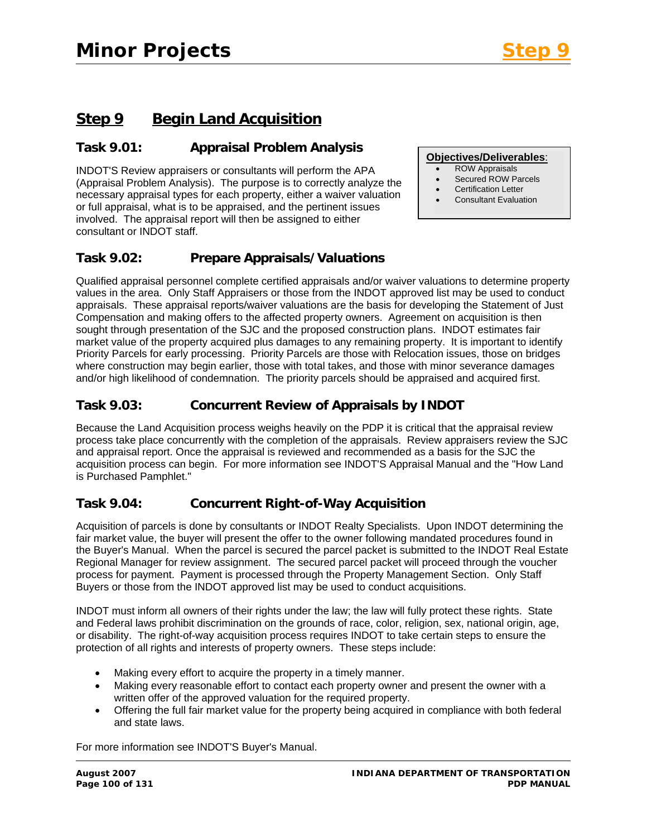**Objectives/Deliverables**: • ROW Appraisals • Secured ROW Parcels • Certification Letter • Consultant Evaluation

# **Step 9 Begin Land Acquisition**

## **Task 9.01: Appraisal Problem Analysis**

INDOT'S Review appraisers or consultants will perform the APA (Appraisal Problem Analysis). The purpose is to correctly analyze the necessary appraisal types for each property, either a waiver valuation or full appraisal, what is to be appraised, and the pertinent issues involved. The appraisal report will then be assigned to either consultant or INDOT staff.

## **Task 9.02: Prepare Appraisals/Valuations**

Qualified appraisal personnel complete certified appraisals and/or waiver valuations to determine property values in the area. Only Staff Appraisers or those from the INDOT approved list may be used to conduct appraisals. These appraisal reports/waiver valuations are the basis for developing the Statement of Just Compensation and making offers to the affected property owners. Agreement on acquisition is then sought through presentation of the SJC and the proposed construction plans. INDOT estimates fair market value of the property acquired plus damages to any remaining property. It is important to identify Priority Parcels for early processing. Priority Parcels are those with Relocation issues, those on bridges where construction may begin earlier, those with total takes, and those with minor severance damages and/or high likelihood of condemnation. The priority parcels should be appraised and acquired first.

# **Task 9.03: Concurrent Review of Appraisals by INDOT**

Because the Land Acquisition process weighs heavily on the PDP it is critical that the appraisal review process take place concurrently with the completion of the appraisals. Review appraisers review the SJC and appraisal report. Once the appraisal is reviewed and recommended as a basis for the SJC the acquisition process can begin. For more information see INDOT'S Appraisal Manual and the "How Land is Purchased Pamphlet."

### **Task 9.04: Concurrent Right-of-Way Acquisition**

Acquisition of parcels is done by consultants or INDOT Realty Specialists. Upon INDOT determining the fair market value, the buyer will present the offer to the owner following mandated procedures found in the Buyer's Manual. When the parcel is secured the parcel packet is submitted to the INDOT Real Estate Regional Manager for review assignment. The secured parcel packet will proceed through the voucher process for payment. Payment is processed through the Property Management Section. Only Staff Buyers or those from the INDOT approved list may be used to conduct acquisitions.

INDOT must inform all owners of their rights under the law; the law will fully protect these rights. State and Federal laws prohibit discrimination on the grounds of race, color, religion, sex, national origin, age, or disability. The right-of-way acquisition process requires INDOT to take certain steps to ensure the protection of all rights and interests of property owners. These steps include:

- Making every effort to acquire the property in a timely manner.
- Making every reasonable effort to contact each property owner and present the owner with a written offer of the approved valuation for the required property.
- Offering the full fair market value for the property being acquired in compliance with both federal and state laws.

For more information see INDOT'S Buyer's Manual.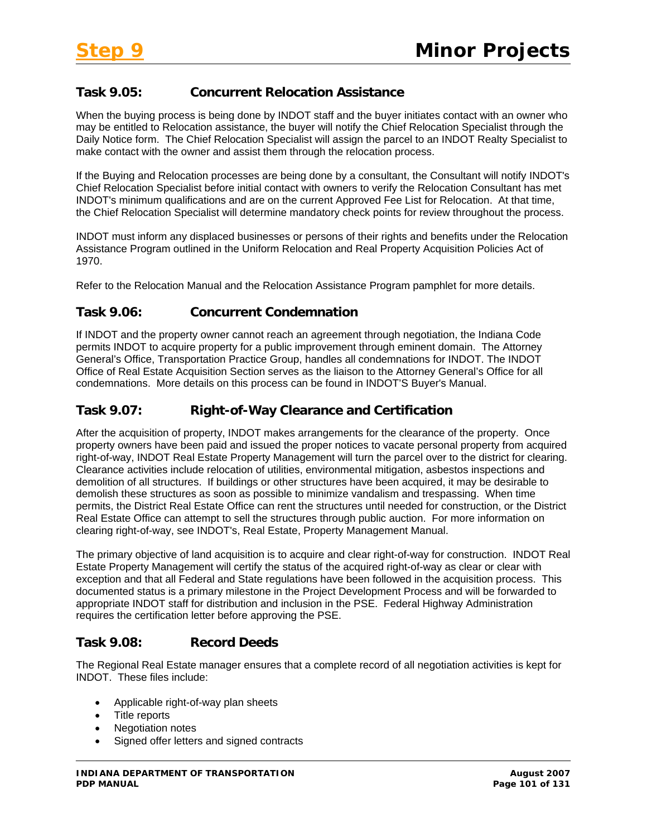# **Task 9.05: Concurrent Relocation Assistance**

When the buying process is being done by INDOT staff and the buyer initiates contact with an owner who may be entitled to Relocation assistance, the buyer will notify the Chief Relocation Specialist through the Daily Notice form. The Chief Relocation Specialist will assign the parcel to an INDOT Realty Specialist to make contact with the owner and assist them through the relocation process.

If the Buying and Relocation processes are being done by a consultant, the Consultant will notify INDOT's Chief Relocation Specialist before initial contact with owners to verify the Relocation Consultant has met INDOT's minimum qualifications and are on the current Approved Fee List for Relocation. At that time, the Chief Relocation Specialist will determine mandatory check points for review throughout the process.

INDOT must inform any displaced businesses or persons of their rights and benefits under the Relocation Assistance Program outlined in the Uniform Relocation and Real Property Acquisition Policies Act of 1970.

Refer to the Relocation Manual and the Relocation Assistance Program pamphlet for more details.

# **Task 9.06: Concurrent Condemnation**

If INDOT and the property owner cannot reach an agreement through negotiation, the Indiana Code permits INDOT to acquire property for a public improvement through eminent domain. The Attorney General's Office, Transportation Practice Group, handles all condemnations for INDOT. The INDOT Office of Real Estate Acquisition Section serves as the liaison to the Attorney General's Office for all condemnations. More details on this process can be found in INDOT'S Buyer's Manual.

## **Task 9.07: Right-of-Way Clearance and Certification**

After the acquisition of property, INDOT makes arrangements for the clearance of the property. Once property owners have been paid and issued the proper notices to vacate personal property from acquired right-of-way, INDOT Real Estate Property Management will turn the parcel over to the district for clearing. Clearance activities include relocation of utilities, environmental mitigation, asbestos inspections and demolition of all structures. If buildings or other structures have been acquired, it may be desirable to demolish these structures as soon as possible to minimize vandalism and trespassing. When time permits, the District Real Estate Office can rent the structures until needed for construction, or the District Real Estate Office can attempt to sell the structures through public auction. For more information on clearing right-of-way, see INDOT's, Real Estate, Property Management Manual.

The primary objective of land acquisition is to acquire and clear right-of-way for construction. INDOT Real Estate Property Management will certify the status of the acquired right-of-way as clear or clear with exception and that all Federal and State regulations have been followed in the acquisition process. This documented status is a primary milestone in the Project Development Process and will be forwarded to appropriate INDOT staff for distribution and inclusion in the PSE. Federal Highway Administration requires the certification letter before approving the PSE.

### **Task 9.08: Record Deeds**

The Regional Real Estate manager ensures that a complete record of all negotiation activities is kept for INDOT. These files include:

- Applicable right-of-way plan sheets
- Title reports
- Negotiation notes
- Signed offer letters and signed contracts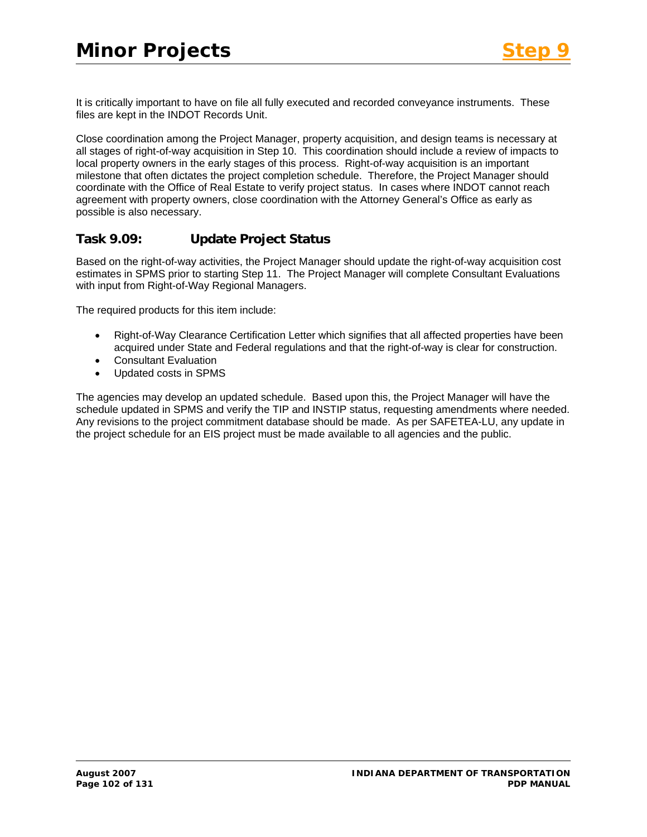It is critically important to have on file all fully executed and recorded conveyance instruments. These files are kept in the INDOT Records Unit.

Close coordination among the Project Manager, property acquisition, and design teams is necessary at all stages of right-of-way acquisition in Step 10. This coordination should include a review of impacts to local property owners in the early stages of this process. Right-of-way acquisition is an important milestone that often dictates the project completion schedule. Therefore, the Project Manager should coordinate with the Office of Real Estate to verify project status. In cases where INDOT cannot reach agreement with property owners, close coordination with the Attorney General's Office as early as possible is also necessary.

# **Task 9.09: Update Project Status**

Based on the right-of-way activities, the Project Manager should update the right-of-way acquisition cost estimates in SPMS prior to starting Step 11. The Project Manager will complete Consultant Evaluations with input from Right-of-Way Regional Managers.

The required products for this item include:

- Right-of-Way Clearance Certification Letter which signifies that all affected properties have been acquired under State and Federal regulations and that the right-of-way is clear for construction.
- Consultant Evaluation
- Updated costs in SPMS

The agencies may develop an updated schedule. Based upon this, the Project Manager will have the schedule updated in SPMS and verify the TIP and INSTIP status, requesting amendments where needed. Any revisions to the project commitment database should be made. As per SAFETEA-LU, any update in the project schedule for an EIS project must be made available to all agencies and the public.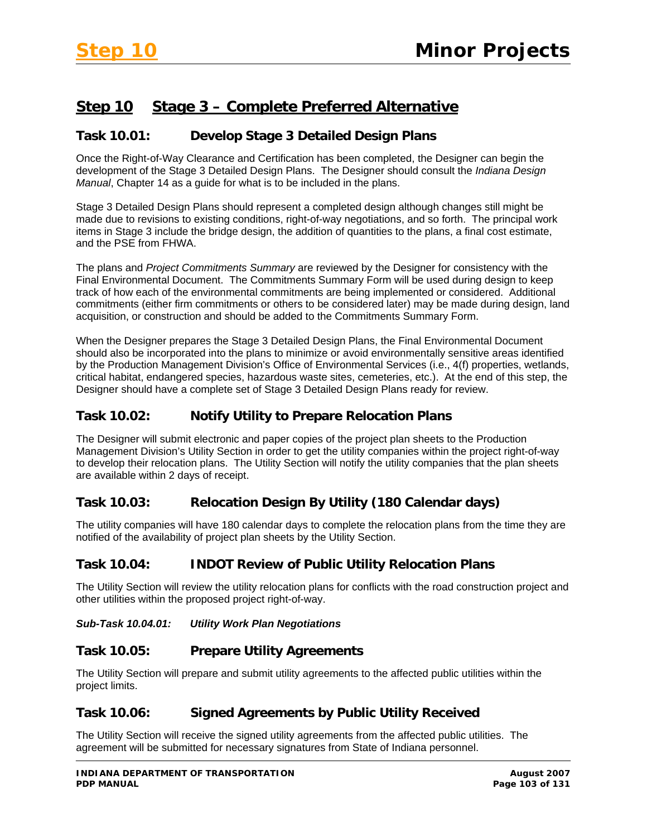# **Step 10 Stage 3 – Complete Preferred Alternative**

## **Task 10.01: Develop Stage 3 Detailed Design Plans**

Once the Right-of-Way Clearance and Certification has been completed, the Designer can begin the development of the Stage 3 Detailed Design Plans. The Designer should consult the *Indiana Design Manual*, Chapter 14 as a guide for what is to be included in the plans.

Stage 3 Detailed Design Plans should represent a completed design although changes still might be made due to revisions to existing conditions, right-of-way negotiations, and so forth. The principal work items in Stage 3 include the bridge design, the addition of quantities to the plans, a final cost estimate, and the PSE from FHWA.

The plans and *Project Commitments Summary* are reviewed by the Designer for consistency with the Final Environmental Document. The Commitments Summary Form will be used during design to keep track of how each of the environmental commitments are being implemented or considered. Additional commitments (either firm commitments or others to be considered later) may be made during design, land acquisition, or construction and should be added to the Commitments Summary Form.

When the Designer prepares the Stage 3 Detailed Design Plans, the Final Environmental Document should also be incorporated into the plans to minimize or avoid environmentally sensitive areas identified by the Production Management Division's Office of Environmental Services (i.e., 4(f) properties, wetlands, critical habitat, endangered species, hazardous waste sites, cemeteries, etc.). At the end of this step, the Designer should have a complete set of Stage 3 Detailed Design Plans ready for review.

## **Task 10.02: Notify Utility to Prepare Relocation Plans**

The Designer will submit electronic and paper copies of the project plan sheets to the Production Management Division's Utility Section in order to get the utility companies within the project right-of-way to develop their relocation plans. The Utility Section will notify the utility companies that the plan sheets are available within 2 days of receipt.

# **Task 10.03: Relocation Design By Utility (180 Calendar days)**

The utility companies will have 180 calendar days to complete the relocation plans from the time they are notified of the availability of project plan sheets by the Utility Section.

### **Task 10.04: INDOT Review of Public Utility Relocation Plans**

The Utility Section will review the utility relocation plans for conflicts with the road construction project and other utilities within the proposed project right-of-way.

### *Sub-Task 10.04.01: Utility Work Plan Negotiations*

### **Task 10.05: Prepare Utility Agreements**

The Utility Section will prepare and submit utility agreements to the affected public utilities within the project limits.

### **Task 10.06: Signed Agreements by Public Utility Received**

The Utility Section will receive the signed utility agreements from the affected public utilities. The agreement will be submitted for necessary signatures from State of Indiana personnel.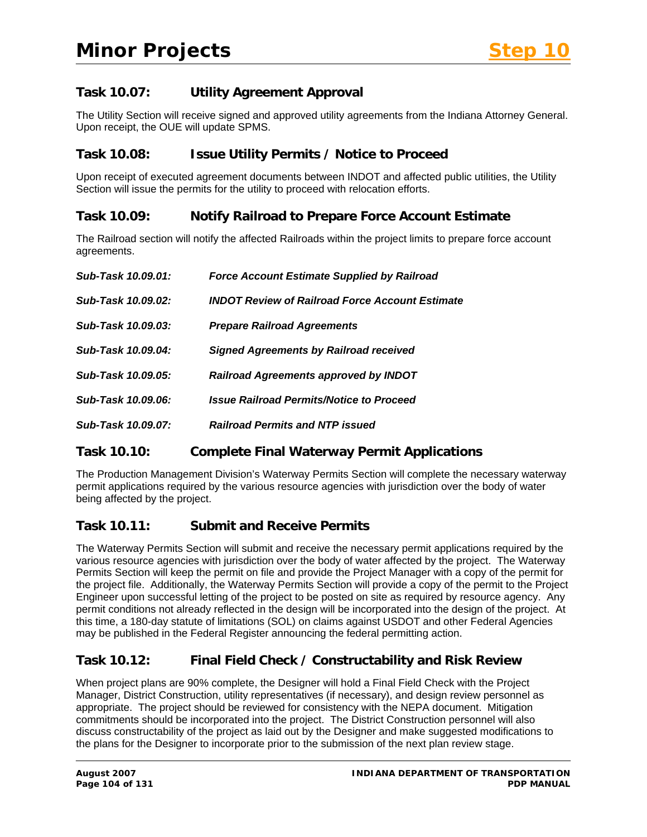# **Task 10.07: Utility Agreement Approval**

The Utility Section will receive signed and approved utility agreements from the Indiana Attorney General. Upon receipt, the OUE will update SPMS.

### **Task 10.08: Issue Utility Permits / Notice to Proceed**

Upon receipt of executed agreement documents between INDOT and affected public utilities, the Utility Section will issue the permits for the utility to proceed with relocation efforts.

### **Task 10.09: Notify Railroad to Prepare Force Account Estimate**

The Railroad section will notify the affected Railroads within the project limits to prepare force account agreements.

| Sub-Task 10.09.01: | <b>Force Account Estimate Supplied by Railroad</b>     |
|--------------------|--------------------------------------------------------|
| Sub-Task 10.09.02: | <b>INDOT Review of Railroad Force Account Estimate</b> |
| Sub-Task 10.09.03: | <b>Prepare Railroad Agreements</b>                     |
| Sub-Task 10.09.04: | <b>Signed Agreements by Railroad received</b>          |
| Sub-Task 10.09.05: | Railroad Agreements approved by INDOT                  |
| Sub-Task 10.09.06: | <b>Issue Railroad Permits/Notice to Proceed</b>        |
| Sub-Task 10.09.07: | <b>Railroad Permits and NTP issued</b>                 |

### **Task 10.10: Complete Final Waterway Permit Applications**

The Production Management Division's Waterway Permits Section will complete the necessary waterway permit applications required by the various resource agencies with jurisdiction over the body of water being affected by the project.

### **Task 10.11: Submit and Receive Permits**

The Waterway Permits Section will submit and receive the necessary permit applications required by the various resource agencies with jurisdiction over the body of water affected by the project. The Waterway Permits Section will keep the permit on file and provide the Project Manager with a copy of the permit for the project file. Additionally, the Waterway Permits Section will provide a copy of the permit to the Project Engineer upon successful letting of the project to be posted on site as required by resource agency. Any permit conditions not already reflected in the design will be incorporated into the design of the project. At this time, a 180-day statute of limitations (SOL) on claims against USDOT and other Federal Agencies may be published in the Federal Register announcing the federal permitting action.

### **Task 10.12: Final Field Check / Constructability and Risk Review**

When project plans are 90% complete, the Designer will hold a Final Field Check with the Project Manager, District Construction, utility representatives (if necessary), and design review personnel as appropriate. The project should be reviewed for consistency with the NEPA document. Mitigation commitments should be incorporated into the project. The District Construction personnel will also discuss constructability of the project as laid out by the Designer and make suggested modifications to the plans for the Designer to incorporate prior to the submission of the next plan review stage.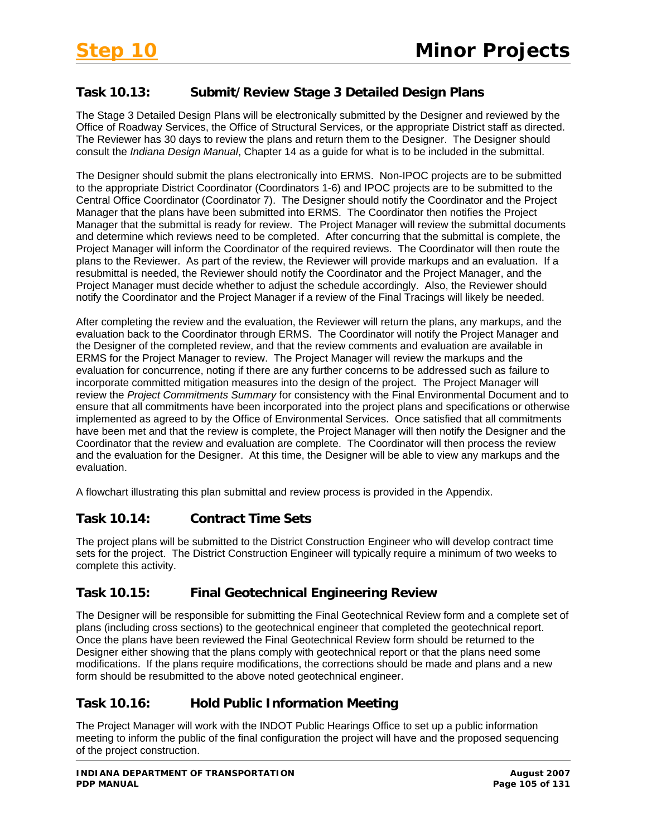# **Task 10.13: Submit/Review Stage 3 Detailed Design Plans**

The Stage 3 Detailed Design Plans will be electronically submitted by the Designer and reviewed by the Office of Roadway Services, the Office of Structural Services, or the appropriate District staff as directed. The Reviewer has 30 days to review the plans and return them to the Designer. The Designer should consult the *Indiana Design Manual*, Chapter 14 as a guide for what is to be included in the submittal.

The Designer should submit the plans electronically into ERMS. Non-IPOC projects are to be submitted to the appropriate District Coordinator (Coordinators 1-6) and IPOC projects are to be submitted to the Central Office Coordinator (Coordinator 7). The Designer should notify the Coordinator and the Project Manager that the plans have been submitted into ERMS. The Coordinator then notifies the Project Manager that the submittal is ready for review. The Project Manager will review the submittal documents and determine which reviews need to be completed. After concurring that the submittal is complete, the Project Manager will inform the Coordinator of the required reviews. The Coordinator will then route the plans to the Reviewer. As part of the review, the Reviewer will provide markups and an evaluation. If a resubmittal is needed, the Reviewer should notify the Coordinator and the Project Manager, and the Project Manager must decide whether to adjust the schedule accordingly. Also, the Reviewer should notify the Coordinator and the Project Manager if a review of the Final Tracings will likely be needed.

After completing the review and the evaluation, the Reviewer will return the plans, any markups, and the evaluation back to the Coordinator through ERMS. The Coordinator will notify the Project Manager and the Designer of the completed review, and that the review comments and evaluation are available in ERMS for the Project Manager to review. The Project Manager will review the markups and the evaluation for concurrence, noting if there are any further concerns to be addressed such as failure to incorporate committed mitigation measures into the design of the project. The Project Manager will review the *Project Commitments Summary* for consistency with the Final Environmental Document and to ensure that all commitments have been incorporated into the project plans and specifications or otherwise implemented as agreed to by the Office of Environmental Services. Once satisfied that all commitments have been met and that the review is complete, the Project Manager will then notify the Designer and the Coordinator that the review and evaluation are complete. The Coordinator will then process the review and the evaluation for the Designer. At this time, the Designer will be able to view any markups and the evaluation.

A flowchart illustrating this plan submittal and review process is provided in the Appendix.

### **Task 10.14: Contract Time Sets**

The project plans will be submitted to the District Construction Engineer who will develop contract time sets for the project. The District Construction Engineer will typically require a minimum of two weeks to complete this activity.

### **Task 10.15: Final Geotechnical Engineering Review**

The Designer will be responsible for submitting the Final Geotechnical Review form and a complete set of plans (including cross sections) to the geotechnical engineer that completed the geotechnical report. Once the plans have been reviewed the Final Geotechnical Review form should be returned to the Designer either showing that the plans comply with geotechnical report or that the plans need some modifications. If the plans require modifications, the corrections should be made and plans and a new form should be resubmitted to the above noted geotechnical engineer.

### **Task 10.16: Hold Public Information Meeting**

The Project Manager will work with the INDOT Public Hearings Office to set up a public information meeting to inform the public of the final configuration the project will have and the proposed sequencing of the project construction.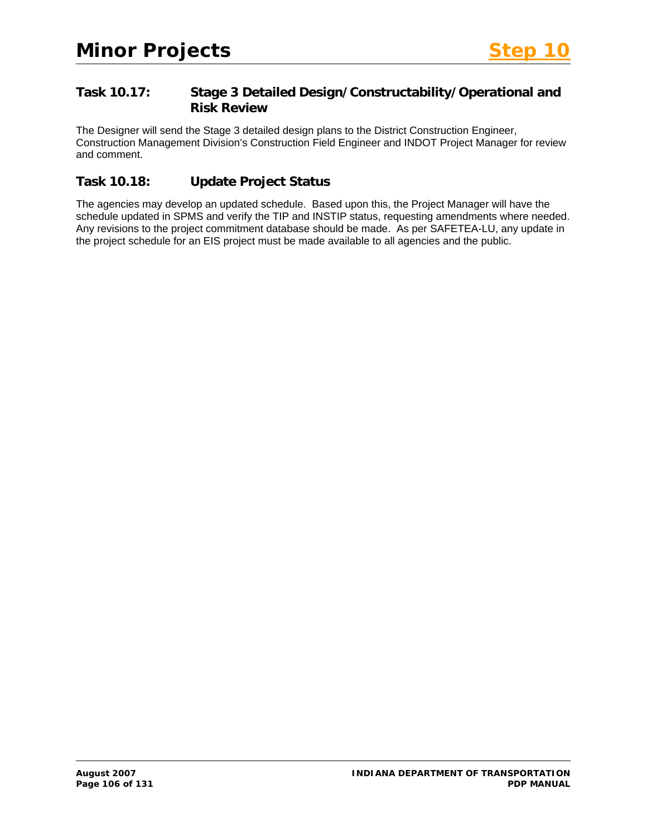# **Task 10.17: Stage 3 Detailed Design/Constructability/Operational and Risk Review**

The Designer will send the Stage 3 detailed design plans to the District Construction Engineer, Construction Management Division's Construction Field Engineer and INDOT Project Manager for review and comment.

# **Task 10.18: Update Project Status**

The agencies may develop an updated schedule. Based upon this, the Project Manager will have the schedule updated in SPMS and verify the TIP and INSTIP status, requesting amendments where needed. Any revisions to the project commitment database should be made. As per SAFETEA-LU, any update in the project schedule for an EIS project must be made available to all agencies and the public.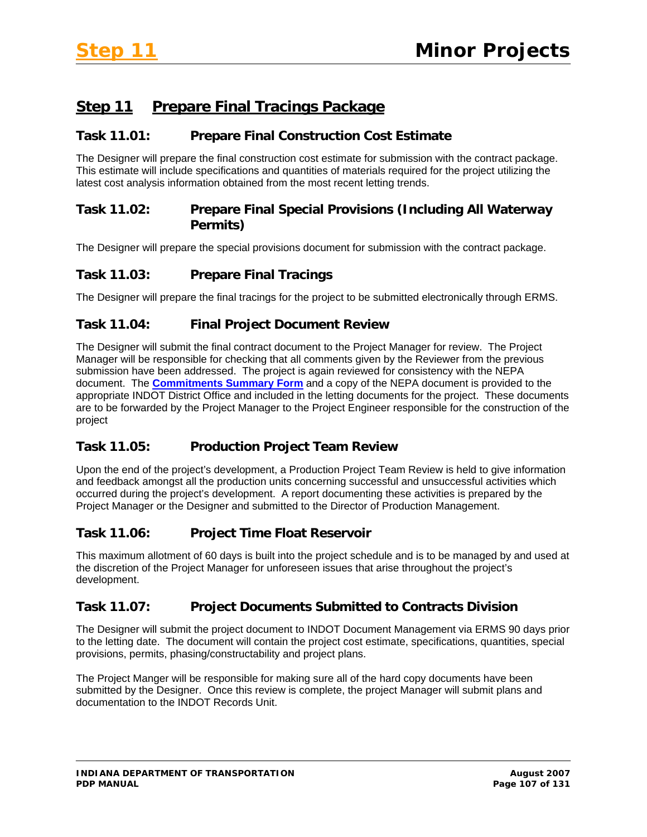# **Step 11 Prepare Final Tracings Package**

## **Task 11.01: Prepare Final Construction Cost Estimate**

The Designer will prepare the final construction cost estimate for submission with the contract package. This estimate will include specifications and quantities of materials required for the project utilizing the latest cost analysis information obtained from the most recent letting trends.

# **Task 11.02: Prepare Final Special Provisions (Including All Waterway Permits)**

The Designer will prepare the special provisions document for submission with the contract package.

# **Task 11.03: Prepare Final Tracings**

The Designer will prepare the final tracings for the project to be submitted electronically through ERMS.

# **Task 11.04: Final Project Document Review**

The Designer will submit the final contract document to the Project Manager for review. The Project Manager will be responsible for checking that all comments given by the Reviewer from the previous submission have been addressed. The project is again reviewed for consistency with the NEPA document. The **Commitments Summary Form** and a copy of the NEPA document is provided to the appropriate INDOT District Office and included in the letting documents for the project. These documents are to be forwarded by the Project Manager to the Project Engineer responsible for the construction of the project

# **Task 11.05: Production Project Team Review**

Upon the end of the project's development, a Production Project Team Review is held to give information and feedback amongst all the production units concerning successful and unsuccessful activities which occurred during the project's development. A report documenting these activities is prepared by the Project Manager or the Designer and submitted to the Director of Production Management.

# **Task 11.06: Project Time Float Reservoir**

This maximum allotment of 60 days is built into the project schedule and is to be managed by and used at the discretion of the Project Manager for unforeseen issues that arise throughout the project's development.

# **Task 11.07: Project Documents Submitted to Contracts Division**

The Designer will submit the project document to INDOT Document Management via ERMS 90 days prior to the letting date. The document will contain the project cost estimate, specifications, quantities, special provisions, permits, phasing/constructability and project plans.

The Project Manger will be responsible for making sure all of the hard copy documents have been submitted by the Designer. Once this review is complete, the project Manager will submit plans and documentation to the INDOT Records Unit.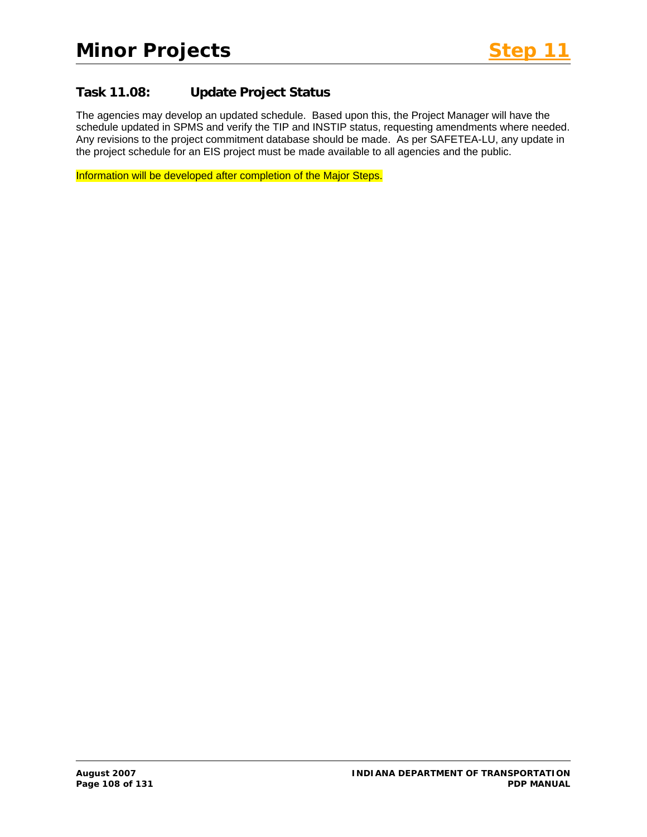# **Task 11.08: Update Project Status**

The agencies may develop an updated schedule. Based upon this, the Project Manager will have the schedule updated in SPMS and verify the TIP and INSTIP status, requesting amendments where needed. Any revisions to the project commitment database should be made. As per SAFETEA-LU, any update in the project schedule for an EIS project must be made available to all agencies and the public.

Information will be developed after completion of the Major Steps.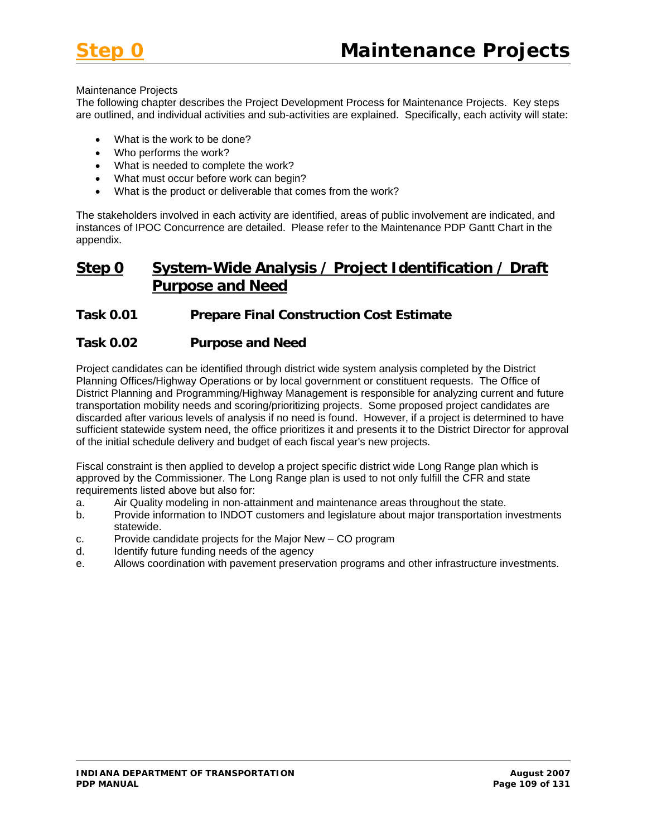

#### Maintenance Projects

The following chapter describes the Project Development Process for Maintenance Projects. Key steps are outlined, and individual activities and sub-activities are explained. Specifically, each activity will state:

- What is the work to be done?
- Who performs the work?
- What is needed to complete the work?
- What must occur before work can begin?
- What is the product or deliverable that comes from the work?

The stakeholders involved in each activity are identified, areas of public involvement are indicated, and instances of IPOC Concurrence are detailed. Please refer to the Maintenance PDP Gantt Chart in the appendix.

# **Step 0 System-Wide Analysis / Project Identification / Draft Purpose and Need**

#### **Task 0.01 Prepare Final Construction Cost Estimate**

#### **Task 0.02 Purpose and Need**

Project candidates can be identified through district wide system analysis completed by the District Planning Offices/Highway Operations or by local government or constituent requests. The Office of District Planning and Programming/Highway Management is responsible for analyzing current and future transportation mobility needs and scoring/prioritizing projects. Some proposed project candidates are discarded after various levels of analysis if no need is found. However, if a project is determined to have sufficient statewide system need, the office prioritizes it and presents it to the District Director for approval of the initial schedule delivery and budget of each fiscal year's new projects.

Fiscal constraint is then applied to develop a project specific district wide Long Range plan which is approved by the Commissioner. The Long Range plan is used to not only fulfill the CFR and state requirements listed above but also for:

- a. Air Quality modeling in non-attainment and maintenance areas throughout the state.
- b. Provide information to INDOT customers and legislature about major transportation investments statewide.
- c. Provide candidate projects for the Major New CO program
- d. Identify future funding needs of the agency
- e. Allows coordination with pavement preservation programs and other infrastructure investments.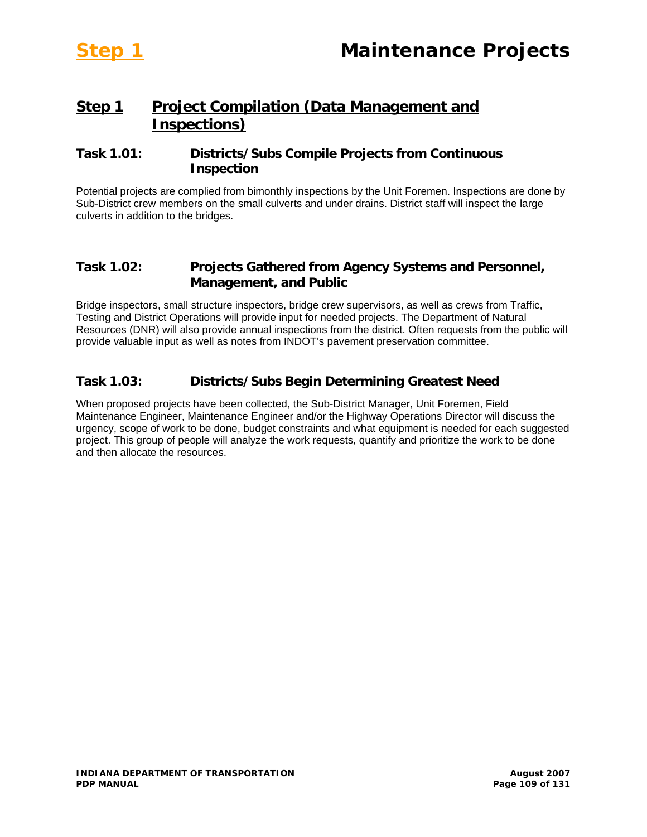# **Step 1 Project Compilation (Data Management and Inspections)**

## **Task 1.01: Districts/Subs Compile Projects from Continuous Inspection**

Potential projects are complied from bimonthly inspections by the Unit Foremen. Inspections are done by Sub-District crew members on the small culverts and under drains. District staff will inspect the large culverts in addition to the bridges.

#### **Task 1.02: Projects Gathered from Agency Systems and Personnel, Management, and Public**

Bridge inspectors, small structure inspectors, bridge crew supervisors, as well as crews from Traffic, Testing and District Operations will provide input for needed projects. The Department of Natural Resources (DNR) will also provide annual inspections from the district. Often requests from the public will provide valuable input as well as notes from INDOT's pavement preservation committee.

## **Task 1.03: Districts/Subs Begin Determining Greatest Need**

When proposed projects have been collected, the Sub-District Manager, Unit Foremen, Field Maintenance Engineer, Maintenance Engineer and/or the Highway Operations Director will discuss the urgency, scope of work to be done, budget constraints and what equipment is needed for each suggested project. This group of people will analyze the work requests, quantify and prioritize the work to be done and then allocate the resources.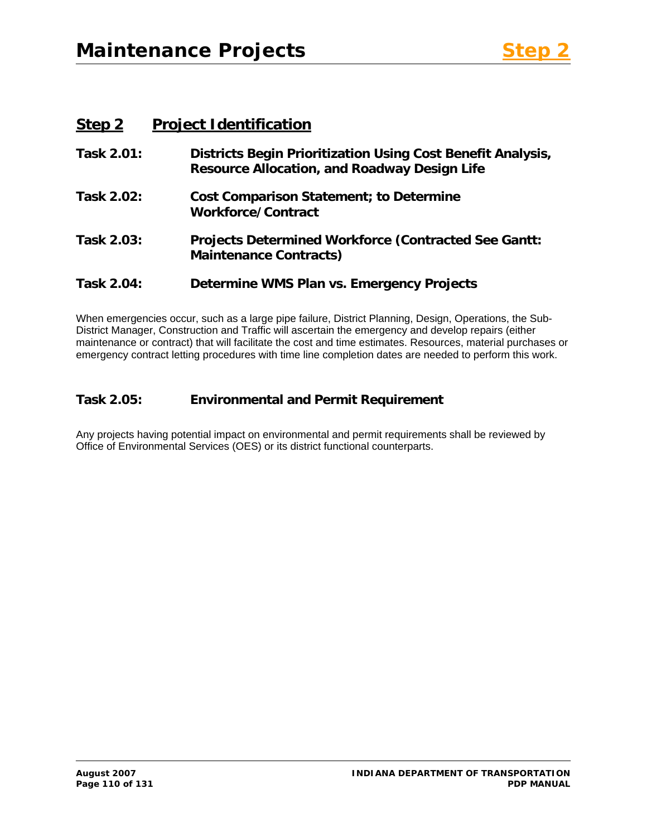# **Step 2 Project Identification**

| Task 2.01: | Districts Begin Prioritization Using Cost Benefit Analysis,<br><b>Resource Allocation, and Roadway Design Life</b> |
|------------|--------------------------------------------------------------------------------------------------------------------|
| Task 2.02: | <b>Cost Comparison Statement; to Determine</b><br><b>Workforce/Contract</b>                                        |
| Task 2.03: | <b>Projects Determined Workforce (Contracted See Gantt:</b><br><b>Maintenance Contracts)</b>                       |
| Task 2.04: | Determine WMS Plan vs. Emergency Projects                                                                          |

When emergencies occur, such as a large pipe failure, District Planning, Design, Operations, the Sub-District Manager, Construction and Traffic will ascertain the emergency and develop repairs (either maintenance or contract) that will facilitate the cost and time estimates. Resources, material purchases or emergency contract letting procedures with time line completion dates are needed to perform this work.

## **Task 2.05: Environmental and Permit Requirement**

Any projects having potential impact on environmental and permit requirements shall be reviewed by Office of Environmental Services (OES) or its district functional counterparts.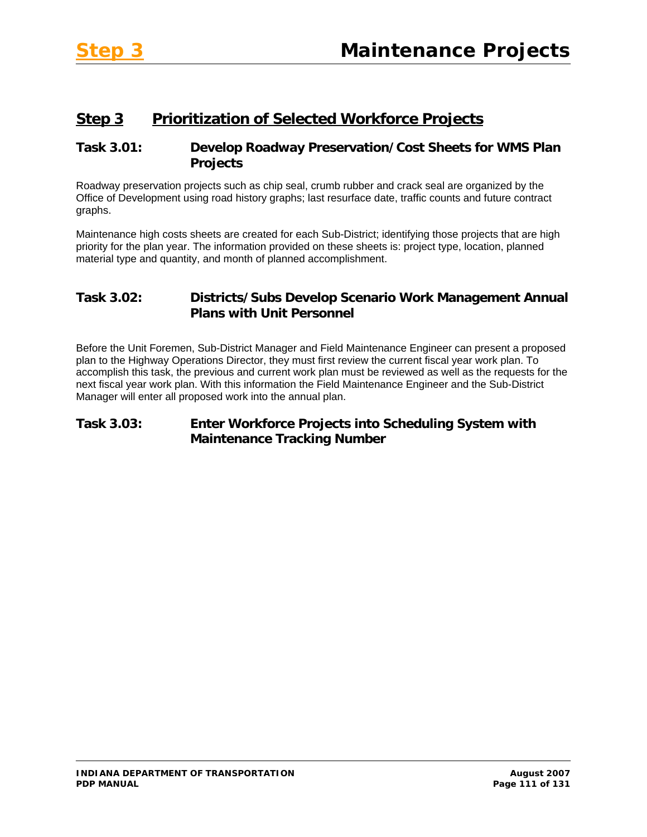# **Step 3 Prioritization of Selected Workforce Projects**

## **Task 3.01: Develop Roadway Preservation/Cost Sheets for WMS Plan Projects**

Roadway preservation projects such as chip seal, crumb rubber and crack seal are organized by the Office of Development using road history graphs; last resurface date, traffic counts and future contract graphs.

Maintenance high costs sheets are created for each Sub-District; identifying those projects that are high priority for the plan year. The information provided on these sheets is: project type, location, planned material type and quantity, and month of planned accomplishment.

## **Task 3.02: Districts/Subs Develop Scenario Work Management Annual Plans with Unit Personnel**

Before the Unit Foremen, Sub-District Manager and Field Maintenance Engineer can present a proposed plan to the Highway Operations Director, they must first review the current fiscal year work plan. To accomplish this task, the previous and current work plan must be reviewed as well as the requests for the next fiscal year work plan. With this information the Field Maintenance Engineer and the Sub-District Manager will enter all proposed work into the annual plan.

## **Task 3.03: Enter Workforce Projects into Scheduling System with Maintenance Tracking Number**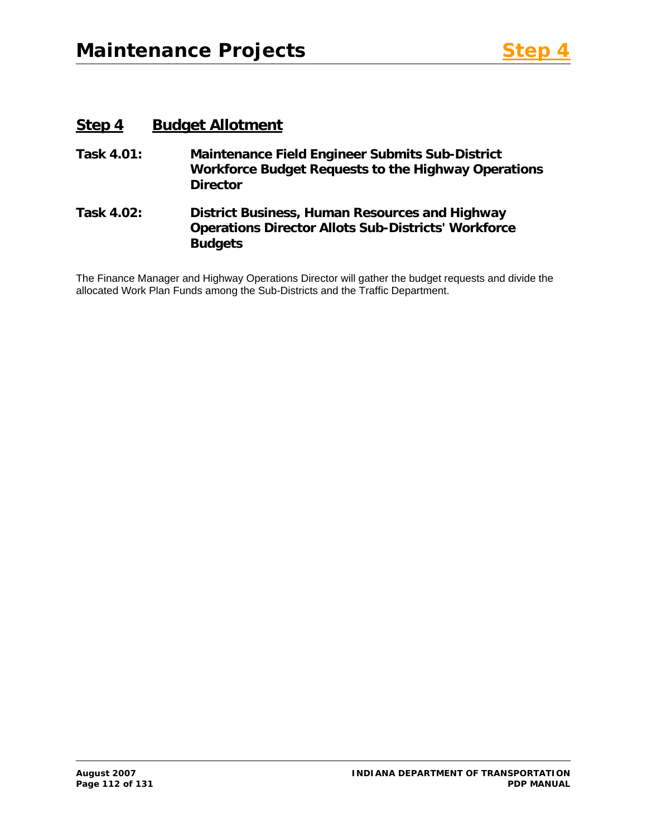## **Step 4 Budget Allotment**

- **Task 4.01: Maintenance Field Engineer Submits Sub-District Workforce Budget Requests to the Highway Operations Director**
- **Task 4.02: District Business, Human Resources and Highway Operations Director Allots Sub-Districts' Workforce Budgets**

The Finance Manager and Highway Operations Director will gather the budget requests and divide the allocated Work Plan Funds among the Sub-Districts and the Traffic Department.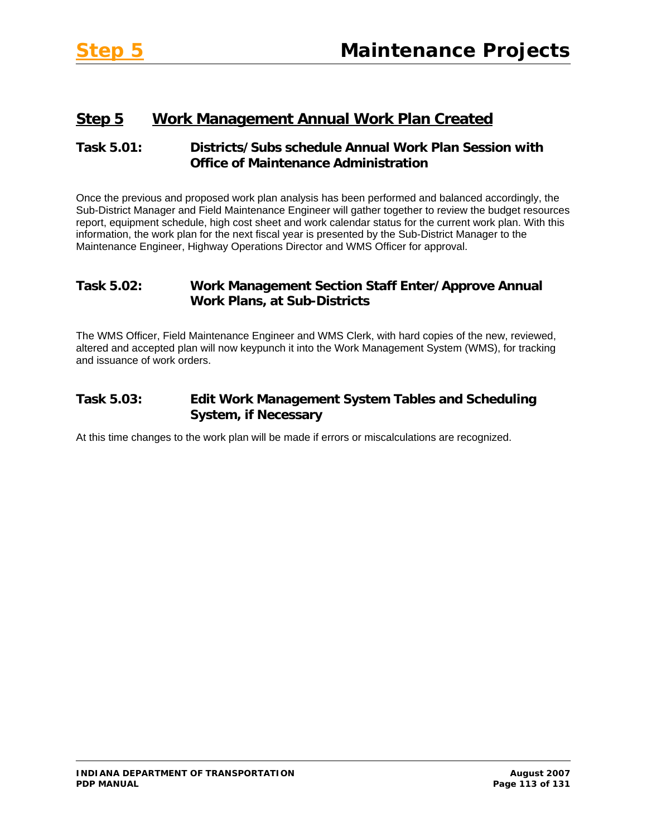# **Step 5 Work Management Annual Work Plan Created**

## **Task 5.01: Districts/Subs schedule Annual Work Plan Session with Office of Maintenance Administration**

Once the previous and proposed work plan analysis has been performed and balanced accordingly, the Sub-District Manager and Field Maintenance Engineer will gather together to review the budget resources report, equipment schedule, high cost sheet and work calendar status for the current work plan. With this information, the work plan for the next fiscal year is presented by the Sub-District Manager to the Maintenance Engineer, Highway Operations Director and WMS Officer for approval.

## **Task 5.02: Work Management Section Staff Enter/Approve Annual Work Plans, at Sub-Districts**

The WMS Officer, Field Maintenance Engineer and WMS Clerk, with hard copies of the new, reviewed, altered and accepted plan will now keypunch it into the Work Management System (WMS), for tracking and issuance of work orders.

## **Task 5.03: Edit Work Management System Tables and Scheduling System, if Necessary**

At this time changes to the work plan will be made if errors or miscalculations are recognized.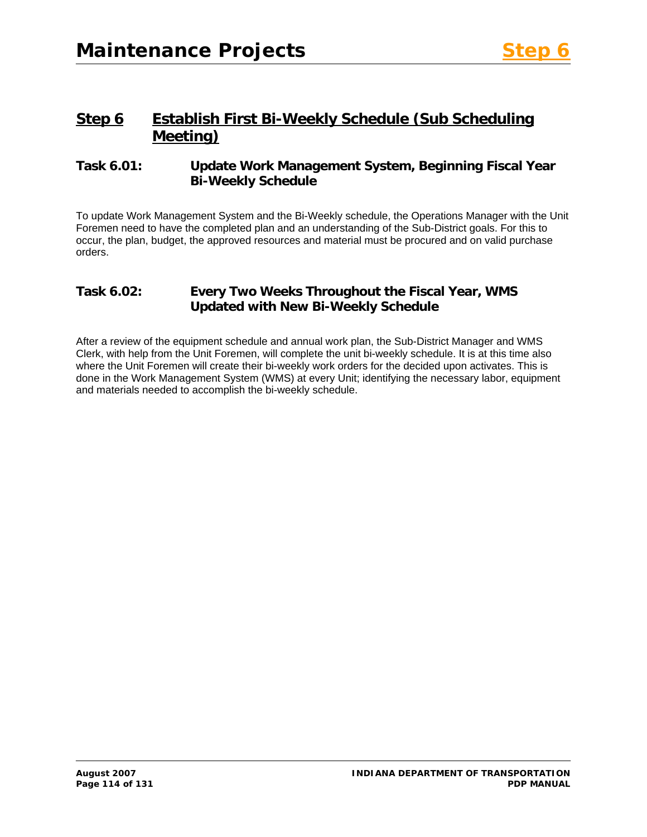# **Step 6 Establish First Bi-Weekly Schedule (Sub Scheduling Meeting)**

#### **Task 6.01: Update Work Management System, Beginning Fiscal Year Bi-Weekly Schedule**

To update Work Management System and the Bi-Weekly schedule, the Operations Manager with the Unit Foremen need to have the completed plan and an understanding of the Sub-District goals. For this to occur, the plan, budget, the approved resources and material must be procured and on valid purchase orders.

## **Task 6.02: Every Two Weeks Throughout the Fiscal Year, WMS Updated with New Bi-Weekly Schedule**

After a review of the equipment schedule and annual work plan, the Sub-District Manager and WMS Clerk, with help from the Unit Foremen, will complete the unit bi-weekly schedule. It is at this time also where the Unit Foremen will create their bi-weekly work orders for the decided upon activates. This is done in the Work Management System (WMS) at every Unit; identifying the necessary labor, equipment and materials needed to accomplish the bi-weekly schedule.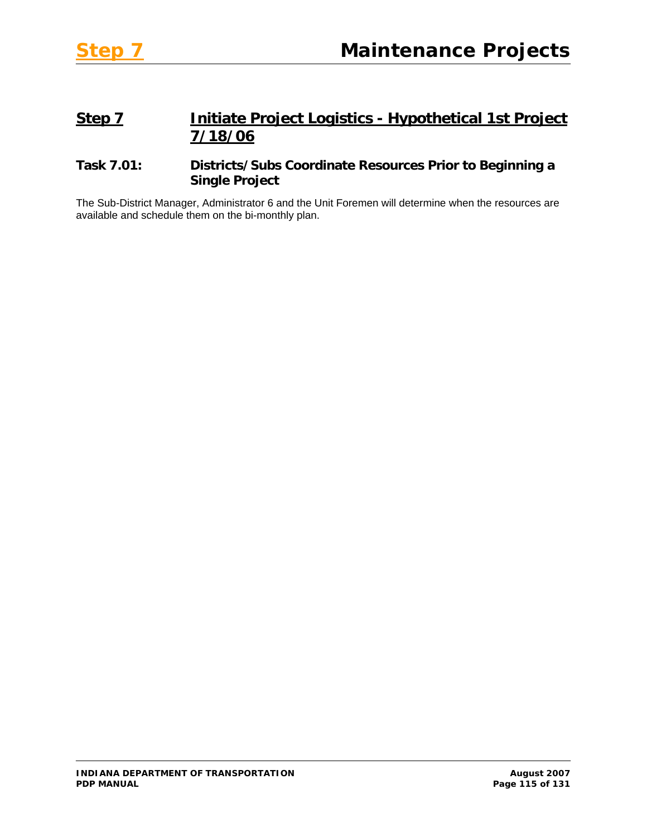# **Step 7 Initiate Project Logistics - Hypothetical 1st Project 7/18/06**

## **Task 7.01: Districts/Subs Coordinate Resources Prior to Beginning a Single Project**

The Sub-District Manager, Administrator 6 and the Unit Foremen will determine when the resources are available and schedule them on the bi-monthly plan.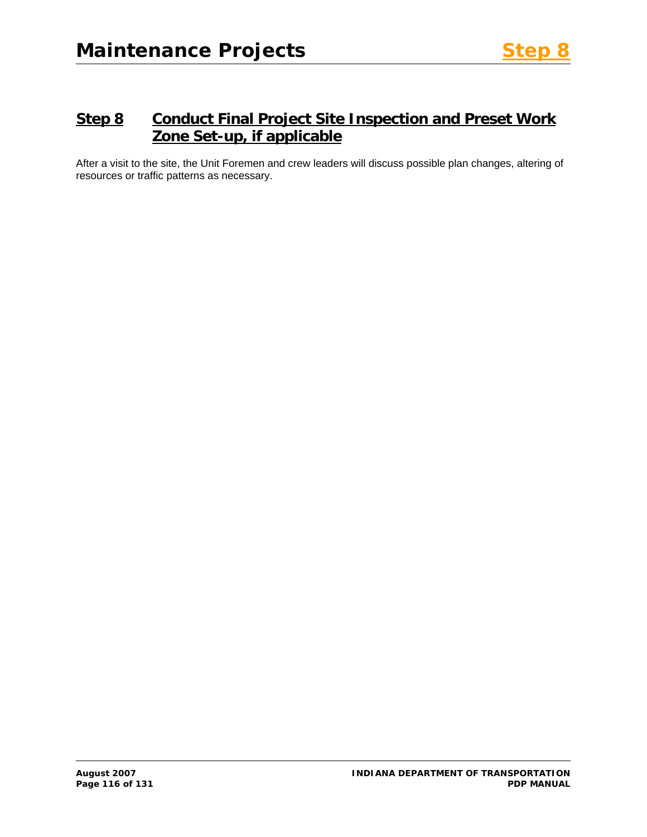# **Step 8 Conduct Final Project Site Inspection and Preset Work Zone Set-up, if applicable**

After a visit to the site, the Unit Foremen and crew leaders will discuss possible plan changes, altering of resources or traffic patterns as necessary.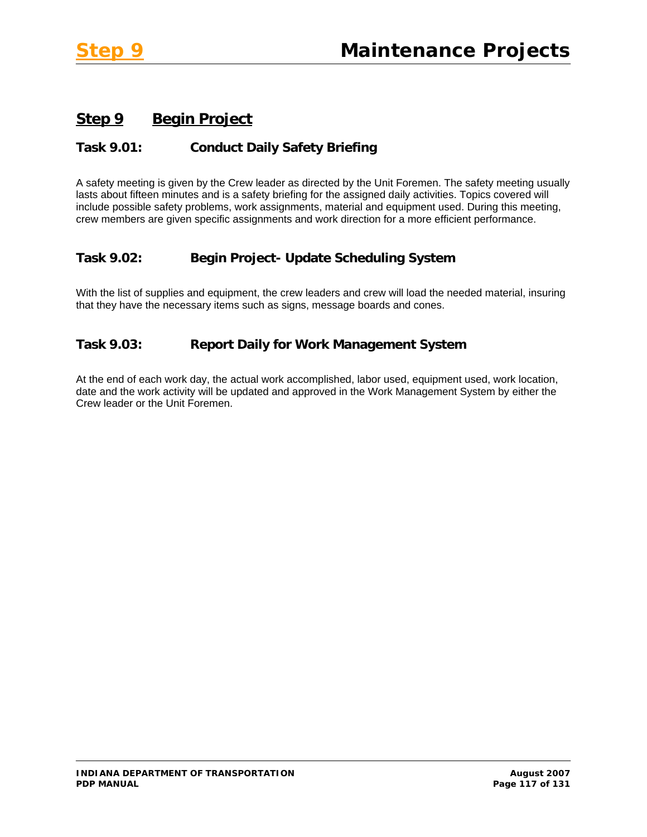# **Step 9 Begin Project**

## **Task 9.01: Conduct Daily Safety Briefing**

A safety meeting is given by the Crew leader as directed by the Unit Foremen. The safety meeting usually lasts about fifteen minutes and is a safety briefing for the assigned daily activities. Topics covered will include possible safety problems, work assignments, material and equipment used. During this meeting, crew members are given specific assignments and work direction for a more efficient performance.

## **Task 9.02: Begin Project- Update Scheduling System**

With the list of supplies and equipment, the crew leaders and crew will load the needed material, insuring that they have the necessary items such as signs, message boards and cones.

## **Task 9.03: Report Daily for Work Management System**

At the end of each work day, the actual work accomplished, labor used, equipment used, work location, date and the work activity will be updated and approved in the Work Management System by either the Crew leader or the Unit Foremen.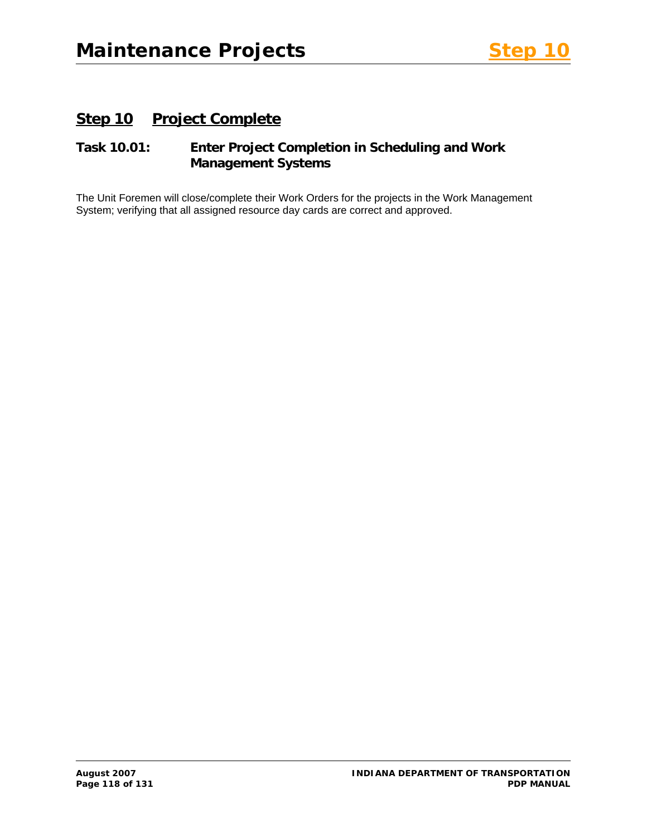# **Step 10 Project Complete**

## **Task 10.01: Enter Project Completion in Scheduling and Work Management Systems**

The Unit Foremen will close/complete their Work Orders for the projects in the Work Management System; verifying that all assigned resource day cards are correct and approved.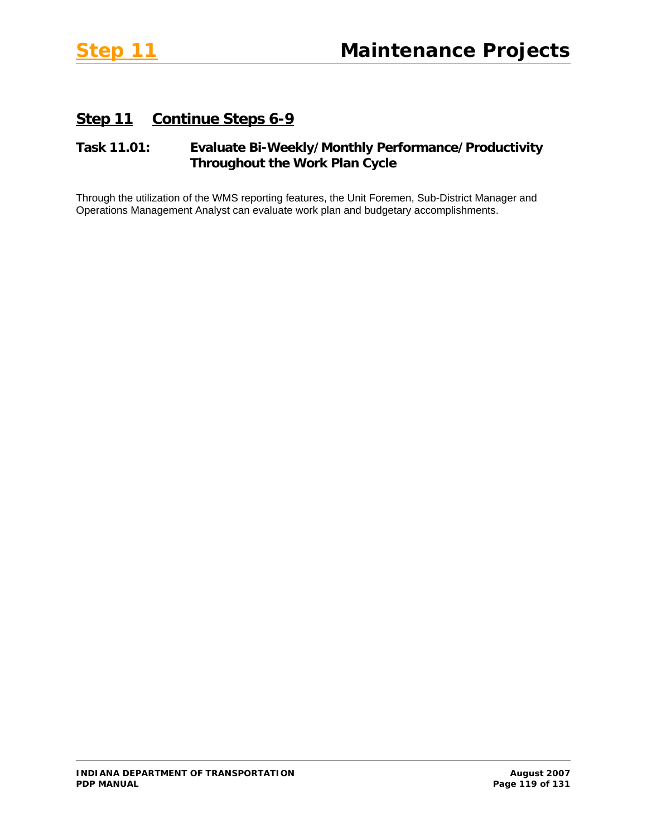# **Step 11 Continue Steps 6-9**

## **Task 11.01: Evaluate Bi-Weekly/Monthly Performance/Productivity Throughout the Work Plan Cycle**

Through the utilization of the WMS reporting features, the Unit Foremen, Sub-District Manager and Operations Management Analyst can evaluate work plan and budgetary accomplishments.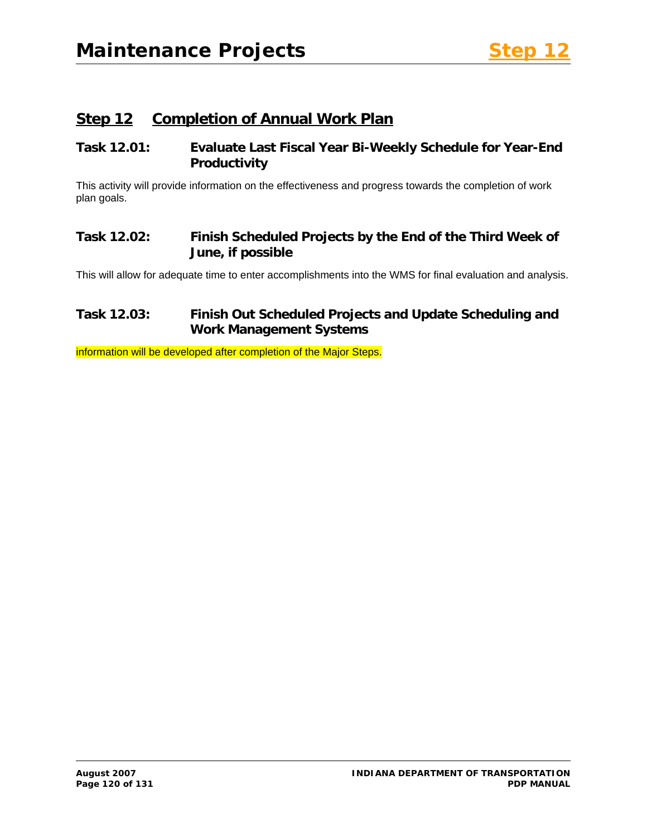# **Step 12 Completion of Annual Work Plan**

## **Task 12.01: Evaluate Last Fiscal Year Bi-Weekly Schedule for Year-End Productivity**

This activity will provide information on the effectiveness and progress towards the completion of work plan goals.

## **Task 12.02: Finish Scheduled Projects by the End of the Third Week of June, if possible**

This will allow for adequate time to enter accomplishments into the WMS for final evaluation and analysis.

## **Task 12.03: Finish Out Scheduled Projects and Update Scheduling and Work Management Systems**

information will be developed after completion of the Major Steps.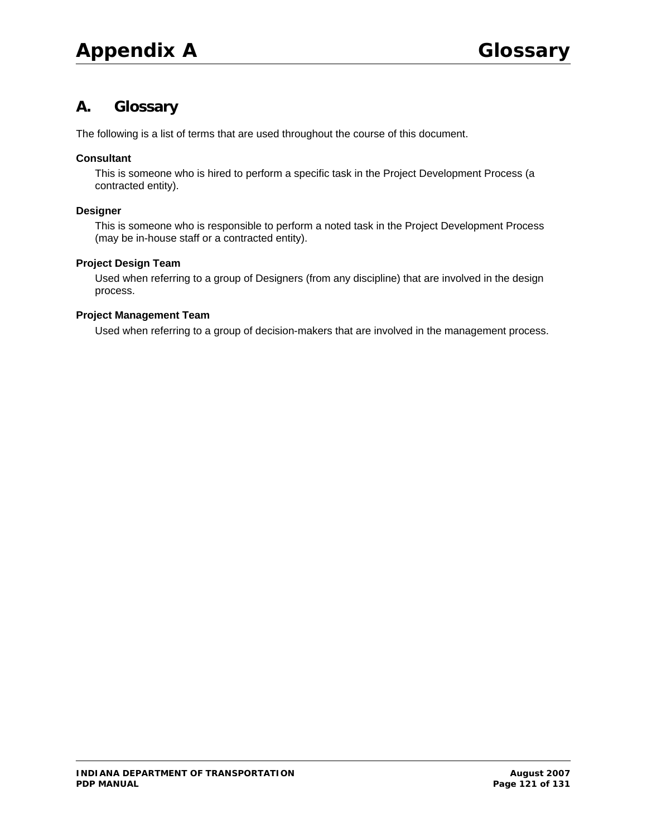# **A. Glossary**

The following is a list of terms that are used throughout the course of this document.

#### **Consultant**

This is someone who is hired to perform a specific task in the Project Development Process (a contracted entity).

#### **Designer**

This is someone who is responsible to perform a noted task in the Project Development Process (may be in-house staff or a contracted entity).

#### **Project Design Team**

Used when referring to a group of Designers (from any discipline) that are involved in the design process.

#### **Project Management Team**

Used when referring to a group of decision-makers that are involved in the management process.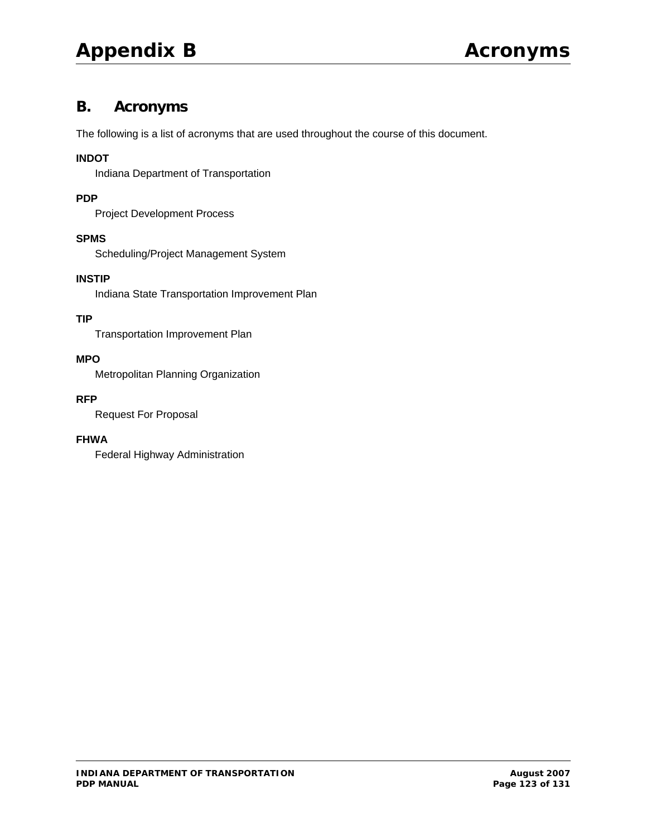# **B. Acronyms**

The following is a list of acronyms that are used throughout the course of this document.

#### **INDOT**

Indiana Department of Transportation

#### **PDP**

Project Development Process

#### **SPMS**

Scheduling/Project Management System

#### **INSTIP**

Indiana State Transportation Improvement Plan

#### **TIP**

Transportation Improvement Plan

#### **MPO**

Metropolitan Planning Organization

#### **RFP**

Request For Proposal

#### **FHWA**

Federal Highway Administration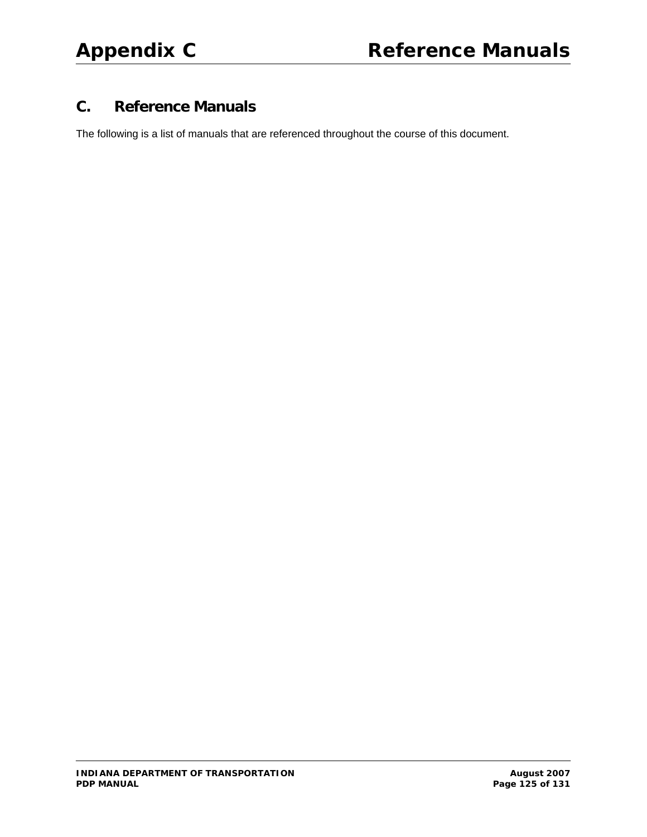# **C. Reference Manuals**

The following is a list of manuals that are referenced throughout the course of this document.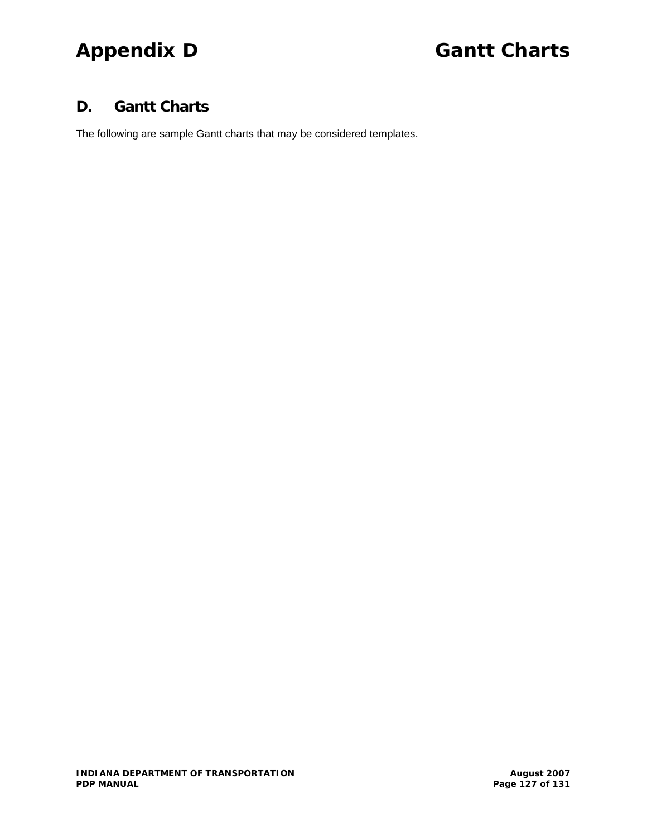# **D. Gantt Charts**

The following are sample Gantt charts that may be considered templates.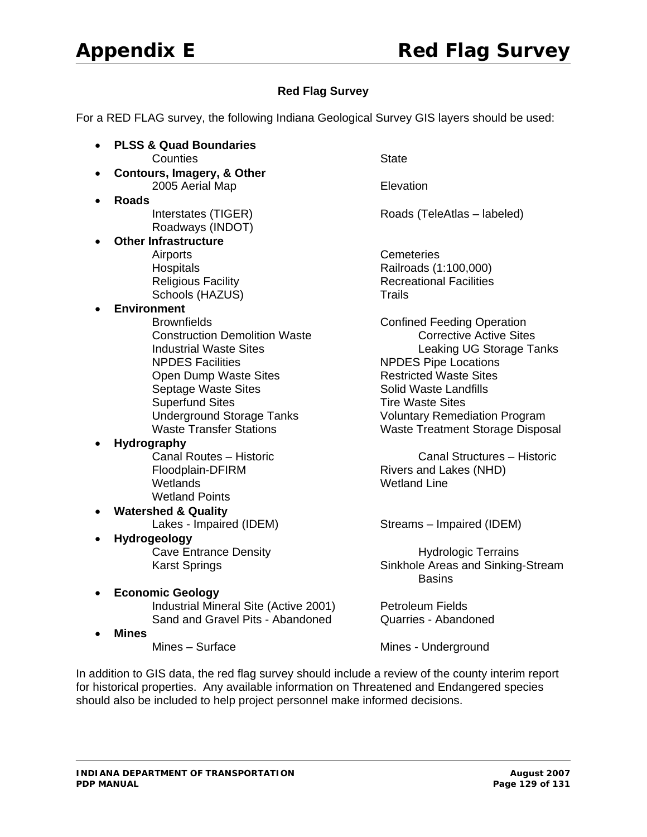#### **Red Flag Survey**

For a RED FLAG survey, the following Indiana Geological Survey GIS layers should be used:

- **PLSS & Quad Boundaries Counties State**
- **Contours, Imagery, & Other 2005 Aerial Map Community Community Research Property Elevation**
- **Roads** Roadways (INDOT)
- **Other Infrastructure**  Airports **Cemeteries** Schools (HAZUS) Trails
- **Environment**
	- Brownfields **Confined Feeding Operation**  Construction Demolition Waste Corrective Active Sites Open Dump Waste Sites **Restricted Waste Sites** Septage Waste Sites Summary Solid Waste Landfills Superfund Sites **Time Waste Sites** Tire Waste Sites
- **Hydrography**
	- Wetlands Wetland Line Wetland Points
- **Watershed & Quality**
- **Hydrogeology**
- **Economic Geology** Industrial Mineral Site (Active 2001) Petroleum Fields
	-
	- **Mines**<br>Mines Surface

**Interstates (TIGER) Roads (TeleAtlas – labeled)** 

Hospitals Railroads (1:100,000) Religious Facility **Recreational Facilities** 

Industrial Waste Sites<br>
NPDES Facilities

NPDES Pipe Locations

NPDES Pipe Locations NPDES Pipe Locations Underground Storage Tanks Voluntary Remediation Program Waste Transfer Stations Waste Treatment Storage Disposal

 Canal Routes – Historic Canal Structures – Historic Floodplain-DFIRM Rivers and Lakes (NHD)

Lakes - Impaired (IDEM) Streams – Impaired (IDEM)

Cave Entrance Density **Example 20 and Series** Hydrologic Terrains Karst Springs **Sinkhole Areas and Sinking-Stream** in the contract of the contract of the contract of the Basins Basins

Sand and Gravel Pits - Abandoned Quarries - Abandoned

Mines - Underground

In addition to GIS data, the red flag survey should include a review of the county interim report for historical properties. Any available information on Threatened and Endangered species should also be included to help project personnel make informed decisions.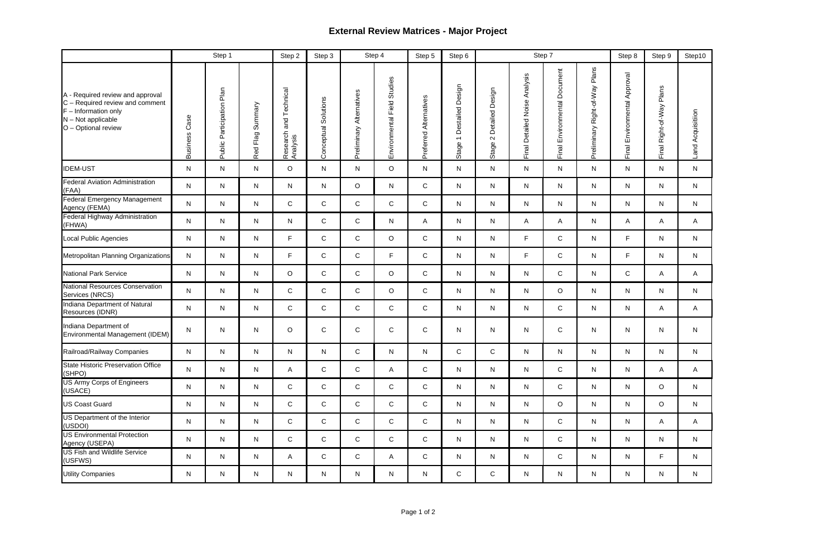# **External Review Matrices - Major Project**

|                                                                                                                                              |                         | Step 1                         |                     | Step 2                                   | Step 3               |                             | Step 4                         | Step 5                 | Step 6                                                |                                    |                                        | Step 7                                |                                      | Step 8                             | Step 9                         | Step10               |
|----------------------------------------------------------------------------------------------------------------------------------------------|-------------------------|--------------------------------|---------------------|------------------------------------------|----------------------|-----------------------------|--------------------------------|------------------------|-------------------------------------------------------|------------------------------------|----------------------------------------|---------------------------------------|--------------------------------------|------------------------------------|--------------------------------|----------------------|
| A - Required review and approval<br>C - Required review and comment<br>$F$ – Information only<br>$N - Not$ applicable<br>O - Optional review | Case<br><b>Business</b> | Participation Plan<br>Public I | Summary<br>Red Flag | Technical<br>and<br>Research<br>Analysis | Conceptual Solutions | Alternatives<br>Preliminary | Studies<br>Environmental Field | Preferred Alternatives | Destailed Design<br>$\overline{\phantom{0}}$<br>Stage | Detailed Design<br>$\sim$<br>Stage | Analysis<br>Noise<br>Detailed<br>Final | cument<br>Š<br>Environmental<br>Final | Plans<br>Right-of-Way<br>Preliminary | Approval<br>Environmental<br>Final | Plans<br>Right-of-Way<br>Final | Acquisitiion<br>Land |
| <b>IDEM-UST</b>                                                                                                                              | N                       | $\mathsf{N}$                   | $\mathsf{N}$        | $\circ$                                  | $\mathsf{N}$         | N                           | $\circ$                        | $\mathsf{N}$           | N                                                     | $\mathsf{N}$                       | $\mathsf{N}$                           | $\mathsf{N}$                          | N                                    | N                                  | N                              | $\mathsf{N}$         |
| <b>Federal Aviation Administration</b><br>(FAA)                                                                                              | $\mathsf{N}$            | $\mathsf{N}$                   | ${\sf N}$           | N                                        | ${\sf N}$            | $\circ$                     | N                              | $\mathsf{C}$           | $\mathsf{N}$                                          | $\mathsf{N}$                       | N                                      | $\mathsf{N}$                          | N                                    | N                                  | N                              | $\mathsf{N}$         |
| <b>Federal Emergency Management</b><br>Agency (FEMA)                                                                                         | $\mathsf{N}$            | $\mathsf{N}$                   | ${\sf N}$           | $\mathsf C$                              | $\mathsf{C}$         | $\mathsf C$                 | $\mathsf{C}$                   | $\mathsf{C}$           | N                                                     | N                                  | N                                      | $\mathsf{N}$                          | N                                    | N                                  | N                              | N                    |
| <b>Federal Highway Administration</b><br>(FHWA)                                                                                              | N                       | $\mathsf{N}$                   | N                   | N                                        | $\mathsf C$          | $\mathsf C$                 | N                              | A                      | N                                                     | N                                  | A                                      | A                                     | N                                    | A                                  | A                              | A                    |
| Local Public Agencies                                                                                                                        | $\mathsf{N}$            | $\mathsf{N}$                   | ${\sf N}$           | $\mathsf F$                              | $\mathsf C$          | $\mathsf C$                 | $\circ$                        | $\mathsf{C}$           | N                                                     | N                                  | F                                      | $\mathsf{C}$                          | N                                    | F.                                 | N                              | $\mathsf{N}$         |
| Metropolitan Planning Organizations                                                                                                          | N                       | N                              | ${\sf N}$           | $\mathsf F$                              | $\mathbf C$          | $\mathsf C$                 | F.                             | $\mathsf{C}$           | N                                                     | N                                  | F                                      | $\mathsf{C}$                          | N                                    | F.                                 | N                              | $\mathsf{N}$         |
| <b>National Park Service</b>                                                                                                                 | $\mathsf{N}$            | $\mathsf{N}$                   | ${\sf N}$           | $\circ$                                  | $\mathsf{C}$         | $\mathsf C$                 | $\circ$                        | $\mathsf{C}$           | N                                                     | $\mathsf{N}$                       | N                                      | $\mathsf{C}$                          | N                                    | $\mathsf{C}$                       | A                              | A                    |
| <b>National Resources Conservation</b><br>Services (NRCS)                                                                                    | N                       | N                              | N                   | $\mathsf C$                              | $\mathbf C$          | $\mathbf C$                 | $\circ$                        | $\mathsf{C}$           | N                                                     | $\mathsf{N}$                       | N                                      | $\circ$                               | N                                    | N                                  | N                              | N                    |
| Indiana Department of Natural<br>Resources (IDNR)                                                                                            | N                       | $\mathsf{N}$                   | $\mathsf{N}$        | $\mathsf C$                              | $\mathsf C$          | $\mathsf C$                 | $\mathsf{C}$                   | $\mathsf{C}$           | $\mathsf{N}$                                          | $\mathsf{N}$                       | N                                      | $\mathsf{C}$                          | N                                    | N                                  | A                              | $\mathsf{A}$         |
| Indiana Department of<br>Environmental Management (IDEM)                                                                                     | $\mathsf{N}$            | $\mathsf{N}$                   | $\mathsf{N}$        | $\circ$                                  | $\mathsf{C}$         | $\mathbf C$                 | $\mathsf{C}$                   | $\mathsf{C}$           | $\mathsf{N}$                                          | ${\sf N}$                          | $\mathsf{N}$                           | $\mathsf{C}$                          | N                                    | N                                  | N                              | $\mathsf{N}$         |
| Railroad/Railway Companies                                                                                                                   | N                       | N                              | N                   | N                                        | N                    | С                           | N                              | N                      | $\mathsf C$                                           | $\mathbf C$                        | N                                      | N                                     | N                                    | N                                  | N                              | N                    |
| <b>State Historic Preservation Office</b><br>(SHPO)                                                                                          | $\mathsf{N}$            | $\mathsf{N}$                   | ${\sf N}$           | A                                        | $\mathsf C$          | $\mathsf C$                 | A                              | $\mathsf{C}$           | $\mathsf{N}$                                          | $\mathsf{N}$                       | N                                      | $\mathsf{C}$                          | N                                    | N                                  | A                              | A                    |
| <b>US Army Corps of Engineers</b><br>(USACE)                                                                                                 | $\mathsf{N}$            | N                              | ${\sf N}$           | $\mathsf{C}$                             | $\mathsf C$          | $\mathsf{C}$                | $\mathsf{C}$                   | $\mathsf{C}$           | $\mathsf{N}$                                          | $\mathsf{N}$                       | N                                      | $\mathsf{C}$                          | N                                    | N                                  | $\circ$                        | $\mathsf{N}$         |
| <b>US Coast Guard</b>                                                                                                                        | N                       | N                              | ${\sf N}$           | $\mathsf{C}$                             | $\mathsf C$          | $\mathsf{C}$                | $\mathsf{C}$                   | $\mathsf{C}$           | $\mathsf{N}$                                          | $\mathsf{N}$                       | N                                      | $\circ$                               | N                                    | N                                  | $\circ$                        | $\mathsf{N}$         |
| US Department of the Interior<br>(USDOI)                                                                                                     | N                       | N                              | ${\sf N}$           | $\mathsf{C}$                             | $\mathbf C$          | $\mathsf{C}$                | $\mathsf{C}$                   | $\mathsf{C}$           | N                                                     | N                                  | N                                      | $\mathsf{C}$                          | N                                    | N                                  | A                              | A                    |
| <b>US Environmental Protection</b><br>Agency (USEPA)                                                                                         | N                       | N                              | ${\sf N}$           | $\mathsf{C}$                             | $\mathsf C$          | $\mathsf{C}$                | $\mathsf C$                    | $\mathsf{C}$           | N                                                     | $\mathsf{N}$                       | N                                      | $\mathsf{C}$                          | N                                    | N                                  | N                              | $\mathsf{N}$         |
| <b>US Fish and Wildlife Service</b><br>(USFWS)                                                                                               | $\mathsf{N}$            | N                              | ${\sf N}$           | A                                        | $\mathsf C$          | $\mathsf{C}$                | $\mathsf{A}$                   | $\mathsf{C}$           | $\mathsf{N}$                                          | N                                  | N                                      | $\mathbf C$                           | N                                    | N                                  | F.                             | $\mathsf{N}$         |
| <b>Utility Companies</b>                                                                                                                     | N                       | N                              | ${\sf N}$           | ${\sf N}$                                | ${\sf N}$            | N                           | N                              | N                      | $\mathsf{C}$                                          | $\mathsf C$                        | N                                      | N                                     | N                                    | N                                  | N                              | N                    |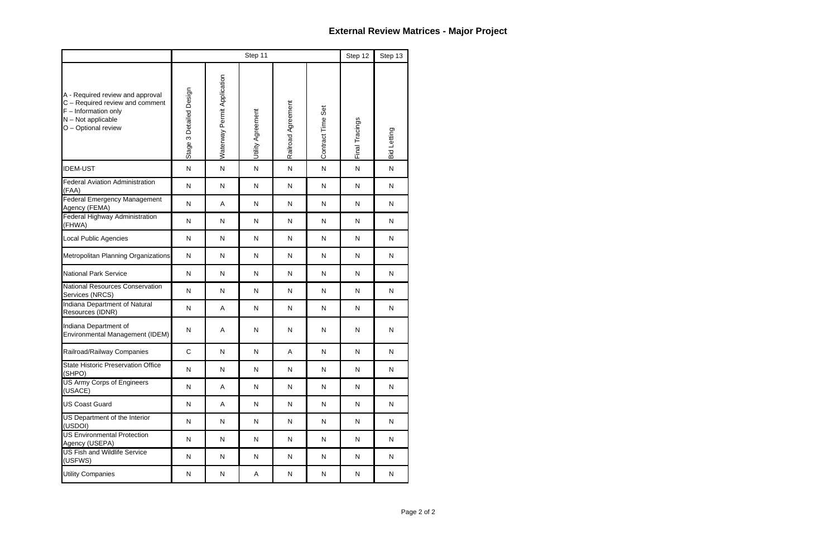|                                                                                                                                            |                         |                             | Step 12           | Step 13            |                   |                |              |
|--------------------------------------------------------------------------------------------------------------------------------------------|-------------------------|-----------------------------|-------------------|--------------------|-------------------|----------------|--------------|
| A - Required review and approval<br>C - Required review and comment<br>$F$ – Information only<br>N - Not applicable<br>O - Optional review | Stage 3 Detailed Design | Waterway Permit Application | Utility Agreement | Railroad Agreement | Contract Time Set | Final Tracings | Bid Letting  |
| <b>IDEM-UST</b>                                                                                                                            | $\mathsf{N}$            | ${\sf N}$                   | N                 | $\mathsf{N}$       | ${\sf N}$         | $\mathsf{N}$   | ${\sf N}$    |
| <b>Federal Aviation Administration</b><br>(FAA)                                                                                            | $\mathsf{N}$            | $\mathsf{N}$                | N                 | $\mathsf{N}$       | N                 | $\mathsf{N}$   | N            |
| <b>Federal Emergency Management</b><br>Agency (FEMA)                                                                                       | N                       | Α                           | N                 | $\mathsf{N}$       | N                 | $\mathsf{N}$   | N            |
| Federal Highway Administration<br>(FHWA)                                                                                                   | ${\sf N}$               | ${\sf N}$                   | N                 | ${\sf N}$          | N                 | $\mathsf{N}$   | N            |
| Local Public Agencies                                                                                                                      | $\mathsf{N}$            | ${\sf N}$                   | N                 | ${\sf N}$          | N                 | $\mathsf{N}$   | N            |
| Metropolitan Planning Organizations                                                                                                        | $\mathsf{N}$            | $\mathsf{N}$                | N                 | N                  | N                 | $\mathsf{N}$   | N            |
| <b>National Park Service</b>                                                                                                               | N                       | ${\sf N}$                   | N                 | $\mathsf{N}$       | N                 | $\mathsf{N}$   | ${\sf N}$    |
| National Resources Conservation<br>Services (NRCS)                                                                                         | ${\sf N}$               | ${\sf N}$                   | N                 | $\mathsf{N}$       | ${\sf N}$         | $\mathsf{N}$   | N            |
| Indiana Department of Natural<br>Resources (IDNR)                                                                                          | $\mathsf{N}$            | Α                           | N                 | ${\sf N}$          | N                 | $\mathsf{N}$   | N            |
| Indiana Department of<br>Environmental Management (IDEM)                                                                                   | N                       | A                           | N                 | N                  | N                 | N              | ${\sf N}$    |
| Railroad/Railway Companies                                                                                                                 | $\mathsf C$             | ${\sf N}$                   | N                 | A                  | ${\sf N}$         | $\mathsf{N}$   | $\mathsf{N}$ |
| <b>State Historic Preservation Office</b><br>(SHPO)                                                                                        | ${\sf N}$               | ${\sf N}$                   | N                 | ${\sf N}$          | ${\sf N}$         | N              | N            |
| <b>US Army Corps of Engineers</b><br>(USACE)                                                                                               | N                       | Α                           | N                 | ${\sf N}$          | N                 | ${\sf N}$      | N            |
| <b>US Coast Guard</b>                                                                                                                      | N                       | A                           | N                 | ${\sf N}$          | ${\sf N}$         | N              | N            |
| US Department of the Interior<br>(USDOI)                                                                                                   | ${\sf N}$               | ${\sf N}$                   | N                 | ${\sf N}$          | $\mathsf{N}$      | ${\sf N}$      | N            |
| <b>US Environmental Protection</b><br>Agency (USEPA)                                                                                       | ${\sf N}$               | $\mathsf{N}$                | N                 | ${\sf N}$          | $\mathsf{N}$      | N              | N            |
| <b>US Fish and Wildlife Service</b><br>(USFWS)                                                                                             | ${\sf N}$               | ${\sf N}$                   | N                 | ${\sf N}$          | N                 | N              | N            |
| <b>Utility Companies</b>                                                                                                                   | N                       | ${\sf N}$                   | Α                 | N                  | N                 | N              | N            |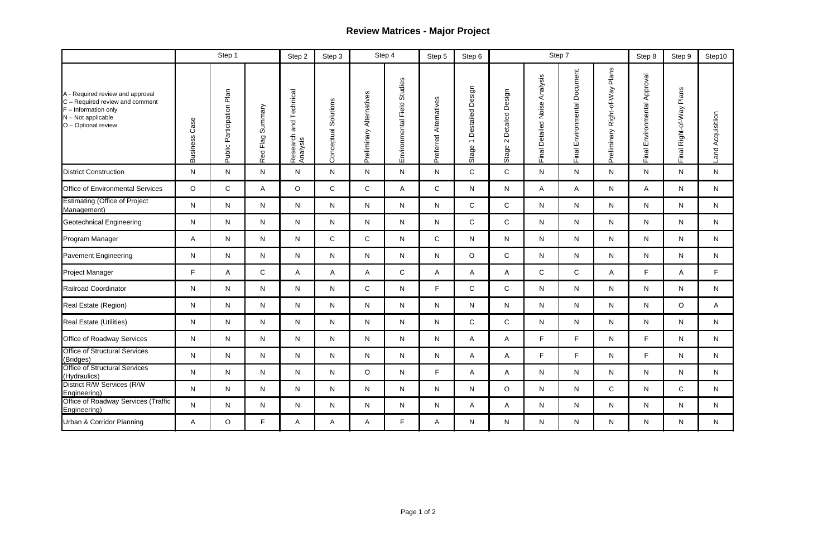# **Review Matrices - Major Project**

|                                                                                                                                            |                         | Step 1                    |                  | Step 2                                   | Step 3               |                          | Step 4                      | Step 5                 | Step 6                                                |                                               |                                     | Step 7                             |                                      | Step 8                             | Step 9                         | Step10               |
|--------------------------------------------------------------------------------------------------------------------------------------------|-------------------------|---------------------------|------------------|------------------------------------------|----------------------|--------------------------|-----------------------------|------------------------|-------------------------------------------------------|-----------------------------------------------|-------------------------------------|------------------------------------|--------------------------------------|------------------------------------|--------------------------------|----------------------|
| A - Required review and approval<br>C - Required review and comment<br>$F$ – Information only<br>N - Not applicable<br>O - Optional review | Case<br><b>Business</b> | Public Participation Plan | Red Flag Summary | Technical<br>and<br>Research<br>Analysis | Conceptual Solutions | Preliminary Alternatives | Environmental Field Studies | Preferred Alternatives | Destailed Design<br>$\overline{\phantom{m}}$<br>Stage | Detailed Design<br>$\mathbf{\Omega}$<br>Stage | Analysis<br>Detailed Noise<br>Final | Document<br>Environmental<br>Final | Plans<br>Right-of-Way<br>Preliminary | Approval<br>Environmental<br>Final | Plans<br>Right-of-Way<br>Final | Acquisitiion<br>Land |
| <b>District Construction</b>                                                                                                               | $\mathsf{N}$            | $\mathsf{N}$              | $\mathsf{N}$     | $\mathsf{N}$                             | $\mathsf{N}$         | $\mathsf{N}$             | N                           | $\mathsf{N}$           | $\mathsf{C}$                                          | $\mathsf C$                                   | $\mathsf{N}$                        | $\mathsf{N}$                       | $\mathsf{N}$                         | N.                                 | N                              | $\mathsf{N}$         |
| <b>Office of Environmental Services</b>                                                                                                    | $\circ$                 | $\mathbf C$               | Α                | $\circ$                                  | $\mathbf C$          | $\mathsf{C}$             | A                           | $\mathsf{C}$           | $\mathsf{N}$                                          | $\mathsf{N}$                                  | A                                   | A                                  | $\mathsf{N}$                         | A                                  | $\mathsf{N}$                   | $\mathsf{N}$         |
| <b>Estimating (Office of Project</b><br>Management)                                                                                        | $\mathsf{N}$            | $\mathsf{N}$              | $\mathsf{N}$     | $\mathsf{N}$                             | $\mathsf{N}$         | N                        | N                           | N                      | $\mathsf{C}$                                          | $\mathsf{C}$                                  | $\mathsf{N}$                        | $\mathsf{N}$                       | $\mathsf{N}$                         | N                                  | $\mathsf{N}$                   | $\mathsf{N}$         |
| <b>Geotechnical Engineering</b>                                                                                                            | $\mathsf{N}$            | N                         | $\mathsf{N}$     | N                                        | N                    | N                        | N                           | N                      | $\mathsf{C}$                                          | ${\bf C}$                                     | $\mathsf{N}$                        | ${\sf N}$                          | $\mathsf{N}$                         | N                                  | $\mathsf{N}$                   | N                    |
| Program Manager                                                                                                                            | A                       | $\mathsf{N}$              | $\mathsf{N}$     | $\mathsf{N}$                             | $\mathsf{C}$         | ${\bf C}$                | ${\sf N}$                   | $\mathsf{C}$           | $\mathsf{N}$                                          | $\mathsf{N}$                                  | $\mathsf{N}$                        | $\mathsf{N}$                       | $\mathsf{N}$                         | N                                  | $\mathsf{N}$                   | $\mathsf{N}$         |
| <b>Pavement Engineering</b>                                                                                                                | $\mathsf{N}$            | $\mathsf{N}$              | $\mathsf{N}$     | N                                        | ${\sf N}$            | N                        | N                           | N                      | $\circ$                                               | $\mathsf C$                                   | $\mathsf{N}$                        | N                                  | $\mathsf{N}$                         | N.                                 | $\mathsf{N}$                   | $\mathsf{N}$         |
| Project Manager                                                                                                                            | F.                      | Α                         | $\mathsf C$      | A                                        | A                    | Α                        | $\mathsf C$                 | A                      | A                                                     | Α                                             | $\mathsf{C}$                        | $\mathsf{C}$                       | A                                    | F.                                 | A                              | F                    |
| Railroad Coordinator                                                                                                                       | N                       | $\mathsf{N}$              | $\mathsf{N}$     | N                                        | N                    | $\mathsf C$              | N                           | F.                     | $\mathsf{C}$                                          | $\mathsf C$                                   | $\mathsf{N}$                        | N                                  | $\mathsf{N}$                         | N                                  | $\mathsf{N}$                   | $\mathsf{N}$         |
| Real Estate (Region)                                                                                                                       | N                       | N                         | $\mathsf{N}$     | N                                        | N                    | $\mathsf{N}$             | N                           | N                      | $\mathsf{N}$                                          | $\mathsf{N}$                                  | N                                   | N                                  | $\mathsf{N}$                         | N                                  | $\circ$                        | A                    |
| <b>Real Estate (Utilities)</b>                                                                                                             | N                       | $\mathsf{N}$              | $\mathsf{N}$     | N                                        | $\mathsf{N}$         | N                        | N                           | N                      | $\mathsf{C}$                                          | C                                             | N                                   | N                                  | $\mathsf{N}$                         | N                                  | N                              | $\mathsf{N}$         |
| Office of Roadway Services                                                                                                                 | $\mathsf{N}$            | $\mathsf{N}$              | $\mathsf{N}$     | N                                        | N                    | N                        | N                           | $\mathsf{N}$           | A                                                     | Α                                             | F                                   | F                                  | $\mathsf{N}$                         | F                                  | $\mathsf{N}$                   | $\mathsf{N}$         |
| <b>Office of Structural Services</b><br>(Bridges)                                                                                          | N                       | N                         | ${\sf N}$        | N                                        | ${\sf N}$            | ${\sf N}$                | ${\sf N}$                   | ${\sf N}$              | $\mathsf{A}$                                          | $\mathsf{A}$                                  | F                                   | F                                  | ${\sf N}$                            | $\mathsf F$                        | $\mathsf{N}$                   | N                    |
| <b>Office of Structural Services</b><br>(Hydraulics)                                                                                       | N.                      | N                         | $\mathsf{N}$     | N.                                       | N                    | $\circ$                  | N                           | F.                     | A                                                     | A                                             | $\mathsf{N}$                        | $\mathsf{N}$                       | $\mathsf{N}$                         | N.                                 | N                              | N                    |
| District R/W Services (R/W<br>Engineering)                                                                                                 | N.                      | N                         | $\mathsf{N}$     | N                                        | N                    | N                        | N.                          | N.                     | N                                                     | $\circ$                                       | $\mathsf{N}$                        | $\mathsf{N}$                       | $\mathsf{C}$                         | N.                                 | $\mathsf{C}$                   | N                    |
| <b>Office of Roadway Services (Traffic</b><br>Engineering)                                                                                 | N                       | N                         | $\mathsf{N}$     | N                                        | N                    | N                        | N                           | N.                     | $\mathsf{A}$                                          | A                                             | $\mathsf{N}$                        | $\mathsf{N}$                       | $\mathsf{N}$                         | N                                  | N                              | N                    |
| Urban & Corridor Planning                                                                                                                  | $\mathsf{A}$            | $\circ$                   | $\mathsf F$      | $\mathsf{A}$                             | A                    | A                        | F.                          | A                      | $\mathsf{N}$                                          | $\mathsf{N}$                                  | $\mathsf{N}$                        | N                                  | N                                    | N                                  | N                              | N                    |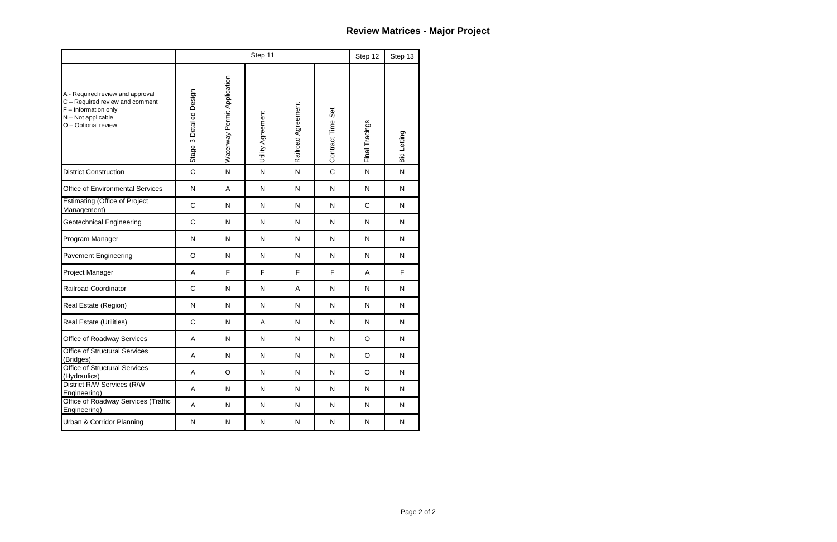|                                                                                                                                            |                         |                                                                                             | Step 11      |              |              | Step 12      | Step 13            |
|--------------------------------------------------------------------------------------------------------------------------------------------|-------------------------|---------------------------------------------------------------------------------------------|--------------|--------------|--------------|--------------|--------------------|
| A - Required review and approval<br>C - Required review and comment<br>$F$ – Information only<br>N - Not applicable<br>O - Optional review | Stage 3 Detailed Design | Waterway Permit Application<br>Railroad Agreement<br>Contract Time Set<br>Utility Agreement |              |              |              |              | <b>Bid Letting</b> |
| <b>District Construction</b>                                                                                                               | $\mathsf C$             | ${\sf N}$                                                                                   | $\mathsf{N}$ | ${\sf N}$    | $\mathsf{C}$ | $\mathsf{N}$ | $\mathsf{N}$       |
| <b>Office of Environmental Services</b>                                                                                                    | ${\sf N}$               | Α                                                                                           | N            | ${\sf N}$    | N            | $\mathsf{N}$ | $\mathsf{N}$       |
| <b>Estimating (Office of Project</b><br>Management)                                                                                        | $\mathsf C$             | ${\sf N}$                                                                                   | N            | ${\sf N}$    | $\mathsf{N}$ | $\mathsf C$  | $\mathsf{N}$       |
| <b>Geotechnical Engineering</b>                                                                                                            | $\mathsf C$             | ${\sf N}$                                                                                   | $\mathsf{N}$ | ${\sf N}$    | $\mathsf{N}$ | $\mathsf{N}$ | $\mathsf{N}$       |
| Program Manager                                                                                                                            | ${\sf N}$               | ${\sf N}$                                                                                   | N            | ${\sf N}$    | N            | $\mathsf{N}$ | $\mathsf{N}$       |
| <b>Pavement Engineering</b>                                                                                                                | $\circ$                 | ${\sf N}$                                                                                   | N            | ${\sf N}$    | N            | $\mathsf{N}$ | $\mathsf{N}$       |
| Project Manager                                                                                                                            | A                       | F                                                                                           | F            | F            | F            | A            | F                  |
| <b>Railroad Coordinator</b>                                                                                                                | C                       | $\mathsf{N}$                                                                                | N            | A            | N            | $\mathsf{N}$ | $\mathsf{N}$       |
| Real Estate (Region)                                                                                                                       | ${\sf N}$               | ${\sf N}$                                                                                   | $\mathsf{N}$ | ${\sf N}$    | N            | $\mathsf{N}$ | $\mathsf{N}$       |
| Real Estate (Utilities)                                                                                                                    | $\mathsf C$             | ${\sf N}$                                                                                   | A            | ${\sf N}$    | N            | $\mathsf{N}$ | N                  |
| Office of Roadway Services                                                                                                                 | Α                       | $\mathsf{N}$                                                                                | ${\sf N}$    | ${\sf N}$    | ${\sf N}$    | $\circ$      | N                  |
| <b>Office of Structural Services</b><br>(Bridges)                                                                                          | A                       | N                                                                                           | ${\sf N}$    | $\mathsf{N}$ | ${\sf N}$    | $\circ$      | ${\sf N}$          |
| <b>Office of Structural Services</b><br>(Hydraulics)                                                                                       | A                       | $\circ$                                                                                     | $\mathsf{N}$ | $\mathsf{N}$ | ${\sf N}$    | $\circ$      | ${\sf N}$          |
| District R/W Services (R/W<br>Engineering)                                                                                                 | A                       | N                                                                                           | ${\sf N}$    | $\mathsf{N}$ | ${\sf N}$    | ${\sf N}$    | $\mathsf{N}$       |
| Office of Roadway Services (Traffic<br>Engineering)                                                                                        | A                       | $\mathsf{N}$                                                                                | $\mathsf{N}$ | $\mathsf{N}$ | ${\sf N}$    | ${\sf N}$    | $\mathsf{N}$       |
| Urban & Corridor Planning                                                                                                                  | N                       | N                                                                                           | N            | N            | ${\sf N}$    | N            | N                  |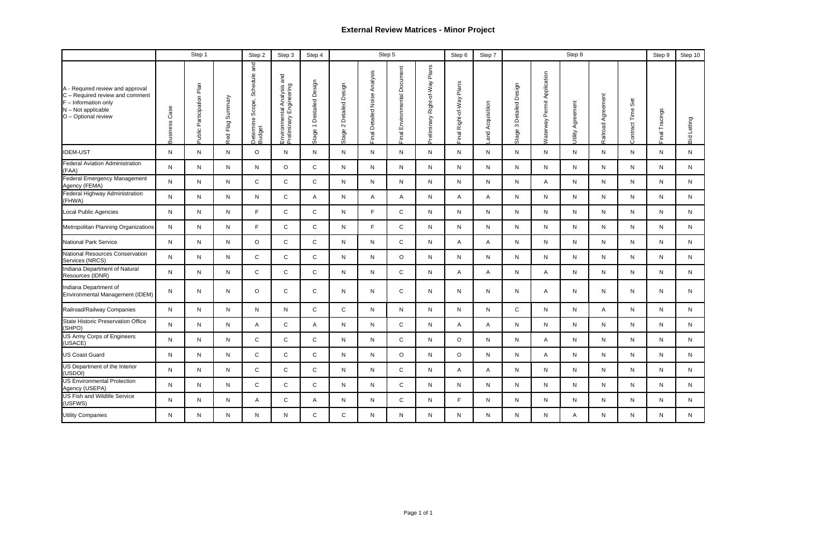## **External Review Matrices - Minor Project**

|                                                                                                                                            | Step 1<br>Step 5<br>Step 8<br>Step 2<br>Step 3<br>Step 4<br>Step 7<br>Step 6 |                           |                        |                                                        |                                                          |                                                       |                                       |                                         |                                 | Step 9                               | Step 10                  |                  |                                  |                                       |                      |                       |                         |                |                |
|--------------------------------------------------------------------------------------------------------------------------------------------|------------------------------------------------------------------------------|---------------------------|------------------------|--------------------------------------------------------|----------------------------------------------------------|-------------------------------------------------------|---------------------------------------|-----------------------------------------|---------------------------------|--------------------------------------|--------------------------|------------------|----------------------------------|---------------------------------------|----------------------|-----------------------|-------------------------|----------------|----------------|
| A - Required review and approval<br>C - Required review and comment<br>$F$ – Information only<br>N - Not applicable<br>O - Optional review | Case<br><b>Business</b>                                                      | Public Participation Plan | Summary<br>Flag<br>Red | Schedule and<br>Scope,<br>Determine <b>!</b><br>Budget | and<br>Environmental Analysis<br>Preliminary Engineering | Destailed Design<br>$\overline{\phantom{0}}$<br>Stage | Design<br>Detailed<br>$\sim$<br>Stage | Analysis<br><b>Final Detailed Noise</b> | Environmental Document<br>Final | Plans<br>Right-of-Way<br>Preliminary | Final Right-of-Way Plans | and Acquisitiion | Design<br>Detailed<br>S<br>Stage | Permit Application<br><b>Naterway</b> | Agreement<br>Utility | Agreement<br>Railroad | Set<br>Time<br>Contract | Final Tracings | Letting<br>Bid |
| <b>IDEM-UST</b>                                                                                                                            | N                                                                            | N                         | N                      | $\circ$                                                | N                                                        | N                                                     | N                                     | N                                       | N                               | N                                    | N                        | N                | N                                | N                                     | N                    | N                     | N                       | N              | N              |
| <b>Federal Aviation Administration</b><br>(FAA)                                                                                            | N                                                                            | N.                        | N                      | N                                                      | $\circ$                                                  | C                                                     | N                                     | N.                                      | N                               | N                                    | $\mathsf{N}$             | $\mathsf{N}$     | N                                | $\mathsf{N}$                          | N                    | N                     | N                       | N              | N              |
| <b>Federal Emergency Management</b><br>Agency (FEMA)                                                                                       | N                                                                            | N                         | N                      | $\mathsf{C}$                                           | ${\rm C}$                                                | C                                                     | N                                     | N                                       | N                               | N                                    | N                        | N                | N                                | A                                     | N                    | N                     | N                       | N              | N              |
| Federal Highway Administration<br>(FHWA)                                                                                                   | N                                                                            | N                         | N                      | N                                                      | $\mathsf C$                                              | A                                                     | N                                     | A                                       | Α                               | N                                    | A                        | A                | N.                               | N                                     | N                    | N                     | N                       | N              | N              |
| Local Public Agencies                                                                                                                      | N                                                                            | N.                        | N                      | F.                                                     | $\mathsf C$                                              | $\mathsf{C}$                                          | N                                     | F                                       | $\mathsf{C}$                    | N                                    | N.                       | N                | N                                | N.                                    | $\mathsf{N}$         | N                     | N                       | N              | N              |
| Metropolitan Planning Organizations                                                                                                        | N                                                                            | N                         | N                      | F.                                                     | ${\rm C}$                                                | C                                                     | N                                     | F.                                      | C                               | N                                    | N                        | N                | N                                | N                                     | N                    | N                     | N                       | N              | N.             |
| <b>National Park Service</b>                                                                                                               | N                                                                            | N                         | N                      | $\circ$                                                | $\mathsf C$                                              | C                                                     | N                                     | N                                       | C                               | N                                    | A                        | A                | N                                | N                                     | N                    | N                     | N                       | N              | N              |
| National Resources Conservation<br>Services (NRCS)                                                                                         | N                                                                            | N                         | N                      | $\mathsf{C}$                                           | $\mathsf{C}$                                             | C                                                     | N                                     | N                                       | $\circ$                         | N                                    | N                        | N                | N                                | $\mathsf{N}$                          | N                    | N                     | N                       | N              | N              |
| Indiana Department of Natural<br>Resources (IDNR)                                                                                          | N                                                                            | N                         | N                      | C                                                      | ${\rm C}$                                                | C                                                     | N                                     | N                                       | C                               | N                                    | A                        | A                | N                                | A                                     | N                    | N                     | N                       | N              | N              |
| Indiana Department of<br>Environmental Management (IDEM)                                                                                   | N                                                                            | N                         | N                      | $\circ$                                                | $\mathsf C$                                              | C                                                     | N                                     | N                                       | $\mathsf{C}$                    | N                                    | N                        | N                | N                                | Α                                     | N                    | N                     | N                       | N              | N              |
| Railroad/Railway Companies                                                                                                                 | N.                                                                           | N                         | N                      | N                                                      | N                                                        | C                                                     | C                                     | N                                       | N                               | N                                    | N                        | N                | C                                | N                                     | N                    | A                     | N                       | N              | N              |
| <b>State Historic Preservation Office</b><br>(SHPO)                                                                                        | N                                                                            | N                         | N                      | A                                                      | $\mathsf C$                                              | A                                                     | N                                     | N                                       | C                               | N                                    | A                        | $\mathsf{A}$     | N                                | N                                     | N                    | N                     | N                       | N              | N              |
| <b>US Army Corps of Engineers</b><br>(USACE)                                                                                               | N.                                                                           | N                         | N                      | $\mathsf{C}$                                           | $\mathsf C$                                              | C                                                     | N                                     | N                                       | $\mathsf{C}$                    | N                                    | $\circ$                  | N                | N                                | A                                     | N                    | N                     | N                       | N              | N              |
| <b>US Coast Guard</b>                                                                                                                      | N                                                                            | $\mathsf{N}$              | N                      | $\mathbf{C}$                                           | $\mathsf{C}$                                             | $\mathsf{C}$                                          | N                                     | N                                       | $\Omega$                        | N                                    | $\circ$                  | N                | N                                | Α                                     | N                    | N                     | N                       | N              | N              |
| US Department of the Interior<br>(USDOI)                                                                                                   | N                                                                            | N                         | N                      | $\mathsf{C}$                                           | $\mathsf{C}$                                             | $\mathsf{C}$                                          | N.                                    | N.                                      | $\mathbf C$                     | N                                    | A                        | $\mathsf{A}$     | N                                | N                                     | N                    | N.                    | N                       | N              | N.             |
| <b>US Environmental Protection</b><br>Agency (USEPA)                                                                                       | N.                                                                           | N                         | N                      | $\mathsf{C}$                                           | $\mathsf{C}$                                             | C                                                     | N.                                    | N                                       | $\mathsf{C}$                    | N                                    | N                        | N                | N                                | N                                     | N                    | N.                    | N                       | N              | N.             |
| <b>US Fish and Wildlife Service</b><br>(USFWS)                                                                                             | N.                                                                           | N                         | N                      | A                                                      | $\mathsf{C}$                                             | A                                                     | N.                                    | N                                       | $\mathsf{C}$                    | N                                    | F                        | N.               | N.                               | N                                     | N                    | N.                    | N                       | N              | N.             |
| <b>Utility Companies</b>                                                                                                                   | N                                                                            | N                         | N                      | N                                                      | N                                                        | C                                                     | C                                     | N                                       | N                               | N                                    | $N_{\odot}$              | N                | N                                | N                                     | A                    | N                     | N                       | N              | N              |